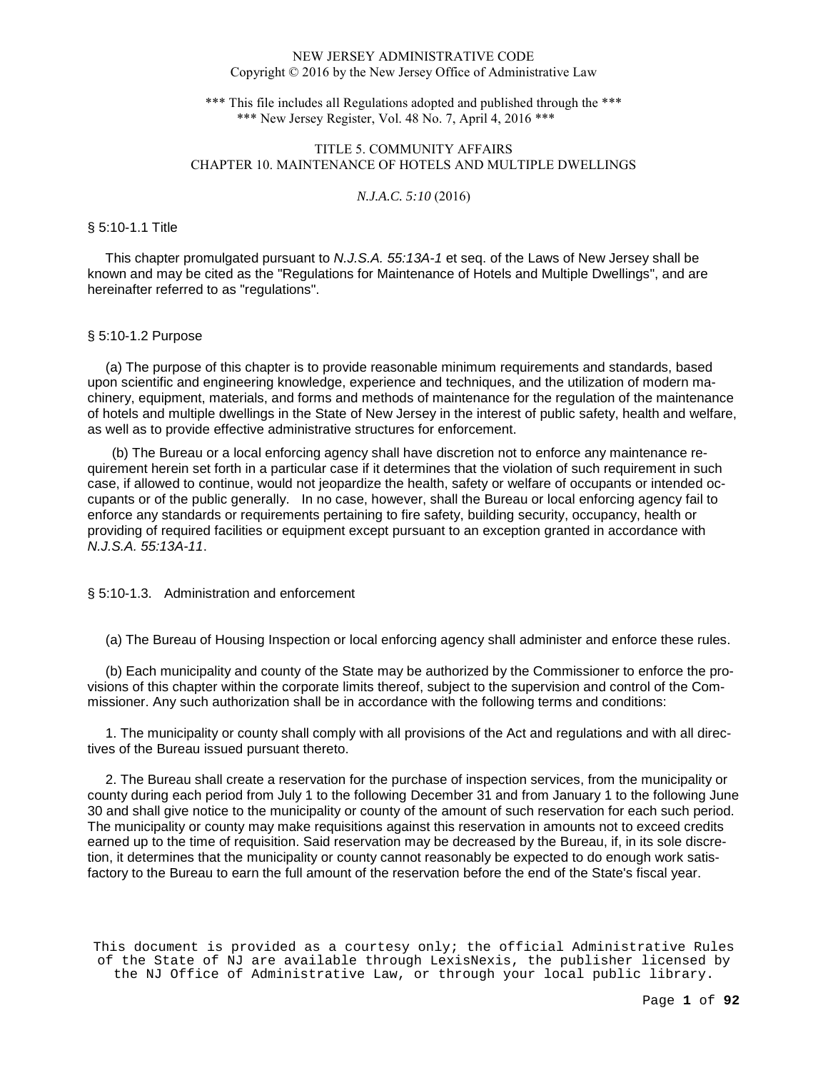\*\*\* This file includes all Regulations adopted and published through the \*\*\* \*\*\* New Jersey Register, Vol. 48 No. 7, April 4, 2016 \*\*\*

# TITLE 5. COMMUNITY AFFAIRS CHAPTER 10. MAINTENANCE OF HOTELS AND MULTIPLE DWELLINGS

*N.J.A.C. 5:10* (2016)

## § 5:10-1.1 Title

 This chapter promulgated pursuant to N.J.S.A. 55:13A-1 et seq. of the Laws of New Jersey shall be known and may be cited as the "Regulations for Maintenance of Hotels and Multiple Dwellings", and are hereinafter referred to as "regulations".

## § 5:10-1.2 Purpose

 (a) The purpose of this chapter is to provide reasonable minimum requirements and standards, based upon scientific and engineering knowledge, experience and techniques, and the utilization of modern machinery, equipment, materials, and forms and methods of maintenance for the regulation of the maintenance of hotels and multiple dwellings in the State of New Jersey in the interest of public safety, health and welfare, as well as to provide effective administrative structures for enforcement.

(b) The Bureau or a local enforcing agency shall have discretion not to enforce any maintenance requirement herein set forth in a particular case if it determines that the violation of such requirement in such case, if allowed to continue, would not jeopardize the health, safety or welfare of occupants or intended occupants or of the public generally. In no case, however, shall the Bureau or local enforcing agency fail to enforce any standards or requirements pertaining to fire safety, building security, occupancy, health or providing of required facilities or equipment except pursuant to an exception granted in accordance with N.J.S.A. 55:13A-11.

## § 5:10-1.3. Administration and enforcement

(a) The Bureau of Housing Inspection or local enforcing agency shall administer and enforce these rules.

 (b) Each municipality and county of the State may be authorized by the Commissioner to enforce the provisions of this chapter within the corporate limits thereof, subject to the supervision and control of the Commissioner. Any such authorization shall be in accordance with the following terms and conditions:

 1. The municipality or county shall comply with all provisions of the Act and regulations and with all directives of the Bureau issued pursuant thereto.

 2. The Bureau shall create a reservation for the purchase of inspection services, from the municipality or county during each period from July 1 to the following December 31 and from January 1 to the following June 30 and shall give notice to the municipality or county of the amount of such reservation for each such period. The municipality or county may make requisitions against this reservation in amounts not to exceed credits earned up to the time of requisition. Said reservation may be decreased by the Bureau, if, in its sole discretion, it determines that the municipality or county cannot reasonably be expected to do enough work satisfactory to the Bureau to earn the full amount of the reservation before the end of the State's fiscal year.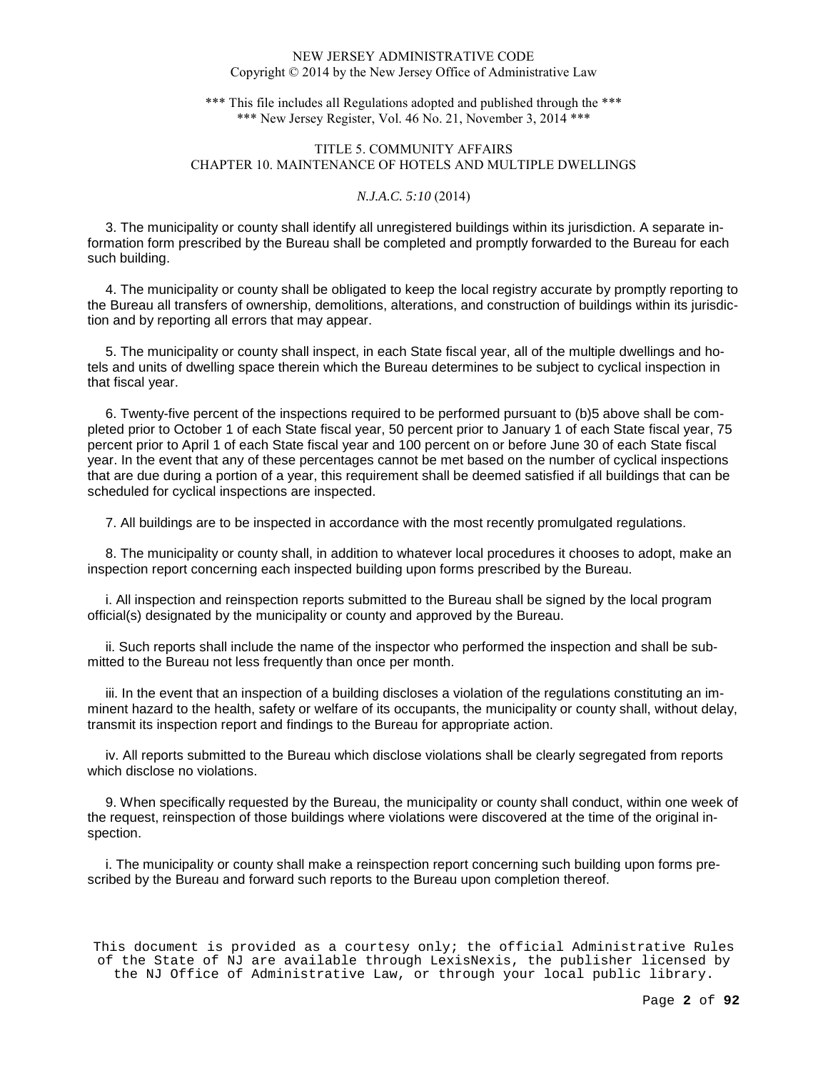\*\*\* This file includes all Regulations adopted and published through the \*\*\* \*\*\* New Jersey Register, Vol. 46 No. 21, November 3, 2014 \*\*\*

# TITLE 5. COMMUNITY AFFAIRS CHAPTER 10. MAINTENANCE OF HOTELS AND MULTIPLE DWELLINGS

## *N.J.A.C. 5:10* (2014)

 3. The municipality or county shall identify all unregistered buildings within its jurisdiction. A separate information form prescribed by the Bureau shall be completed and promptly forwarded to the Bureau for each such building.

 4. The municipality or county shall be obligated to keep the local registry accurate by promptly reporting to the Bureau all transfers of ownership, demolitions, alterations, and construction of buildings within its jurisdiction and by reporting all errors that may appear.

 5. The municipality or county shall inspect, in each State fiscal year, all of the multiple dwellings and hotels and units of dwelling space therein which the Bureau determines to be subject to cyclical inspection in that fiscal year.

 6. Twenty-five percent of the inspections required to be performed pursuant to (b)5 above shall be completed prior to October 1 of each State fiscal year, 50 percent prior to January 1 of each State fiscal year, 75 percent prior to April 1 of each State fiscal year and 100 percent on or before June 30 of each State fiscal year. In the event that any of these percentages cannot be met based on the number of cyclical inspections that are due during a portion of a year, this requirement shall be deemed satisfied if all buildings that can be scheduled for cyclical inspections are inspected.

7. All buildings are to be inspected in accordance with the most recently promulgated regulations.

 8. The municipality or county shall, in addition to whatever local procedures it chooses to adopt, make an inspection report concerning each inspected building upon forms prescribed by the Bureau.

 i. All inspection and reinspection reports submitted to the Bureau shall be signed by the local program official(s) designated by the municipality or county and approved by the Bureau.

 ii. Such reports shall include the name of the inspector who performed the inspection and shall be submitted to the Bureau not less frequently than once per month.

 iii. In the event that an inspection of a building discloses a violation of the regulations constituting an imminent hazard to the health, safety or welfare of its occupants, the municipality or county shall, without delay, transmit its inspection report and findings to the Bureau for appropriate action.

 iv. All reports submitted to the Bureau which disclose violations shall be clearly segregated from reports which disclose no violations.

 9. When specifically requested by the Bureau, the municipality or county shall conduct, within one week of the request, reinspection of those buildings where violations were discovered at the time of the original inspection.

 i. The municipality or county shall make a reinspection report concerning such building upon forms prescribed by the Bureau and forward such reports to the Bureau upon completion thereof.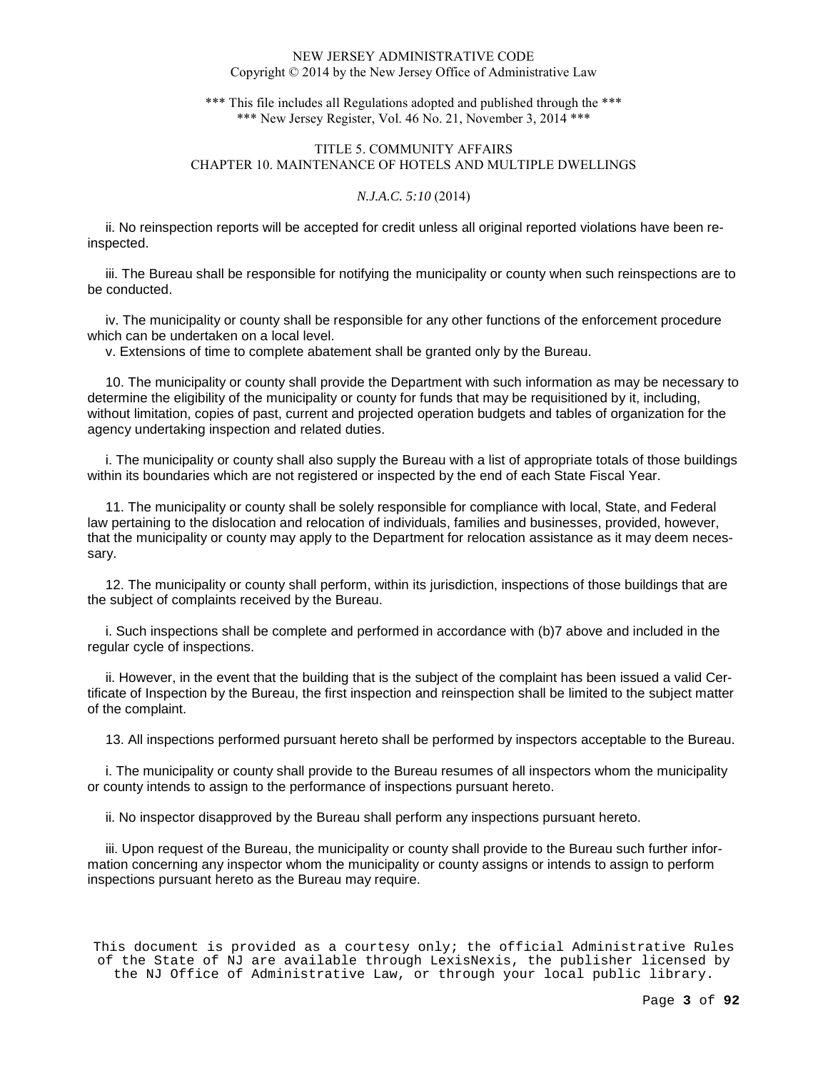\*\*\* This file includes all Regulations adopted and published through the \*\*\* \*\*\* New Jersey Register, Vol. 46 No. 21, November 3, 2014 \*\*\*

# TITLE 5. COMMUNITY AFFAIRS CHAPTER 10. MAINTENANCE OF HOTELS AND MULTIPLE DWELLINGS

## *N.J.A.C. 5:10* (2014)

 ii. No reinspection reports will be accepted for credit unless all original reported violations have been reinspected.

 iii. The Bureau shall be responsible for notifying the municipality or county when such reinspections are to be conducted.

 iv. The municipality or county shall be responsible for any other functions of the enforcement procedure which can be undertaken on a local level.

v. Extensions of time to complete abatement shall be granted only by the Bureau.

 10. The municipality or county shall provide the Department with such information as may be necessary to determine the eligibility of the municipality or county for funds that may be requisitioned by it, including, without limitation, copies of past, current and projected operation budgets and tables of organization for the agency undertaking inspection and related duties.

 i. The municipality or county shall also supply the Bureau with a list of appropriate totals of those buildings within its boundaries which are not registered or inspected by the end of each State Fiscal Year.

 11. The municipality or county shall be solely responsible for compliance with local, State, and Federal law pertaining to the dislocation and relocation of individuals, families and businesses, provided, however, that the municipality or county may apply to the Department for relocation assistance as it may deem necessary.

 12. The municipality or county shall perform, within its jurisdiction, inspections of those buildings that are the subject of complaints received by the Bureau.

 i. Such inspections shall be complete and performed in accordance with (b)7 above and included in the regular cycle of inspections.

 ii. However, in the event that the building that is the subject of the complaint has been issued a valid Certificate of Inspection by the Bureau, the first inspection and reinspection shall be limited to the subject matter of the complaint.

13. All inspections performed pursuant hereto shall be performed by inspectors acceptable to the Bureau.

 i. The municipality or county shall provide to the Bureau resumes of all inspectors whom the municipality or county intends to assign to the performance of inspections pursuant hereto.

ii. No inspector disapproved by the Bureau shall perform any inspections pursuant hereto.

 iii. Upon request of the Bureau, the municipality or county shall provide to the Bureau such further information concerning any inspector whom the municipality or county assigns or intends to assign to perform inspections pursuant hereto as the Bureau may require.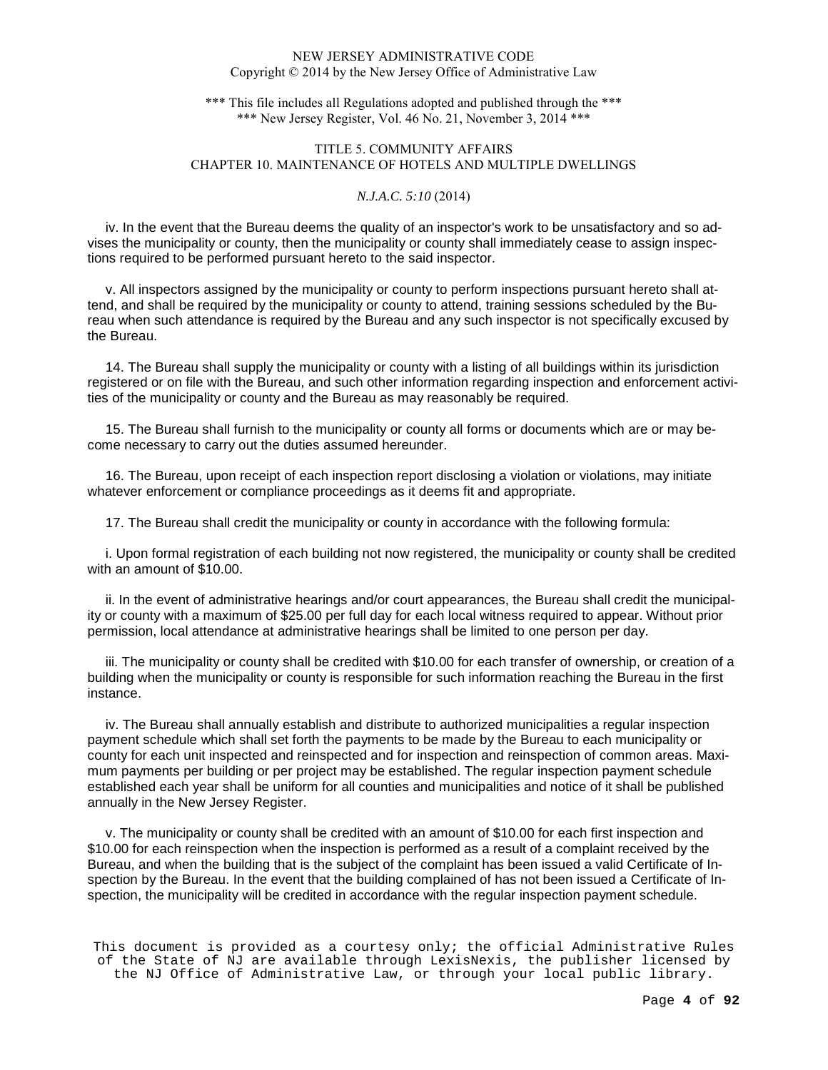\*\*\* This file includes all Regulations adopted and published through the \*\*\* \*\*\* New Jersey Register, Vol. 46 No. 21, November 3, 2014 \*\*\*

# TITLE 5. COMMUNITY AFFAIRS CHAPTER 10. MAINTENANCE OF HOTELS AND MULTIPLE DWELLINGS

## *N.J.A.C. 5:10* (2014)

 iv. In the event that the Bureau deems the quality of an inspector's work to be unsatisfactory and so advises the municipality or county, then the municipality or county shall immediately cease to assign inspections required to be performed pursuant hereto to the said inspector.

 v. All inspectors assigned by the municipality or county to perform inspections pursuant hereto shall attend, and shall be required by the municipality or county to attend, training sessions scheduled by the Bureau when such attendance is required by the Bureau and any such inspector is not specifically excused by the Bureau.

 14. The Bureau shall supply the municipality or county with a listing of all buildings within its jurisdiction registered or on file with the Bureau, and such other information regarding inspection and enforcement activities of the municipality or county and the Bureau as may reasonably be required.

 15. The Bureau shall furnish to the municipality or county all forms or documents which are or may become necessary to carry out the duties assumed hereunder.

 16. The Bureau, upon receipt of each inspection report disclosing a violation or violations, may initiate whatever enforcement or compliance proceedings as it deems fit and appropriate.

17. The Bureau shall credit the municipality or county in accordance with the following formula:

 i. Upon formal registration of each building not now registered, the municipality or county shall be credited with an amount of \$10.00.

 ii. In the event of administrative hearings and/or court appearances, the Bureau shall credit the municipality or county with a maximum of \$25.00 per full day for each local witness required to appear. Without prior permission, local attendance at administrative hearings shall be limited to one person per day.

 iii. The municipality or county shall be credited with \$10.00 for each transfer of ownership, or creation of a building when the municipality or county is responsible for such information reaching the Bureau in the first instance.

 iv. The Bureau shall annually establish and distribute to authorized municipalities a regular inspection payment schedule which shall set forth the payments to be made by the Bureau to each municipality or county for each unit inspected and reinspected and for inspection and reinspection of common areas. Maximum payments per building or per project may be established. The regular inspection payment schedule established each year shall be uniform for all counties and municipalities and notice of it shall be published annually in the New Jersey Register.

 v. The municipality or county shall be credited with an amount of \$10.00 for each first inspection and \$10.00 for each reinspection when the inspection is performed as a result of a complaint received by the Bureau, and when the building that is the subject of the complaint has been issued a valid Certificate of Inspection by the Bureau. In the event that the building complained of has not been issued a Certificate of Inspection, the municipality will be credited in accordance with the regular inspection payment schedule.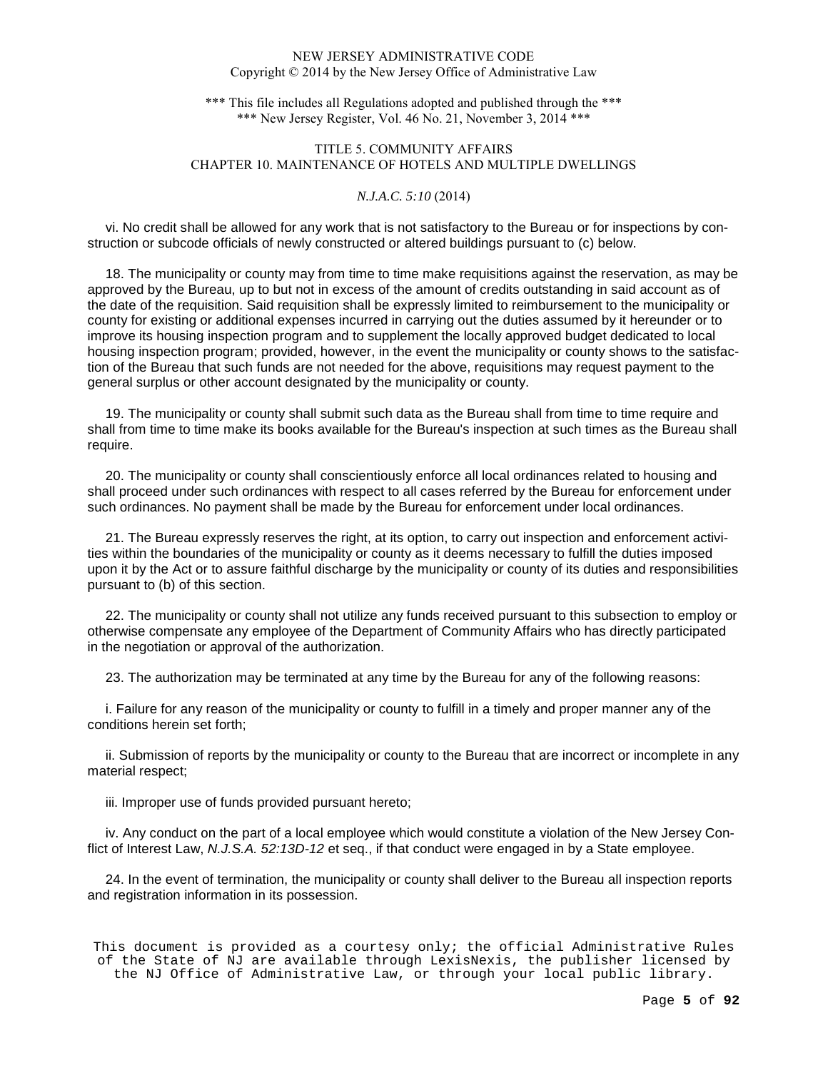\*\*\* This file includes all Regulations adopted and published through the \*\*\* \*\*\* New Jersey Register, Vol. 46 No. 21, November 3, 2014 \*\*\*

# TITLE 5. COMMUNITY AFFAIRS CHAPTER 10. MAINTENANCE OF HOTELS AND MULTIPLE DWELLINGS

## *N.J.A.C. 5:10* (2014)

 vi. No credit shall be allowed for any work that is not satisfactory to the Bureau or for inspections by construction or subcode officials of newly constructed or altered buildings pursuant to (c) below.

 18. The municipality or county may from time to time make requisitions against the reservation, as may be approved by the Bureau, up to but not in excess of the amount of credits outstanding in said account as of the date of the requisition. Said requisition shall be expressly limited to reimbursement to the municipality or county for existing or additional expenses incurred in carrying out the duties assumed by it hereunder or to improve its housing inspection program and to supplement the locally approved budget dedicated to local housing inspection program; provided, however, in the event the municipality or county shows to the satisfaction of the Bureau that such funds are not needed for the above, requisitions may request payment to the general surplus or other account designated by the municipality or county.

 19. The municipality or county shall submit such data as the Bureau shall from time to time require and shall from time to time make its books available for the Bureau's inspection at such times as the Bureau shall require.

 20. The municipality or county shall conscientiously enforce all local ordinances related to housing and shall proceed under such ordinances with respect to all cases referred by the Bureau for enforcement under such ordinances. No payment shall be made by the Bureau for enforcement under local ordinances.

 21. The Bureau expressly reserves the right, at its option, to carry out inspection and enforcement activities within the boundaries of the municipality or county as it deems necessary to fulfill the duties imposed upon it by the Act or to assure faithful discharge by the municipality or county of its duties and responsibilities pursuant to (b) of this section.

 22. The municipality or county shall not utilize any funds received pursuant to this subsection to employ or otherwise compensate any employee of the Department of Community Affairs who has directly participated in the negotiation or approval of the authorization.

23. The authorization may be terminated at any time by the Bureau for any of the following reasons:

 i. Failure for any reason of the municipality or county to fulfill in a timely and proper manner any of the conditions herein set forth;

 ii. Submission of reports by the municipality or county to the Bureau that are incorrect or incomplete in any material respect;

iii. Improper use of funds provided pursuant hereto;

 iv. Any conduct on the part of a local employee which would constitute a violation of the New Jersey Conflict of Interest Law, N.J.S.A. 52:13D-12 et seq., if that conduct were engaged in by a State employee.

 24. In the event of termination, the municipality or county shall deliver to the Bureau all inspection reports and registration information in its possession.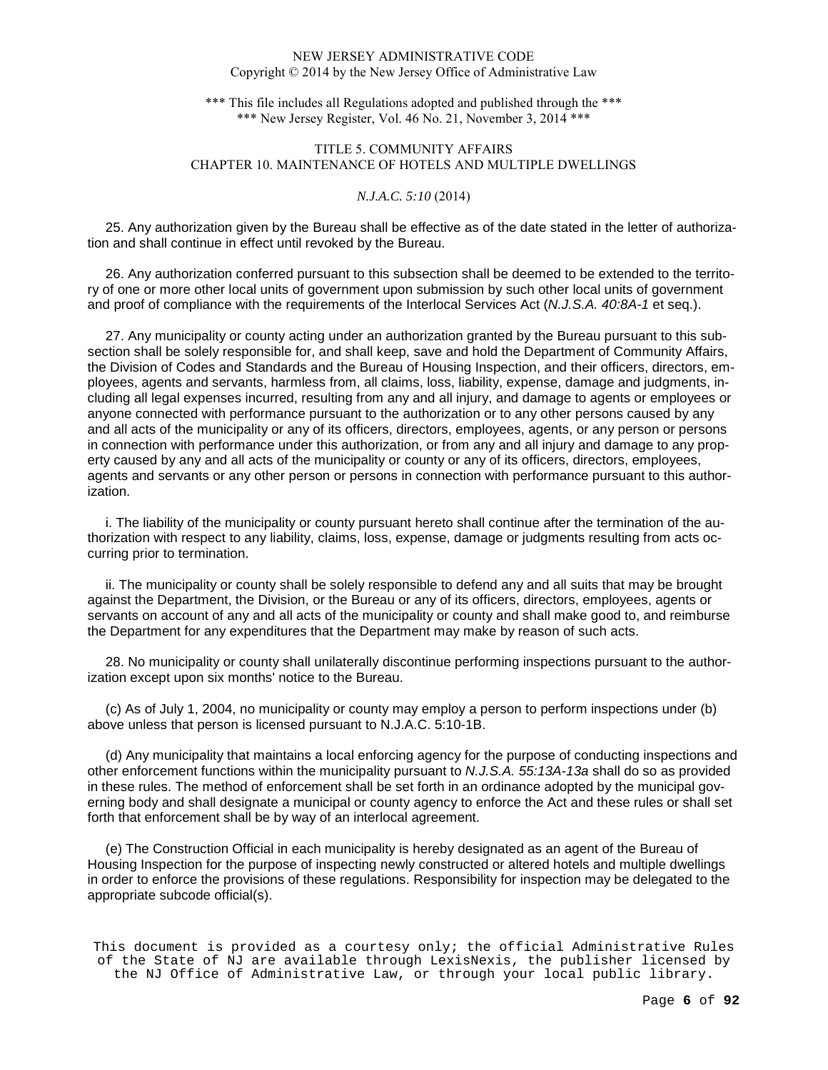\*\*\* This file includes all Regulations adopted and published through the \*\*\* \*\*\* New Jersey Register, Vol. 46 No. 21, November 3, 2014 \*\*\*

# TITLE 5. COMMUNITY AFFAIRS CHAPTER 10. MAINTENANCE OF HOTELS AND MULTIPLE DWELLINGS

## *N.J.A.C. 5:10* (2014)

 25. Any authorization given by the Bureau shall be effective as of the date stated in the letter of authorization and shall continue in effect until revoked by the Bureau.

 26. Any authorization conferred pursuant to this subsection shall be deemed to be extended to the territory of one or more other local units of government upon submission by such other local units of government and proof of compliance with the requirements of the Interlocal Services Act (N.J.S.A. 40:8A-1 et seq.).

 27. Any municipality or county acting under an authorization granted by the Bureau pursuant to this subsection shall be solely responsible for, and shall keep, save and hold the Department of Community Affairs, the Division of Codes and Standards and the Bureau of Housing Inspection, and their officers, directors, employees, agents and servants, harmless from, all claims, loss, liability, expense, damage and judgments, including all legal expenses incurred, resulting from any and all injury, and damage to agents or employees or anyone connected with performance pursuant to the authorization or to any other persons caused by any and all acts of the municipality or any of its officers, directors, employees, agents, or any person or persons in connection with performance under this authorization, or from any and all injury and damage to any property caused by any and all acts of the municipality or county or any of its officers, directors, employees, agents and servants or any other person or persons in connection with performance pursuant to this authorization.

 i. The liability of the municipality or county pursuant hereto shall continue after the termination of the authorization with respect to any liability, claims, loss, expense, damage or judgments resulting from acts occurring prior to termination.

 ii. The municipality or county shall be solely responsible to defend any and all suits that may be brought against the Department, the Division, or the Bureau or any of its officers, directors, employees, agents or servants on account of any and all acts of the municipality or county and shall make good to, and reimburse the Department for any expenditures that the Department may make by reason of such acts.

 28. No municipality or county shall unilaterally discontinue performing inspections pursuant to the authorization except upon six months' notice to the Bureau.

 (c) As of July 1, 2004, no municipality or county may employ a person to perform inspections under (b) above unless that person is licensed pursuant to N.J.A.C. 5:10-1B.

 (d) Any municipality that maintains a local enforcing agency for the purpose of conducting inspections and other enforcement functions within the municipality pursuant to N.J.S.A. 55:13A-13a shall do so as provided in these rules. The method of enforcement shall be set forth in an ordinance adopted by the municipal governing body and shall designate a municipal or county agency to enforce the Act and these rules or shall set forth that enforcement shall be by way of an interlocal agreement.

 (e) The Construction Official in each municipality is hereby designated as an agent of the Bureau of Housing Inspection for the purpose of inspecting newly constructed or altered hotels and multiple dwellings in order to enforce the provisions of these regulations. Responsibility for inspection may be delegated to the appropriate subcode official(s).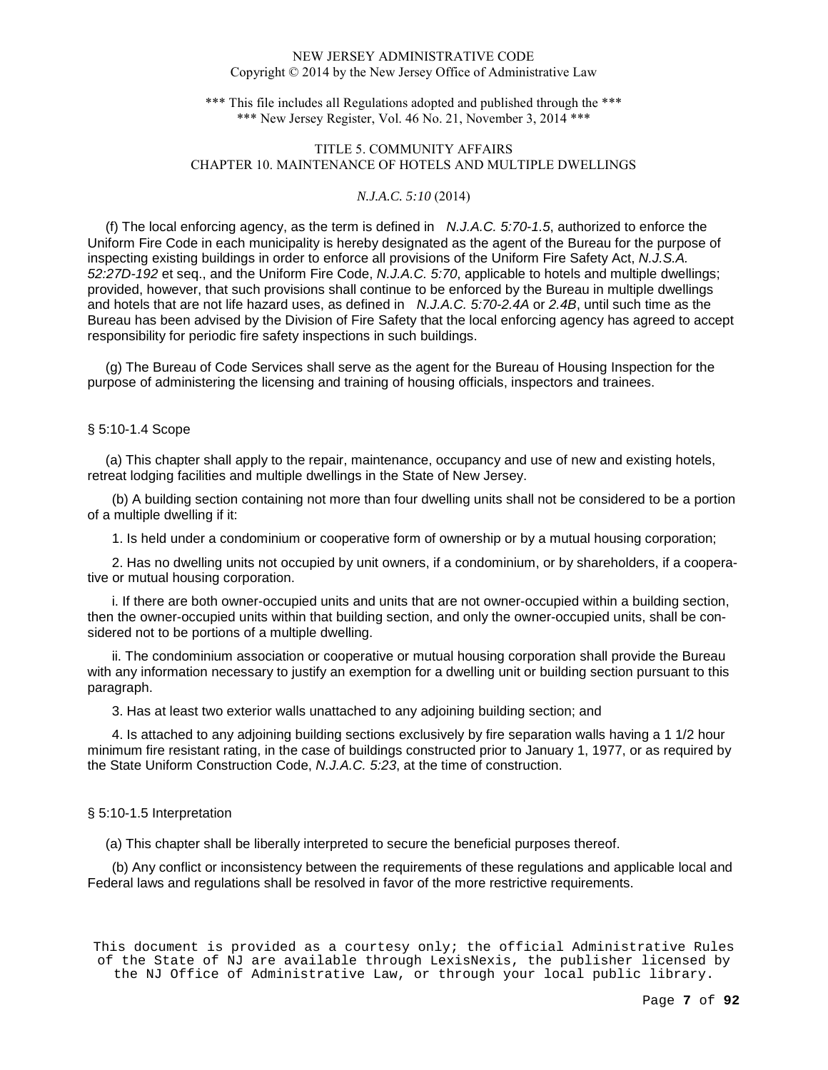\*\*\* This file includes all Regulations adopted and published through the \*\*\* \*\*\* New Jersey Register, Vol. 46 No. 21, November 3, 2014 \*\*\*

# TITLE 5. COMMUNITY AFFAIRS CHAPTER 10. MAINTENANCE OF HOTELS AND MULTIPLE DWELLINGS

## *N.J.A.C. 5:10* (2014)

(f) The local enforcing agency, as the term is defined in  $N.J.A.C. 5:70-1.5$ , authorized to enforce the Uniform Fire Code in each municipality is hereby designated as the agent of the Bureau for the purpose of inspecting existing buildings in order to enforce all provisions of the Uniform Fire Safety Act, N.J.S.A. 52:27D-192 et seq., and the Uniform Fire Code, N.J.A.C. 5:70, applicable to hotels and multiple dwellings; provided, however, that such provisions shall continue to be enforced by the Bureau in multiple dwellings and hotels that are not life hazard uses, as defined in *N.J.A.C. 5:70-2.4A* or 2.4B, until such time as the Bureau has been advised by the Division of Fire Safety that the local enforcing agency has agreed to accept responsibility for periodic fire safety inspections in such buildings.

 (g) The Bureau of Code Services shall serve as the agent for the Bureau of Housing Inspection for the purpose of administering the licensing and training of housing officials, inspectors and trainees.

## § 5:10-1.4 Scope

 (a) This chapter shall apply to the repair, maintenance, occupancy and use of new and existing hotels, retreat lodging facilities and multiple dwellings in the State of New Jersey.

(b) A building section containing not more than four dwelling units shall not be considered to be a portion of a multiple dwelling if it:

1. Is held under a condominium or cooperative form of ownership or by a mutual housing corporation;

2. Has no dwelling units not occupied by unit owners, if a condominium, or by shareholders, if a cooperative or mutual housing corporation.

i. If there are both owner-occupied units and units that are not owner-occupied within a building section, then the owner-occupied units within that building section, and only the owner-occupied units, shall be considered not to be portions of a multiple dwelling.

ii. The condominium association or cooperative or mutual housing corporation shall provide the Bureau with any information necessary to justify an exemption for a dwelling unit or building section pursuant to this paragraph.

3. Has at least two exterior walls unattached to any adjoining building section; and

4. Is attached to any adjoining building sections exclusively by fire separation walls having a 1 1/2 hour minimum fire resistant rating, in the case of buildings constructed prior to January 1, 1977, or as required by the State Uniform Construction Code, N.J.A.C. 5:23, at the time of construction.

#### § 5:10-1.5 Interpretation

(a) This chapter shall be liberally interpreted to secure the beneficial purposes thereof.

(b) Any conflict or inconsistency between the requirements of these regulations and applicable local and Federal laws and regulations shall be resolved in favor of the more restrictive requirements.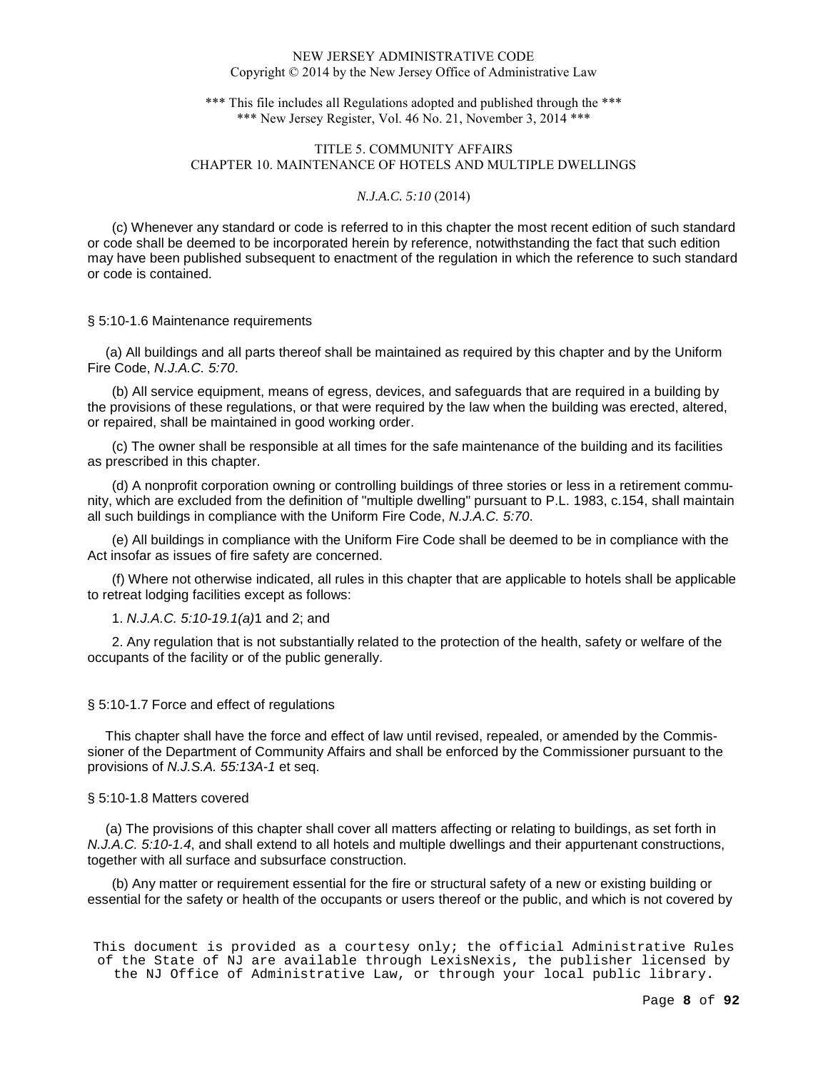\*\*\* This file includes all Regulations adopted and published through the \*\*\* \*\*\* New Jersey Register, Vol. 46 No. 21, November 3, 2014 \*\*\*

# TITLE 5. COMMUNITY AFFAIRS CHAPTER 10. MAINTENANCE OF HOTELS AND MULTIPLE DWELLINGS

### *N.J.A.C. 5:10* (2014)

(c) Whenever any standard or code is referred to in this chapter the most recent edition of such standard or code shall be deemed to be incorporated herein by reference, notwithstanding the fact that such edition may have been published subsequent to enactment of the regulation in which the reference to such standard or code is contained.

#### § 5:10-1.6 Maintenance requirements

 (a) All buildings and all parts thereof shall be maintained as required by this chapter and by the Uniform Fire Code, N.J.A.C. 5:70.

(b) All service equipment, means of egress, devices, and safeguards that are required in a building by the provisions of these regulations, or that were required by the law when the building was erected, altered, or repaired, shall be maintained in good working order.

(c) The owner shall be responsible at all times for the safe maintenance of the building and its facilities as prescribed in this chapter.

(d) A nonprofit corporation owning or controlling buildings of three stories or less in a retirement community, which are excluded from the definition of "multiple dwelling" pursuant to P.L. 1983, c.154, shall maintain all such buildings in compliance with the Uniform Fire Code, N.J.A.C. 5:70.

(e) All buildings in compliance with the Uniform Fire Code shall be deemed to be in compliance with the Act insofar as issues of fire safety are concerned.

(f) Where not otherwise indicated, all rules in this chapter that are applicable to hotels shall be applicable to retreat lodging facilities except as follows:

### 1. N.J.A.C. 5:10-19.1(a)1 and 2; and

2. Any regulation that is not substantially related to the protection of the health, safety or welfare of the occupants of the facility or of the public generally.

### § 5:10-1.7 Force and effect of regulations

 This chapter shall have the force and effect of law until revised, repealed, or amended by the Commissioner of the Department of Community Affairs and shall be enforced by the Commissioner pursuant to the provisions of N.J.S.A. 55:13A-1 et seq.

#### § 5:10-1.8 Matters covered

 (a) The provisions of this chapter shall cover all matters affecting or relating to buildings, as set forth in N.J.A.C. 5:10-1.4, and shall extend to all hotels and multiple dwellings and their appurtenant constructions, together with all surface and subsurface construction.

(b) Any matter or requirement essential for the fire or structural safety of a new or existing building or essential for the safety or health of the occupants or users thereof or the public, and which is not covered by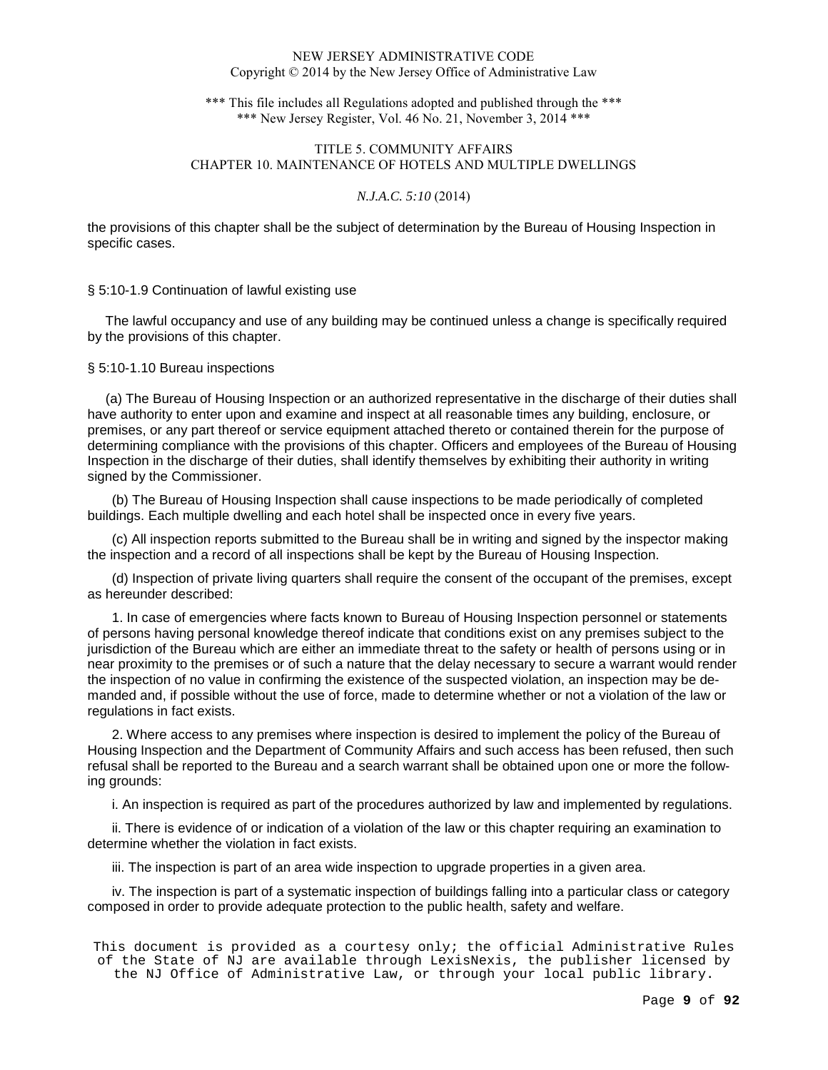\*\*\* This file includes all Regulations adopted and published through the \*\*\* \*\*\* New Jersey Register, Vol. 46 No. 21, November 3, 2014 \*\*\*

# TITLE 5. COMMUNITY AFFAIRS CHAPTER 10. MAINTENANCE OF HOTELS AND MULTIPLE DWELLINGS

### *N.J.A.C. 5:10* (2014)

the provisions of this chapter shall be the subject of determination by the Bureau of Housing Inspection in specific cases.

### § 5:10-1.9 Continuation of lawful existing use

 The lawful occupancy and use of any building may be continued unless a change is specifically required by the provisions of this chapter.

## § 5:10-1.10 Bureau inspections

 (a) The Bureau of Housing Inspection or an authorized representative in the discharge of their duties shall have authority to enter upon and examine and inspect at all reasonable times any building, enclosure, or premises, or any part thereof or service equipment attached thereto or contained therein for the purpose of determining compliance with the provisions of this chapter. Officers and employees of the Bureau of Housing Inspection in the discharge of their duties, shall identify themselves by exhibiting their authority in writing signed by the Commissioner.

(b) The Bureau of Housing Inspection shall cause inspections to be made periodically of completed buildings. Each multiple dwelling and each hotel shall be inspected once in every five years.

(c) All inspection reports submitted to the Bureau shall be in writing and signed by the inspector making the inspection and a record of all inspections shall be kept by the Bureau of Housing Inspection.

(d) Inspection of private living quarters shall require the consent of the occupant of the premises, except as hereunder described:

1. In case of emergencies where facts known to Bureau of Housing Inspection personnel or statements of persons having personal knowledge thereof indicate that conditions exist on any premises subject to the jurisdiction of the Bureau which are either an immediate threat to the safety or health of persons using or in near proximity to the premises or of such a nature that the delay necessary to secure a warrant would render the inspection of no value in confirming the existence of the suspected violation, an inspection may be demanded and, if possible without the use of force, made to determine whether or not a violation of the law or regulations in fact exists.

2. Where access to any premises where inspection is desired to implement the policy of the Bureau of Housing Inspection and the Department of Community Affairs and such access has been refused, then such refusal shall be reported to the Bureau and a search warrant shall be obtained upon one or more the following grounds:

i. An inspection is required as part of the procedures authorized by law and implemented by regulations.

ii. There is evidence of or indication of a violation of the law or this chapter requiring an examination to determine whether the violation in fact exists.

iii. The inspection is part of an area wide inspection to upgrade properties in a given area.

iv. The inspection is part of a systematic inspection of buildings falling into a particular class or category composed in order to provide adequate protection to the public health, safety and welfare.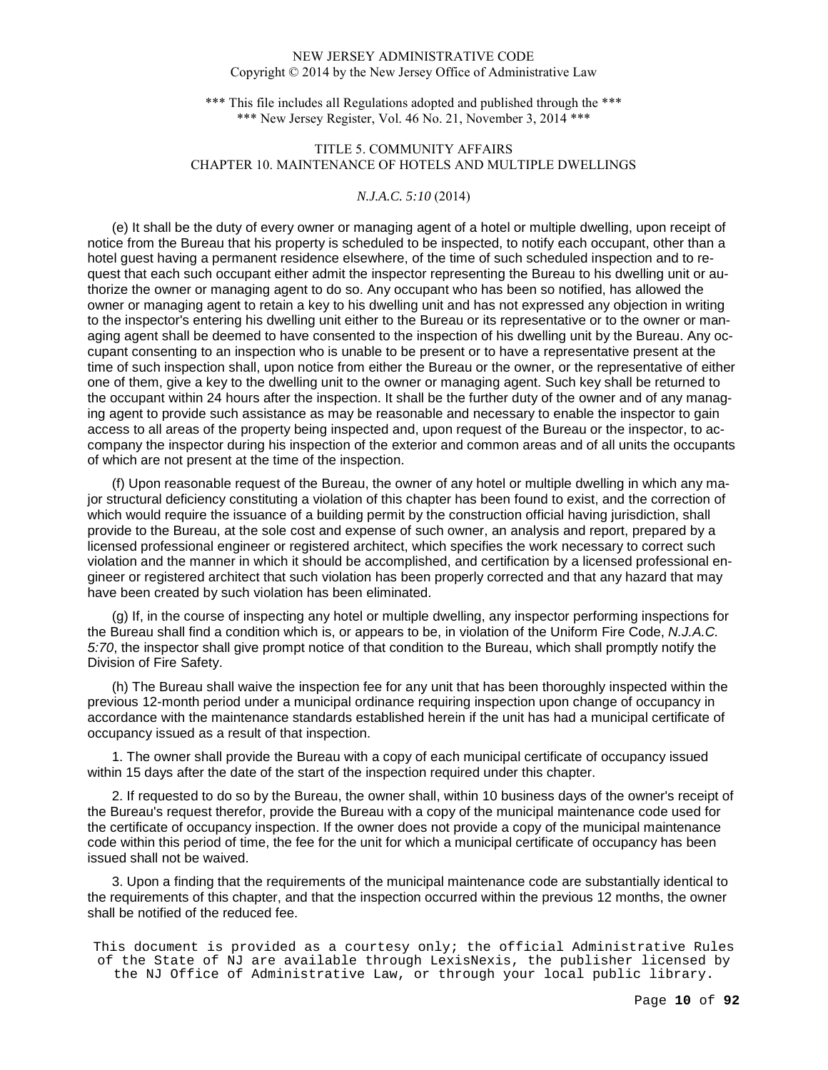\*\*\* This file includes all Regulations adopted and published through the \*\*\* \*\*\* New Jersey Register, Vol. 46 No. 21, November 3, 2014 \*\*\*

# TITLE 5. COMMUNITY AFFAIRS CHAPTER 10. MAINTENANCE OF HOTELS AND MULTIPLE DWELLINGS

## *N.J.A.C. 5:10* (2014)

(e) It shall be the duty of every owner or managing agent of a hotel or multiple dwelling, upon receipt of notice from the Bureau that his property is scheduled to be inspected, to notify each occupant, other than a hotel guest having a permanent residence elsewhere, of the time of such scheduled inspection and to request that each such occupant either admit the inspector representing the Bureau to his dwelling unit or authorize the owner or managing agent to do so. Any occupant who has been so notified, has allowed the owner or managing agent to retain a key to his dwelling unit and has not expressed any objection in writing to the inspector's entering his dwelling unit either to the Bureau or its representative or to the owner or managing agent shall be deemed to have consented to the inspection of his dwelling unit by the Bureau. Any occupant consenting to an inspection who is unable to be present or to have a representative present at the time of such inspection shall, upon notice from either the Bureau or the owner, or the representative of either one of them, give a key to the dwelling unit to the owner or managing agent. Such key shall be returned to the occupant within 24 hours after the inspection. It shall be the further duty of the owner and of any managing agent to provide such assistance as may be reasonable and necessary to enable the inspector to gain access to all areas of the property being inspected and, upon request of the Bureau or the inspector, to accompany the inspector during his inspection of the exterior and common areas and of all units the occupants of which are not present at the time of the inspection.

(f) Upon reasonable request of the Bureau, the owner of any hotel or multiple dwelling in which any major structural deficiency constituting a violation of this chapter has been found to exist, and the correction of which would require the issuance of a building permit by the construction official having jurisdiction, shall provide to the Bureau, at the sole cost and expense of such owner, an analysis and report, prepared by a licensed professional engineer or registered architect, which specifies the work necessary to correct such violation and the manner in which it should be accomplished, and certification by a licensed professional engineer or registered architect that such violation has been properly corrected and that any hazard that may have been created by such violation has been eliminated.

(g) If, in the course of inspecting any hotel or multiple dwelling, any inspector performing inspections for the Bureau shall find a condition which is, or appears to be, in violation of the Uniform Fire Code, N.J.A.C. 5:70, the inspector shall give prompt notice of that condition to the Bureau, which shall promptly notify the Division of Fire Safety.

(h) The Bureau shall waive the inspection fee for any unit that has been thoroughly inspected within the previous 12-month period under a municipal ordinance requiring inspection upon change of occupancy in accordance with the maintenance standards established herein if the unit has had a municipal certificate of occupancy issued as a result of that inspection.

1. The owner shall provide the Bureau with a copy of each municipal certificate of occupancy issued within 15 days after the date of the start of the inspection required under this chapter.

2. If requested to do so by the Bureau, the owner shall, within 10 business days of the owner's receipt of the Bureau's request therefor, provide the Bureau with a copy of the municipal maintenance code used for the certificate of occupancy inspection. If the owner does not provide a copy of the municipal maintenance code within this period of time, the fee for the unit for which a municipal certificate of occupancy has been issued shall not be waived.

3. Upon a finding that the requirements of the municipal maintenance code are substantially identical to the requirements of this chapter, and that the inspection occurred within the previous 12 months, the owner shall be notified of the reduced fee.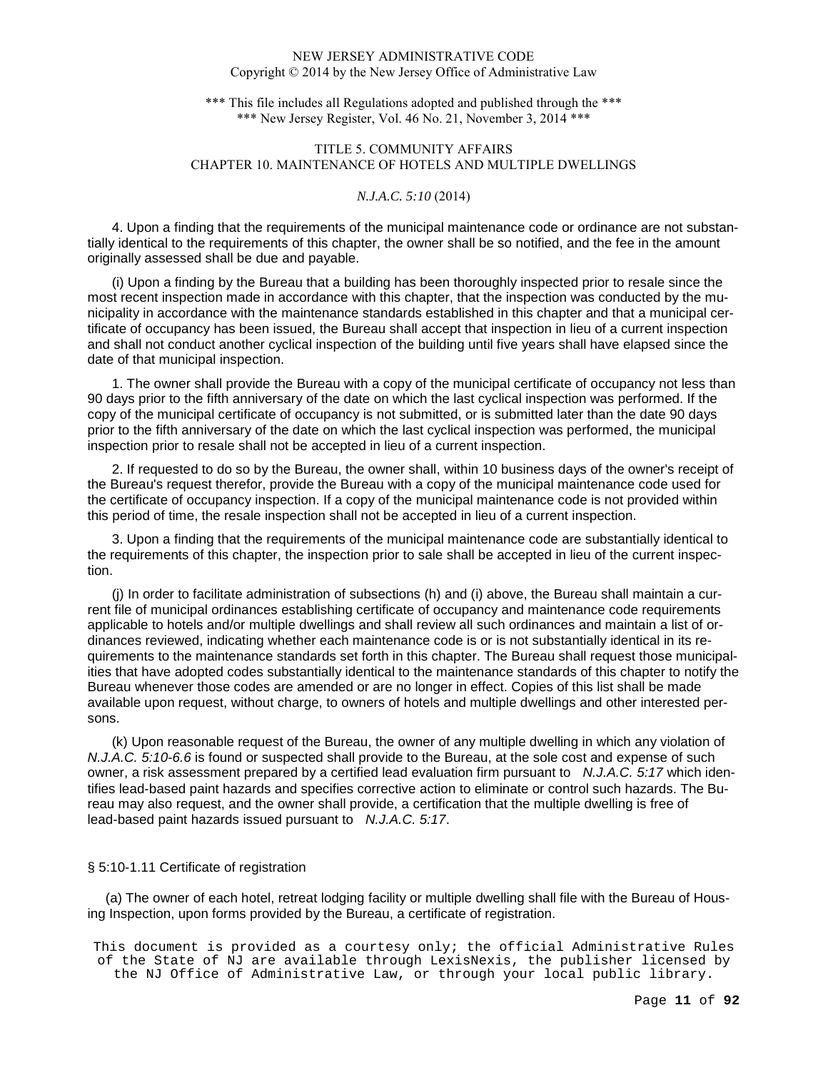\*\*\* This file includes all Regulations adopted and published through the \*\*\* \*\*\* New Jersey Register, Vol. 46 No. 21, November 3, 2014 \*\*\*

# TITLE 5. COMMUNITY AFFAIRS CHAPTER 10. MAINTENANCE OF HOTELS AND MULTIPLE DWELLINGS

## *N.J.A.C. 5:10* (2014)

4. Upon a finding that the requirements of the municipal maintenance code or ordinance are not substantially identical to the requirements of this chapter, the owner shall be so notified, and the fee in the amount originally assessed shall be due and payable.

(i) Upon a finding by the Bureau that a building has been thoroughly inspected prior to resale since the most recent inspection made in accordance with this chapter, that the inspection was conducted by the municipality in accordance with the maintenance standards established in this chapter and that a municipal certificate of occupancy has been issued, the Bureau shall accept that inspection in lieu of a current inspection and shall not conduct another cyclical inspection of the building until five years shall have elapsed since the date of that municipal inspection.

1. The owner shall provide the Bureau with a copy of the municipal certificate of occupancy not less than 90 days prior to the fifth anniversary of the date on which the last cyclical inspection was performed. If the copy of the municipal certificate of occupancy is not submitted, or is submitted later than the date 90 days prior to the fifth anniversary of the date on which the last cyclical inspection was performed, the municipal inspection prior to resale shall not be accepted in lieu of a current inspection.

2. If requested to do so by the Bureau, the owner shall, within 10 business days of the owner's receipt of the Bureau's request therefor, provide the Bureau with a copy of the municipal maintenance code used for the certificate of occupancy inspection. If a copy of the municipal maintenance code is not provided within this period of time, the resale inspection shall not be accepted in lieu of a current inspection.

3. Upon a finding that the requirements of the municipal maintenance code are substantially identical to the requirements of this chapter, the inspection prior to sale shall be accepted in lieu of the current inspection.

(j) In order to facilitate administration of subsections (h) and (i) above, the Bureau shall maintain a current file of municipal ordinances establishing certificate of occupancy and maintenance code requirements applicable to hotels and/or multiple dwellings and shall review all such ordinances and maintain a list of ordinances reviewed, indicating whether each maintenance code is or is not substantially identical in its requirements to the maintenance standards set forth in this chapter. The Bureau shall request those municipalities that have adopted codes substantially identical to the maintenance standards of this chapter to notify the Bureau whenever those codes are amended or are no longer in effect. Copies of this list shall be made available upon request, without charge, to owners of hotels and multiple dwellings and other interested persons.

(k) Upon reasonable request of the Bureau, the owner of any multiple dwelling in which any violation of N.J.A.C. 5:10-6.6 is found or suspected shall provide to the Bureau, at the sole cost and expense of such owner, a risk assessment prepared by a certified lead evaluation firm pursuant to N.J.A.C. 5:17 which identifies lead-based paint hazards and specifies corrective action to eliminate or control such hazards. The Bureau may also request, and the owner shall provide, a certification that the multiple dwelling is free of lead-based paint hazards issued pursuant to *N.J.A.C. 5:17.* 

#### § 5:10-1.11 Certificate of registration

 (a) The owner of each hotel, retreat lodging facility or multiple dwelling shall file with the Bureau of Housing Inspection, upon forms provided by the Bureau, a certificate of registration.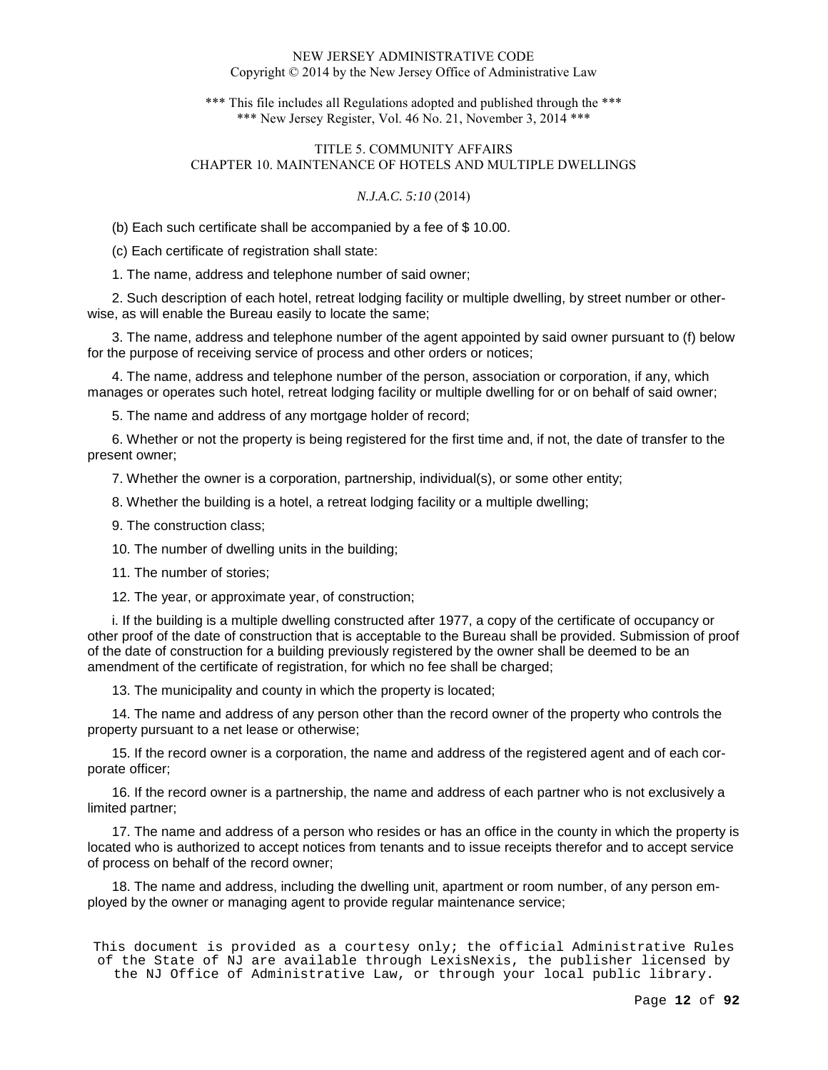\*\*\* This file includes all Regulations adopted and published through the \*\*\* \*\*\* New Jersey Register, Vol. 46 No. 21, November 3, 2014 \*\*\*

## TITLE 5. COMMUNITY AFFAIRS CHAPTER 10. MAINTENANCE OF HOTELS AND MULTIPLE DWELLINGS

## *N.J.A.C. 5:10* (2014)

(b) Each such certificate shall be accompanied by a fee of \$ 10.00.

(c) Each certificate of registration shall state:

1. The name, address and telephone number of said owner;

2. Such description of each hotel, retreat lodging facility or multiple dwelling, by street number or otherwise, as will enable the Bureau easily to locate the same;

3. The name, address and telephone number of the agent appointed by said owner pursuant to (f) below for the purpose of receiving service of process and other orders or notices;

4. The name, address and telephone number of the person, association or corporation, if any, which manages or operates such hotel, retreat lodging facility or multiple dwelling for or on behalf of said owner;

5. The name and address of any mortgage holder of record;

6. Whether or not the property is being registered for the first time and, if not, the date of transfer to the present owner;

7. Whether the owner is a corporation, partnership, individual(s), or some other entity;

8. Whether the building is a hotel, a retreat lodging facility or a multiple dwelling;

9. The construction class;

10. The number of dwelling units in the building;

11. The number of stories;

12. The year, or approximate year, of construction;

i. If the building is a multiple dwelling constructed after 1977, a copy of the certificate of occupancy or other proof of the date of construction that is acceptable to the Bureau shall be provided. Submission of proof of the date of construction for a building previously registered by the owner shall be deemed to be an amendment of the certificate of registration, for which no fee shall be charged;

13. The municipality and county in which the property is located;

14. The name and address of any person other than the record owner of the property who controls the property pursuant to a net lease or otherwise;

15. If the record owner is a corporation, the name and address of the registered agent and of each corporate officer;

16. If the record owner is a partnership, the name and address of each partner who is not exclusively a limited partner;

17. The name and address of a person who resides or has an office in the county in which the property is located who is authorized to accept notices from tenants and to issue receipts therefor and to accept service of process on behalf of the record owner;

18. The name and address, including the dwelling unit, apartment or room number, of any person employed by the owner or managing agent to provide regular maintenance service;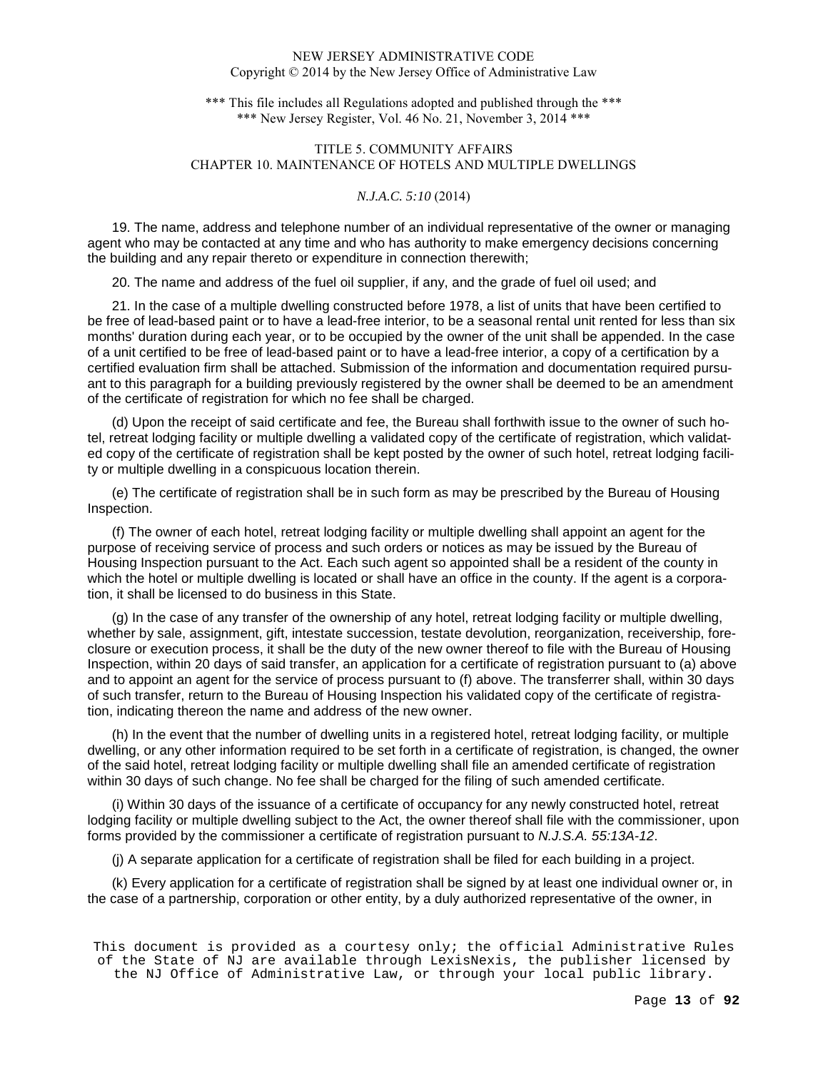\*\*\* This file includes all Regulations adopted and published through the \*\*\* \*\*\* New Jersey Register, Vol. 46 No. 21, November 3, 2014 \*\*\*

# TITLE 5. COMMUNITY AFFAIRS CHAPTER 10. MAINTENANCE OF HOTELS AND MULTIPLE DWELLINGS

## *N.J.A.C. 5:10* (2014)

19. The name, address and telephone number of an individual representative of the owner or managing agent who may be contacted at any time and who has authority to make emergency decisions concerning the building and any repair thereto or expenditure in connection therewith;

20. The name and address of the fuel oil supplier, if any, and the grade of fuel oil used; and

21. In the case of a multiple dwelling constructed before 1978, a list of units that have been certified to be free of lead-based paint or to have a lead-free interior, to be a seasonal rental unit rented for less than six months' duration during each year, or to be occupied by the owner of the unit shall be appended. In the case of a unit certified to be free of lead-based paint or to have a lead-free interior, a copy of a certification by a certified evaluation firm shall be attached. Submission of the information and documentation required pursuant to this paragraph for a building previously registered by the owner shall be deemed to be an amendment of the certificate of registration for which no fee shall be charged.

(d) Upon the receipt of said certificate and fee, the Bureau shall forthwith issue to the owner of such hotel, retreat lodging facility or multiple dwelling a validated copy of the certificate of registration, which validated copy of the certificate of registration shall be kept posted by the owner of such hotel, retreat lodging facility or multiple dwelling in a conspicuous location therein.

(e) The certificate of registration shall be in such form as may be prescribed by the Bureau of Housing Inspection.

(f) The owner of each hotel, retreat lodging facility or multiple dwelling shall appoint an agent for the purpose of receiving service of process and such orders or notices as may be issued by the Bureau of Housing Inspection pursuant to the Act. Each such agent so appointed shall be a resident of the county in which the hotel or multiple dwelling is located or shall have an office in the county. If the agent is a corporation, it shall be licensed to do business in this State.

(g) In the case of any transfer of the ownership of any hotel, retreat lodging facility or multiple dwelling, whether by sale, assignment, gift, intestate succession, testate devolution, reorganization, receivership, foreclosure or execution process, it shall be the duty of the new owner thereof to file with the Bureau of Housing Inspection, within 20 days of said transfer, an application for a certificate of registration pursuant to (a) above and to appoint an agent for the service of process pursuant to (f) above. The transferrer shall, within 30 days of such transfer, return to the Bureau of Housing Inspection his validated copy of the certificate of registration, indicating thereon the name and address of the new owner.

(h) In the event that the number of dwelling units in a registered hotel, retreat lodging facility, or multiple dwelling, or any other information required to be set forth in a certificate of registration, is changed, the owner of the said hotel, retreat lodging facility or multiple dwelling shall file an amended certificate of registration within 30 days of such change. No fee shall be charged for the filing of such amended certificate.

(i) Within 30 days of the issuance of a certificate of occupancy for any newly constructed hotel, retreat lodging facility or multiple dwelling subject to the Act, the owner thereof shall file with the commissioner, upon forms provided by the commissioner a certificate of registration pursuant to N.J.S.A. 55:13A-12.

(j) A separate application for a certificate of registration shall be filed for each building in a project.

(k) Every application for a certificate of registration shall be signed by at least one individual owner or, in the case of a partnership, corporation or other entity, by a duly authorized representative of the owner, in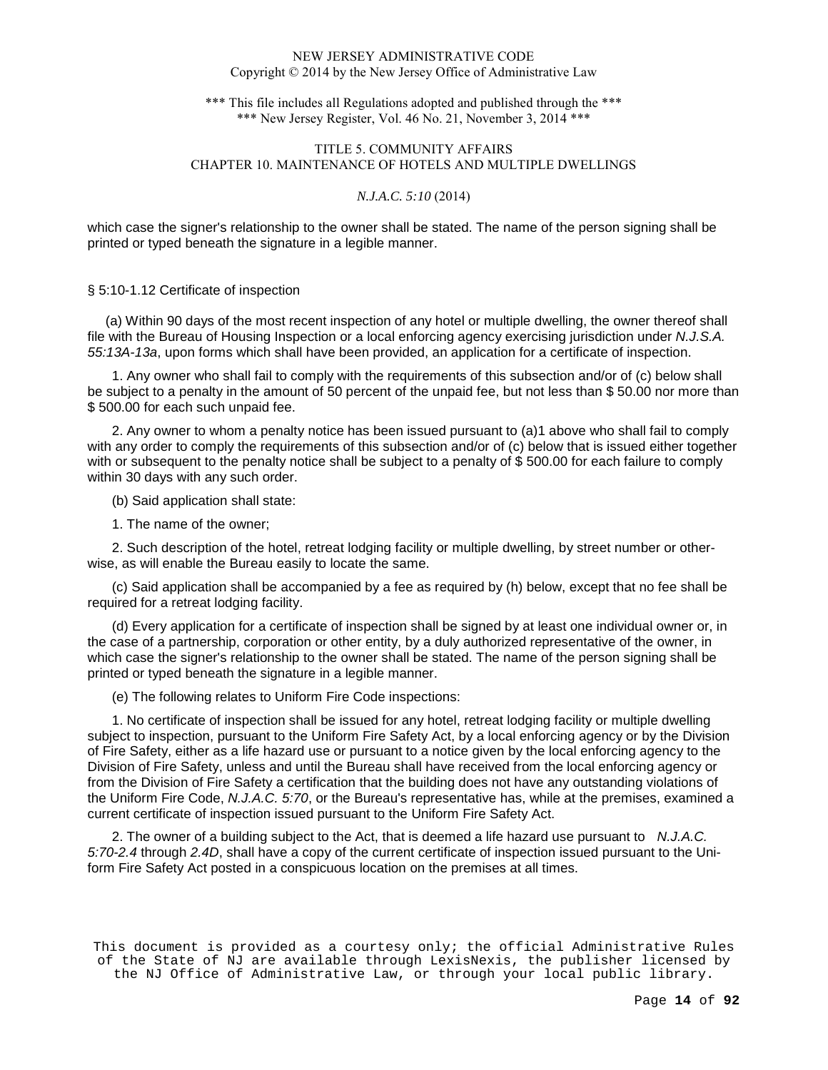\*\*\* This file includes all Regulations adopted and published through the \*\*\* \*\*\* New Jersey Register, Vol. 46 No. 21, November 3, 2014 \*\*\*

# TITLE 5. COMMUNITY AFFAIRS CHAPTER 10. MAINTENANCE OF HOTELS AND MULTIPLE DWELLINGS

## *N.J.A.C. 5:10* (2014)

which case the signer's relationship to the owner shall be stated. The name of the person signing shall be printed or typed beneath the signature in a legible manner.

### § 5:10-1.12 Certificate of inspection

 (a) Within 90 days of the most recent inspection of any hotel or multiple dwelling, the owner thereof shall file with the Bureau of Housing Inspection or a local enforcing agency exercising jurisdiction under N.J.S.A. 55:13A-13a, upon forms which shall have been provided, an application for a certificate of inspection.

1. Any owner who shall fail to comply with the requirements of this subsection and/or of (c) below shall be subject to a penalty in the amount of 50 percent of the unpaid fee, but not less than \$ 50.00 nor more than \$ 500.00 for each such unpaid fee.

2. Any owner to whom a penalty notice has been issued pursuant to (a)1 above who shall fail to comply with any order to comply the requirements of this subsection and/or of (c) below that is issued either together with or subsequent to the penalty notice shall be subject to a penalty of \$ 500.00 for each failure to comply within 30 days with any such order.

(b) Said application shall state:

1. The name of the owner;

2. Such description of the hotel, retreat lodging facility or multiple dwelling, by street number or otherwise, as will enable the Bureau easily to locate the same.

(c) Said application shall be accompanied by a fee as required by (h) below, except that no fee shall be required for a retreat lodging facility.

(d) Every application for a certificate of inspection shall be signed by at least one individual owner or, in the case of a partnership, corporation or other entity, by a duly authorized representative of the owner, in which case the signer's relationship to the owner shall be stated. The name of the person signing shall be printed or typed beneath the signature in a legible manner.

(e) The following relates to Uniform Fire Code inspections:

1. No certificate of inspection shall be issued for any hotel, retreat lodging facility or multiple dwelling subject to inspection, pursuant to the Uniform Fire Safety Act, by a local enforcing agency or by the Division of Fire Safety, either as a life hazard use or pursuant to a notice given by the local enforcing agency to the Division of Fire Safety, unless and until the Bureau shall have received from the local enforcing agency or from the Division of Fire Safety a certification that the building does not have any outstanding violations of the Uniform Fire Code, N.J.A.C. 5:70, or the Bureau's representative has, while at the premises, examined a current certificate of inspection issued pursuant to the Uniform Fire Safety Act.

2. The owner of a building subject to the Act, that is deemed a life hazard use pursuant to N.J.A.C. 5:70-2.4 through 2.4D, shall have a copy of the current certificate of inspection issued pursuant to the Uniform Fire Safety Act posted in a conspicuous location on the premises at all times.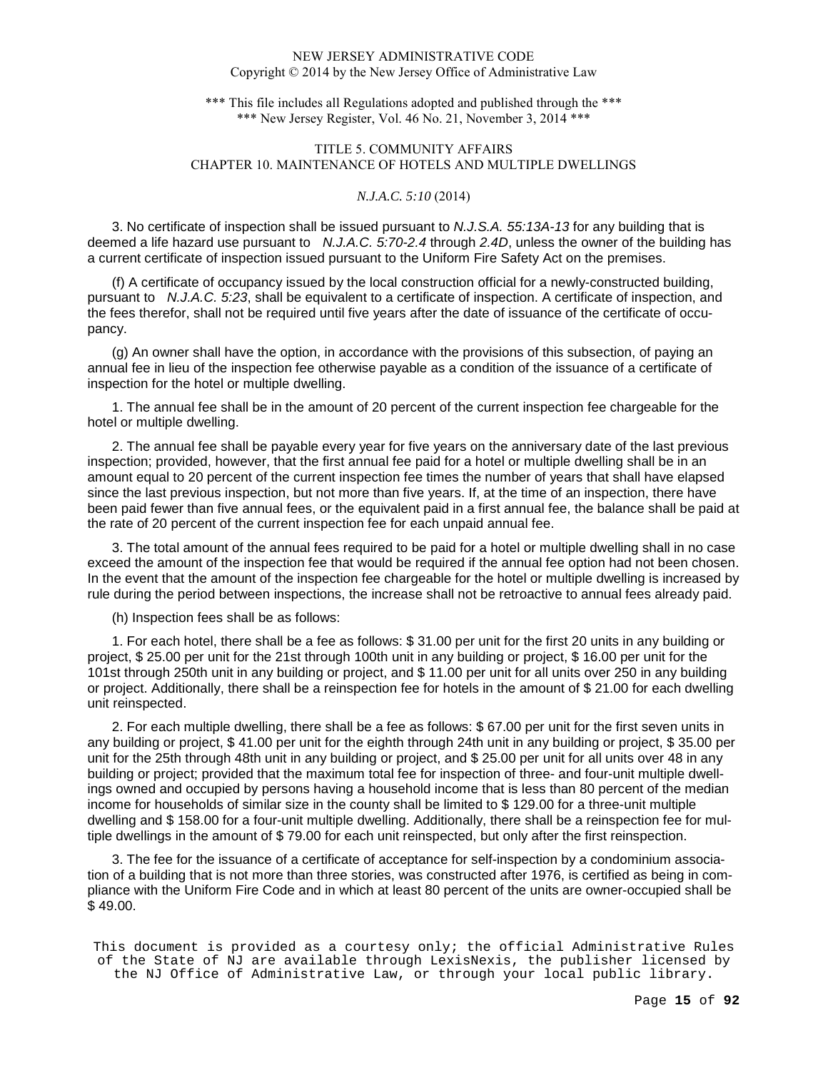\*\*\* This file includes all Regulations adopted and published through the \*\*\* \*\*\* New Jersey Register, Vol. 46 No. 21, November 3, 2014 \*\*\*

# TITLE 5. COMMUNITY AFFAIRS CHAPTER 10. MAINTENANCE OF HOTELS AND MULTIPLE DWELLINGS

## *N.J.A.C. 5:10* (2014)

3. No certificate of inspection shall be issued pursuant to N.J.S.A. 55:13A-13 for any building that is deemed a life hazard use pursuant to N.J.A.C. 5:70-2.4 through 2.4D, unless the owner of the building has a current certificate of inspection issued pursuant to the Uniform Fire Safety Act on the premises.

(f) A certificate of occupancy issued by the local construction official for a newly-constructed building, pursuant to N.J.A.C. 5:23, shall be equivalent to a certificate of inspection. A certificate of inspection, and the fees therefor, shall not be required until five years after the date of issuance of the certificate of occupancy.

(g) An owner shall have the option, in accordance with the provisions of this subsection, of paying an annual fee in lieu of the inspection fee otherwise payable as a condition of the issuance of a certificate of inspection for the hotel or multiple dwelling.

1. The annual fee shall be in the amount of 20 percent of the current inspection fee chargeable for the hotel or multiple dwelling.

2. The annual fee shall be payable every year for five years on the anniversary date of the last previous inspection; provided, however, that the first annual fee paid for a hotel or multiple dwelling shall be in an amount equal to 20 percent of the current inspection fee times the number of years that shall have elapsed since the last previous inspection, but not more than five years. If, at the time of an inspection, there have been paid fewer than five annual fees, or the equivalent paid in a first annual fee, the balance shall be paid at the rate of 20 percent of the current inspection fee for each unpaid annual fee.

3. The total amount of the annual fees required to be paid for a hotel or multiple dwelling shall in no case exceed the amount of the inspection fee that would be required if the annual fee option had not been chosen. In the event that the amount of the inspection fee chargeable for the hotel or multiple dwelling is increased by rule during the period between inspections, the increase shall not be retroactive to annual fees already paid.

(h) Inspection fees shall be as follows:

1. For each hotel, there shall be a fee as follows: \$ 31.00 per unit for the first 20 units in any building or project, \$ 25.00 per unit for the 21st through 100th unit in any building or project, \$ 16.00 per unit for the 101st through 250th unit in any building or project, and \$ 11.00 per unit for all units over 250 in any building or project. Additionally, there shall be a reinspection fee for hotels in the amount of \$ 21.00 for each dwelling unit reinspected.

2. For each multiple dwelling, there shall be a fee as follows: \$ 67.00 per unit for the first seven units in any building or project, \$ 41.00 per unit for the eighth through 24th unit in any building or project, \$ 35.00 per unit for the 25th through 48th unit in any building or project, and \$ 25.00 per unit for all units over 48 in any building or project; provided that the maximum total fee for inspection of three- and four-unit multiple dwellings owned and occupied by persons having a household income that is less than 80 percent of the median income for households of similar size in the county shall be limited to \$ 129.00 for a three-unit multiple dwelling and \$ 158.00 for a four-unit multiple dwelling. Additionally, there shall be a reinspection fee for multiple dwellings in the amount of \$ 79.00 for each unit reinspected, but only after the first reinspection.

3. The fee for the issuance of a certificate of acceptance for self-inspection by a condominium association of a building that is not more than three stories, was constructed after 1976, is certified as being in compliance with the Uniform Fire Code and in which at least 80 percent of the units are owner-occupied shall be \$ 49.00.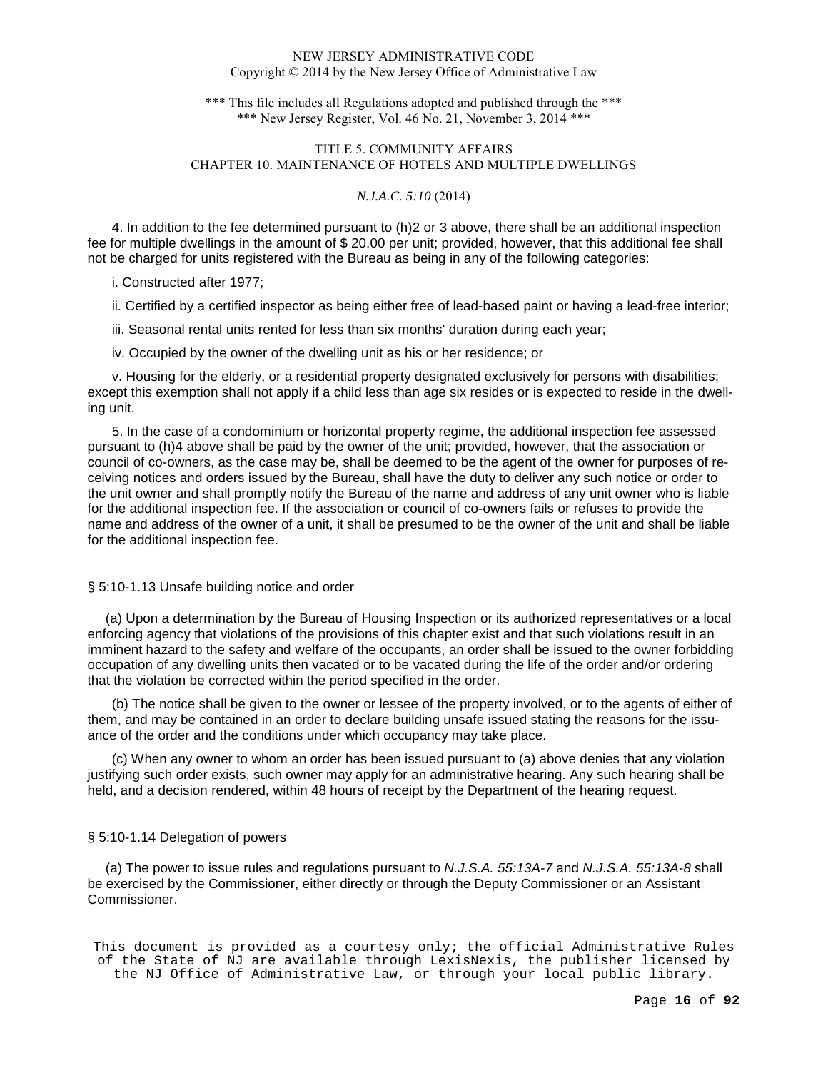\*\*\* This file includes all Regulations adopted and published through the \*\*\* \*\*\* New Jersey Register, Vol. 46 No. 21, November 3, 2014 \*\*\*

# TITLE 5. COMMUNITY AFFAIRS CHAPTER 10. MAINTENANCE OF HOTELS AND MULTIPLE DWELLINGS

## *N.J.A.C. 5:10* (2014)

4. In addition to the fee determined pursuant to (h)2 or 3 above, there shall be an additional inspection fee for multiple dwellings in the amount of \$ 20.00 per unit; provided, however, that this additional fee shall not be charged for units registered with the Bureau as being in any of the following categories:

i. Constructed after 1977;

ii. Certified by a certified inspector as being either free of lead-based paint or having a lead-free interior;

iii. Seasonal rental units rented for less than six months' duration during each year;

iv. Occupied by the owner of the dwelling unit as his or her residence; or

v. Housing for the elderly, or a residential property designated exclusively for persons with disabilities; except this exemption shall not apply if a child less than age six resides or is expected to reside in the dwelling unit.

5. In the case of a condominium or horizontal property regime, the additional inspection fee assessed pursuant to (h)4 above shall be paid by the owner of the unit; provided, however, that the association or council of co-owners, as the case may be, shall be deemed to be the agent of the owner for purposes of receiving notices and orders issued by the Bureau, shall have the duty to deliver any such notice or order to the unit owner and shall promptly notify the Bureau of the name and address of any unit owner who is liable for the additional inspection fee. If the association or council of co-owners fails or refuses to provide the name and address of the owner of a unit, it shall be presumed to be the owner of the unit and shall be liable for the additional inspection fee.

# § 5:10-1.13 Unsafe building notice and order

 (a) Upon a determination by the Bureau of Housing Inspection or its authorized representatives or a local enforcing agency that violations of the provisions of this chapter exist and that such violations result in an imminent hazard to the safety and welfare of the occupants, an order shall be issued to the owner forbidding occupation of any dwelling units then vacated or to be vacated during the life of the order and/or ordering that the violation be corrected within the period specified in the order.

(b) The notice shall be given to the owner or lessee of the property involved, or to the agents of either of them, and may be contained in an order to declare building unsafe issued stating the reasons for the issuance of the order and the conditions under which occupancy may take place.

(c) When any owner to whom an order has been issued pursuant to (a) above denies that any violation justifying such order exists, such owner may apply for an administrative hearing. Any such hearing shall be held, and a decision rendered, within 48 hours of receipt by the Department of the hearing request.

#### § 5:10-1.14 Delegation of powers

 (a) The power to issue rules and regulations pursuant to N.J.S.A. 55:13A-7 and N.J.S.A. 55:13A-8 shall be exercised by the Commissioner, either directly or through the Deputy Commissioner or an Assistant Commissioner.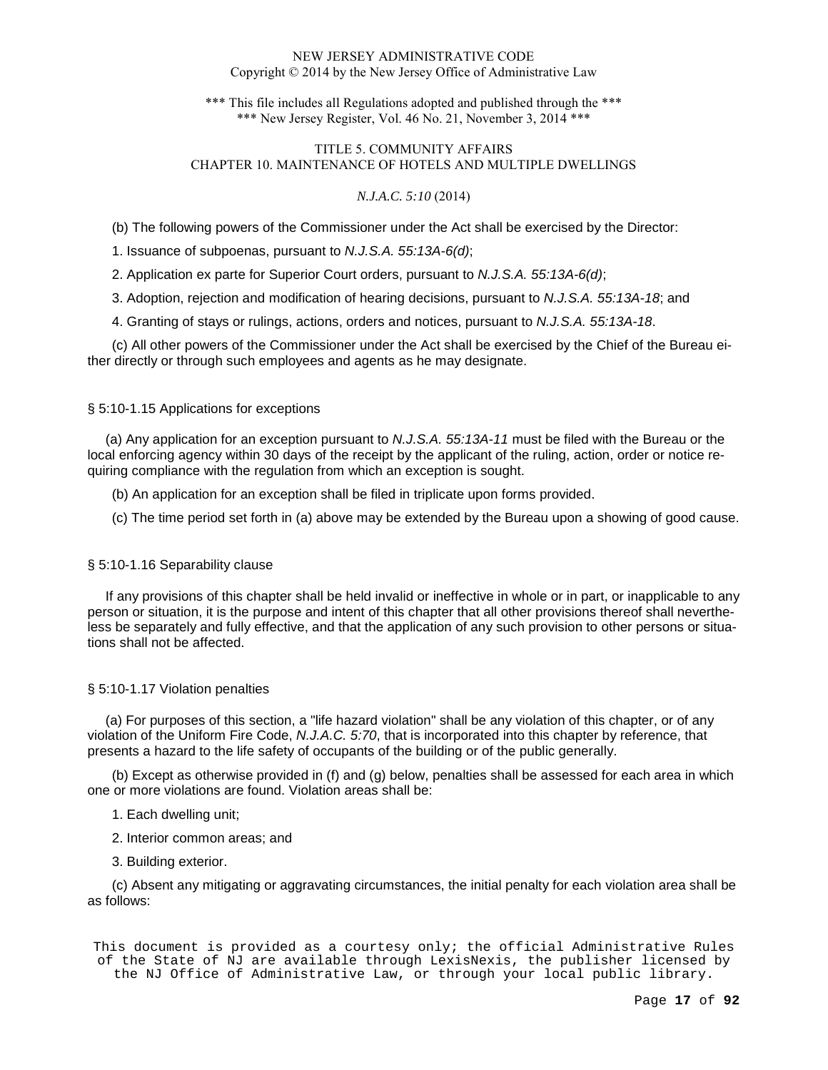\*\*\* This file includes all Regulations adopted and published through the \*\*\* \*\*\* New Jersey Register, Vol. 46 No. 21, November 3, 2014 \*\*\*

# TITLE 5. COMMUNITY AFFAIRS CHAPTER 10. MAINTENANCE OF HOTELS AND MULTIPLE DWELLINGS

## *N.J.A.C. 5:10* (2014)

(b) The following powers of the Commissioner under the Act shall be exercised by the Director:

1. Issuance of subpoenas, pursuant to N.J.S.A. 55:13A-6(d);

2. Application ex parte for Superior Court orders, pursuant to N.J.S.A. 55:13A-6(d);

3. Adoption, rejection and modification of hearing decisions, pursuant to N.J.S.A. 55:13A-18; and

4. Granting of stays or rulings, actions, orders and notices, pursuant to N.J.S.A. 55:13A-18.

(c) All other powers of the Commissioner under the Act shall be exercised by the Chief of the Bureau either directly or through such employees and agents as he may designate.

## § 5:10-1.15 Applications for exceptions

 (a) Any application for an exception pursuant to N.J.S.A. 55:13A-11 must be filed with the Bureau or the local enforcing agency within 30 days of the receipt by the applicant of the ruling, action, order or notice requiring compliance with the regulation from which an exception is sought.

(b) An application for an exception shall be filed in triplicate upon forms provided.

(c) The time period set forth in (a) above may be extended by the Bureau upon a showing of good cause.

# § 5:10-1.16 Separability clause

 If any provisions of this chapter shall be held invalid or ineffective in whole or in part, or inapplicable to any person or situation, it is the purpose and intent of this chapter that all other provisions thereof shall nevertheless be separately and fully effective, and that the application of any such provision to other persons or situations shall not be affected.

## § 5:10-1.17 Violation penalties

 (a) For purposes of this section, a "life hazard violation" shall be any violation of this chapter, or of any violation of the Uniform Fire Code, N.J.A.C. 5:70, that is incorporated into this chapter by reference, that presents a hazard to the life safety of occupants of the building or of the public generally.

(b) Except as otherwise provided in (f) and (g) below, penalties shall be assessed for each area in which one or more violations are found. Violation areas shall be:

1. Each dwelling unit;

2. Interior common areas; and

3. Building exterior.

(c) Absent any mitigating or aggravating circumstances, the initial penalty for each violation area shall be as follows: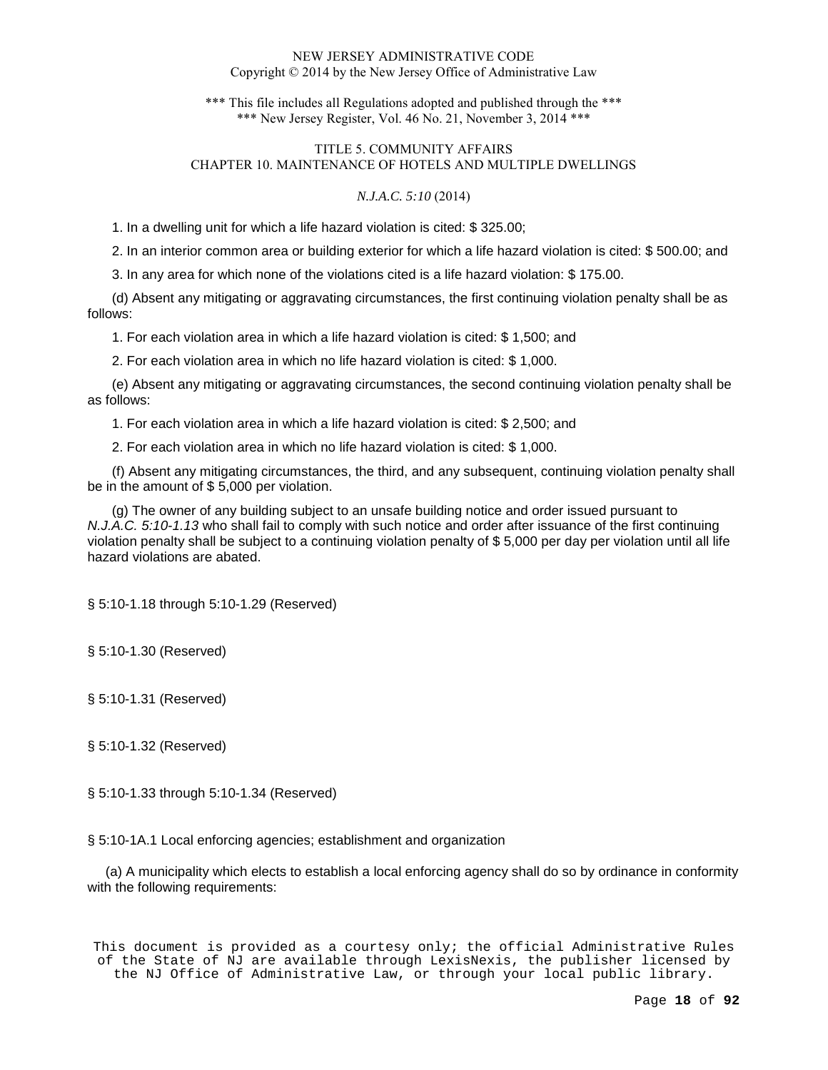\*\*\* This file includes all Regulations adopted and published through the \*\*\* \*\*\* New Jersey Register, Vol. 46 No. 21, November 3, 2014 \*\*\*

# TITLE 5. COMMUNITY AFFAIRS CHAPTER 10. MAINTENANCE OF HOTELS AND MULTIPLE DWELLINGS

## *N.J.A.C. 5:10* (2014)

1. In a dwelling unit for which a life hazard violation is cited: \$ 325.00;

2. In an interior common area or building exterior for which a life hazard violation is cited: \$ 500.00; and

3. In any area for which none of the violations cited is a life hazard violation: \$ 175.00.

(d) Absent any mitigating or aggravating circumstances, the first continuing violation penalty shall be as follows:

1. For each violation area in which a life hazard violation is cited: \$ 1,500; and

2. For each violation area in which no life hazard violation is cited: \$ 1,000.

(e) Absent any mitigating or aggravating circumstances, the second continuing violation penalty shall be as follows:

1. For each violation area in which a life hazard violation is cited: \$ 2,500; and

2. For each violation area in which no life hazard violation is cited: \$ 1,000.

(f) Absent any mitigating circumstances, the third, and any subsequent, continuing violation penalty shall be in the amount of \$ 5,000 per violation.

(g) The owner of any building subject to an unsafe building notice and order issued pursuant to N.J.A.C. 5:10-1.13 who shall fail to comply with such notice and order after issuance of the first continuing violation penalty shall be subject to a continuing violation penalty of \$ 5,000 per day per violation until all life hazard violations are abated.

§ 5:10-1.18 through 5:10-1.29 (Reserved)

§ 5:10-1.30 (Reserved)

§ 5:10-1.31 (Reserved)

§ 5:10-1.32 (Reserved)

§ 5:10-1.33 through 5:10-1.34 (Reserved)

§ 5:10-1A.1 Local enforcing agencies; establishment and organization

 (a) A municipality which elects to establish a local enforcing agency shall do so by ordinance in conformity with the following requirements: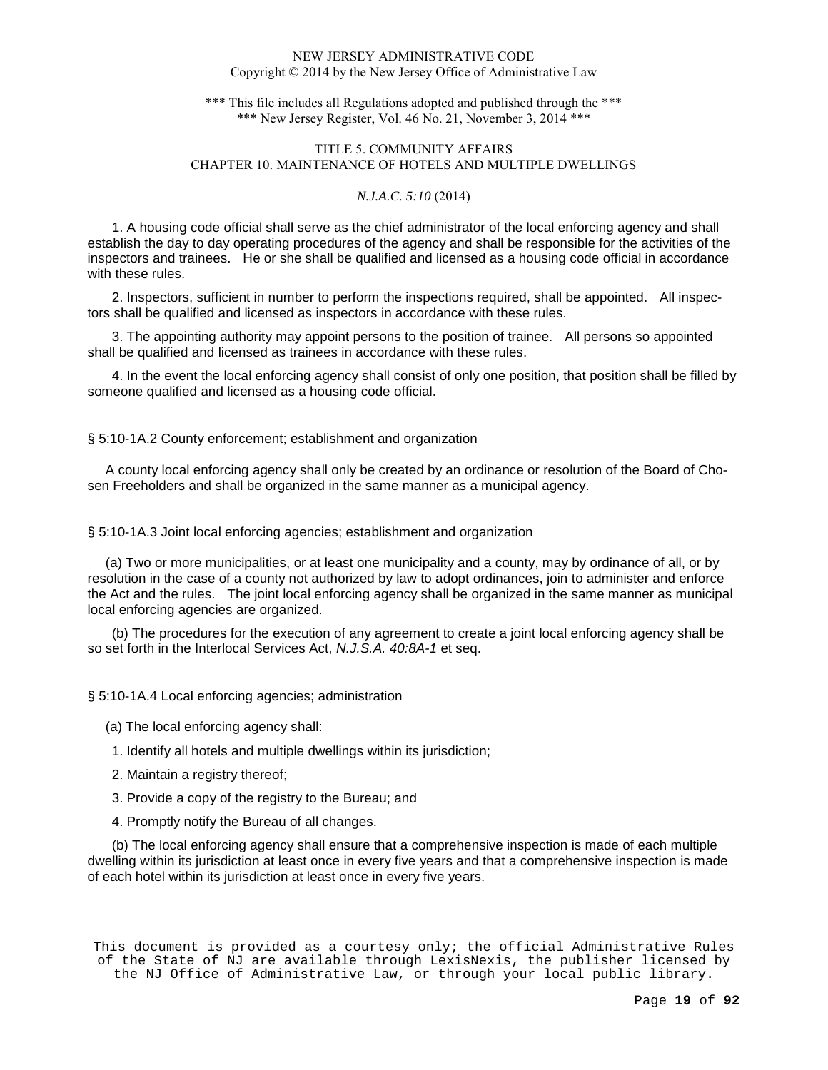\*\*\* This file includes all Regulations adopted and published through the \*\*\* \*\*\* New Jersey Register, Vol. 46 No. 21, November 3, 2014 \*\*\*

# TITLE 5. COMMUNITY AFFAIRS CHAPTER 10. MAINTENANCE OF HOTELS AND MULTIPLE DWELLINGS

## *N.J.A.C. 5:10* (2014)

1. A housing code official shall serve as the chief administrator of the local enforcing agency and shall establish the day to day operating procedures of the agency and shall be responsible for the activities of the inspectors and trainees. He or she shall be qualified and licensed as a housing code official in accordance with these rules.

2. Inspectors, sufficient in number to perform the inspections required, shall be appointed. All inspectors shall be qualified and licensed as inspectors in accordance with these rules.

3. The appointing authority may appoint persons to the position of trainee. All persons so appointed shall be qualified and licensed as trainees in accordance with these rules.

4. In the event the local enforcing agency shall consist of only one position, that position shall be filled by someone qualified and licensed as a housing code official.

### § 5:10-1A.2 County enforcement; establishment and organization

 A county local enforcing agency shall only be created by an ordinance or resolution of the Board of Chosen Freeholders and shall be organized in the same manner as a municipal agency.

§ 5:10-1A.3 Joint local enforcing agencies; establishment and organization

 (a) Two or more municipalities, or at least one municipality and a county, may by ordinance of all, or by resolution in the case of a county not authorized by law to adopt ordinances, join to administer and enforce the Act and the rules. The joint local enforcing agency shall be organized in the same manner as municipal local enforcing agencies are organized.

(b) The procedures for the execution of any agreement to create a joint local enforcing agency shall be so set forth in the Interlocal Services Act, N.J.S.A. 40:8A-1 et seq.

§ 5:10-1A.4 Local enforcing agencies; administration

- (a) The local enforcing agency shall:
- 1. Identify all hotels and multiple dwellings within its jurisdiction;
- 2. Maintain a registry thereof;
- 3. Provide a copy of the registry to the Bureau; and
- 4. Promptly notify the Bureau of all changes.

(b) The local enforcing agency shall ensure that a comprehensive inspection is made of each multiple dwelling within its jurisdiction at least once in every five years and that a comprehensive inspection is made of each hotel within its jurisdiction at least once in every five years.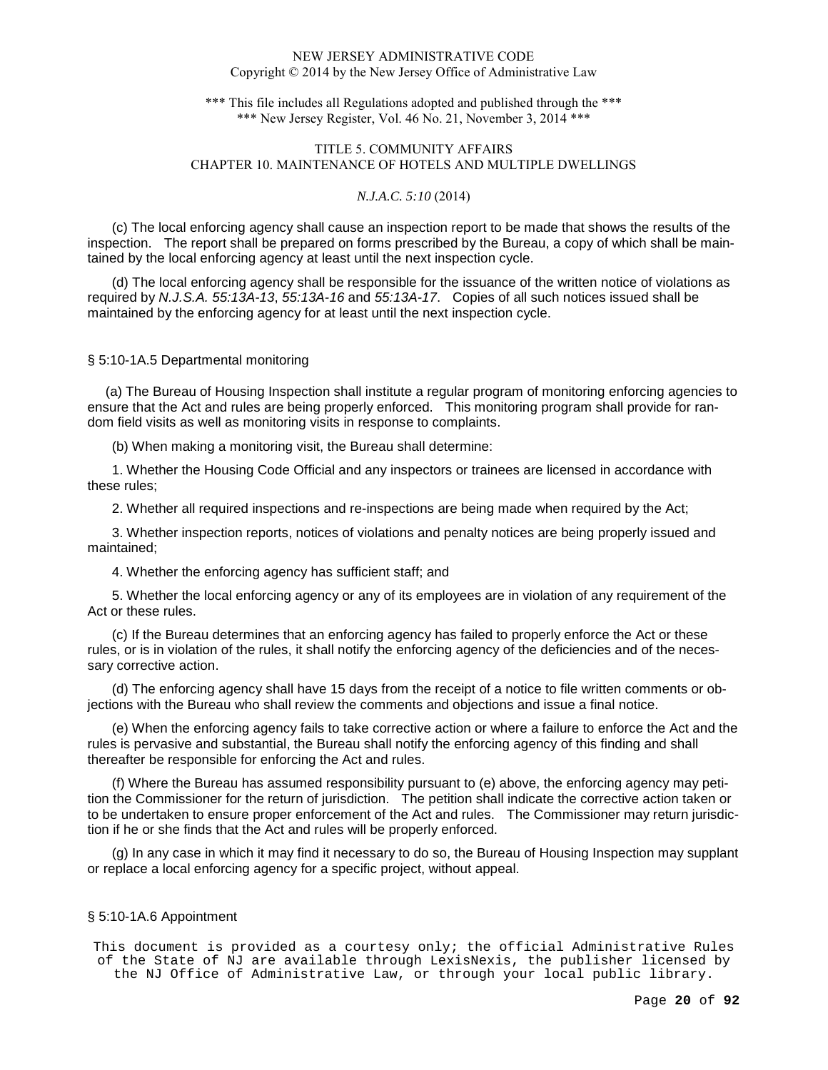\*\*\* This file includes all Regulations adopted and published through the \*\*\* \*\*\* New Jersey Register, Vol. 46 No. 21, November 3, 2014 \*\*\*

# TITLE 5. COMMUNITY AFFAIRS CHAPTER 10. MAINTENANCE OF HOTELS AND MULTIPLE DWELLINGS

## *N.J.A.C. 5:10* (2014)

(c) The local enforcing agency shall cause an inspection report to be made that shows the results of the inspection. The report shall be prepared on forms prescribed by the Bureau, a copy of which shall be maintained by the local enforcing agency at least until the next inspection cycle.

(d) The local enforcing agency shall be responsible for the issuance of the written notice of violations as required by N.J.S.A. 55:13A-13, 55:13A-16 and 55:13A-17. Copies of all such notices issued shall be maintained by the enforcing agency for at least until the next inspection cycle.

## § 5:10-1A.5 Departmental monitoring

 (a) The Bureau of Housing Inspection shall institute a regular program of monitoring enforcing agencies to ensure that the Act and rules are being properly enforced. This monitoring program shall provide for random field visits as well as monitoring visits in response to complaints.

(b) When making a monitoring visit, the Bureau shall determine:

1. Whether the Housing Code Official and any inspectors or trainees are licensed in accordance with these rules;

2. Whether all required inspections and re-inspections are being made when required by the Act;

3. Whether inspection reports, notices of violations and penalty notices are being properly issued and maintained;

4. Whether the enforcing agency has sufficient staff; and

5. Whether the local enforcing agency or any of its employees are in violation of any requirement of the Act or these rules.

(c) If the Bureau determines that an enforcing agency has failed to properly enforce the Act or these rules, or is in violation of the rules, it shall notify the enforcing agency of the deficiencies and of the necessary corrective action.

(d) The enforcing agency shall have 15 days from the receipt of a notice to file written comments or objections with the Bureau who shall review the comments and objections and issue a final notice.

(e) When the enforcing agency fails to take corrective action or where a failure to enforce the Act and the rules is pervasive and substantial, the Bureau shall notify the enforcing agency of this finding and shall thereafter be responsible for enforcing the Act and rules.

(f) Where the Bureau has assumed responsibility pursuant to (e) above, the enforcing agency may petition the Commissioner for the return of jurisdiction. The petition shall indicate the corrective action taken or to be undertaken to ensure proper enforcement of the Act and rules. The Commissioner may return jurisdiction if he or she finds that the Act and rules will be properly enforced.

(g) In any case in which it may find it necessary to do so, the Bureau of Housing Inspection may supplant or replace a local enforcing agency for a specific project, without appeal.

## § 5:10-1A.6 Appointment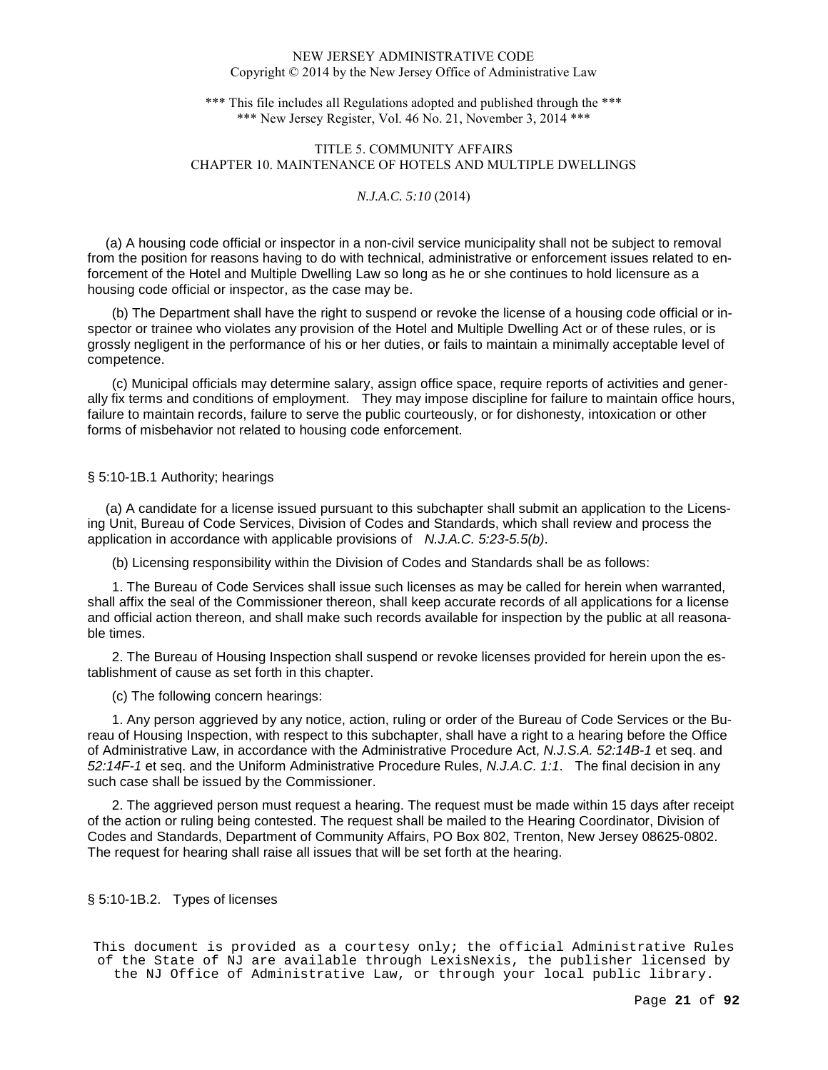\*\*\* This file includes all Regulations adopted and published through the \*\*\* \*\*\* New Jersey Register, Vol. 46 No. 21, November 3, 2014 \*\*\*

# TITLE 5. COMMUNITY AFFAIRS CHAPTER 10. MAINTENANCE OF HOTELS AND MULTIPLE DWELLINGS

## *N.J.A.C. 5:10* (2014)

 (a) A housing code official or inspector in a non-civil service municipality shall not be subject to removal from the position for reasons having to do with technical, administrative or enforcement issues related to enforcement of the Hotel and Multiple Dwelling Law so long as he or she continues to hold licensure as a housing code official or inspector, as the case may be.

(b) The Department shall have the right to suspend or revoke the license of a housing code official or inspector or trainee who violates any provision of the Hotel and Multiple Dwelling Act or of these rules, or is grossly negligent in the performance of his or her duties, or fails to maintain a minimally acceptable level of competence.

(c) Municipal officials may determine salary, assign office space, require reports of activities and generally fix terms and conditions of employment. They may impose discipline for failure to maintain office hours, failure to maintain records, failure to serve the public courteously, or for dishonesty, intoxication or other forms of misbehavior not related to housing code enforcement.

### § 5:10-1B.1 Authority; hearings

 (a) A candidate for a license issued pursuant to this subchapter shall submit an application to the Licensing Unit, Bureau of Code Services, Division of Codes and Standards, which shall review and process the application in accordance with applicable provisions of N.J.A.C. 5:23-5.5(b).

(b) Licensing responsibility within the Division of Codes and Standards shall be as follows:

1. The Bureau of Code Services shall issue such licenses as may be called for herein when warranted, shall affix the seal of the Commissioner thereon, shall keep accurate records of all applications for a license and official action thereon, and shall make such records available for inspection by the public at all reasonable times.

2. The Bureau of Housing Inspection shall suspend or revoke licenses provided for herein upon the establishment of cause as set forth in this chapter.

(c) The following concern hearings:

1. Any person aggrieved by any notice, action, ruling or order of the Bureau of Code Services or the Bureau of Housing Inspection, with respect to this subchapter, shall have a right to a hearing before the Office of Administrative Law, in accordance with the Administrative Procedure Act, N.J.S.A. 52:14B-1 et seq. and 52:14F-1 et seq. and the Uniform Administrative Procedure Rules, N.J.A.C. 1:1. The final decision in any such case shall be issued by the Commissioner.

2. The aggrieved person must request a hearing. The request must be made within 15 days after receipt of the action or ruling being contested. The request shall be mailed to the Hearing Coordinator, Division of Codes and Standards, Department of Community Affairs, PO Box 802, Trenton, New Jersey 08625-0802. The request for hearing shall raise all issues that will be set forth at the hearing.

# § 5:10-1B.2. Types of licenses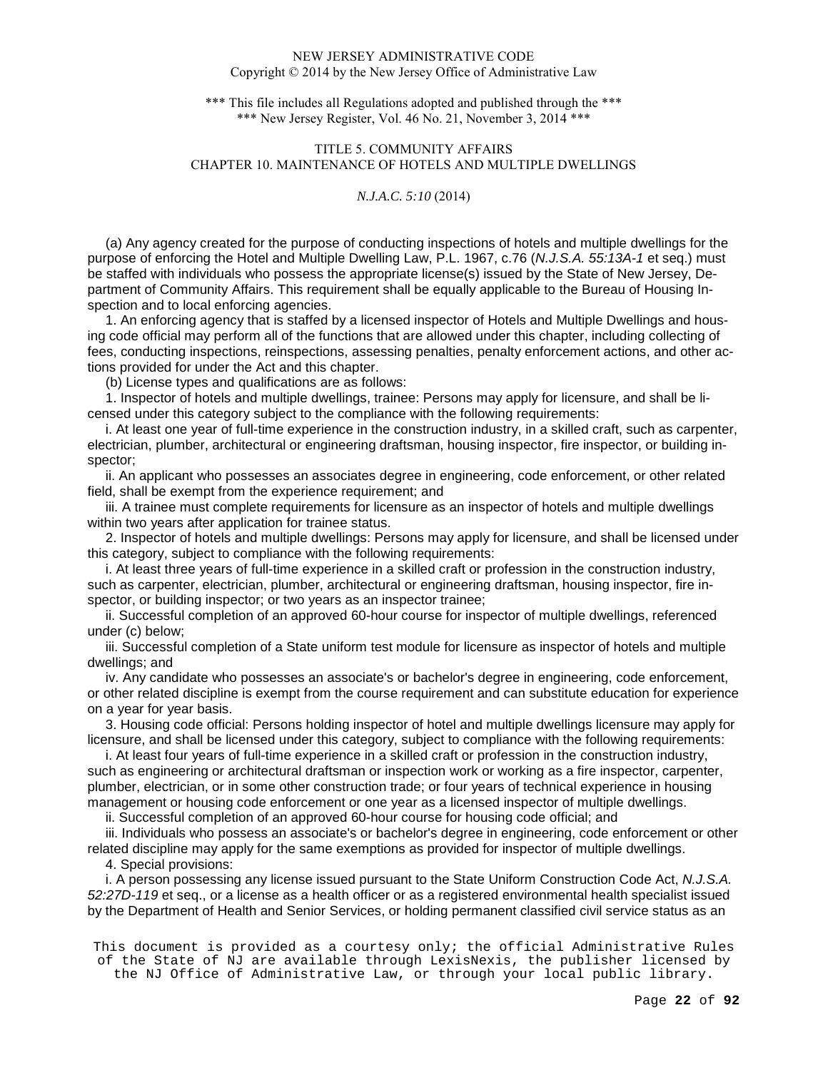\*\*\* This file includes all Regulations adopted and published through the \*\*\* \*\*\* New Jersey Register, Vol. 46 No. 21, November 3, 2014 \*\*\*

# TITLE 5. COMMUNITY AFFAIRS CHAPTER 10. MAINTENANCE OF HOTELS AND MULTIPLE DWELLINGS

## *N.J.A.C. 5:10* (2014)

 (a) Any agency created for the purpose of conducting inspections of hotels and multiple dwellings for the purpose of enforcing the Hotel and Multiple Dwelling Law, P.L. 1967, c.76 (N.J.S.A. 55:13A-1 et seq.) must be staffed with individuals who possess the appropriate license(s) issued by the State of New Jersey, Department of Community Affairs. This requirement shall be equally applicable to the Bureau of Housing Inspection and to local enforcing agencies.

 1. An enforcing agency that is staffed by a licensed inspector of Hotels and Multiple Dwellings and housing code official may perform all of the functions that are allowed under this chapter, including collecting of fees, conducting inspections, reinspections, assessing penalties, penalty enforcement actions, and other actions provided for under the Act and this chapter.

(b) License types and qualifications are as follows:

 1. Inspector of hotels and multiple dwellings, trainee: Persons may apply for licensure, and shall be licensed under this category subject to the compliance with the following requirements:

 i. At least one year of full-time experience in the construction industry, in a skilled craft, such as carpenter, electrician, plumber, architectural or engineering draftsman, housing inspector, fire inspector, or building inspector;

 ii. An applicant who possesses an associates degree in engineering, code enforcement, or other related field, shall be exempt from the experience requirement; and

 iii. A trainee must complete requirements for licensure as an inspector of hotels and multiple dwellings within two years after application for trainee status.

 2. Inspector of hotels and multiple dwellings: Persons may apply for licensure, and shall be licensed under this category, subject to compliance with the following requirements:

 i. At least three years of full-time experience in a skilled craft or profession in the construction industry, such as carpenter, electrician, plumber, architectural or engineering draftsman, housing inspector, fire inspector, or building inspector; or two years as an inspector trainee;

 ii. Successful completion of an approved 60-hour course for inspector of multiple dwellings, referenced under (c) below;

 iii. Successful completion of a State uniform test module for licensure as inspector of hotels and multiple dwellings; and

 iv. Any candidate who possesses an associate's or bachelor's degree in engineering, code enforcement, or other related discipline is exempt from the course requirement and can substitute education for experience on a year for year basis.

 3. Housing code official: Persons holding inspector of hotel and multiple dwellings licensure may apply for licensure, and shall be licensed under this category, subject to compliance with the following requirements:

 i. At least four years of full-time experience in a skilled craft or profession in the construction industry, such as engineering or architectural draftsman or inspection work or working as a fire inspector, carpenter, plumber, electrician, or in some other construction trade; or four years of technical experience in housing management or housing code enforcement or one year as a licensed inspector of multiple dwellings.

ii. Successful completion of an approved 60-hour course for housing code official; and

 iii. Individuals who possess an associate's or bachelor's degree in engineering, code enforcement or other related discipline may apply for the same exemptions as provided for inspector of multiple dwellings.

4. Special provisions:

 i. A person possessing any license issued pursuant to the State Uniform Construction Code Act, N.J.S.A. 52:27D-119 et seq., or a license as a health officer or as a registered environmental health specialist issued by the Department of Health and Senior Services, or holding permanent classified civil service status as an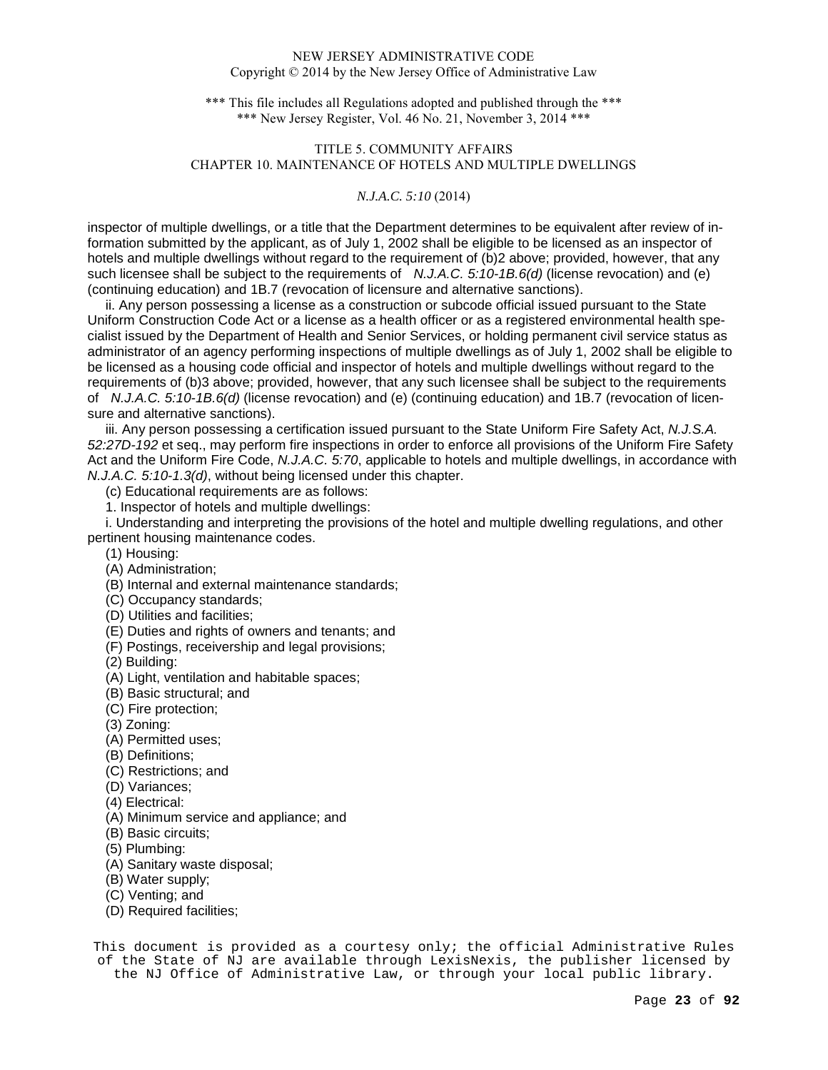\*\*\* This file includes all Regulations adopted and published through the \*\*\* \*\*\* New Jersey Register, Vol. 46 No. 21, November 3, 2014 \*\*\*

# TITLE 5. COMMUNITY AFFAIRS CHAPTER 10. MAINTENANCE OF HOTELS AND MULTIPLE DWELLINGS

## *N.J.A.C. 5:10* (2014)

inspector of multiple dwellings, or a title that the Department determines to be equivalent after review of information submitted by the applicant, as of July 1, 2002 shall be eligible to be licensed as an inspector of hotels and multiple dwellings without regard to the requirement of (b)2 above; provided, however, that any such licensee shall be subject to the requirements of  $N.J.A.C. 5:10-1B.6(d)$  (license revocation) and (e) (continuing education) and 1B.7 (revocation of licensure and alternative sanctions).

 ii. Any person possessing a license as a construction or subcode official issued pursuant to the State Uniform Construction Code Act or a license as a health officer or as a registered environmental health specialist issued by the Department of Health and Senior Services, or holding permanent civil service status as administrator of an agency performing inspections of multiple dwellings as of July 1, 2002 shall be eligible to be licensed as a housing code official and inspector of hotels and multiple dwellings without regard to the requirements of (b)3 above; provided, however, that any such licensee shall be subject to the requirements of N.J.A.C. 5:10-1B.6(d) (license revocation) and (e) (continuing education) and 1B.7 (revocation of licensure and alternative sanctions).

iii. Any person possessing a certification issued pursuant to the State Uniform Fire Safety Act, N.J.S.A. 52:27D-192 et seq., may perform fire inspections in order to enforce all provisions of the Uniform Fire Safety Act and the Uniform Fire Code, N.J.A.C. 5:70, applicable to hotels and multiple dwellings, in accordance with N.J.A.C. 5:10-1.3(d), without being licensed under this chapter.

(c) Educational requirements are as follows:

1. Inspector of hotels and multiple dwellings:

 i. Understanding and interpreting the provisions of the hotel and multiple dwelling regulations, and other pertinent housing maintenance codes.

- (1) Housing:
- (A) Administration;
- (B) Internal and external maintenance standards;
- (C) Occupancy standards;
- (D) Utilities and facilities;
- (E) Duties and rights of owners and tenants; and
- (F) Postings, receivership and legal provisions;
- (2) Building:
- (A) Light, ventilation and habitable spaces;
- (B) Basic structural; and
- (C) Fire protection;
- (3) Zoning:
- (A) Permitted uses;
- (B) Definitions;
- (C) Restrictions; and
- (D) Variances;
- (4) Electrical:
- (A) Minimum service and appliance; and
- (B) Basic circuits;
- (5) Plumbing:
- (A) Sanitary waste disposal;
- (B) Water supply;
- (C) Venting; and
- (D) Required facilities;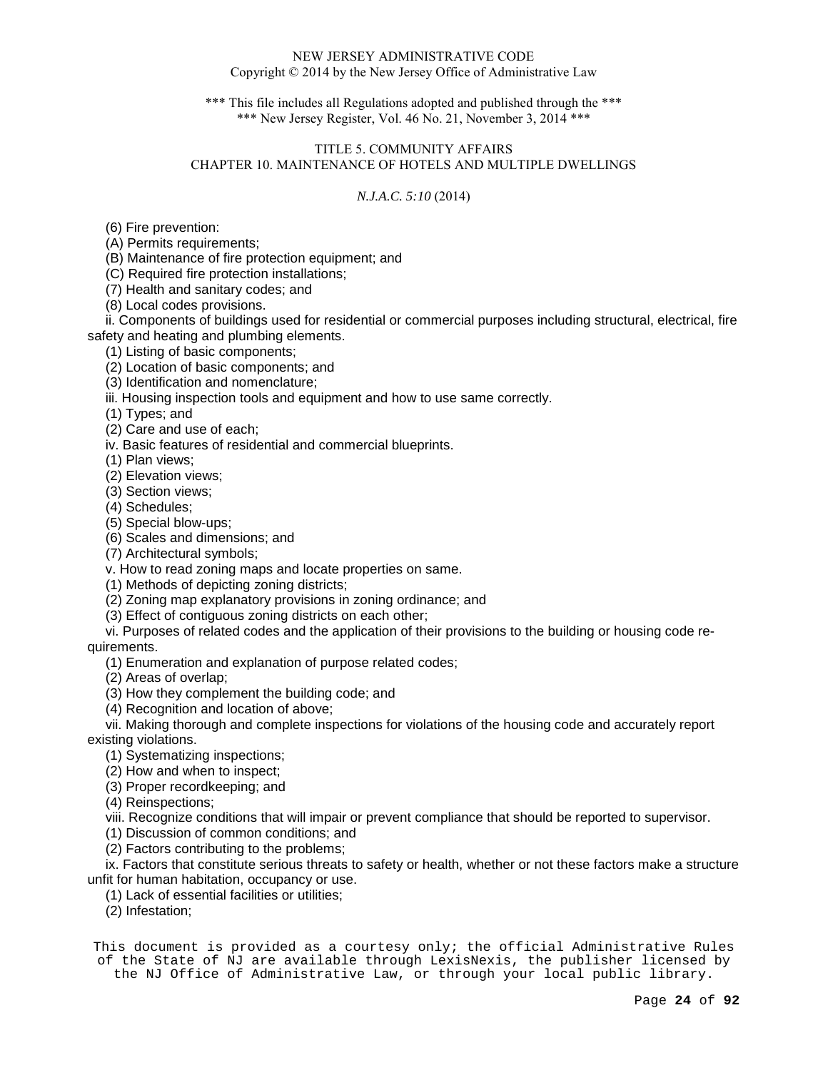\*\*\* This file includes all Regulations adopted and published through the \*\*\* \*\*\* New Jersey Register, Vol. 46 No. 21, November 3, 2014 \*\*\*

# TITLE 5. COMMUNITY AFFAIRS CHAPTER 10. MAINTENANCE OF HOTELS AND MULTIPLE DWELLINGS

# *N.J.A.C. 5:10* (2014)

(6) Fire prevention:

(A) Permits requirements;

(B) Maintenance of fire protection equipment; and

(C) Required fire protection installations;

(7) Health and sanitary codes; and

(8) Local codes provisions.

 ii. Components of buildings used for residential or commercial purposes including structural, electrical, fire safety and heating and plumbing elements.

(1) Listing of basic components;

(2) Location of basic components; and

(3) Identification and nomenclature;

iii. Housing inspection tools and equipment and how to use same correctly.

(1) Types; and

(2) Care and use of each;

iv. Basic features of residential and commercial blueprints.

(1) Plan views;

(2) Elevation views;

(3) Section views;

(4) Schedules;

(5) Special blow-ups;

(6) Scales and dimensions; and

(7) Architectural symbols;

v. How to read zoning maps and locate properties on same.

(1) Methods of depicting zoning districts;

(2) Zoning map explanatory provisions in zoning ordinance; and

(3) Effect of contiguous zoning districts on each other;

 vi. Purposes of related codes and the application of their provisions to the building or housing code requirements.

(1) Enumeration and explanation of purpose related codes;

(2) Areas of overlap;

(3) How they complement the building code; and

(4) Recognition and location of above;

 vii. Making thorough and complete inspections for violations of the housing code and accurately report existing violations.

(1) Systematizing inspections;

(2) How and when to inspect;

(3) Proper recordkeeping; and

(4) Reinspections;

viii. Recognize conditions that will impair or prevent compliance that should be reported to supervisor.

(1) Discussion of common conditions; and

(2) Factors contributing to the problems;

 ix. Factors that constitute serious threats to safety or health, whether or not these factors make a structure unfit for human habitation, occupancy or use.

(1) Lack of essential facilities or utilities;

(2) Infestation;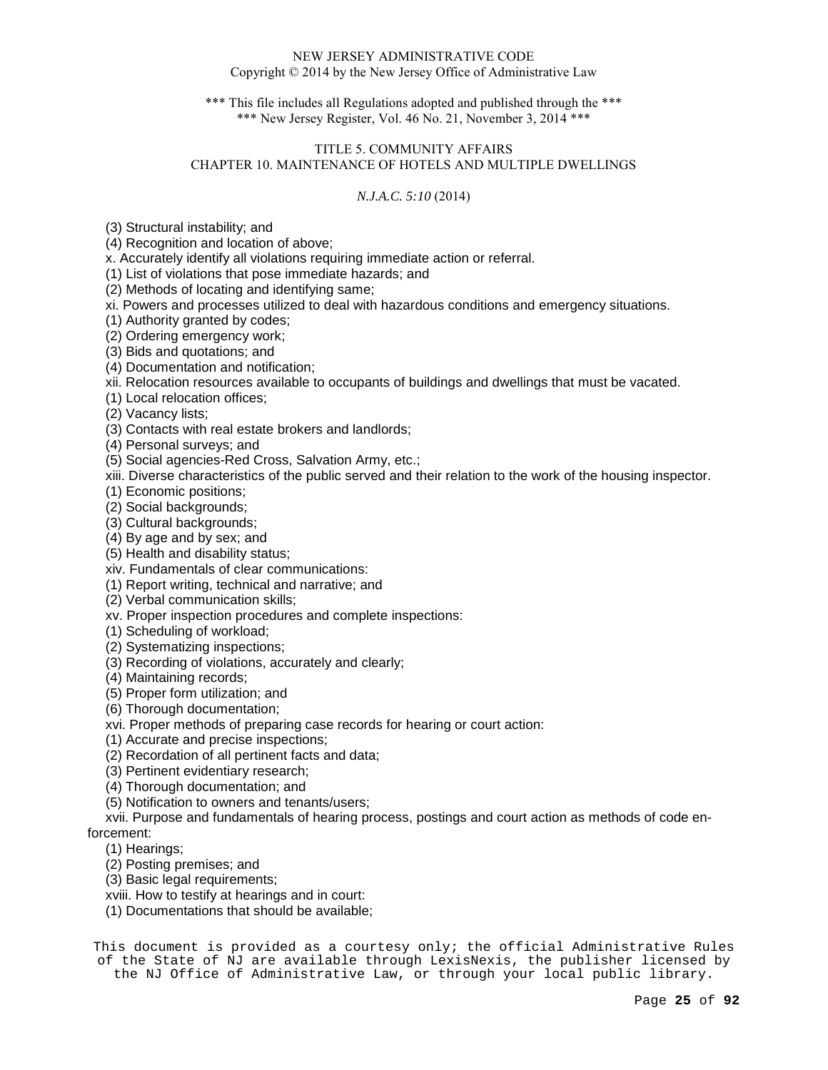\*\*\* This file includes all Regulations adopted and published through the \*\*\* \*\*\* New Jersey Register, Vol. 46 No. 21, November 3, 2014 \*\*\*

# TITLE 5. COMMUNITY AFFAIRS CHAPTER 10. MAINTENANCE OF HOTELS AND MULTIPLE DWELLINGS

# *N.J.A.C. 5:10* (2014)

(3) Structural instability; and

(4) Recognition and location of above;

x. Accurately identify all violations requiring immediate action or referral.

(1) List of violations that pose immediate hazards; and

(2) Methods of locating and identifying same;

xi. Powers and processes utilized to deal with hazardous conditions and emergency situations.

(1) Authority granted by codes;

(2) Ordering emergency work;

(3) Bids and quotations; and

(4) Documentation and notification;

xii. Relocation resources available to occupants of buildings and dwellings that must be vacated.

(1) Local relocation offices;

(2) Vacancy lists;

(3) Contacts with real estate brokers and landlords;

(4) Personal surveys; and

(5) Social agencies-Red Cross, Salvation Army, etc.;

xiii. Diverse characteristics of the public served and their relation to the work of the housing inspector.

(1) Economic positions;

(2) Social backgrounds;

(3) Cultural backgrounds;

(4) By age and by sex; and

(5) Health and disability status;

xiv. Fundamentals of clear communications:

(1) Report writing, technical and narrative; and

(2) Verbal communication skills;

xv. Proper inspection procedures and complete inspections:

(1) Scheduling of workload;

(2) Systematizing inspections;

(3) Recording of violations, accurately and clearly;

(4) Maintaining records;

(5) Proper form utilization; and

(6) Thorough documentation;

xvi. Proper methods of preparing case records for hearing or court action:

(1) Accurate and precise inspections;

(2) Recordation of all pertinent facts and data;

(3) Pertinent evidentiary research;

(4) Thorough documentation; and

(5) Notification to owners and tenants/users;

 xvii. Purpose and fundamentals of hearing process, postings and court action as methods of code enforcement:

(1) Hearings;

(2) Posting premises; and

(3) Basic legal requirements;

xviii. How to testify at hearings and in court:

(1) Documentations that should be available;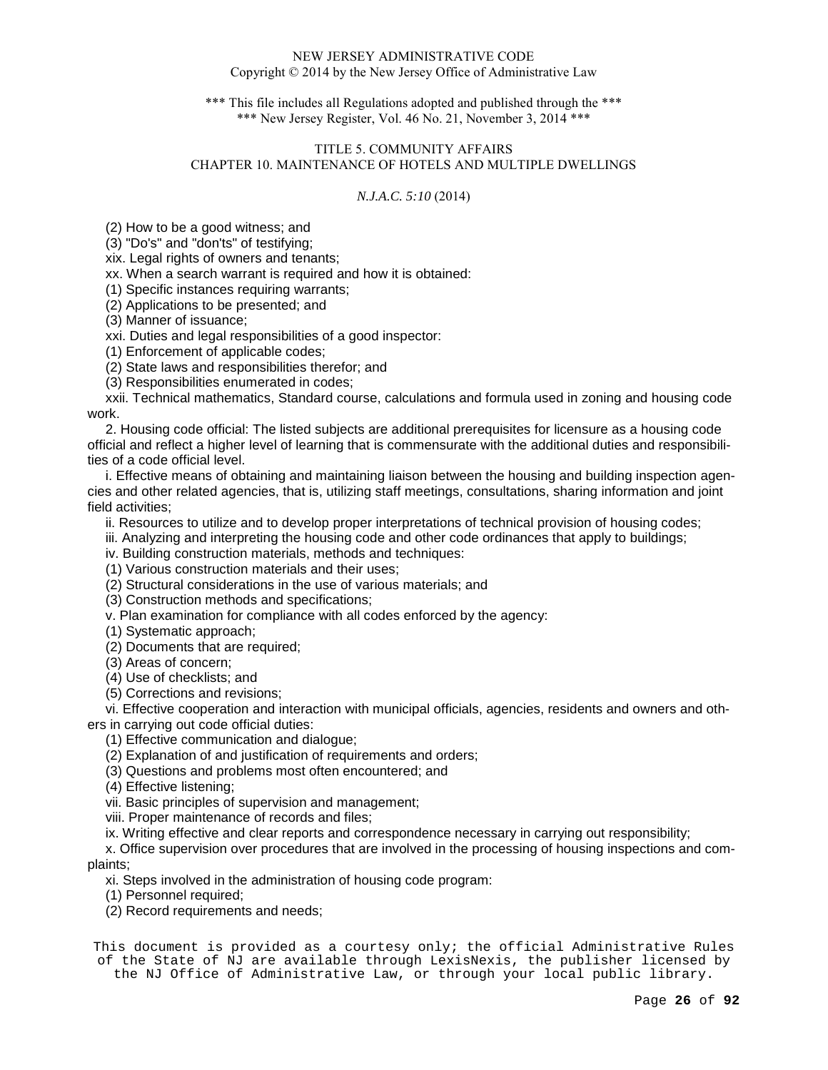\*\*\* This file includes all Regulations adopted and published through the \*\*\* \*\*\* New Jersey Register, Vol. 46 No. 21, November 3, 2014 \*\*\*

# TITLE 5. COMMUNITY AFFAIRS CHAPTER 10. MAINTENANCE OF HOTELS AND MULTIPLE DWELLINGS

# *N.J.A.C. 5:10* (2014)

(2) How to be a good witness; and

(3) "Do's" and "don'ts" of testifying;

xix. Legal rights of owners and tenants;

xx. When a search warrant is required and how it is obtained:

(1) Specific instances requiring warrants;

(2) Applications to be presented; and

(3) Manner of issuance;

xxi. Duties and legal responsibilities of a good inspector:

(1) Enforcement of applicable codes;

(2) State laws and responsibilities therefor; and

(3) Responsibilities enumerated in codes;

 xxii. Technical mathematics, Standard course, calculations and formula used in zoning and housing code work.

 2. Housing code official: The listed subjects are additional prerequisites for licensure as a housing code official and reflect a higher level of learning that is commensurate with the additional duties and responsibilities of a code official level.

 i. Effective means of obtaining and maintaining liaison between the housing and building inspection agencies and other related agencies, that is, utilizing staff meetings, consultations, sharing information and joint field activities;

ii. Resources to utilize and to develop proper interpretations of technical provision of housing codes;

iii. Analyzing and interpreting the housing code and other code ordinances that apply to buildings;

iv. Building construction materials, methods and techniques:

(1) Various construction materials and their uses;

(2) Structural considerations in the use of various materials; and

(3) Construction methods and specifications;

v. Plan examination for compliance with all codes enforced by the agency:

(1) Systematic approach;

(2) Documents that are required;

(3) Areas of concern;

(4) Use of checklists; and

(5) Corrections and revisions;

vi. Effective cooperation and interaction with municipal officials, agencies, residents and owners and oth-

ers in carrying out code official duties:

(1) Effective communication and dialogue;

(2) Explanation of and justification of requirements and orders;

(3) Questions and problems most often encountered; and

(4) Effective listening;

vii. Basic principles of supervision and management;

viii. Proper maintenance of records and files;

ix. Writing effective and clear reports and correspondence necessary in carrying out responsibility;

 x. Office supervision over procedures that are involved in the processing of housing inspections and complaints;

xi. Steps involved in the administration of housing code program:

(1) Personnel required;

(2) Record requirements and needs;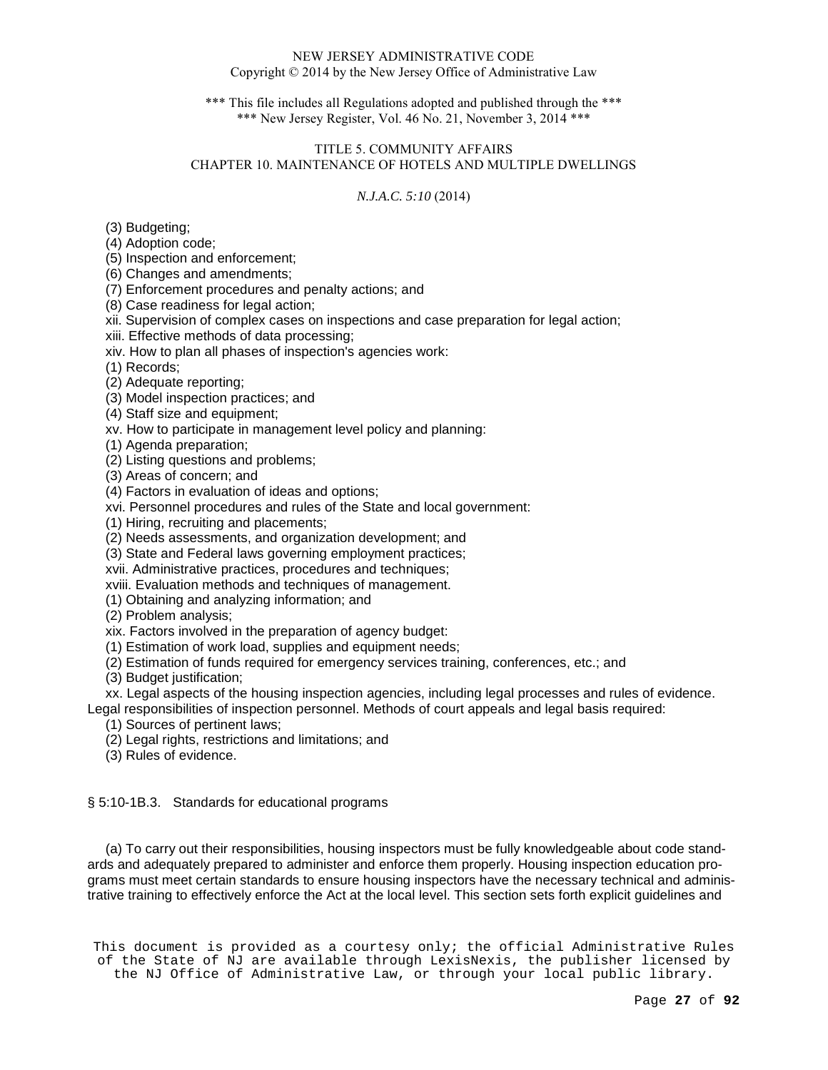\*\*\* This file includes all Regulations adopted and published through the \*\*\* \*\*\* New Jersey Register, Vol. 46 No. 21, November 3, 2014 \*\*\*

# TITLE 5. COMMUNITY AFFAIRS CHAPTER 10. MAINTENANCE OF HOTELS AND MULTIPLE DWELLINGS

# *N.J.A.C. 5:10* (2014)

(3) Budgeting;

(4) Adoption code;

(5) Inspection and enforcement;

(6) Changes and amendments;

(7) Enforcement procedures and penalty actions; and

(8) Case readiness for legal action;

xii. Supervision of complex cases on inspections and case preparation for legal action;

xiii. Effective methods of data processing;

xiv. How to plan all phases of inspection's agencies work:

(1) Records;

(2) Adequate reporting;

(3) Model inspection practices; and

(4) Staff size and equipment;

xv. How to participate in management level policy and planning:

(1) Agenda preparation;

(2) Listing questions and problems;

(3) Areas of concern; and

(4) Factors in evaluation of ideas and options;

xvi. Personnel procedures and rules of the State and local government:

(1) Hiring, recruiting and placements;

(2) Needs assessments, and organization development; and

(3) State and Federal laws governing employment practices;

xvii. Administrative practices, procedures and techniques;

xviii. Evaluation methods and techniques of management.

(1) Obtaining and analyzing information; and

(2) Problem analysis;

xix. Factors involved in the preparation of agency budget:

(1) Estimation of work load, supplies and equipment needs;

(2) Estimation of funds required for emergency services training, conferences, etc.; and

(3) Budget justification;

 xx. Legal aspects of the housing inspection agencies, including legal processes and rules of evidence. Legal responsibilities of inspection personnel. Methods of court appeals and legal basis required:

(1) Sources of pertinent laws;

(2) Legal rights, restrictions and limitations; and

(3) Rules of evidence.

§ 5:10-1B.3. Standards for educational programs

 (a) To carry out their responsibilities, housing inspectors must be fully knowledgeable about code standards and adequately prepared to administer and enforce them properly. Housing inspection education programs must meet certain standards to ensure housing inspectors have the necessary technical and administrative training to effectively enforce the Act at the local level. This section sets forth explicit guidelines and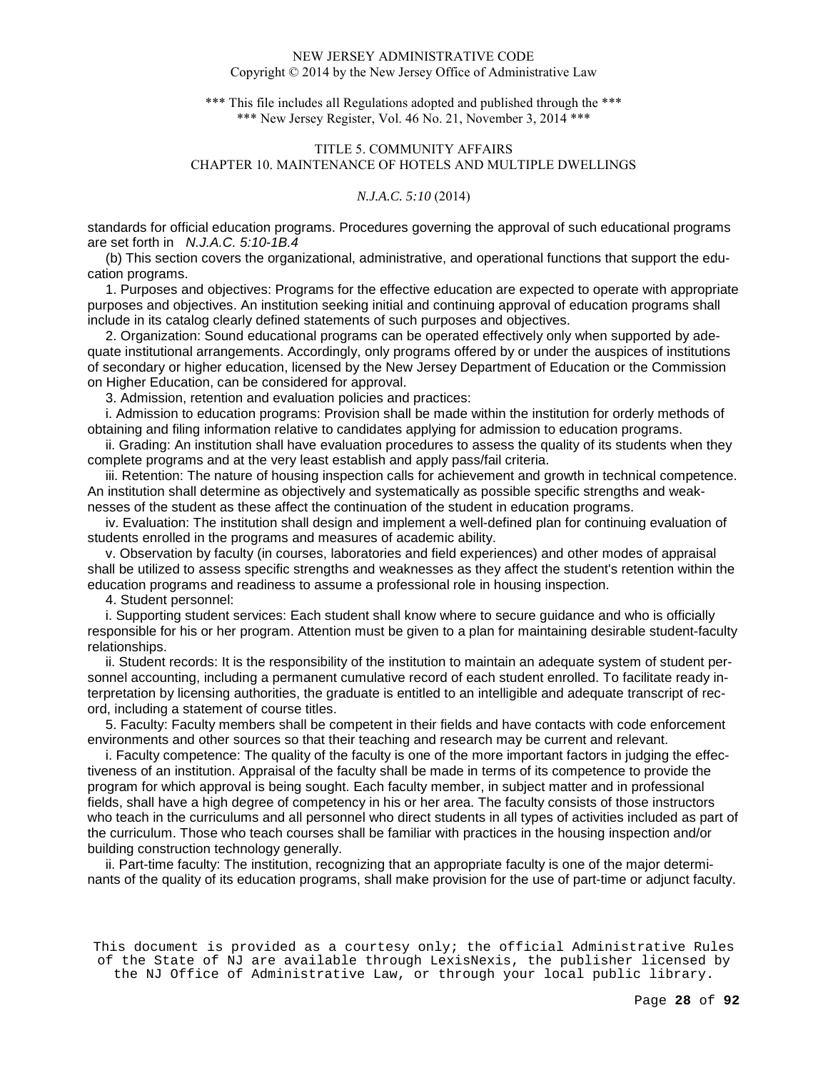\*\*\* This file includes all Regulations adopted and published through the \*\*\* \*\*\* New Jersey Register, Vol. 46 No. 21, November 3, 2014 \*\*\*

# TITLE 5. COMMUNITY AFFAIRS CHAPTER 10. MAINTENANCE OF HOTELS AND MULTIPLE DWELLINGS

## *N.J.A.C. 5:10* (2014)

standards for official education programs. Procedures governing the approval of such educational programs are set forth in N.J.A.C. 5:10-1B.4

 (b) This section covers the organizational, administrative, and operational functions that support the education programs.

 1. Purposes and objectives: Programs for the effective education are expected to operate with appropriate purposes and objectives. An institution seeking initial and continuing approval of education programs shall include in its catalog clearly defined statements of such purposes and objectives.

 2. Organization: Sound educational programs can be operated effectively only when supported by adequate institutional arrangements. Accordingly, only programs offered by or under the auspices of institutions of secondary or higher education, licensed by the New Jersey Department of Education or the Commission on Higher Education, can be considered for approval.

3. Admission, retention and evaluation policies and practices:

 i. Admission to education programs: Provision shall be made within the institution for orderly methods of obtaining and filing information relative to candidates applying for admission to education programs.

 ii. Grading: An institution shall have evaluation procedures to assess the quality of its students when they complete programs and at the very least establish and apply pass/fail criteria.

 iii. Retention: The nature of housing inspection calls for achievement and growth in technical competence. An institution shall determine as objectively and systematically as possible specific strengths and weaknesses of the student as these affect the continuation of the student in education programs.

 iv. Evaluation: The institution shall design and implement a well-defined plan for continuing evaluation of students enrolled in the programs and measures of academic ability.

 v. Observation by faculty (in courses, laboratories and field experiences) and other modes of appraisal shall be utilized to assess specific strengths and weaknesses as they affect the student's retention within the education programs and readiness to assume a professional role in housing inspection.

4. Student personnel:

 i. Supporting student services: Each student shall know where to secure guidance and who is officially responsible for his or her program. Attention must be given to a plan for maintaining desirable student-faculty relationships.

 ii. Student records: It is the responsibility of the institution to maintain an adequate system of student personnel accounting, including a permanent cumulative record of each student enrolled. To facilitate ready interpretation by licensing authorities, the graduate is entitled to an intelligible and adequate transcript of record, including a statement of course titles.

 5. Faculty: Faculty members shall be competent in their fields and have contacts with code enforcement environments and other sources so that their teaching and research may be current and relevant.

 i. Faculty competence: The quality of the faculty is one of the more important factors in judging the effectiveness of an institution. Appraisal of the faculty shall be made in terms of its competence to provide the program for which approval is being sought. Each faculty member, in subject matter and in professional fields, shall have a high degree of competency in his or her area. The faculty consists of those instructors who teach in the curriculums and all personnel who direct students in all types of activities included as part of the curriculum. Those who teach courses shall be familiar with practices in the housing inspection and/or building construction technology generally.

 ii. Part-time faculty: The institution, recognizing that an appropriate faculty is one of the major determinants of the quality of its education programs, shall make provision for the use of part-time or adjunct faculty.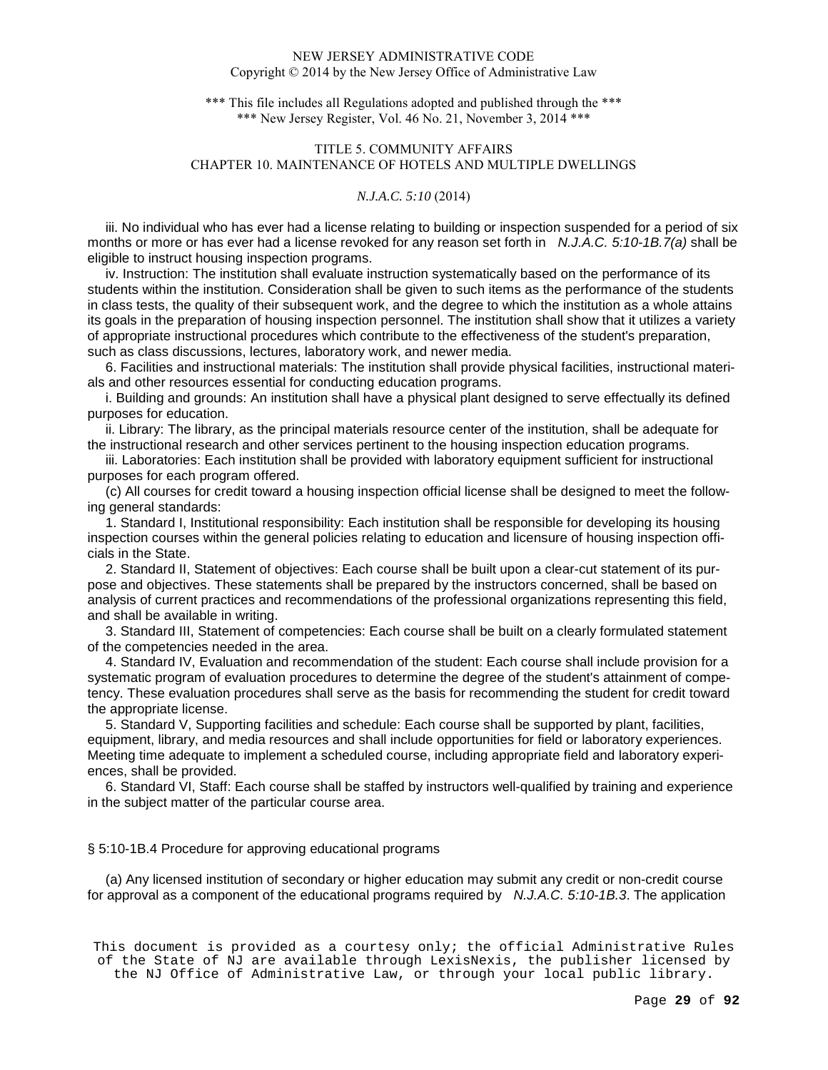\*\*\* This file includes all Regulations adopted and published through the \*\*\* \*\*\* New Jersey Register, Vol. 46 No. 21, November 3, 2014 \*\*\*

# TITLE 5. COMMUNITY AFFAIRS CHAPTER 10. MAINTENANCE OF HOTELS AND MULTIPLE DWELLINGS

## *N.J.A.C. 5:10* (2014)

 iii. No individual who has ever had a license relating to building or inspection suspended for a period of six months or more or has ever had a license revoked for any reason set forth in N.J.A.C. 5:10-1B.7(a) shall be eligible to instruct housing inspection programs.

 iv. Instruction: The institution shall evaluate instruction systematically based on the performance of its students within the institution. Consideration shall be given to such items as the performance of the students in class tests, the quality of their subsequent work, and the degree to which the institution as a whole attains its goals in the preparation of housing inspection personnel. The institution shall show that it utilizes a variety of appropriate instructional procedures which contribute to the effectiveness of the student's preparation, such as class discussions, lectures, laboratory work, and newer media.

 6. Facilities and instructional materials: The institution shall provide physical facilities, instructional materials and other resources essential for conducting education programs.

 i. Building and grounds: An institution shall have a physical plant designed to serve effectually its defined purposes for education.

 ii. Library: The library, as the principal materials resource center of the institution, shall be adequate for the instructional research and other services pertinent to the housing inspection education programs.

 iii. Laboratories: Each institution shall be provided with laboratory equipment sufficient for instructional purposes for each program offered.

 (c) All courses for credit toward a housing inspection official license shall be designed to meet the following general standards:

 1. Standard I, Institutional responsibility: Each institution shall be responsible for developing its housing inspection courses within the general policies relating to education and licensure of housing inspection officials in the State.

 2. Standard II, Statement of objectives: Each course shall be built upon a clear-cut statement of its purpose and objectives. These statements shall be prepared by the instructors concerned, shall be based on analysis of current practices and recommendations of the professional organizations representing this field, and shall be available in writing.

 3. Standard III, Statement of competencies: Each course shall be built on a clearly formulated statement of the competencies needed in the area.

 4. Standard IV, Evaluation and recommendation of the student: Each course shall include provision for a systematic program of evaluation procedures to determine the degree of the student's attainment of competency. These evaluation procedures shall serve as the basis for recommending the student for credit toward the appropriate license.

 5. Standard V, Supporting facilities and schedule: Each course shall be supported by plant, facilities, equipment, library, and media resources and shall include opportunities for field or laboratory experiences. Meeting time adequate to implement a scheduled course, including appropriate field and laboratory experiences, shall be provided.

 6. Standard VI, Staff: Each course shall be staffed by instructors well-qualified by training and experience in the subject matter of the particular course area.

§ 5:10-1B.4 Procedure for approving educational programs

 (a) Any licensed institution of secondary or higher education may submit any credit or non-credit course for approval as a component of the educational programs required by  $N.J.A.C. 5:10-1B.3$ . The application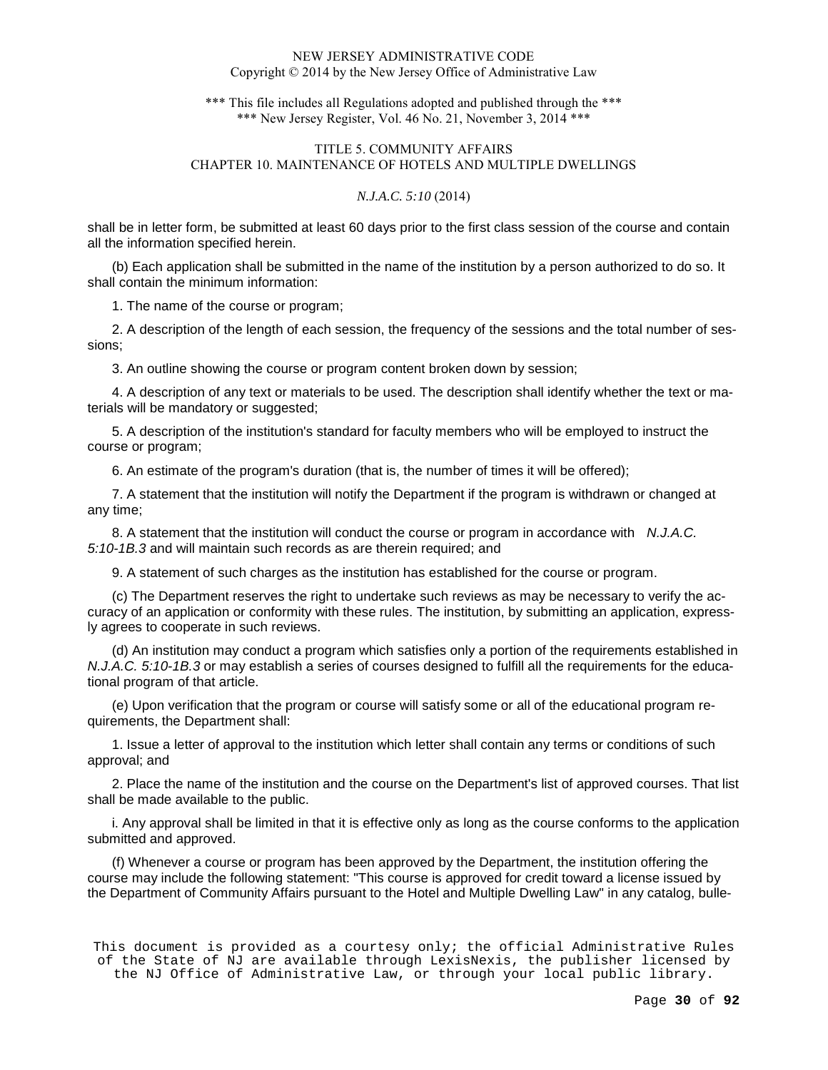\*\*\* This file includes all Regulations adopted and published through the \*\*\* \*\*\* New Jersey Register, Vol. 46 No. 21, November 3, 2014 \*\*\*

# TITLE 5. COMMUNITY AFFAIRS CHAPTER 10. MAINTENANCE OF HOTELS AND MULTIPLE DWELLINGS

### *N.J.A.C. 5:10* (2014)

shall be in letter form, be submitted at least 60 days prior to the first class session of the course and contain all the information specified herein.

(b) Each application shall be submitted in the name of the institution by a person authorized to do so. It shall contain the minimum information:

1. The name of the course or program;

2. A description of the length of each session, the frequency of the sessions and the total number of sessions;

3. An outline showing the course or program content broken down by session;

4. A description of any text or materials to be used. The description shall identify whether the text or materials will be mandatory or suggested;

5. A description of the institution's standard for faculty members who will be employed to instruct the course or program;

6. An estimate of the program's duration (that is, the number of times it will be offered);

7. A statement that the institution will notify the Department if the program is withdrawn or changed at any time;

8. A statement that the institution will conduct the course or program in accordance with N.J.A.C. 5:10-1B.3 and will maintain such records as are therein required; and

9. A statement of such charges as the institution has established for the course or program.

(c) The Department reserves the right to undertake such reviews as may be necessary to verify the accuracy of an application or conformity with these rules. The institution, by submitting an application, expressly agrees to cooperate in such reviews.

(d) An institution may conduct a program which satisfies only a portion of the requirements established in N.J.A.C. 5:10-1B.3 or may establish a series of courses designed to fulfill all the requirements for the educational program of that article.

(e) Upon verification that the program or course will satisfy some or all of the educational program requirements, the Department shall:

1. Issue a letter of approval to the institution which letter shall contain any terms or conditions of such approval; and

2. Place the name of the institution and the course on the Department's list of approved courses. That list shall be made available to the public.

i. Any approval shall be limited in that it is effective only as long as the course conforms to the application submitted and approved.

(f) Whenever a course or program has been approved by the Department, the institution offering the course may include the following statement: "This course is approved for credit toward a license issued by the Department of Community Affairs pursuant to the Hotel and Multiple Dwelling Law" in any catalog, bulle-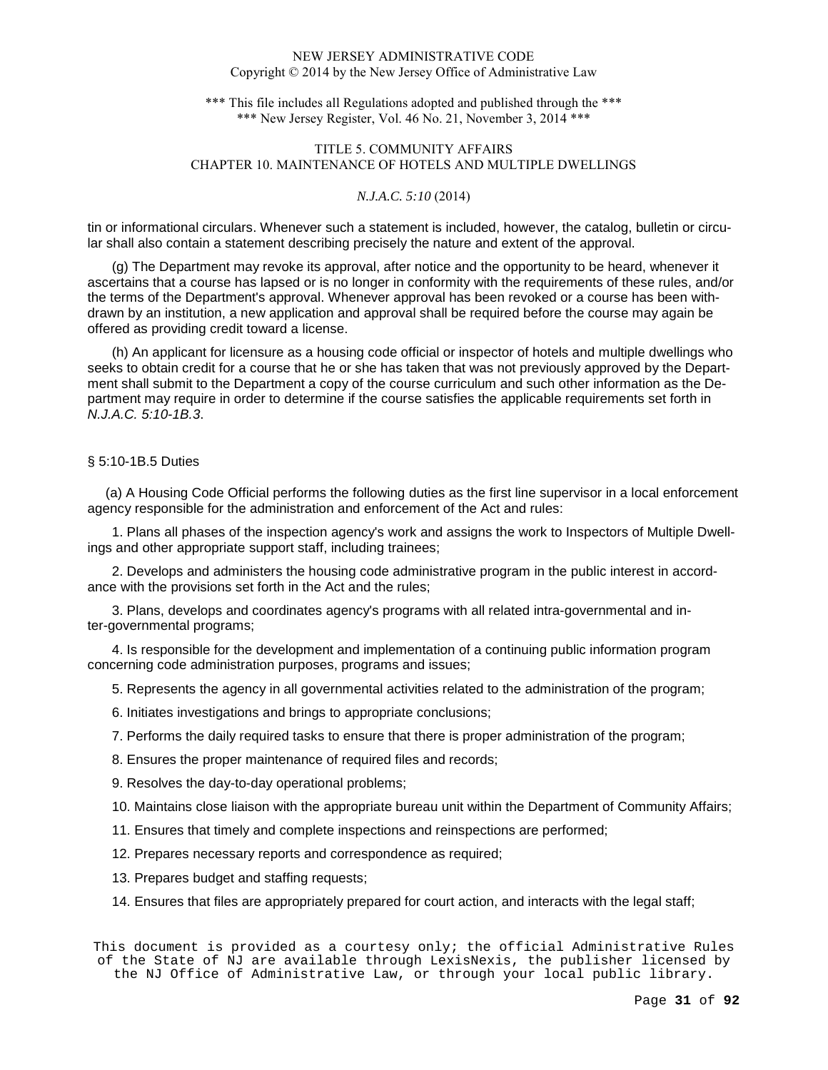\*\*\* This file includes all Regulations adopted and published through the \*\*\* \*\*\* New Jersey Register, Vol. 46 No. 21, November 3, 2014 \*\*\*

# TITLE 5. COMMUNITY AFFAIRS CHAPTER 10. MAINTENANCE OF HOTELS AND MULTIPLE DWELLINGS

### *N.J.A.C. 5:10* (2014)

tin or informational circulars. Whenever such a statement is included, however, the catalog, bulletin or circular shall also contain a statement describing precisely the nature and extent of the approval.

(g) The Department may revoke its approval, after notice and the opportunity to be heard, whenever it ascertains that a course has lapsed or is no longer in conformity with the requirements of these rules, and/or the terms of the Department's approval. Whenever approval has been revoked or a course has been withdrawn by an institution, a new application and approval shall be required before the course may again be offered as providing credit toward a license.

(h) An applicant for licensure as a housing code official or inspector of hotels and multiple dwellings who seeks to obtain credit for a course that he or she has taken that was not previously approved by the Department shall submit to the Department a copy of the course curriculum and such other information as the Department may require in order to determine if the course satisfies the applicable requirements set forth in N.J.A.C. 5:10-1B.3.

# § 5:10-1B.5 Duties

 (a) A Housing Code Official performs the following duties as the first line supervisor in a local enforcement agency responsible for the administration and enforcement of the Act and rules:

1. Plans all phases of the inspection agency's work and assigns the work to Inspectors of Multiple Dwellings and other appropriate support staff, including trainees;

2. Develops and administers the housing code administrative program in the public interest in accordance with the provisions set forth in the Act and the rules;

3. Plans, develops and coordinates agency's programs with all related intra-governmental and inter-governmental programs;

4. Is responsible for the development and implementation of a continuing public information program concerning code administration purposes, programs and issues;

5. Represents the agency in all governmental activities related to the administration of the program;

6. Initiates investigations and brings to appropriate conclusions;

7. Performs the daily required tasks to ensure that there is proper administration of the program;

8. Ensures the proper maintenance of required files and records;

9. Resolves the day-to-day operational problems;

10. Maintains close liaison with the appropriate bureau unit within the Department of Community Affairs;

11. Ensures that timely and complete inspections and reinspections are performed;

12. Prepares necessary reports and correspondence as required;

13. Prepares budget and staffing requests;

14. Ensures that files are appropriately prepared for court action, and interacts with the legal staff;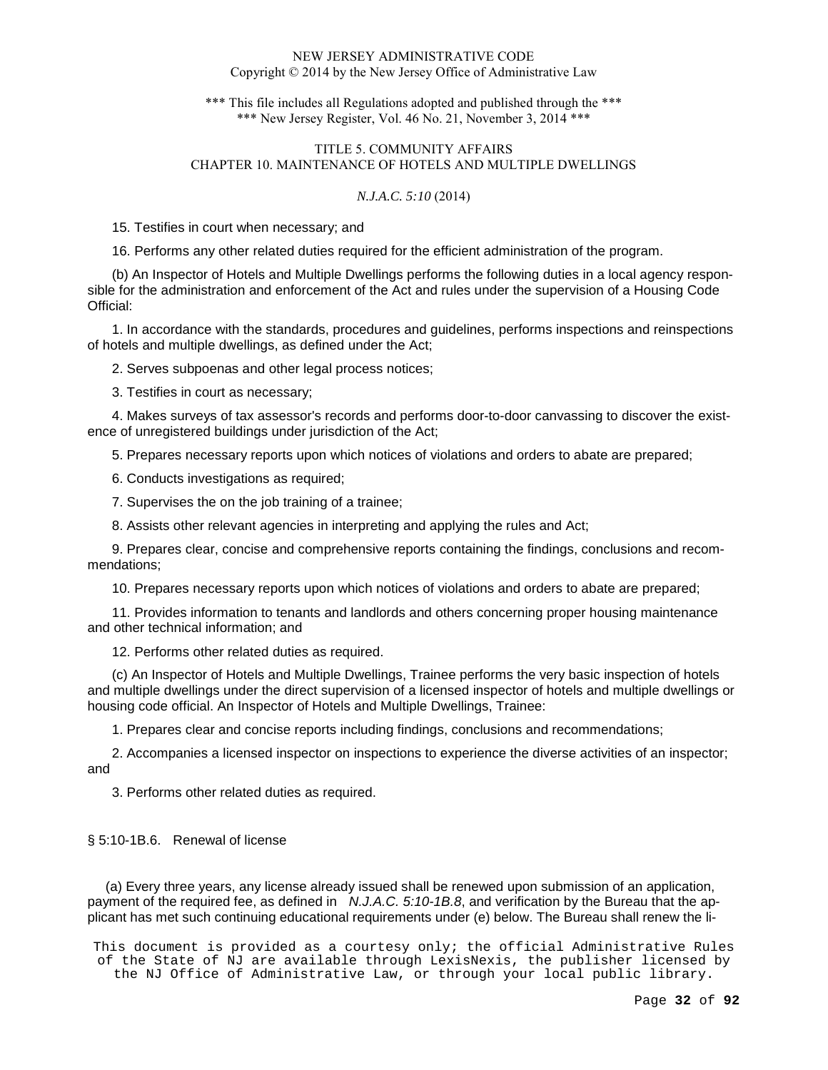\*\*\* This file includes all Regulations adopted and published through the \*\*\* \*\*\* New Jersey Register, Vol. 46 No. 21, November 3, 2014 \*\*\*

# TITLE 5. COMMUNITY AFFAIRS CHAPTER 10. MAINTENANCE OF HOTELS AND MULTIPLE DWELLINGS

## *N.J.A.C. 5:10* (2014)

15. Testifies in court when necessary; and

16. Performs any other related duties required for the efficient administration of the program.

(b) An Inspector of Hotels and Multiple Dwellings performs the following duties in a local agency responsible for the administration and enforcement of the Act and rules under the supervision of a Housing Code Official:

1. In accordance with the standards, procedures and guidelines, performs inspections and reinspections of hotels and multiple dwellings, as defined under the Act;

2. Serves subpoenas and other legal process notices;

3. Testifies in court as necessary;

4. Makes surveys of tax assessor's records and performs door-to-door canvassing to discover the existence of unregistered buildings under jurisdiction of the Act;

5. Prepares necessary reports upon which notices of violations and orders to abate are prepared;

6. Conducts investigations as required;

7. Supervises the on the job training of a trainee;

8. Assists other relevant agencies in interpreting and applying the rules and Act;

9. Prepares clear, concise and comprehensive reports containing the findings, conclusions and recommendations;

10. Prepares necessary reports upon which notices of violations and orders to abate are prepared;

11. Provides information to tenants and landlords and others concerning proper housing maintenance and other technical information; and

12. Performs other related duties as required.

(c) An Inspector of Hotels and Multiple Dwellings, Trainee performs the very basic inspection of hotels and multiple dwellings under the direct supervision of a licensed inspector of hotels and multiple dwellings or housing code official. An Inspector of Hotels and Multiple Dwellings, Trainee:

1. Prepares clear and concise reports including findings, conclusions and recommendations;

2. Accompanies a licensed inspector on inspections to experience the diverse activities of an inspector; and

3. Performs other related duties as required.

## § 5:10-1B.6. Renewal of license

 (a) Every three years, any license already issued shall be renewed upon submission of an application, payment of the required fee, as defined in N.J.A.C. 5:10-1B.8, and verification by the Bureau that the applicant has met such continuing educational requirements under (e) below. The Bureau shall renew the li-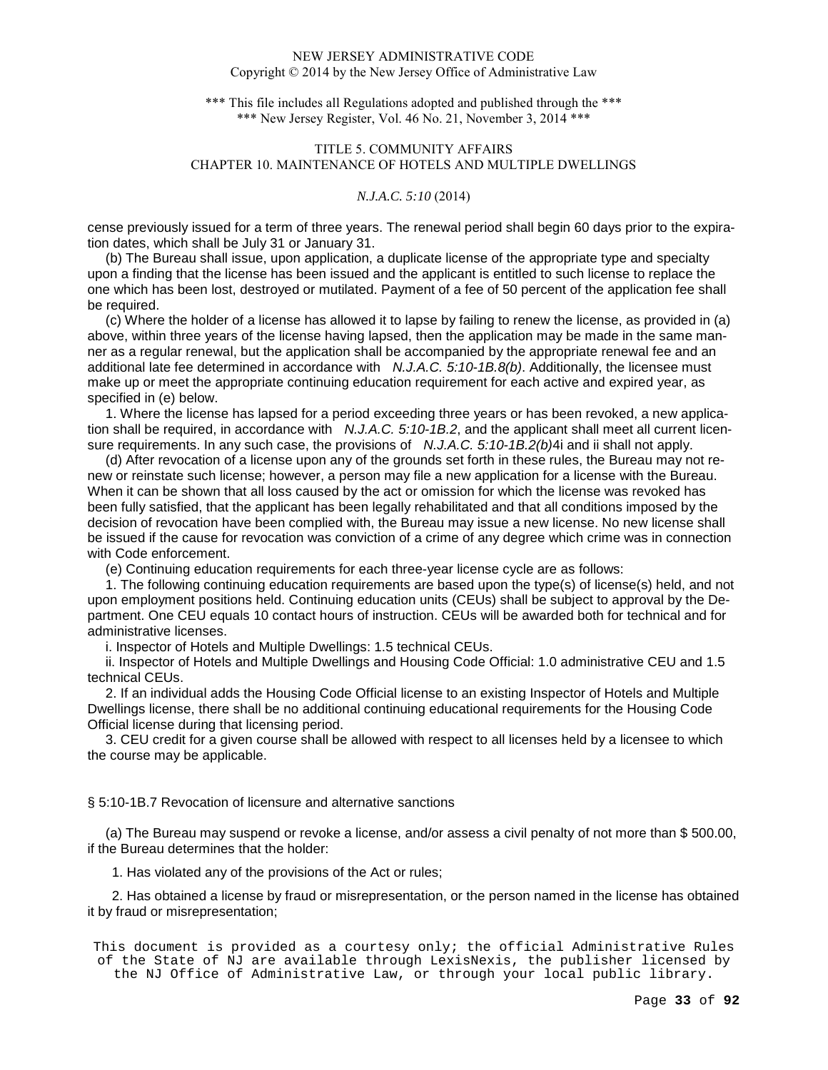\*\*\* This file includes all Regulations adopted and published through the \*\*\* \*\*\* New Jersey Register, Vol. 46 No. 21, November 3, 2014 \*\*\*

# TITLE 5. COMMUNITY AFFAIRS CHAPTER 10. MAINTENANCE OF HOTELS AND MULTIPLE DWELLINGS

## *N.J.A.C. 5:10* (2014)

cense previously issued for a term of three years. The renewal period shall begin 60 days prior to the expiration dates, which shall be July 31 or January 31.

 (b) The Bureau shall issue, upon application, a duplicate license of the appropriate type and specialty upon a finding that the license has been issued and the applicant is entitled to such license to replace the one which has been lost, destroyed or mutilated. Payment of a fee of 50 percent of the application fee shall be required.

 (c) Where the holder of a license has allowed it to lapse by failing to renew the license, as provided in (a) above, within three years of the license having lapsed, then the application may be made in the same manner as a regular renewal, but the application shall be accompanied by the appropriate renewal fee and an additional late fee determined in accordance with N.J.A.C. 5:10-1B.8(b). Additionally, the licensee must make up or meet the appropriate continuing education requirement for each active and expired year, as specified in (e) below.

 1. Where the license has lapsed for a period exceeding three years or has been revoked, a new application shall be required, in accordance with  $N.J.A.C. 5:10-1B.2$ , and the applicant shall meet all current licensure requirements. In any such case, the provisions of  $N.J.A.C. 5:10-1B.2(b)4i$  and ii shall not apply.

 (d) After revocation of a license upon any of the grounds set forth in these rules, the Bureau may not renew or reinstate such license; however, a person may file a new application for a license with the Bureau. When it can be shown that all loss caused by the act or omission for which the license was revoked has been fully satisfied, that the applicant has been legally rehabilitated and that all conditions imposed by the decision of revocation have been complied with, the Bureau may issue a new license. No new license shall be issued if the cause for revocation was conviction of a crime of any degree which crime was in connection with Code enforcement.

(e) Continuing education requirements for each three-year license cycle are as follows:

 1. The following continuing education requirements are based upon the type(s) of license(s) held, and not upon employment positions held. Continuing education units (CEUs) shall be subject to approval by the Department. One CEU equals 10 contact hours of instruction. CEUs will be awarded both for technical and for administrative licenses.

i. Inspector of Hotels and Multiple Dwellings: 1.5 technical CEUs.

 ii. Inspector of Hotels and Multiple Dwellings and Housing Code Official: 1.0 administrative CEU and 1.5 technical CEUs.

 2. If an individual adds the Housing Code Official license to an existing Inspector of Hotels and Multiple Dwellings license, there shall be no additional continuing educational requirements for the Housing Code Official license during that licensing period.

 3. CEU credit for a given course shall be allowed with respect to all licenses held by a licensee to which the course may be applicable.

§ 5:10-1B.7 Revocation of licensure and alternative sanctions

 (a) The Bureau may suspend or revoke a license, and/or assess a civil penalty of not more than \$ 500.00, if the Bureau determines that the holder:

1. Has violated any of the provisions of the Act or rules;

2. Has obtained a license by fraud or misrepresentation, or the person named in the license has obtained it by fraud or misrepresentation;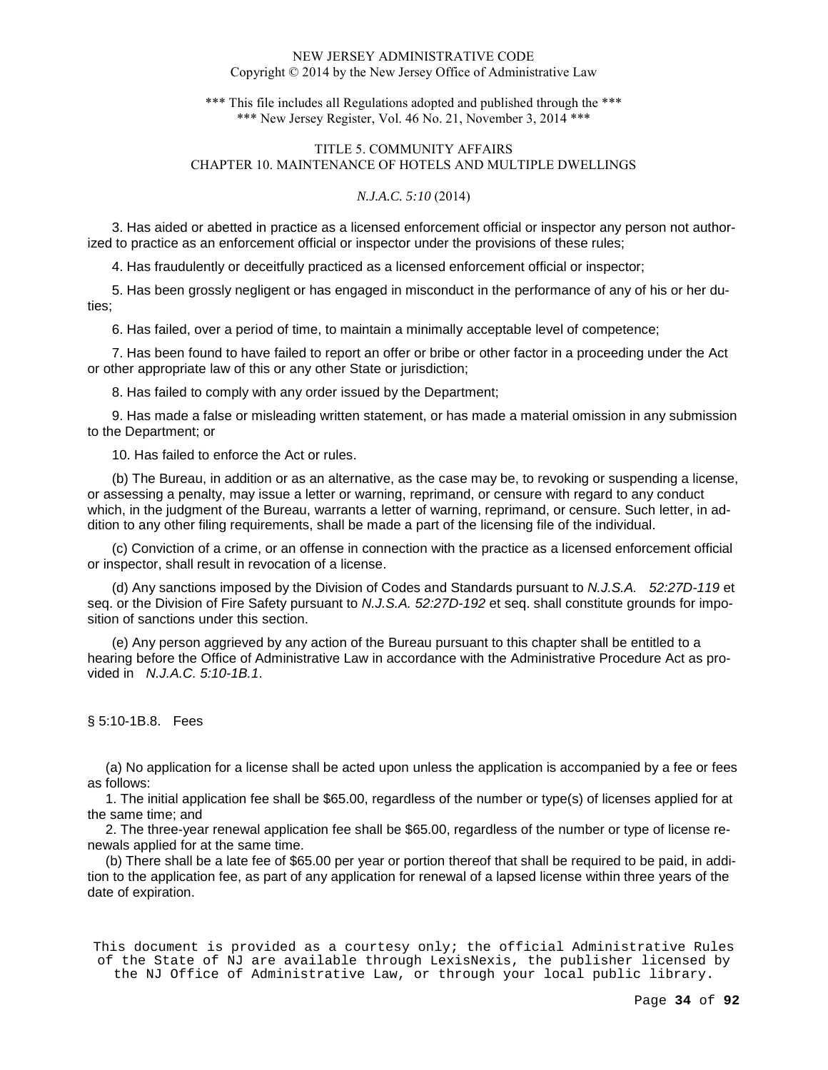\*\*\* This file includes all Regulations adopted and published through the \*\*\* \*\*\* New Jersey Register, Vol. 46 No. 21, November 3, 2014 \*\*\*

# TITLE 5. COMMUNITY AFFAIRS CHAPTER 10. MAINTENANCE OF HOTELS AND MULTIPLE DWELLINGS

## *N.J.A.C. 5:10* (2014)

3. Has aided or abetted in practice as a licensed enforcement official or inspector any person not authorized to practice as an enforcement official or inspector under the provisions of these rules;

4. Has fraudulently or deceitfully practiced as a licensed enforcement official or inspector;

5. Has been grossly negligent or has engaged in misconduct in the performance of any of his or her duties;

6. Has failed, over a period of time, to maintain a minimally acceptable level of competence;

7. Has been found to have failed to report an offer or bribe or other factor in a proceeding under the Act or other appropriate law of this or any other State or jurisdiction;

8. Has failed to comply with any order issued by the Department;

9. Has made a false or misleading written statement, or has made a material omission in any submission to the Department; or

10. Has failed to enforce the Act or rules.

(b) The Bureau, in addition or as an alternative, as the case may be, to revoking or suspending a license, or assessing a penalty, may issue a letter or warning, reprimand, or censure with regard to any conduct which, in the judgment of the Bureau, warrants a letter of warning, reprimand, or censure. Such letter, in addition to any other filing requirements, shall be made a part of the licensing file of the individual.

(c) Conviction of a crime, or an offense in connection with the practice as a licensed enforcement official or inspector, shall result in revocation of a license.

(d) Any sanctions imposed by the Division of Codes and Standards pursuant to N.J.S.A. 52:27D-119 et seq. or the Division of Fire Safety pursuant to N.J.S.A. 52:27D-192 et seq. shall constitute grounds for imposition of sanctions under this section.

(e) Any person aggrieved by any action of the Bureau pursuant to this chapter shall be entitled to a hearing before the Office of Administrative Law in accordance with the Administrative Procedure Act as provided in N.J.A.C. 5:10-1B.1.

## § 5:10-1B.8. Fees

 (a) No application for a license shall be acted upon unless the application is accompanied by a fee or fees as follows:

 1. The initial application fee shall be \$65.00, regardless of the number or type(s) of licenses applied for at the same time; and

 2. The three-year renewal application fee shall be \$65.00, regardless of the number or type of license renewals applied for at the same time.

 (b) There shall be a late fee of \$65.00 per year or portion thereof that shall be required to be paid, in addition to the application fee, as part of any application for renewal of a lapsed license within three years of the date of expiration.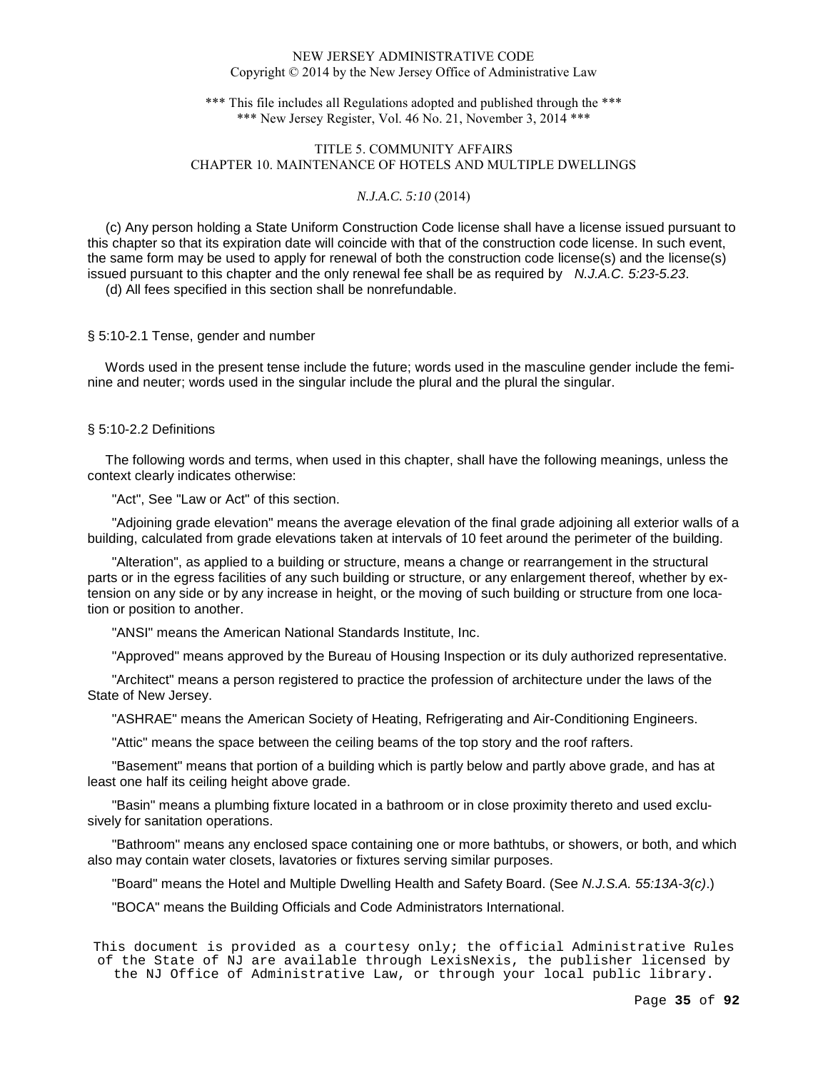\*\*\* This file includes all Regulations adopted and published through the \*\*\* \*\*\* New Jersey Register, Vol. 46 No. 21, November 3, 2014 \*\*\*

# TITLE 5. COMMUNITY AFFAIRS CHAPTER 10. MAINTENANCE OF HOTELS AND MULTIPLE DWELLINGS

### *N.J.A.C. 5:10* (2014)

 (c) Any person holding a State Uniform Construction Code license shall have a license issued pursuant to this chapter so that its expiration date will coincide with that of the construction code license. In such event, the same form may be used to apply for renewal of both the construction code license(s) and the license(s) issued pursuant to this chapter and the only renewal fee shall be as required by  $N.J.A.C. 5:23-5.23$ .

(d) All fees specified in this section shall be nonrefundable.

## § 5:10-2.1 Tense, gender and number

 Words used in the present tense include the future; words used in the masculine gender include the feminine and neuter; words used in the singular include the plural and the plural the singular.

# § 5:10-2.2 Definitions

 The following words and terms, when used in this chapter, shall have the following meanings, unless the context clearly indicates otherwise:

"Act", See "Law or Act" of this section.

"Adjoining grade elevation" means the average elevation of the final grade adjoining all exterior walls of a building, calculated from grade elevations taken at intervals of 10 feet around the perimeter of the building.

"Alteration", as applied to a building or structure, means a change or rearrangement in the structural parts or in the egress facilities of any such building or structure, or any enlargement thereof, whether by extension on any side or by any increase in height, or the moving of such building or structure from one location or position to another.

"ANSI" means the American National Standards Institute, Inc.

"Approved" means approved by the Bureau of Housing Inspection or its duly authorized representative.

"Architect" means a person registered to practice the profession of architecture under the laws of the State of New Jersey.

"ASHRAE" means the American Society of Heating, Refrigerating and Air-Conditioning Engineers.

"Attic" means the space between the ceiling beams of the top story and the roof rafters.

"Basement" means that portion of a building which is partly below and partly above grade, and has at least one half its ceiling height above grade.

"Basin" means a plumbing fixture located in a bathroom or in close proximity thereto and used exclusively for sanitation operations.

"Bathroom" means any enclosed space containing one or more bathtubs, or showers, or both, and which also may contain water closets, lavatories or fixtures serving similar purposes.

"Board" means the Hotel and Multiple Dwelling Health and Safety Board. (See N.J.S.A. 55:13A-3(c).)

"BOCA" means the Building Officials and Code Administrators International.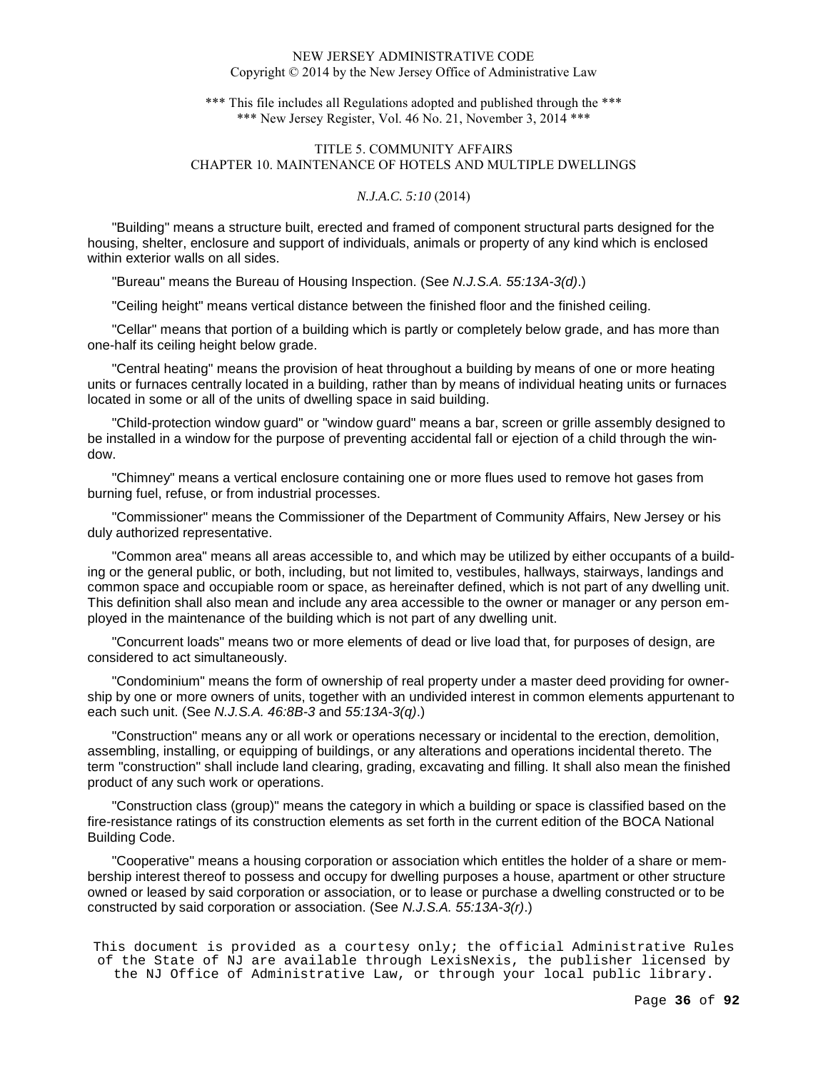\*\*\* This file includes all Regulations adopted and published through the \*\*\* \*\*\* New Jersey Register, Vol. 46 No. 21, November 3, 2014 \*\*\*

# TITLE 5. COMMUNITY AFFAIRS CHAPTER 10. MAINTENANCE OF HOTELS AND MULTIPLE DWELLINGS

## *N.J.A.C. 5:10* (2014)

"Building" means a structure built, erected and framed of component structural parts designed for the housing, shelter, enclosure and support of individuals, animals or property of any kind which is enclosed within exterior walls on all sides.

"Bureau" means the Bureau of Housing Inspection. (See N.J.S.A. 55:13A-3(d).)

"Ceiling height" means vertical distance between the finished floor and the finished ceiling.

"Cellar" means that portion of a building which is partly or completely below grade, and has more than one-half its ceiling height below grade.

"Central heating" means the provision of heat throughout a building by means of one or more heating units or furnaces centrally located in a building, rather than by means of individual heating units or furnaces located in some or all of the units of dwelling space in said building.

"Child-protection window guard" or "window guard" means a bar, screen or grille assembly designed to be installed in a window for the purpose of preventing accidental fall or ejection of a child through the window.

"Chimney" means a vertical enclosure containing one or more flues used to remove hot gases from burning fuel, refuse, or from industrial processes.

"Commissioner" means the Commissioner of the Department of Community Affairs, New Jersey or his duly authorized representative.

"Common area" means all areas accessible to, and which may be utilized by either occupants of a building or the general public, or both, including, but not limited to, vestibules, hallways, stairways, landings and common space and occupiable room or space, as hereinafter defined, which is not part of any dwelling unit. This definition shall also mean and include any area accessible to the owner or manager or any person employed in the maintenance of the building which is not part of any dwelling unit.

"Concurrent loads" means two or more elements of dead or live load that, for purposes of design, are considered to act simultaneously.

"Condominium" means the form of ownership of real property under a master deed providing for ownership by one or more owners of units, together with an undivided interest in common elements appurtenant to each such unit. (See N.J.S.A. 46:8B-3 and 55:13A-3(q).)

"Construction" means any or all work or operations necessary or incidental to the erection, demolition, assembling, installing, or equipping of buildings, or any alterations and operations incidental thereto. The term "construction" shall include land clearing, grading, excavating and filling. It shall also mean the finished product of any such work or operations.

"Construction class (group)" means the category in which a building or space is classified based on the fire-resistance ratings of its construction elements as set forth in the current edition of the BOCA National Building Code.

"Cooperative" means a housing corporation or association which entitles the holder of a share or membership interest thereof to possess and occupy for dwelling purposes a house, apartment or other structure owned or leased by said corporation or association, or to lease or purchase a dwelling constructed or to be constructed by said corporation or association. (See N.J.S.A. 55:13A-3(r).)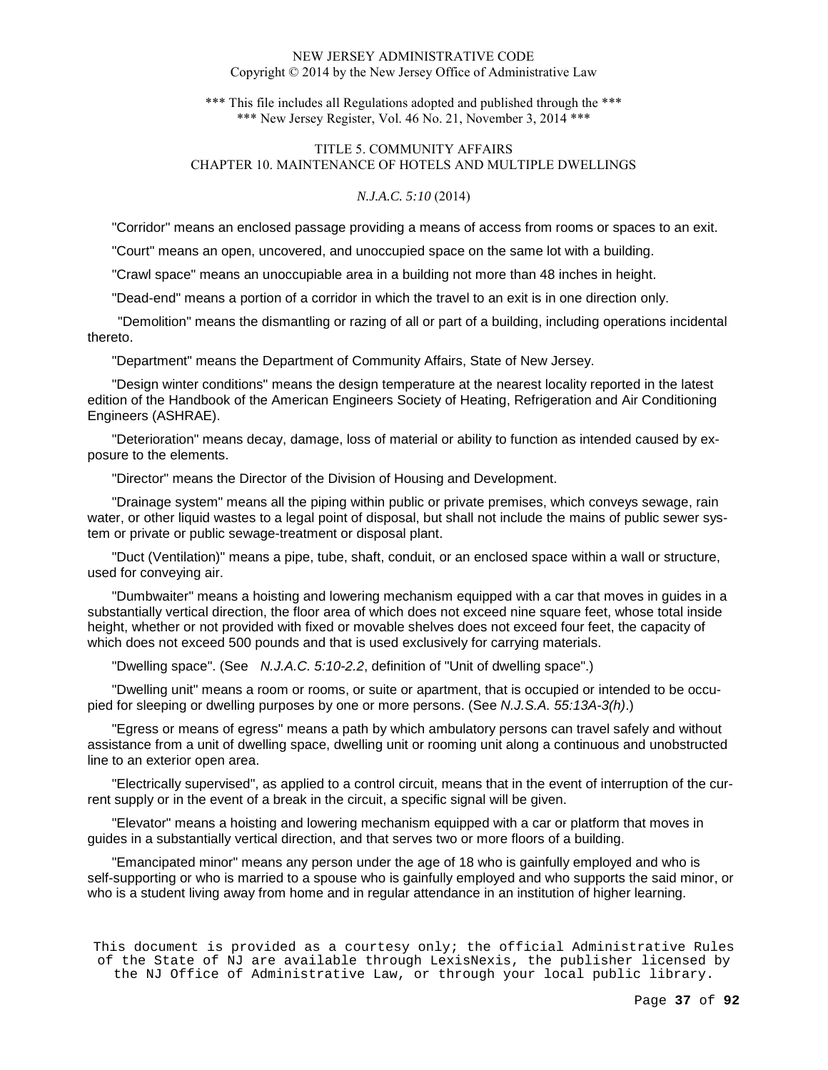\*\*\* This file includes all Regulations adopted and published through the \*\*\* \*\*\* New Jersey Register, Vol. 46 No. 21, November 3, 2014 \*\*\*

# TITLE 5. COMMUNITY AFFAIRS CHAPTER 10. MAINTENANCE OF HOTELS AND MULTIPLE DWELLINGS

# *N.J.A.C. 5:10* (2014)

"Corridor" means an enclosed passage providing a means of access from rooms or spaces to an exit.

"Court" means an open, uncovered, and unoccupied space on the same lot with a building.

"Crawl space" means an unoccupiable area in a building not more than 48 inches in height.

"Dead-end" means a portion of a corridor in which the travel to an exit is in one direction only.

 "Demolition" means the dismantling or razing of all or part of a building, including operations incidental thereto.

"Department" means the Department of Community Affairs, State of New Jersey.

"Design winter conditions" means the design temperature at the nearest locality reported in the latest edition of the Handbook of the American Engineers Society of Heating, Refrigeration and Air Conditioning Engineers (ASHRAE).

"Deterioration" means decay, damage, loss of material or ability to function as intended caused by exposure to the elements.

"Director" means the Director of the Division of Housing and Development.

"Drainage system" means all the piping within public or private premises, which conveys sewage, rain water, or other liquid wastes to a legal point of disposal, but shall not include the mains of public sewer system or private or public sewage-treatment or disposal plant.

"Duct (Ventilation)" means a pipe, tube, shaft, conduit, or an enclosed space within a wall or structure, used for conveying air.

"Dumbwaiter" means a hoisting and lowering mechanism equipped with a car that moves in guides in a substantially vertical direction, the floor area of which does not exceed nine square feet, whose total inside height, whether or not provided with fixed or movable shelves does not exceed four feet, the capacity of which does not exceed 500 pounds and that is used exclusively for carrying materials.

"Dwelling space". (See N.J.A.C. 5:10-2.2, definition of "Unit of dwelling space".)

"Dwelling unit" means a room or rooms, or suite or apartment, that is occupied or intended to be occupied for sleeping or dwelling purposes by one or more persons. (See N.J.S.A. 55:13A-3(h).)

"Egress or means of egress" means a path by which ambulatory persons can travel safely and without assistance from a unit of dwelling space, dwelling unit or rooming unit along a continuous and unobstructed line to an exterior open area.

"Electrically supervised", as applied to a control circuit, means that in the event of interruption of the current supply or in the event of a break in the circuit, a specific signal will be given.

"Elevator" means a hoisting and lowering mechanism equipped with a car or platform that moves in guides in a substantially vertical direction, and that serves two or more floors of a building.

"Emancipated minor" means any person under the age of 18 who is gainfully employed and who is self-supporting or who is married to a spouse who is gainfully employed and who supports the said minor, or who is a student living away from home and in regular attendance in an institution of higher learning.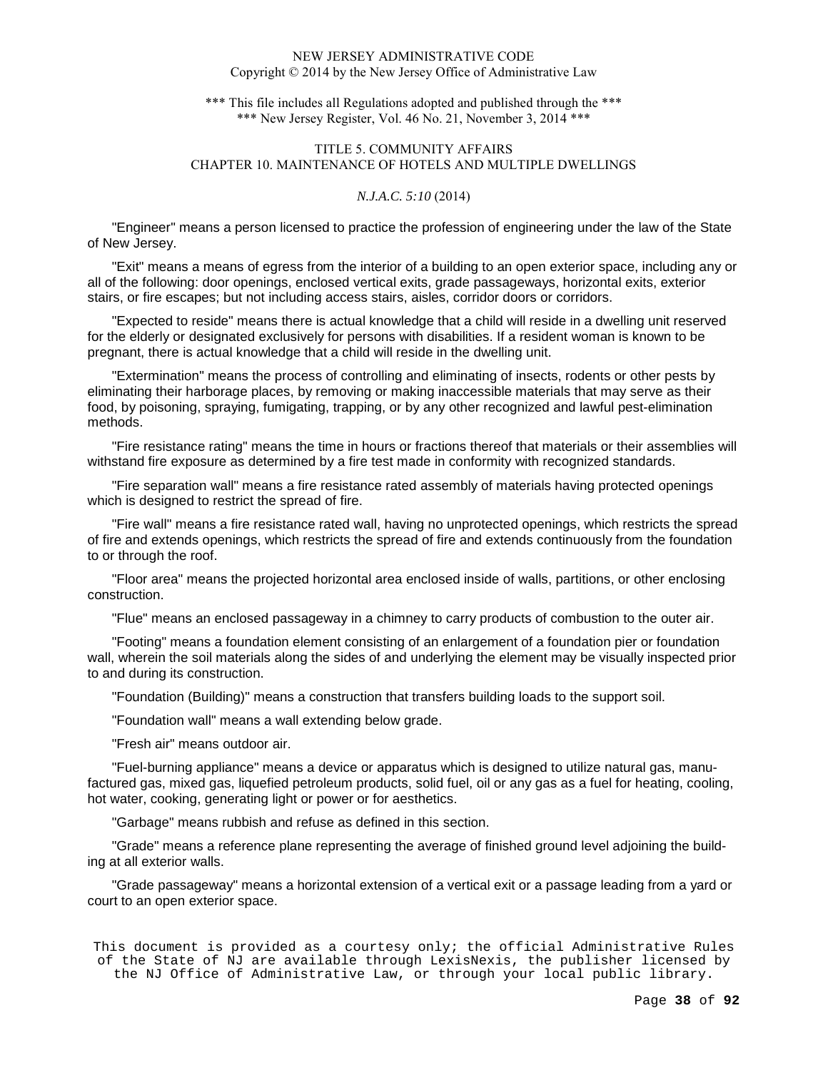\*\*\* This file includes all Regulations adopted and published through the \*\*\* \*\*\* New Jersey Register, Vol. 46 No. 21, November 3, 2014 \*\*\*

# TITLE 5. COMMUNITY AFFAIRS CHAPTER 10. MAINTENANCE OF HOTELS AND MULTIPLE DWELLINGS

# *N.J.A.C. 5:10* (2014)

"Engineer" means a person licensed to practice the profession of engineering under the law of the State of New Jersey.

"Exit" means a means of egress from the interior of a building to an open exterior space, including any or all of the following: door openings, enclosed vertical exits, grade passageways, horizontal exits, exterior stairs, or fire escapes; but not including access stairs, aisles, corridor doors or corridors.

"Expected to reside" means there is actual knowledge that a child will reside in a dwelling unit reserved for the elderly or designated exclusively for persons with disabilities. If a resident woman is known to be pregnant, there is actual knowledge that a child will reside in the dwelling unit.

"Extermination" means the process of controlling and eliminating of insects, rodents or other pests by eliminating their harborage places, by removing or making inaccessible materials that may serve as their food, by poisoning, spraying, fumigating, trapping, or by any other recognized and lawful pest-elimination methods.

"Fire resistance rating" means the time in hours or fractions thereof that materials or their assemblies will withstand fire exposure as determined by a fire test made in conformity with recognized standards.

"Fire separation wall" means a fire resistance rated assembly of materials having protected openings which is designed to restrict the spread of fire.

"Fire wall" means a fire resistance rated wall, having no unprotected openings, which restricts the spread of fire and extends openings, which restricts the spread of fire and extends continuously from the foundation to or through the roof.

"Floor area" means the projected horizontal area enclosed inside of walls, partitions, or other enclosing construction.

"Flue" means an enclosed passageway in a chimney to carry products of combustion to the outer air.

"Footing" means a foundation element consisting of an enlargement of a foundation pier or foundation wall, wherein the soil materials along the sides of and underlying the element may be visually inspected prior to and during its construction.

"Foundation (Building)" means a construction that transfers building loads to the support soil.

"Foundation wall" means a wall extending below grade.

"Fresh air" means outdoor air.

"Fuel-burning appliance" means a device or apparatus which is designed to utilize natural gas, manufactured gas, mixed gas, liquefied petroleum products, solid fuel, oil or any gas as a fuel for heating, cooling, hot water, cooking, generating light or power or for aesthetics.

"Garbage" means rubbish and refuse as defined in this section.

"Grade" means a reference plane representing the average of finished ground level adjoining the building at all exterior walls.

"Grade passageway" means a horizontal extension of a vertical exit or a passage leading from a yard or court to an open exterior space.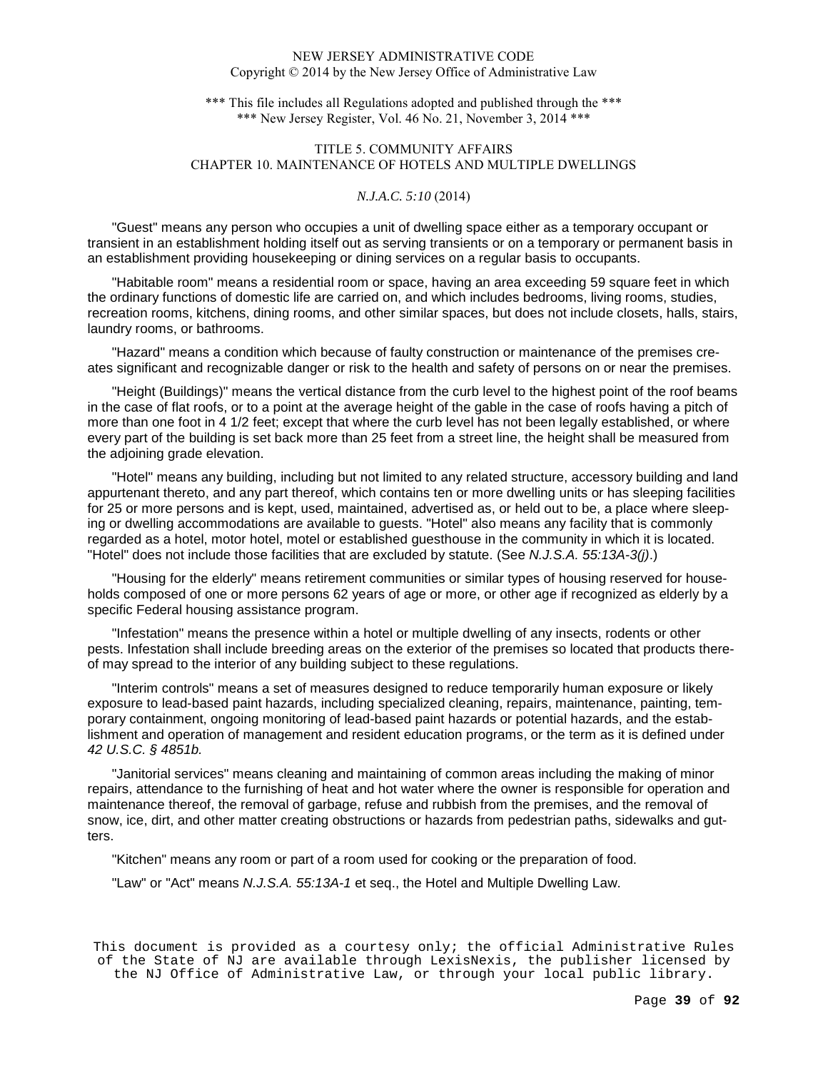\*\*\* This file includes all Regulations adopted and published through the \*\*\* \*\*\* New Jersey Register, Vol. 46 No. 21, November 3, 2014 \*\*\*

# TITLE 5. COMMUNITY AFFAIRS CHAPTER 10. MAINTENANCE OF HOTELS AND MULTIPLE DWELLINGS

# *N.J.A.C. 5:10* (2014)

"Guest" means any person who occupies a unit of dwelling space either as a temporary occupant or transient in an establishment holding itself out as serving transients or on a temporary or permanent basis in an establishment providing housekeeping or dining services on a regular basis to occupants.

"Habitable room" means a residential room or space, having an area exceeding 59 square feet in which the ordinary functions of domestic life are carried on, and which includes bedrooms, living rooms, studies, recreation rooms, kitchens, dining rooms, and other similar spaces, but does not include closets, halls, stairs, laundry rooms, or bathrooms.

"Hazard" means a condition which because of faulty construction or maintenance of the premises creates significant and recognizable danger or risk to the health and safety of persons on or near the premises.

"Height (Buildings)" means the vertical distance from the curb level to the highest point of the roof beams in the case of flat roofs, or to a point at the average height of the gable in the case of roofs having a pitch of more than one foot in 4 1/2 feet; except that where the curb level has not been legally established, or where every part of the building is set back more than 25 feet from a street line, the height shall be measured from the adjoining grade elevation.

"Hotel" means any building, including but not limited to any related structure, accessory building and land appurtenant thereto, and any part thereof, which contains ten or more dwelling units or has sleeping facilities for 25 or more persons and is kept, used, maintained, advertised as, or held out to be, a place where sleeping or dwelling accommodations are available to guests. "Hotel" also means any facility that is commonly regarded as a hotel, motor hotel, motel or established guesthouse in the community in which it is located. "Hotel" does not include those facilities that are excluded by statute. (See N.J.S.A. 55:13A-3(j).)

"Housing for the elderly" means retirement communities or similar types of housing reserved for households composed of one or more persons 62 years of age or more, or other age if recognized as elderly by a specific Federal housing assistance program.

"Infestation" means the presence within a hotel or multiple dwelling of any insects, rodents or other pests. Infestation shall include breeding areas on the exterior of the premises so located that products thereof may spread to the interior of any building subject to these regulations.

"Interim controls" means a set of measures designed to reduce temporarily human exposure or likely exposure to lead-based paint hazards, including specialized cleaning, repairs, maintenance, painting, temporary containment, ongoing monitoring of lead-based paint hazards or potential hazards, and the establishment and operation of management and resident education programs, or the term as it is defined under 42 U.S.C. § 4851b.

"Janitorial services" means cleaning and maintaining of common areas including the making of minor repairs, attendance to the furnishing of heat and hot water where the owner is responsible for operation and maintenance thereof, the removal of garbage, refuse and rubbish from the premises, and the removal of snow, ice, dirt, and other matter creating obstructions or hazards from pedestrian paths, sidewalks and gutters.

"Kitchen" means any room or part of a room used for cooking or the preparation of food.

"Law" or "Act" means N.J.S.A. 55:13A-1 et seq., the Hotel and Multiple Dwelling Law.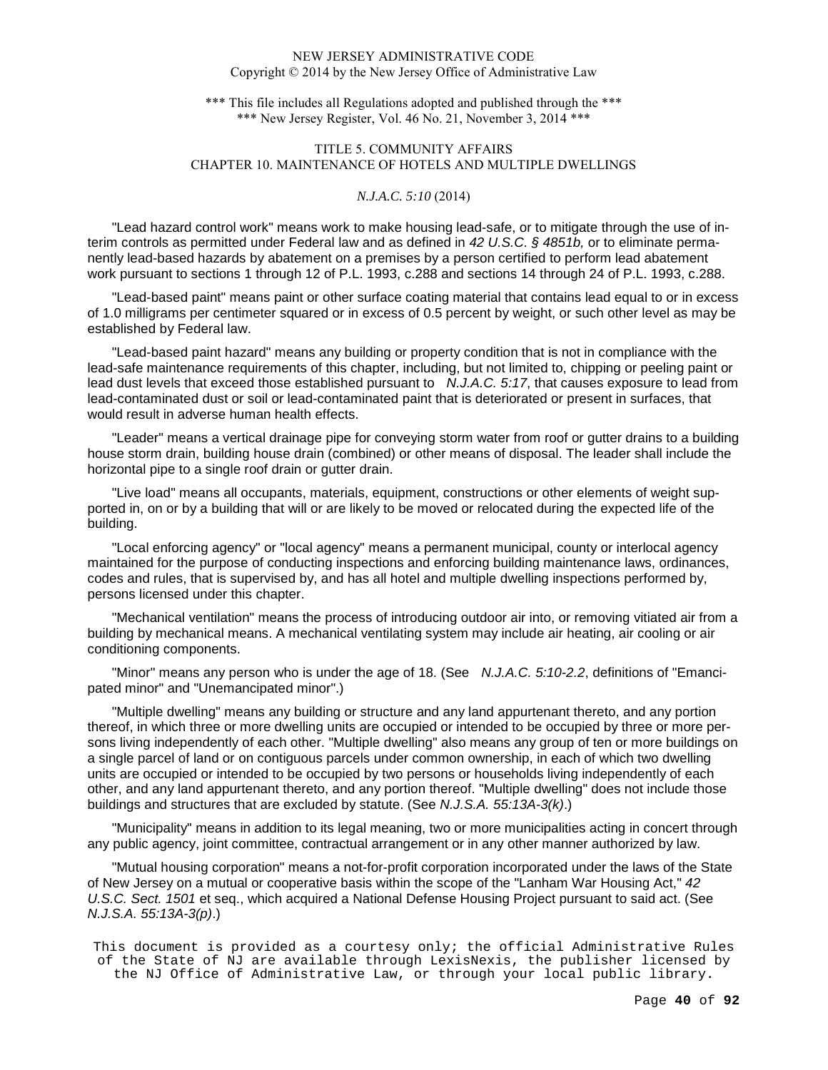\*\*\* This file includes all Regulations adopted and published through the \*\*\* \*\*\* New Jersey Register, Vol. 46 No. 21, November 3, 2014 \*\*\*

# TITLE 5. COMMUNITY AFFAIRS CHAPTER 10. MAINTENANCE OF HOTELS AND MULTIPLE DWELLINGS

# *N.J.A.C. 5:10* (2014)

"Lead hazard control work" means work to make housing lead-safe, or to mitigate through the use of interim controls as permitted under Federal law and as defined in 42 U.S.C. § 4851b, or to eliminate permanently lead-based hazards by abatement on a premises by a person certified to perform lead abatement work pursuant to sections 1 through 12 of P.L. 1993, c.288 and sections 14 through 24 of P.L. 1993, c.288.

"Lead-based paint" means paint or other surface coating material that contains lead equal to or in excess of 1.0 milligrams per centimeter squared or in excess of 0.5 percent by weight, or such other level as may be established by Federal law.

"Lead-based paint hazard" means any building or property condition that is not in compliance with the lead-safe maintenance requirements of this chapter, including, but not limited to, chipping or peeling paint or lead dust levels that exceed those established pursuant to N.J.A.C. 5:17, that causes exposure to lead from lead-contaminated dust or soil or lead-contaminated paint that is deteriorated or present in surfaces, that would result in adverse human health effects.

"Leader" means a vertical drainage pipe for conveying storm water from roof or gutter drains to a building house storm drain, building house drain (combined) or other means of disposal. The leader shall include the horizontal pipe to a single roof drain or gutter drain.

"Live load" means all occupants, materials, equipment, constructions or other elements of weight supported in, on or by a building that will or are likely to be moved or relocated during the expected life of the building.

"Local enforcing agency" or "local agency" means a permanent municipal, county or interlocal agency maintained for the purpose of conducting inspections and enforcing building maintenance laws, ordinances, codes and rules, that is supervised by, and has all hotel and multiple dwelling inspections performed by, persons licensed under this chapter.

"Mechanical ventilation" means the process of introducing outdoor air into, or removing vitiated air from a building by mechanical means. A mechanical ventilating system may include air heating, air cooling or air conditioning components.

"Minor" means any person who is under the age of 18. (See N.J.A.C. 5:10-2.2, definitions of "Emancipated minor" and "Unemancipated minor".)

"Multiple dwelling" means any building or structure and any land appurtenant thereto, and any portion thereof, in which three or more dwelling units are occupied or intended to be occupied by three or more persons living independently of each other. "Multiple dwelling" also means any group of ten or more buildings on a single parcel of land or on contiguous parcels under common ownership, in each of which two dwelling units are occupied or intended to be occupied by two persons or households living independently of each other, and any land appurtenant thereto, and any portion thereof. "Multiple dwelling" does not include those buildings and structures that are excluded by statute. (See N.J.S.A. 55:13A-3(k).)

"Municipality" means in addition to its legal meaning, two or more municipalities acting in concert through any public agency, joint committee, contractual arrangement or in any other manner authorized by law.

"Mutual housing corporation" means a not-for-profit corporation incorporated under the laws of the State of New Jersey on a mutual or cooperative basis within the scope of the "Lanham War Housing Act," 42 U.S.C. Sect. 1501 et seq., which acquired a National Defense Housing Project pursuant to said act. (See N.J.S.A. 55:13A-3(p).)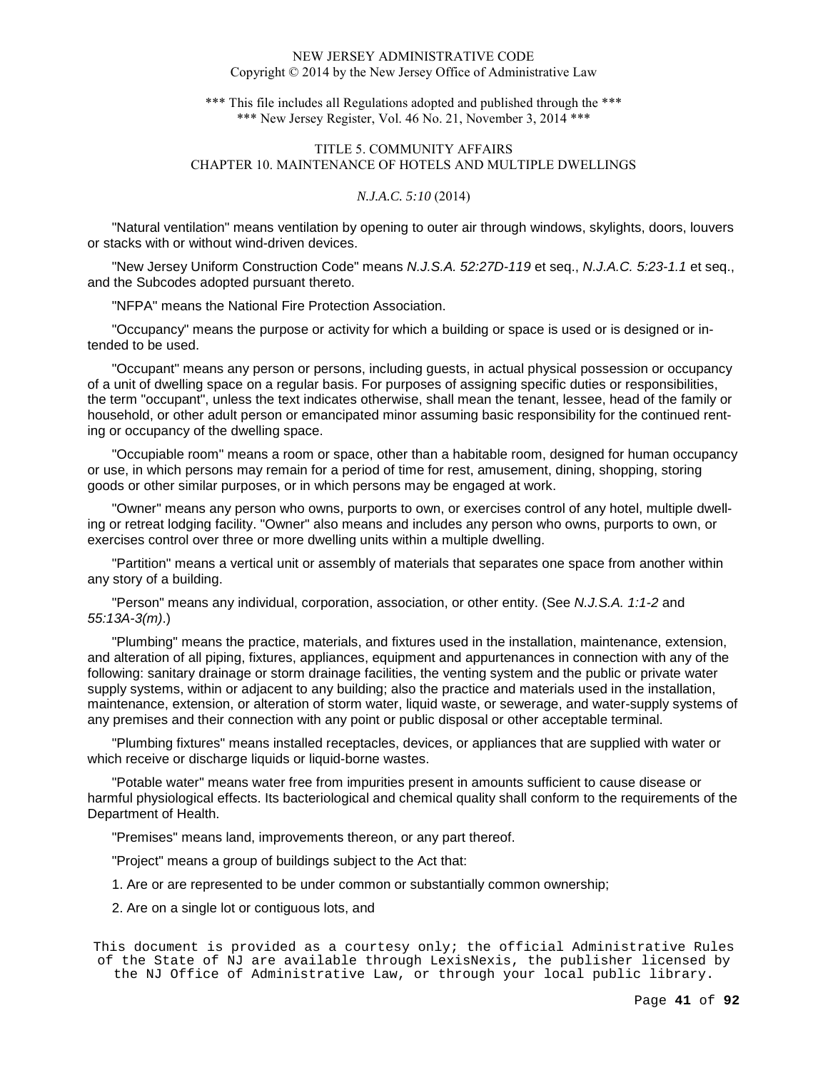\*\*\* This file includes all Regulations adopted and published through the \*\*\* \*\*\* New Jersey Register, Vol. 46 No. 21, November 3, 2014 \*\*\*

# TITLE 5. COMMUNITY AFFAIRS CHAPTER 10. MAINTENANCE OF HOTELS AND MULTIPLE DWELLINGS

## *N.J.A.C. 5:10* (2014)

"Natural ventilation" means ventilation by opening to outer air through windows, skylights, doors, louvers or stacks with or without wind-driven devices.

"New Jersey Uniform Construction Code" means N.J.S.A. 52:27D-119 et seq., N.J.A.C. 5:23-1.1 et seq., and the Subcodes adopted pursuant thereto.

"NFPA" means the National Fire Protection Association.

"Occupancy" means the purpose or activity for which a building or space is used or is designed or intended to be used.

"Occupant" means any person or persons, including guests, in actual physical possession or occupancy of a unit of dwelling space on a regular basis. For purposes of assigning specific duties or responsibilities, the term "occupant", unless the text indicates otherwise, shall mean the tenant, lessee, head of the family or household, or other adult person or emancipated minor assuming basic responsibility for the continued renting or occupancy of the dwelling space.

"Occupiable room" means a room or space, other than a habitable room, designed for human occupancy or use, in which persons may remain for a period of time for rest, amusement, dining, shopping, storing goods or other similar purposes, or in which persons may be engaged at work.

"Owner" means any person who owns, purports to own, or exercises control of any hotel, multiple dwelling or retreat lodging facility. "Owner" also means and includes any person who owns, purports to own, or exercises control over three or more dwelling units within a multiple dwelling.

"Partition" means a vertical unit or assembly of materials that separates one space from another within any story of a building.

"Person" means any individual, corporation, association, or other entity. (See N.J.S.A. 1:1-2 and 55:13A-3(m).)

"Plumbing" means the practice, materials, and fixtures used in the installation, maintenance, extension, and alteration of all piping, fixtures, appliances, equipment and appurtenances in connection with any of the following: sanitary drainage or storm drainage facilities, the venting system and the public or private water supply systems, within or adjacent to any building; also the practice and materials used in the installation, maintenance, extension, or alteration of storm water, liquid waste, or sewerage, and water-supply systems of any premises and their connection with any point or public disposal or other acceptable terminal.

"Plumbing fixtures" means installed receptacles, devices, or appliances that are supplied with water or which receive or discharge liquids or liquid-borne wastes.

"Potable water" means water free from impurities present in amounts sufficient to cause disease or harmful physiological effects. Its bacteriological and chemical quality shall conform to the requirements of the Department of Health.

"Premises" means land, improvements thereon, or any part thereof.

"Project" means a group of buildings subject to the Act that:

1. Are or are represented to be under common or substantially common ownership;

2. Are on a single lot or contiguous lots, and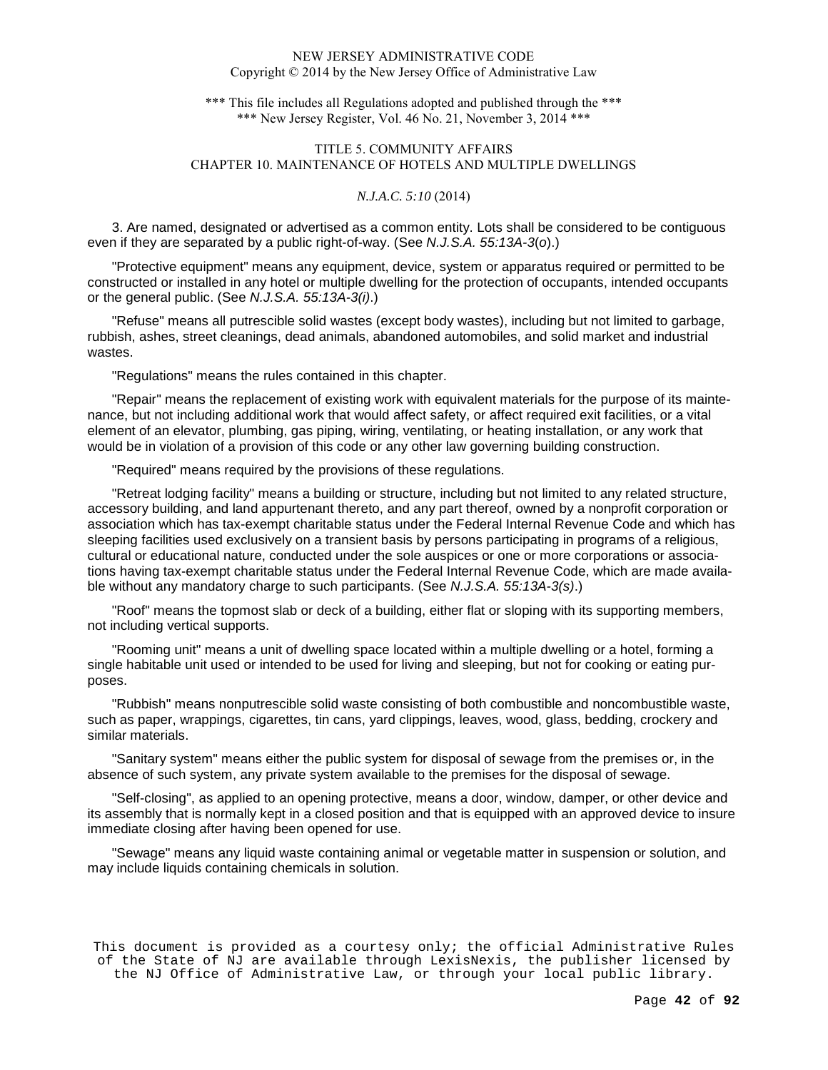\*\*\* This file includes all Regulations adopted and published through the \*\*\* \*\*\* New Jersey Register, Vol. 46 No. 21, November 3, 2014 \*\*\*

# TITLE 5. COMMUNITY AFFAIRS CHAPTER 10. MAINTENANCE OF HOTELS AND MULTIPLE DWELLINGS

# *N.J.A.C. 5:10* (2014)

3. Are named, designated or advertised as a common entity. Lots shall be considered to be contiguous even if they are separated by a public right-of-way. (See N.J.S.A. 55:13A-3(o).)

"Protective equipment" means any equipment, device, system or apparatus required or permitted to be constructed or installed in any hotel or multiple dwelling for the protection of occupants, intended occupants or the general public. (See N.J.S.A. 55:13A-3(i).)

"Refuse" means all putrescible solid wastes (except body wastes), including but not limited to garbage, rubbish, ashes, street cleanings, dead animals, abandoned automobiles, and solid market and industrial wastes.

"Regulations" means the rules contained in this chapter.

"Repair" means the replacement of existing work with equivalent materials for the purpose of its maintenance, but not including additional work that would affect safety, or affect required exit facilities, or a vital element of an elevator, plumbing, gas piping, wiring, ventilating, or heating installation, or any work that would be in violation of a provision of this code or any other law governing building construction.

"Required" means required by the provisions of these regulations.

"Retreat lodging facility" means a building or structure, including but not limited to any related structure, accessory building, and land appurtenant thereto, and any part thereof, owned by a nonprofit corporation or association which has tax-exempt charitable status under the Federal Internal Revenue Code and which has sleeping facilities used exclusively on a transient basis by persons participating in programs of a religious, cultural or educational nature, conducted under the sole auspices or one or more corporations or associations having tax-exempt charitable status under the Federal Internal Revenue Code, which are made available without any mandatory charge to such participants. (See N.J.S.A. 55:13A-3(s).)

"Roof" means the topmost slab or deck of a building, either flat or sloping with its supporting members, not including vertical supports.

"Rooming unit" means a unit of dwelling space located within a multiple dwelling or a hotel, forming a single habitable unit used or intended to be used for living and sleeping, but not for cooking or eating purposes.

"Rubbish" means nonputrescible solid waste consisting of both combustible and noncombustible waste, such as paper, wrappings, cigarettes, tin cans, yard clippings, leaves, wood, glass, bedding, crockery and similar materials.

"Sanitary system" means either the public system for disposal of sewage from the premises or, in the absence of such system, any private system available to the premises for the disposal of sewage.

"Self-closing", as applied to an opening protective, means a door, window, damper, or other device and its assembly that is normally kept in a closed position and that is equipped with an approved device to insure immediate closing after having been opened for use.

"Sewage" means any liquid waste containing animal or vegetable matter in suspension or solution, and may include liquids containing chemicals in solution.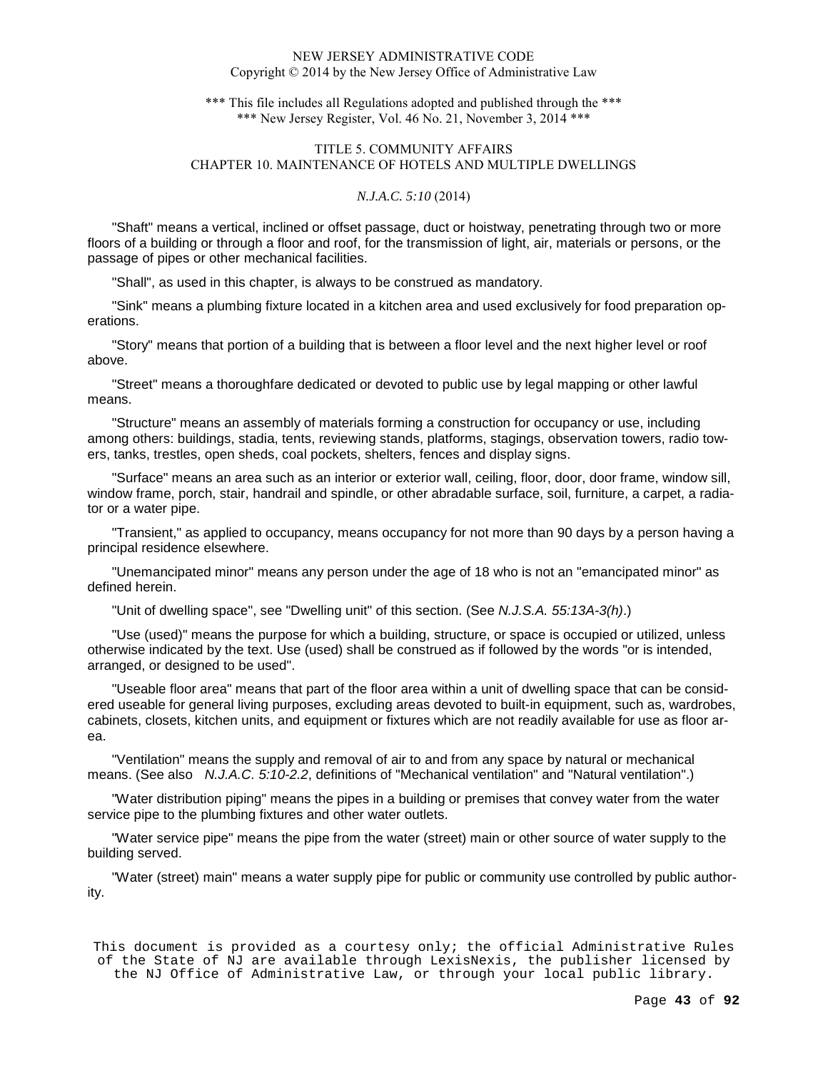\*\*\* This file includes all Regulations adopted and published through the \*\*\* \*\*\* New Jersey Register, Vol. 46 No. 21, November 3, 2014 \*\*\*

# TITLE 5. COMMUNITY AFFAIRS CHAPTER 10. MAINTENANCE OF HOTELS AND MULTIPLE DWELLINGS

# *N.J.A.C. 5:10* (2014)

"Shaft" means a vertical, inclined or offset passage, duct or hoistway, penetrating through two or more floors of a building or through a floor and roof, for the transmission of light, air, materials or persons, or the passage of pipes or other mechanical facilities.

"Shall", as used in this chapter, is always to be construed as mandatory.

"Sink" means a plumbing fixture located in a kitchen area and used exclusively for food preparation operations.

"Story" means that portion of a building that is between a floor level and the next higher level or roof above.

"Street" means a thoroughfare dedicated or devoted to public use by legal mapping or other lawful means.

"Structure" means an assembly of materials forming a construction for occupancy or use, including among others: buildings, stadia, tents, reviewing stands, platforms, stagings, observation towers, radio towers, tanks, trestles, open sheds, coal pockets, shelters, fences and display signs.

"Surface" means an area such as an interior or exterior wall, ceiling, floor, door, door frame, window sill, window frame, porch, stair, handrail and spindle, or other abradable surface, soil, furniture, a carpet, a radiator or a water pipe.

"Transient," as applied to occupancy, means occupancy for not more than 90 days by a person having a principal residence elsewhere.

"Unemancipated minor" means any person under the age of 18 who is not an "emancipated minor" as defined herein.

"Unit of dwelling space", see "Dwelling unit" of this section. (See N.J.S.A. 55:13A-3(h).)

"Use (used)" means the purpose for which a building, structure, or space is occupied or utilized, unless otherwise indicated by the text. Use (used) shall be construed as if followed by the words "or is intended, arranged, or designed to be used".

"Useable floor area" means that part of the floor area within a unit of dwelling space that can be considered useable for general living purposes, excluding areas devoted to built-in equipment, such as, wardrobes, cabinets, closets, kitchen units, and equipment or fixtures which are not readily available for use as floor area.

"Ventilation" means the supply and removal of air to and from any space by natural or mechanical means. (See also N.J.A.C. 5:10-2.2, definitions of "Mechanical ventilation" and "Natural ventilation".)

"Water distribution piping" means the pipes in a building or premises that convey water from the water service pipe to the plumbing fixtures and other water outlets.

"Water service pipe" means the pipe from the water (street) main or other source of water supply to the building served.

"Water (street) main" means a water supply pipe for public or community use controlled by public authority.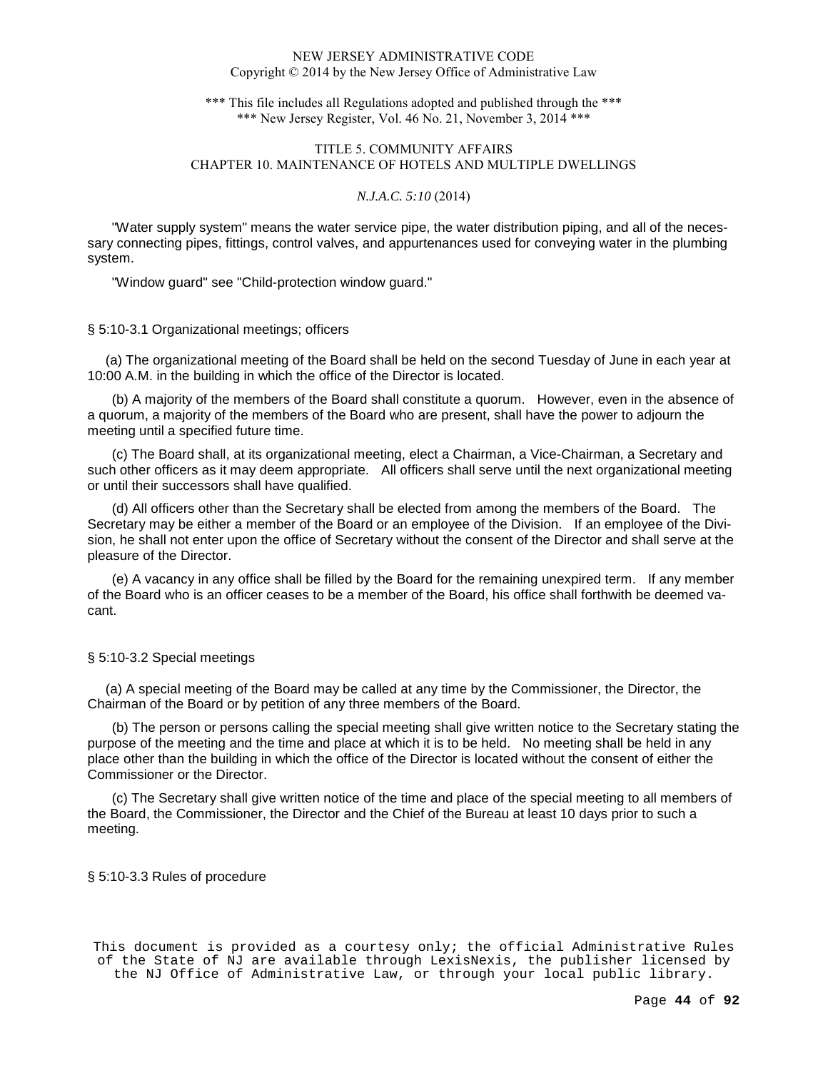\*\*\* This file includes all Regulations adopted and published through the \*\*\* \*\*\* New Jersey Register, Vol. 46 No. 21, November 3, 2014 \*\*\*

# TITLE 5. COMMUNITY AFFAIRS CHAPTER 10. MAINTENANCE OF HOTELS AND MULTIPLE DWELLINGS

# *N.J.A.C. 5:10* (2014)

"Water supply system" means the water service pipe, the water distribution piping, and all of the necessary connecting pipes, fittings, control valves, and appurtenances used for conveying water in the plumbing system.

"Window guard" see "Child-protection window guard."

## § 5:10-3.1 Organizational meetings; officers

 (a) The organizational meeting of the Board shall be held on the second Tuesday of June in each year at 10:00 A.M. in the building in which the office of the Director is located.

(b) A majority of the members of the Board shall constitute a quorum. However, even in the absence of a quorum, a majority of the members of the Board who are present, shall have the power to adjourn the meeting until a specified future time.

(c) The Board shall, at its organizational meeting, elect a Chairman, a Vice-Chairman, a Secretary and such other officers as it may deem appropriate. All officers shall serve until the next organizational meeting or until their successors shall have qualified.

(d) All officers other than the Secretary shall be elected from among the members of the Board. The Secretary may be either a member of the Board or an employee of the Division. If an employee of the Division, he shall not enter upon the office of Secretary without the consent of the Director and shall serve at the pleasure of the Director.

(e) A vacancy in any office shall be filled by the Board for the remaining unexpired term. If any member of the Board who is an officer ceases to be a member of the Board, his office shall forthwith be deemed vacant.

## § 5:10-3.2 Special meetings

 (a) A special meeting of the Board may be called at any time by the Commissioner, the Director, the Chairman of the Board or by petition of any three members of the Board.

(b) The person or persons calling the special meeting shall give written notice to the Secretary stating the purpose of the meeting and the time and place at which it is to be held. No meeting shall be held in any place other than the building in which the office of the Director is located without the consent of either the Commissioner or the Director.

(c) The Secretary shall give written notice of the time and place of the special meeting to all members of the Board, the Commissioner, the Director and the Chief of the Bureau at least 10 days prior to such a meeting.

§ 5:10-3.3 Rules of procedure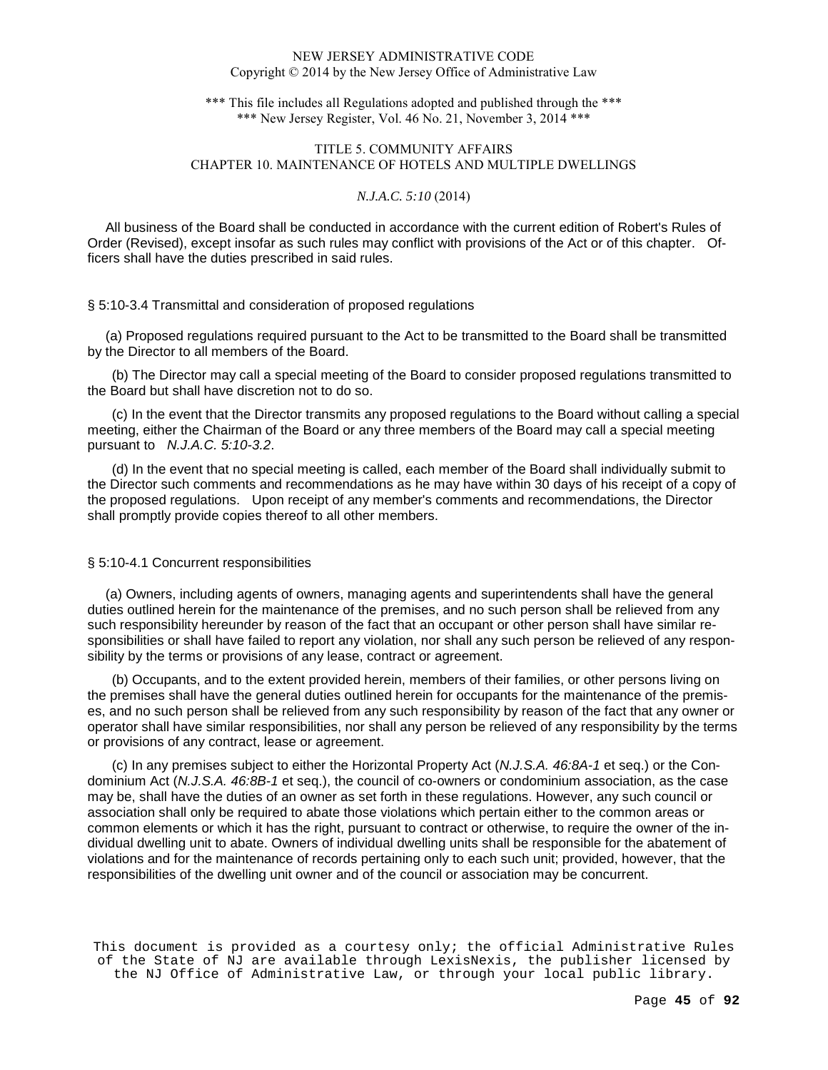\*\*\* This file includes all Regulations adopted and published through the \*\*\* \*\*\* New Jersey Register, Vol. 46 No. 21, November 3, 2014 \*\*\*

# TITLE 5. COMMUNITY AFFAIRS CHAPTER 10. MAINTENANCE OF HOTELS AND MULTIPLE DWELLINGS

# *N.J.A.C. 5:10* (2014)

 All business of the Board shall be conducted in accordance with the current edition of Robert's Rules of Order (Revised), except insofar as such rules may conflict with provisions of the Act or of this chapter. Officers shall have the duties prescribed in said rules.

## § 5:10-3.4 Transmittal and consideration of proposed regulations

 (a) Proposed regulations required pursuant to the Act to be transmitted to the Board shall be transmitted by the Director to all members of the Board.

(b) The Director may call a special meeting of the Board to consider proposed regulations transmitted to the Board but shall have discretion not to do so.

(c) In the event that the Director transmits any proposed regulations to the Board without calling a special meeting, either the Chairman of the Board or any three members of the Board may call a special meeting pursuant to N.J.A.C. 5:10-3.2.

(d) In the event that no special meeting is called, each member of the Board shall individually submit to the Director such comments and recommendations as he may have within 30 days of his receipt of a copy of the proposed regulations. Upon receipt of any member's comments and recommendations, the Director shall promptly provide copies thereof to all other members.

#### § 5:10-4.1 Concurrent responsibilities

 (a) Owners, including agents of owners, managing agents and superintendents shall have the general duties outlined herein for the maintenance of the premises, and no such person shall be relieved from any such responsibility hereunder by reason of the fact that an occupant or other person shall have similar responsibilities or shall have failed to report any violation, nor shall any such person be relieved of any responsibility by the terms or provisions of any lease, contract or agreement.

(b) Occupants, and to the extent provided herein, members of their families, or other persons living on the premises shall have the general duties outlined herein for occupants for the maintenance of the premises, and no such person shall be relieved from any such responsibility by reason of the fact that any owner or operator shall have similar responsibilities, nor shall any person be relieved of any responsibility by the terms or provisions of any contract, lease or agreement.

(c) In any premises subject to either the Horizontal Property Act (N.J.S.A. 46:8A-1 et seq.) or the Condominium Act (N.J.S.A. 46:8B-1 et seq.), the council of co-owners or condominium association, as the case may be, shall have the duties of an owner as set forth in these regulations. However, any such council or association shall only be required to abate those violations which pertain either to the common areas or common elements or which it has the right, pursuant to contract or otherwise, to require the owner of the individual dwelling unit to abate. Owners of individual dwelling units shall be responsible for the abatement of violations and for the maintenance of records pertaining only to each such unit; provided, however, that the responsibilities of the dwelling unit owner and of the council or association may be concurrent.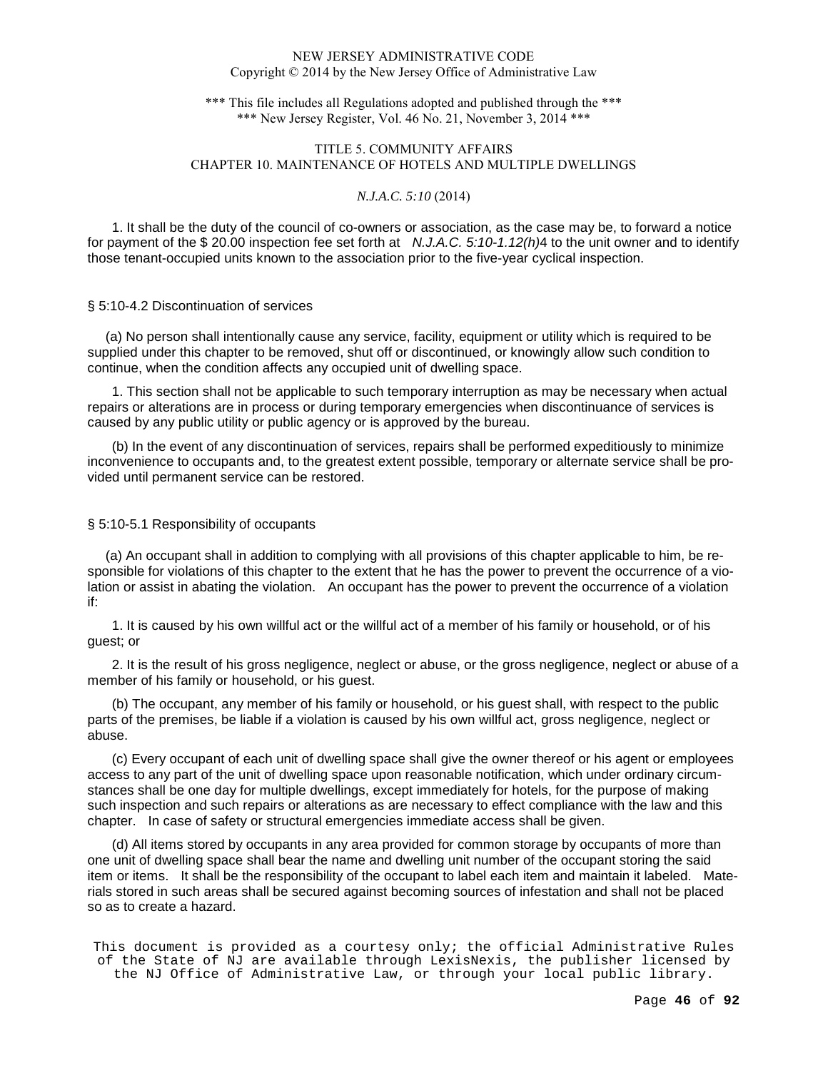\*\*\* This file includes all Regulations adopted and published through the \*\*\* \*\*\* New Jersey Register, Vol. 46 No. 21, November 3, 2014 \*\*\*

# TITLE 5. COMMUNITY AFFAIRS CHAPTER 10. MAINTENANCE OF HOTELS AND MULTIPLE DWELLINGS

# *N.J.A.C. 5:10* (2014)

1. It shall be the duty of the council of co-owners or association, as the case may be, to forward a notice for payment of the \$20.00 inspection fee set forth at  $N.J.A.C. 5:10-1.12(h)4$  to the unit owner and to identify those tenant-occupied units known to the association prior to the five-year cyclical inspection.

## § 5:10-4.2 Discontinuation of services

 (a) No person shall intentionally cause any service, facility, equipment or utility which is required to be supplied under this chapter to be removed, shut off or discontinued, or knowingly allow such condition to continue, when the condition affects any occupied unit of dwelling space.

1. This section shall not be applicable to such temporary interruption as may be necessary when actual repairs or alterations are in process or during temporary emergencies when discontinuance of services is caused by any public utility or public agency or is approved by the bureau.

(b) In the event of any discontinuation of services, repairs shall be performed expeditiously to minimize inconvenience to occupants and, to the greatest extent possible, temporary or alternate service shall be provided until permanent service can be restored.

## § 5:10-5.1 Responsibility of occupants

 (a) An occupant shall in addition to complying with all provisions of this chapter applicable to him, be responsible for violations of this chapter to the extent that he has the power to prevent the occurrence of a violation or assist in abating the violation. An occupant has the power to prevent the occurrence of a violation if:

1. It is caused by his own willful act or the willful act of a member of his family or household, or of his guest; or

2. It is the result of his gross negligence, neglect or abuse, or the gross negligence, neglect or abuse of a member of his family or household, or his guest.

(b) The occupant, any member of his family or household, or his guest shall, with respect to the public parts of the premises, be liable if a violation is caused by his own willful act, gross negligence, neglect or abuse.

(c) Every occupant of each unit of dwelling space shall give the owner thereof or his agent or employees access to any part of the unit of dwelling space upon reasonable notification, which under ordinary circumstances shall be one day for multiple dwellings, except immediately for hotels, for the purpose of making such inspection and such repairs or alterations as are necessary to effect compliance with the law and this chapter. In case of safety or structural emergencies immediate access shall be given.

(d) All items stored by occupants in any area provided for common storage by occupants of more than one unit of dwelling space shall bear the name and dwelling unit number of the occupant storing the said item or items. It shall be the responsibility of the occupant to label each item and maintain it labeled. Materials stored in such areas shall be secured against becoming sources of infestation and shall not be placed so as to create a hazard.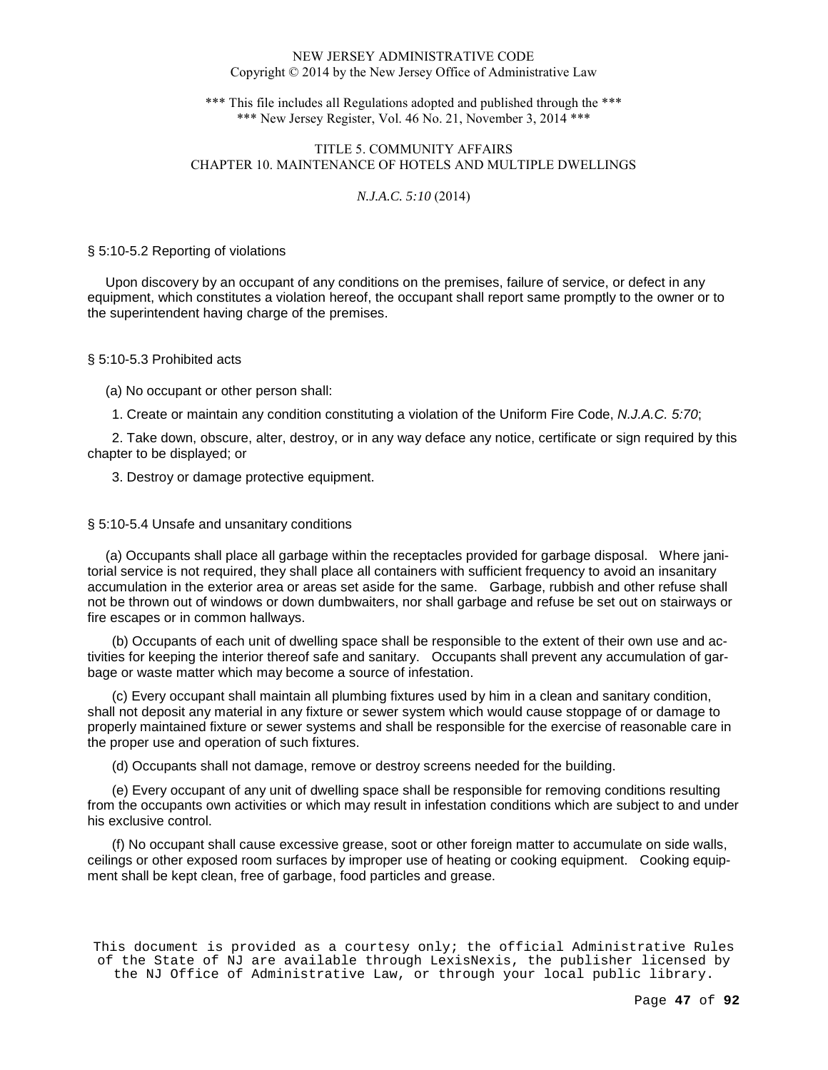\*\*\* This file includes all Regulations adopted and published through the \*\*\* \*\*\* New Jersey Register, Vol. 46 No. 21, November 3, 2014 \*\*\*

# TITLE 5. COMMUNITY AFFAIRS CHAPTER 10. MAINTENANCE OF HOTELS AND MULTIPLE DWELLINGS

# *N.J.A.C. 5:10* (2014)

## § 5:10-5.2 Reporting of violations

 Upon discovery by an occupant of any conditions on the premises, failure of service, or defect in any equipment, which constitutes a violation hereof, the occupant shall report same promptly to the owner or to the superintendent having charge of the premises.

## § 5:10-5.3 Prohibited acts

(a) No occupant or other person shall:

1. Create or maintain any condition constituting a violation of the Uniform Fire Code, N.J.A.C. 5:70;

2. Take down, obscure, alter, destroy, or in any way deface any notice, certificate or sign required by this chapter to be displayed; or

3. Destroy or damage protective equipment.

## § 5:10-5.4 Unsafe and unsanitary conditions

 (a) Occupants shall place all garbage within the receptacles provided for garbage disposal. Where janitorial service is not required, they shall place all containers with sufficient frequency to avoid an insanitary accumulation in the exterior area or areas set aside for the same. Garbage, rubbish and other refuse shall not be thrown out of windows or down dumbwaiters, nor shall garbage and refuse be set out on stairways or fire escapes or in common hallways.

(b) Occupants of each unit of dwelling space shall be responsible to the extent of their own use and activities for keeping the interior thereof safe and sanitary. Occupants shall prevent any accumulation of garbage or waste matter which may become a source of infestation.

(c) Every occupant shall maintain all plumbing fixtures used by him in a clean and sanitary condition, shall not deposit any material in any fixture or sewer system which would cause stoppage of or damage to properly maintained fixture or sewer systems and shall be responsible for the exercise of reasonable care in the proper use and operation of such fixtures.

(d) Occupants shall not damage, remove or destroy screens needed for the building.

(e) Every occupant of any unit of dwelling space shall be responsible for removing conditions resulting from the occupants own activities or which may result in infestation conditions which are subject to and under his exclusive control.

(f) No occupant shall cause excessive grease, soot or other foreign matter to accumulate on side walls, ceilings or other exposed room surfaces by improper use of heating or cooking equipment. Cooking equipment shall be kept clean, free of garbage, food particles and grease.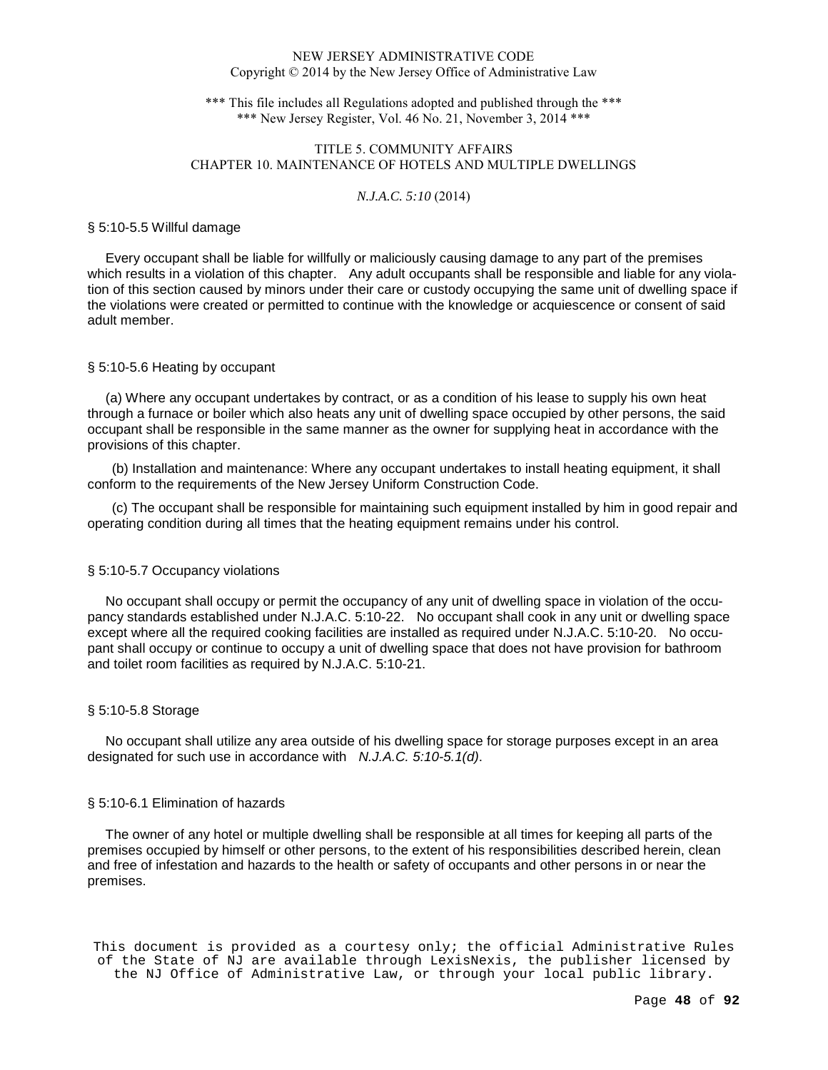\*\*\* This file includes all Regulations adopted and published through the \*\*\* \*\*\* New Jersey Register, Vol. 46 No. 21, November 3, 2014 \*\*\*

# TITLE 5. COMMUNITY AFFAIRS CHAPTER 10. MAINTENANCE OF HOTELS AND MULTIPLE DWELLINGS

### *N.J.A.C. 5:10* (2014)

#### § 5:10-5.5 Willful damage

 Every occupant shall be liable for willfully or maliciously causing damage to any part of the premises which results in a violation of this chapter. Any adult occupants shall be responsible and liable for any violation of this section caused by minors under their care or custody occupying the same unit of dwelling space if the violations were created or permitted to continue with the knowledge or acquiescence or consent of said adult member.

## § 5:10-5.6 Heating by occupant

 (a) Where any occupant undertakes by contract, or as a condition of his lease to supply his own heat through a furnace or boiler which also heats any unit of dwelling space occupied by other persons, the said occupant shall be responsible in the same manner as the owner for supplying heat in accordance with the provisions of this chapter.

(b) Installation and maintenance: Where any occupant undertakes to install heating equipment, it shall conform to the requirements of the New Jersey Uniform Construction Code.

(c) The occupant shall be responsible for maintaining such equipment installed by him in good repair and operating condition during all times that the heating equipment remains under his control.

## § 5:10-5.7 Occupancy violations

 No occupant shall occupy or permit the occupancy of any unit of dwelling space in violation of the occupancy standards established under N.J.A.C. 5:10-22. No occupant shall cook in any unit or dwelling space except where all the required cooking facilities are installed as required under N.J.A.C. 5:10-20. No occupant shall occupy or continue to occupy a unit of dwelling space that does not have provision for bathroom and toilet room facilities as required by N.J.A.C. 5:10-21.

#### § 5:10-5.8 Storage

 No occupant shall utilize any area outside of his dwelling space for storage purposes except in an area designated for such use in accordance with N.J.A.C. 5:10-5.1(d).

## § 5:10-6.1 Elimination of hazards

 The owner of any hotel or multiple dwelling shall be responsible at all times for keeping all parts of the premises occupied by himself or other persons, to the extent of his responsibilities described herein, clean and free of infestation and hazards to the health or safety of occupants and other persons in or near the premises.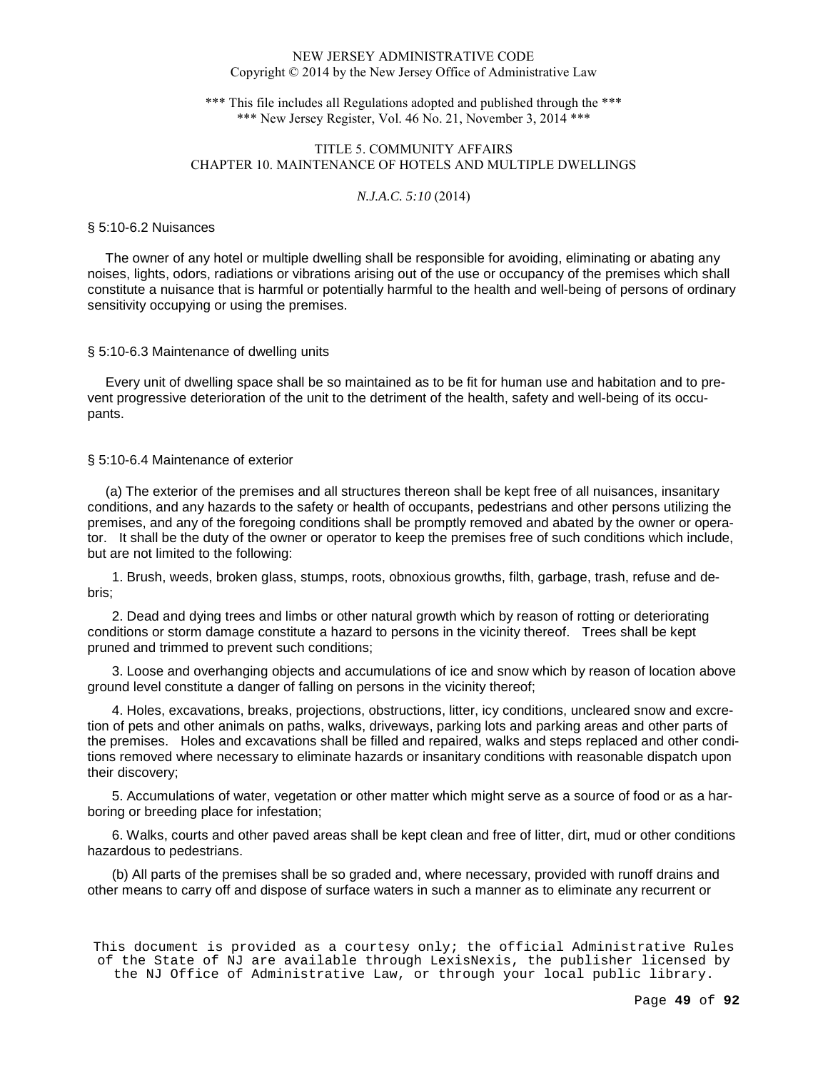\*\*\* This file includes all Regulations adopted and published through the \*\*\* \*\*\* New Jersey Register, Vol. 46 No. 21, November 3, 2014 \*\*\*

# TITLE 5. COMMUNITY AFFAIRS CHAPTER 10. MAINTENANCE OF HOTELS AND MULTIPLE DWELLINGS

# *N.J.A.C. 5:10* (2014)

#### § 5:10-6.2 Nuisances

 The owner of any hotel or multiple dwelling shall be responsible for avoiding, eliminating or abating any noises, lights, odors, radiations or vibrations arising out of the use or occupancy of the premises which shall constitute a nuisance that is harmful or potentially harmful to the health and well-being of persons of ordinary sensitivity occupying or using the premises.

#### § 5:10-6.3 Maintenance of dwelling units

 Every unit of dwelling space shall be so maintained as to be fit for human use and habitation and to prevent progressive deterioration of the unit to the detriment of the health, safety and well-being of its occupants.

## § 5:10-6.4 Maintenance of exterior

 (a) The exterior of the premises and all structures thereon shall be kept free of all nuisances, insanitary conditions, and any hazards to the safety or health of occupants, pedestrians and other persons utilizing the premises, and any of the foregoing conditions shall be promptly removed and abated by the owner or operator. It shall be the duty of the owner or operator to keep the premises free of such conditions which include, but are not limited to the following:

1. Brush, weeds, broken glass, stumps, roots, obnoxious growths, filth, garbage, trash, refuse and debris;

2. Dead and dying trees and limbs or other natural growth which by reason of rotting or deteriorating conditions or storm damage constitute a hazard to persons in the vicinity thereof. Trees shall be kept pruned and trimmed to prevent such conditions;

3. Loose and overhanging objects and accumulations of ice and snow which by reason of location above ground level constitute a danger of falling on persons in the vicinity thereof;

4. Holes, excavations, breaks, projections, obstructions, litter, icy conditions, uncleared snow and excretion of pets and other animals on paths, walks, driveways, parking lots and parking areas and other parts of the premises. Holes and excavations shall be filled and repaired, walks and steps replaced and other conditions removed where necessary to eliminate hazards or insanitary conditions with reasonable dispatch upon their discovery;

5. Accumulations of water, vegetation or other matter which might serve as a source of food or as a harboring or breeding place for infestation;

6. Walks, courts and other paved areas shall be kept clean and free of litter, dirt, mud or other conditions hazardous to pedestrians.

(b) All parts of the premises shall be so graded and, where necessary, provided with runoff drains and other means to carry off and dispose of surface waters in such a manner as to eliminate any recurrent or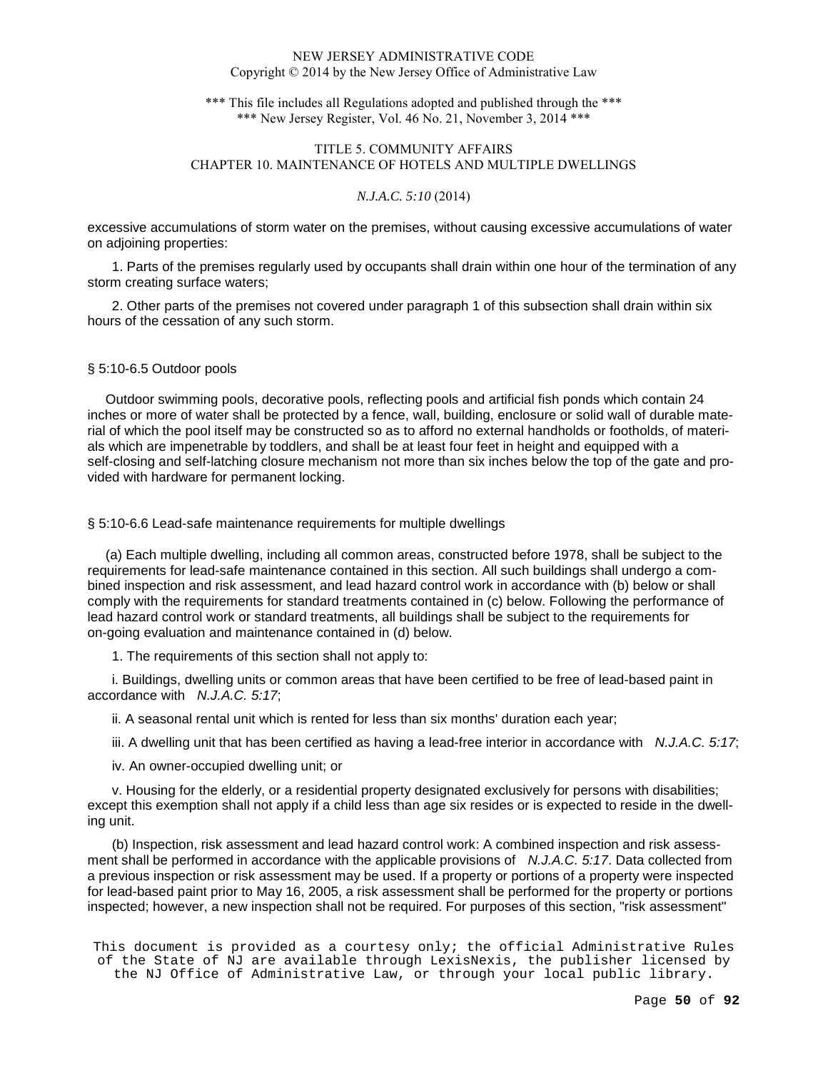\*\*\* This file includes all Regulations adopted and published through the \*\*\* \*\*\* New Jersey Register, Vol. 46 No. 21, November 3, 2014 \*\*\*

# TITLE 5. COMMUNITY AFFAIRS CHAPTER 10. MAINTENANCE OF HOTELS AND MULTIPLE DWELLINGS

# *N.J.A.C. 5:10* (2014)

excessive accumulations of storm water on the premises, without causing excessive accumulations of water on adjoining properties:

1. Parts of the premises regularly used by occupants shall drain within one hour of the termination of any storm creating surface waters;

2. Other parts of the premises not covered under paragraph 1 of this subsection shall drain within six hours of the cessation of any such storm.

# § 5:10-6.5 Outdoor pools

 Outdoor swimming pools, decorative pools, reflecting pools and artificial fish ponds which contain 24 inches or more of water shall be protected by a fence, wall, building, enclosure or solid wall of durable material of which the pool itself may be constructed so as to afford no external handholds or footholds, of materials which are impenetrable by toddlers, and shall be at least four feet in height and equipped with a self-closing and self-latching closure mechanism not more than six inches below the top of the gate and provided with hardware for permanent locking.

§ 5:10-6.6 Lead-safe maintenance requirements for multiple dwellings

 (a) Each multiple dwelling, including all common areas, constructed before 1978, shall be subject to the requirements for lead-safe maintenance contained in this section. All such buildings shall undergo a combined inspection and risk assessment, and lead hazard control work in accordance with (b) below or shall comply with the requirements for standard treatments contained in (c) below. Following the performance of lead hazard control work or standard treatments, all buildings shall be subject to the requirements for on-going evaluation and maintenance contained in (d) below.

1. The requirements of this section shall not apply to:

i. Buildings, dwelling units or common areas that have been certified to be free of lead-based paint in accordance with N.J.A.C. 5:17;

ii. A seasonal rental unit which is rented for less than six months' duration each year;

iii. A dwelling unit that has been certified as having a lead-free interior in accordance with  $N.J.A.C. 5:17$ ;

iv. An owner-occupied dwelling unit; or

v. Housing for the elderly, or a residential property designated exclusively for persons with disabilities; except this exemption shall not apply if a child less than age six resides or is expected to reside in the dwelling unit.

(b) Inspection, risk assessment and lead hazard control work: A combined inspection and risk assessment shall be performed in accordance with the applicable provisions of N.J.A.C. 5:17. Data collected from a previous inspection or risk assessment may be used. If a property or portions of a property were inspected for lead-based paint prior to May 16, 2005, a risk assessment shall be performed for the property or portions inspected; however, a new inspection shall not be required. For purposes of this section, "risk assessment"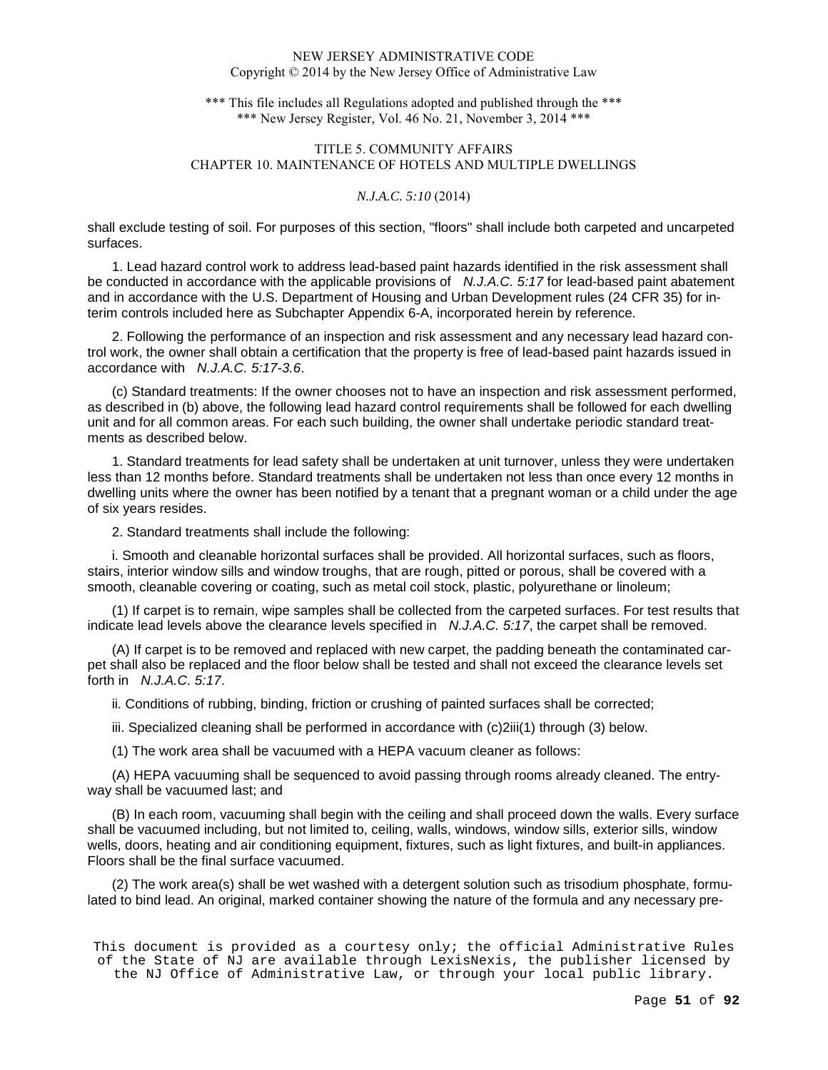\*\*\* This file includes all Regulations adopted and published through the \*\*\* \*\*\* New Jersey Register, Vol. 46 No. 21, November 3, 2014 \*\*\*

# TITLE 5. COMMUNITY AFFAIRS CHAPTER 10. MAINTENANCE OF HOTELS AND MULTIPLE DWELLINGS

# *N.J.A.C. 5:10* (2014)

shall exclude testing of soil. For purposes of this section, "floors" shall include both carpeted and uncarpeted surfaces.

1. Lead hazard control work to address lead-based paint hazards identified in the risk assessment shall be conducted in accordance with the applicable provisions of N.J.A.C. 5:17 for lead-based paint abatement and in accordance with the U.S. Department of Housing and Urban Development rules (24 CFR 35) for interim controls included here as Subchapter Appendix 6-A, incorporated herein by reference.

2. Following the performance of an inspection and risk assessment and any necessary lead hazard control work, the owner shall obtain a certification that the property is free of lead-based paint hazards issued in accordance with N.J.A.C. 5:17-3.6.

(c) Standard treatments: If the owner chooses not to have an inspection and risk assessment performed, as described in (b) above, the following lead hazard control requirements shall be followed for each dwelling unit and for all common areas. For each such building, the owner shall undertake periodic standard treatments as described below.

1. Standard treatments for lead safety shall be undertaken at unit turnover, unless they were undertaken less than 12 months before. Standard treatments shall be undertaken not less than once every 12 months in dwelling units where the owner has been notified by a tenant that a pregnant woman or a child under the age of six years resides.

2. Standard treatments shall include the following:

i. Smooth and cleanable horizontal surfaces shall be provided. All horizontal surfaces, such as floors, stairs, interior window sills and window troughs, that are rough, pitted or porous, shall be covered with a smooth, cleanable covering or coating, such as metal coil stock, plastic, polyurethane or linoleum;

(1) If carpet is to remain, wipe samples shall be collected from the carpeted surfaces. For test results that indicate lead levels above the clearance levels specified in  $N.J.A.C. 5:17$ , the carpet shall be removed.

(A) If carpet is to be removed and replaced with new carpet, the padding beneath the contaminated carpet shall also be replaced and the floor below shall be tested and shall not exceed the clearance levels set forth in N.J.A.C. 5:17.

ii. Conditions of rubbing, binding, friction or crushing of painted surfaces shall be corrected;

iii. Specialized cleaning shall be performed in accordance with (c)2iii(1) through (3) below.

(1) The work area shall be vacuumed with a HEPA vacuum cleaner as follows:

(A) HEPA vacuuming shall be sequenced to avoid passing through rooms already cleaned. The entryway shall be vacuumed last; and

(B) In each room, vacuuming shall begin with the ceiling and shall proceed down the walls. Every surface shall be vacuumed including, but not limited to, ceiling, walls, windows, window sills, exterior sills, window wells, doors, heating and air conditioning equipment, fixtures, such as light fixtures, and built-in appliances. Floors shall be the final surface vacuumed.

(2) The work area(s) shall be wet washed with a detergent solution such as trisodium phosphate, formulated to bind lead. An original, marked container showing the nature of the formula and any necessary pre-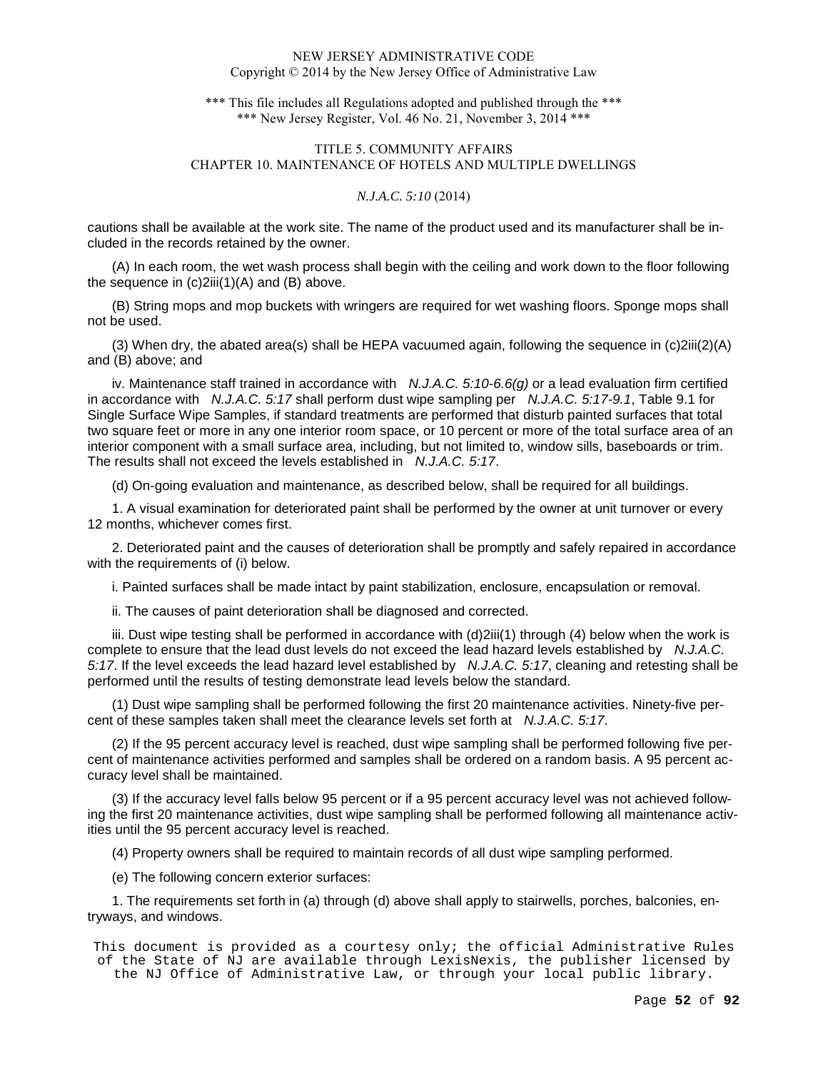\*\*\* This file includes all Regulations adopted and published through the \*\*\* \*\*\* New Jersey Register, Vol. 46 No. 21, November 3, 2014 \*\*\*

# TITLE 5. COMMUNITY AFFAIRS CHAPTER 10. MAINTENANCE OF HOTELS AND MULTIPLE DWELLINGS

## *N.J.A.C. 5:10* (2014)

cautions shall be available at the work site. The name of the product used and its manufacturer shall be included in the records retained by the owner.

(A) In each room, the wet wash process shall begin with the ceiling and work down to the floor following the sequence in  $(c)$ 2iii $(1)(A)$  and  $(B)$  above.

(B) String mops and mop buckets with wringers are required for wet washing floors. Sponge mops shall not be used.

(3) When dry, the abated area(s) shall be HEPA vacuumed again, following the sequence in (c)2iii(2)(A) and (B) above; and

iv. Maintenance staff trained in accordance with  $N.J.A.C. 5:10-6.6(q)$  or a lead evaluation firm certified in accordance with N.J.A.C. 5:17 shall perform dust wipe sampling per N.J.A.C. 5:17-9.1, Table 9.1 for Single Surface Wipe Samples, if standard treatments are performed that disturb painted surfaces that total two square feet or more in any one interior room space, or 10 percent or more of the total surface area of an interior component with a small surface area, including, but not limited to, window sills, baseboards or trim. The results shall not exceed the levels established in N.J.A.C. 5:17.

(d) On-going evaluation and maintenance, as described below, shall be required for all buildings.

1. A visual examination for deteriorated paint shall be performed by the owner at unit turnover or every 12 months, whichever comes first.

2. Deteriorated paint and the causes of deterioration shall be promptly and safely repaired in accordance with the requirements of (i) below.

i. Painted surfaces shall be made intact by paint stabilization, enclosure, encapsulation or removal.

ii. The causes of paint deterioration shall be diagnosed and corrected.

iii. Dust wipe testing shall be performed in accordance with (d)2iii(1) through (4) below when the work is complete to ensure that the lead dust levels do not exceed the lead hazard levels established by N.J.A.C. 5:17. If the level exceeds the lead hazard level established by N.J.A.C. 5:17, cleaning and retesting shall be performed until the results of testing demonstrate lead levels below the standard.

(1) Dust wipe sampling shall be performed following the first 20 maintenance activities. Ninety-five percent of these samples taken shall meet the clearance levels set forth at N.J.A.C. 5:17.

(2) If the 95 percent accuracy level is reached, dust wipe sampling shall be performed following five percent of maintenance activities performed and samples shall be ordered on a random basis. A 95 percent accuracy level shall be maintained.

(3) If the accuracy level falls below 95 percent or if a 95 percent accuracy level was not achieved following the first 20 maintenance activities, dust wipe sampling shall be performed following all maintenance activities until the 95 percent accuracy level is reached.

(4) Property owners shall be required to maintain records of all dust wipe sampling performed.

(e) The following concern exterior surfaces:

1. The requirements set forth in (a) through (d) above shall apply to stairwells, porches, balconies, entryways, and windows.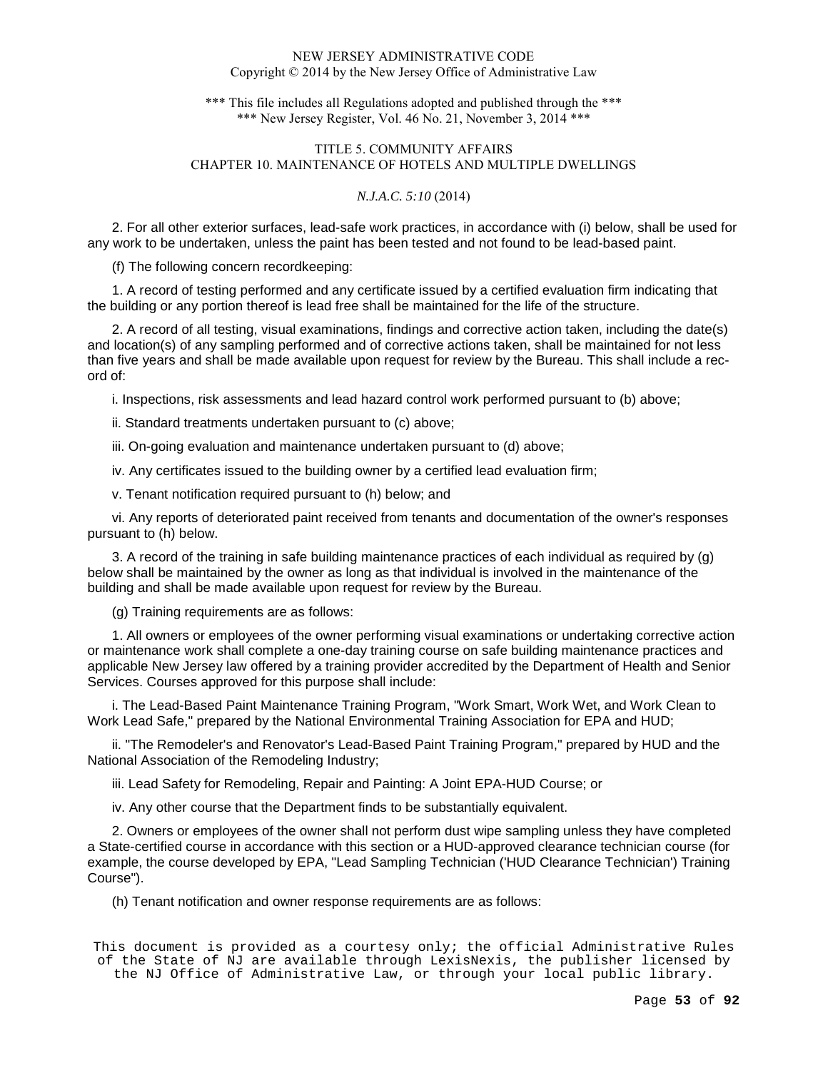\*\*\* This file includes all Regulations adopted and published through the \*\*\* \*\*\* New Jersey Register, Vol. 46 No. 21, November 3, 2014 \*\*\*

# TITLE 5. COMMUNITY AFFAIRS CHAPTER 10. MAINTENANCE OF HOTELS AND MULTIPLE DWELLINGS

# *N.J.A.C. 5:10* (2014)

2. For all other exterior surfaces, lead-safe work practices, in accordance with (i) below, shall be used for any work to be undertaken, unless the paint has been tested and not found to be lead-based paint.

(f) The following concern recordkeeping:

1. A record of testing performed and any certificate issued by a certified evaluation firm indicating that the building or any portion thereof is lead free shall be maintained for the life of the structure.

2. A record of all testing, visual examinations, findings and corrective action taken, including the date(s) and location(s) of any sampling performed and of corrective actions taken, shall be maintained for not less than five years and shall be made available upon request for review by the Bureau. This shall include a record of:

i. Inspections, risk assessments and lead hazard control work performed pursuant to (b) above;

ii. Standard treatments undertaken pursuant to (c) above;

iii. On-going evaluation and maintenance undertaken pursuant to (d) above;

iv. Any certificates issued to the building owner by a certified lead evaluation firm;

v. Tenant notification required pursuant to (h) below; and

vi. Any reports of deteriorated paint received from tenants and documentation of the owner's responses pursuant to (h) below.

3. A record of the training in safe building maintenance practices of each individual as required by (g) below shall be maintained by the owner as long as that individual is involved in the maintenance of the building and shall be made available upon request for review by the Bureau.

(g) Training requirements are as follows:

1. All owners or employees of the owner performing visual examinations or undertaking corrective action or maintenance work shall complete a one-day training course on safe building maintenance practices and applicable New Jersey law offered by a training provider accredited by the Department of Health and Senior Services. Courses approved for this purpose shall include:

i. The Lead-Based Paint Maintenance Training Program, "Work Smart, Work Wet, and Work Clean to Work Lead Safe," prepared by the National Environmental Training Association for EPA and HUD;

ii. "The Remodeler's and Renovator's Lead-Based Paint Training Program," prepared by HUD and the National Association of the Remodeling Industry;

iii. Lead Safety for Remodeling, Repair and Painting: A Joint EPA-HUD Course; or

iv. Any other course that the Department finds to be substantially equivalent.

2. Owners or employees of the owner shall not perform dust wipe sampling unless they have completed a State-certified course in accordance with this section or a HUD-approved clearance technician course (for example, the course developed by EPA, "Lead Sampling Technician ('HUD Clearance Technician') Training Course").

(h) Tenant notification and owner response requirements are as follows: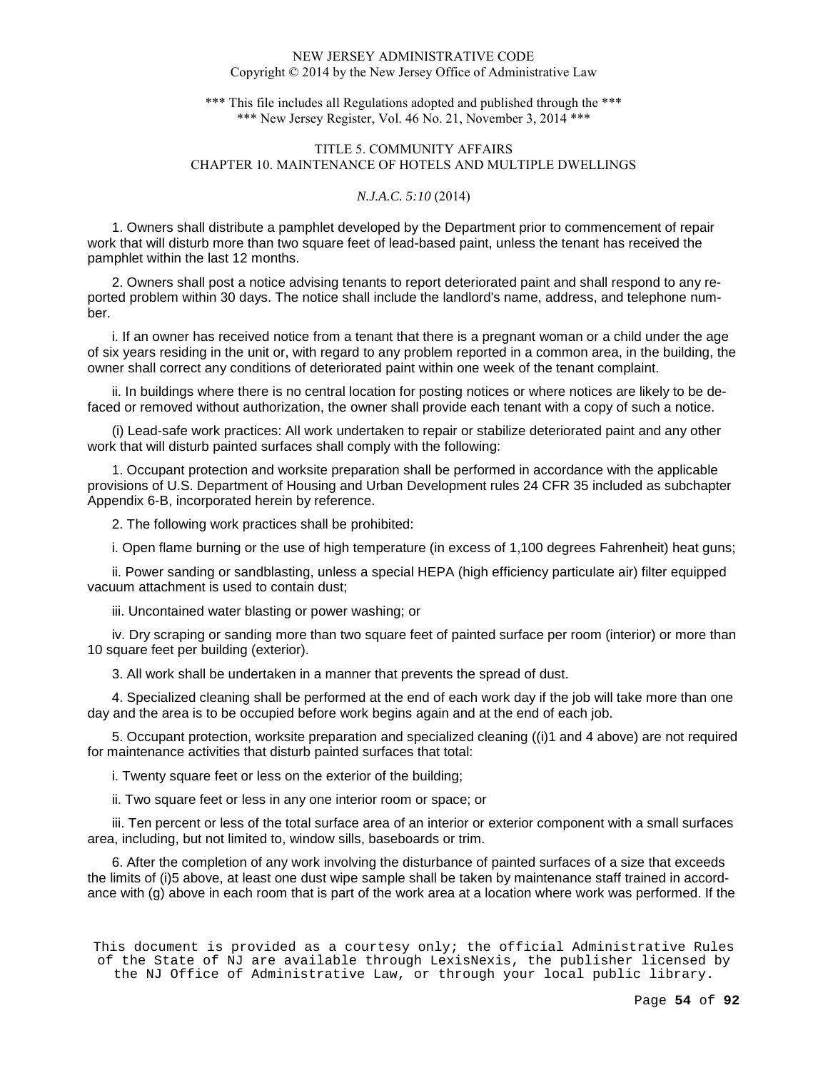\*\*\* This file includes all Regulations adopted and published through the \*\*\* \*\*\* New Jersey Register, Vol. 46 No. 21, November 3, 2014 \*\*\*

# TITLE 5. COMMUNITY AFFAIRS CHAPTER 10. MAINTENANCE OF HOTELS AND MULTIPLE DWELLINGS

# *N.J.A.C. 5:10* (2014)

1. Owners shall distribute a pamphlet developed by the Department prior to commencement of repair work that will disturb more than two square feet of lead-based paint, unless the tenant has received the pamphlet within the last 12 months.

2. Owners shall post a notice advising tenants to report deteriorated paint and shall respond to any reported problem within 30 days. The notice shall include the landlord's name, address, and telephone number.

i. If an owner has received notice from a tenant that there is a pregnant woman or a child under the age of six years residing in the unit or, with regard to any problem reported in a common area, in the building, the owner shall correct any conditions of deteriorated paint within one week of the tenant complaint.

ii. In buildings where there is no central location for posting notices or where notices are likely to be defaced or removed without authorization, the owner shall provide each tenant with a copy of such a notice.

(i) Lead-safe work practices: All work undertaken to repair or stabilize deteriorated paint and any other work that will disturb painted surfaces shall comply with the following:

1. Occupant protection and worksite preparation shall be performed in accordance with the applicable provisions of U.S. Department of Housing and Urban Development rules 24 CFR 35 included as subchapter Appendix 6-B, incorporated herein by reference.

2. The following work practices shall be prohibited:

i. Open flame burning or the use of high temperature (in excess of 1,100 degrees Fahrenheit) heat guns;

ii. Power sanding or sandblasting, unless a special HEPA (high efficiency particulate air) filter equipped vacuum attachment is used to contain dust;

iii. Uncontained water blasting or power washing; or

iv. Dry scraping or sanding more than two square feet of painted surface per room (interior) or more than 10 square feet per building (exterior).

3. All work shall be undertaken in a manner that prevents the spread of dust.

4. Specialized cleaning shall be performed at the end of each work day if the job will take more than one day and the area is to be occupied before work begins again and at the end of each job.

5. Occupant protection, worksite preparation and specialized cleaning ((i)1 and 4 above) are not required for maintenance activities that disturb painted surfaces that total:

i. Twenty square feet or less on the exterior of the building;

ii. Two square feet or less in any one interior room or space; or

iii. Ten percent or less of the total surface area of an interior or exterior component with a small surfaces area, including, but not limited to, window sills, baseboards or trim.

6. After the completion of any work involving the disturbance of painted surfaces of a size that exceeds the limits of (i)5 above, at least one dust wipe sample shall be taken by maintenance staff trained in accordance with (g) above in each room that is part of the work area at a location where work was performed. If the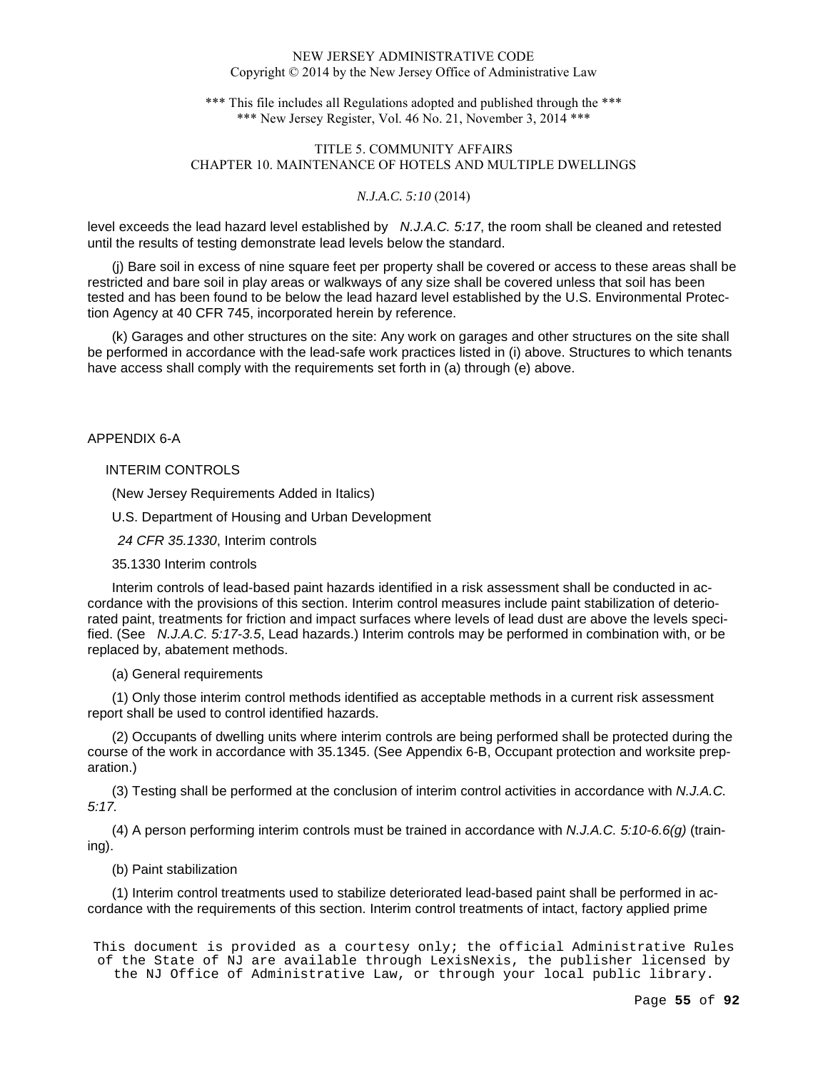\*\*\* This file includes all Regulations adopted and published through the \*\*\* \*\*\* New Jersey Register, Vol. 46 No. 21, November 3, 2014 \*\*\*

# TITLE 5. COMMUNITY AFFAIRS CHAPTER 10. MAINTENANCE OF HOTELS AND MULTIPLE DWELLINGS

# *N.J.A.C. 5:10* (2014)

level exceeds the lead hazard level established by N.J.A.C. 5:17, the room shall be cleaned and retested until the results of testing demonstrate lead levels below the standard.

(j) Bare soil in excess of nine square feet per property shall be covered or access to these areas shall be restricted and bare soil in play areas or walkways of any size shall be covered unless that soil has been tested and has been found to be below the lead hazard level established by the U.S. Environmental Protection Agency at 40 CFR 745, incorporated herein by reference.

(k) Garages and other structures on the site: Any work on garages and other structures on the site shall be performed in accordance with the lead-safe work practices listed in (i) above. Structures to which tenants have access shall comply with the requirements set forth in (a) through (e) above.

APPENDIX 6-A

# INTERIM CONTROLS

(New Jersey Requirements Added in Italics)

U.S. Department of Housing and Urban Development

24 CFR 35.1330, Interim controls

# 35.1330 Interim controls

Interim controls of lead-based paint hazards identified in a risk assessment shall be conducted in accordance with the provisions of this section. Interim control measures include paint stabilization of deteriorated paint, treatments for friction and impact surfaces where levels of lead dust are above the levels specified. (See N.J.A.C. 5:17-3.5, Lead hazards.) Interim controls may be performed in combination with, or be replaced by, abatement methods.

#### (a) General requirements

(1) Only those interim control methods identified as acceptable methods in a current risk assessment report shall be used to control identified hazards.

(2) Occupants of dwelling units where interim controls are being performed shall be protected during the course of the work in accordance with 35.1345. (See Appendix 6-B, Occupant protection and worksite preparation.)

(3) Testing shall be performed at the conclusion of interim control activities in accordance with N.J.A.C. 5:17.

(4) A person performing interim controls must be trained in accordance with N.J.A.C. 5:10-6.6(g) (training).

#### (b) Paint stabilization

(1) Interim control treatments used to stabilize deteriorated lead-based paint shall be performed in accordance with the requirements of this section. Interim control treatments of intact, factory applied prime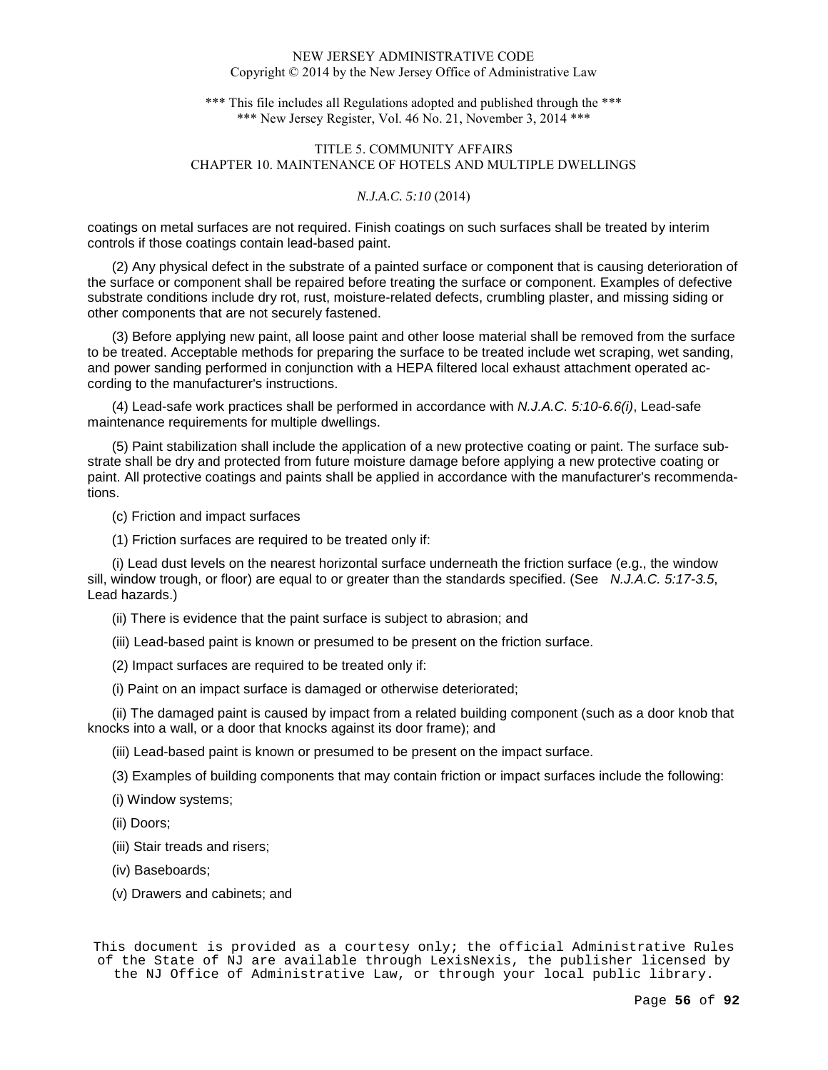\*\*\* This file includes all Regulations adopted and published through the \*\*\* \*\*\* New Jersey Register, Vol. 46 No. 21, November 3, 2014 \*\*\*

# TITLE 5. COMMUNITY AFFAIRS CHAPTER 10. MAINTENANCE OF HOTELS AND MULTIPLE DWELLINGS

# *N.J.A.C. 5:10* (2014)

coatings on metal surfaces are not required. Finish coatings on such surfaces shall be treated by interim controls if those coatings contain lead-based paint.

(2) Any physical defect in the substrate of a painted surface or component that is causing deterioration of the surface or component shall be repaired before treating the surface or component. Examples of defective substrate conditions include dry rot, rust, moisture-related defects, crumbling plaster, and missing siding or other components that are not securely fastened.

(3) Before applying new paint, all loose paint and other loose material shall be removed from the surface to be treated. Acceptable methods for preparing the surface to be treated include wet scraping, wet sanding, and power sanding performed in conjunction with a HEPA filtered local exhaust attachment operated according to the manufacturer's instructions.

(4) Lead-safe work practices shall be performed in accordance with  $N.J.A.C. 5:10-6.6(i)$ , Lead-safe maintenance requirements for multiple dwellings.

(5) Paint stabilization shall include the application of a new protective coating or paint. The surface substrate shall be dry and protected from future moisture damage before applying a new protective coating or paint. All protective coatings and paints shall be applied in accordance with the manufacturer's recommendations.

(c) Friction and impact surfaces

(1) Friction surfaces are required to be treated only if:

(i) Lead dust levels on the nearest horizontal surface underneath the friction surface (e.g., the window sill, window trough, or floor) are equal to or greater than the standards specified. (See N.J.A.C. 5:17-3.5, Lead hazards.)

(ii) There is evidence that the paint surface is subject to abrasion; and

(iii) Lead-based paint is known or presumed to be present on the friction surface.

(2) Impact surfaces are required to be treated only if:

(i) Paint on an impact surface is damaged or otherwise deteriorated;

(ii) The damaged paint is caused by impact from a related building component (such as a door knob that knocks into a wall, or a door that knocks against its door frame); and

(iii) Lead-based paint is known or presumed to be present on the impact surface.

(3) Examples of building components that may contain friction or impact surfaces include the following:

(i) Window systems;

(ii) Doors;

(iii) Stair treads and risers;

(iv) Baseboards;

(v) Drawers and cabinets; and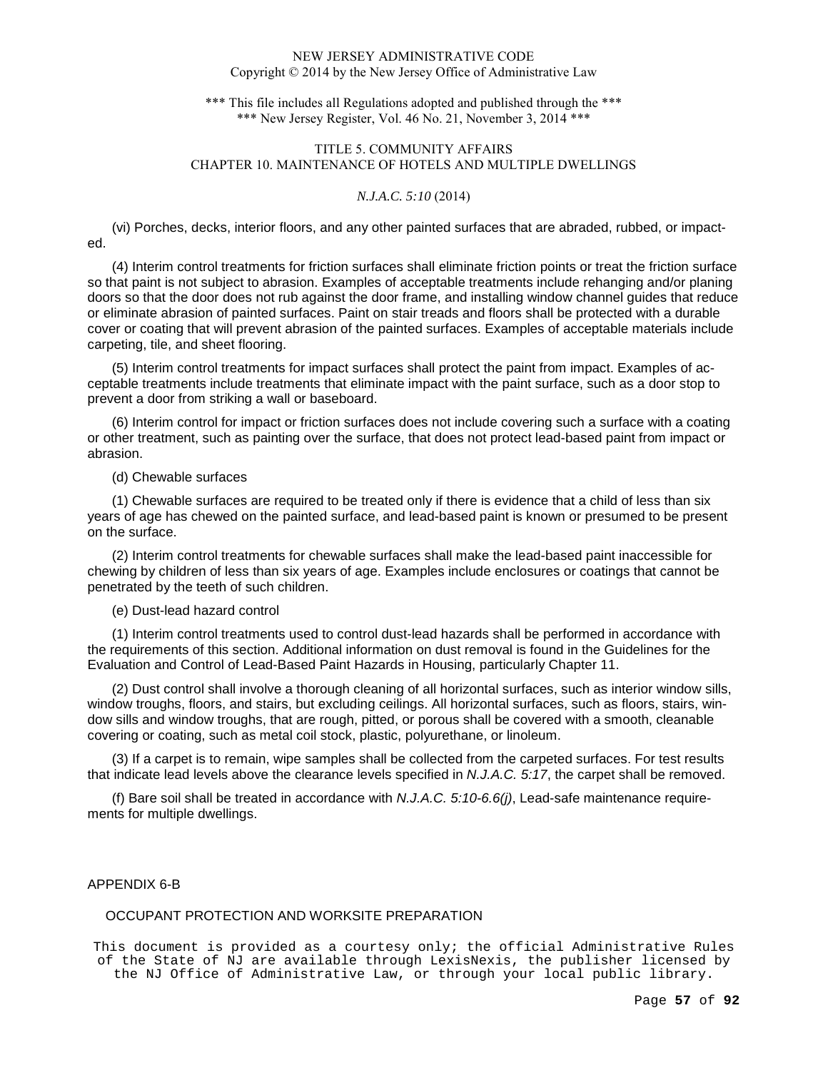\*\*\* This file includes all Regulations adopted and published through the \*\*\* \*\*\* New Jersey Register, Vol. 46 No. 21, November 3, 2014 \*\*\*

# TITLE 5. COMMUNITY AFFAIRS CHAPTER 10. MAINTENANCE OF HOTELS AND MULTIPLE DWELLINGS

# *N.J.A.C. 5:10* (2014)

(vi) Porches, decks, interior floors, and any other painted surfaces that are abraded, rubbed, or impacted.

(4) Interim control treatments for friction surfaces shall eliminate friction points or treat the friction surface so that paint is not subject to abrasion. Examples of acceptable treatments include rehanging and/or planing doors so that the door does not rub against the door frame, and installing window channel guides that reduce or eliminate abrasion of painted surfaces. Paint on stair treads and floors shall be protected with a durable cover or coating that will prevent abrasion of the painted surfaces. Examples of acceptable materials include carpeting, tile, and sheet flooring.

(5) Interim control treatments for impact surfaces shall protect the paint from impact. Examples of acceptable treatments include treatments that eliminate impact with the paint surface, such as a door stop to prevent a door from striking a wall or baseboard.

(6) Interim control for impact or friction surfaces does not include covering such a surface with a coating or other treatment, such as painting over the surface, that does not protect lead-based paint from impact or abrasion.

## (d) Chewable surfaces

(1) Chewable surfaces are required to be treated only if there is evidence that a child of less than six years of age has chewed on the painted surface, and lead-based paint is known or presumed to be present on the surface.

(2) Interim control treatments for chewable surfaces shall make the lead-based paint inaccessible for chewing by children of less than six years of age. Examples include enclosures or coatings that cannot be penetrated by the teeth of such children.

# (e) Dust-lead hazard control

(1) Interim control treatments used to control dust-lead hazards shall be performed in accordance with the requirements of this section. Additional information on dust removal is found in the Guidelines for the Evaluation and Control of Lead-Based Paint Hazards in Housing, particularly Chapter 11.

(2) Dust control shall involve a thorough cleaning of all horizontal surfaces, such as interior window sills, window troughs, floors, and stairs, but excluding ceilings. All horizontal surfaces, such as floors, stairs, window sills and window troughs, that are rough, pitted, or porous shall be covered with a smooth, cleanable covering or coating, such as metal coil stock, plastic, polyurethane, or linoleum.

(3) If a carpet is to remain, wipe samples shall be collected from the carpeted surfaces. For test results that indicate lead levels above the clearance levels specified in N.J.A.C. 5:17, the carpet shall be removed.

(f) Bare soil shall be treated in accordance with N.J.A.C.  $5:10-6.6$  (i), Lead-safe maintenance requirements for multiple dwellings.

# APPENDIX 6-B

# OCCUPANT PROTECTION AND WORKSITE PREPARATION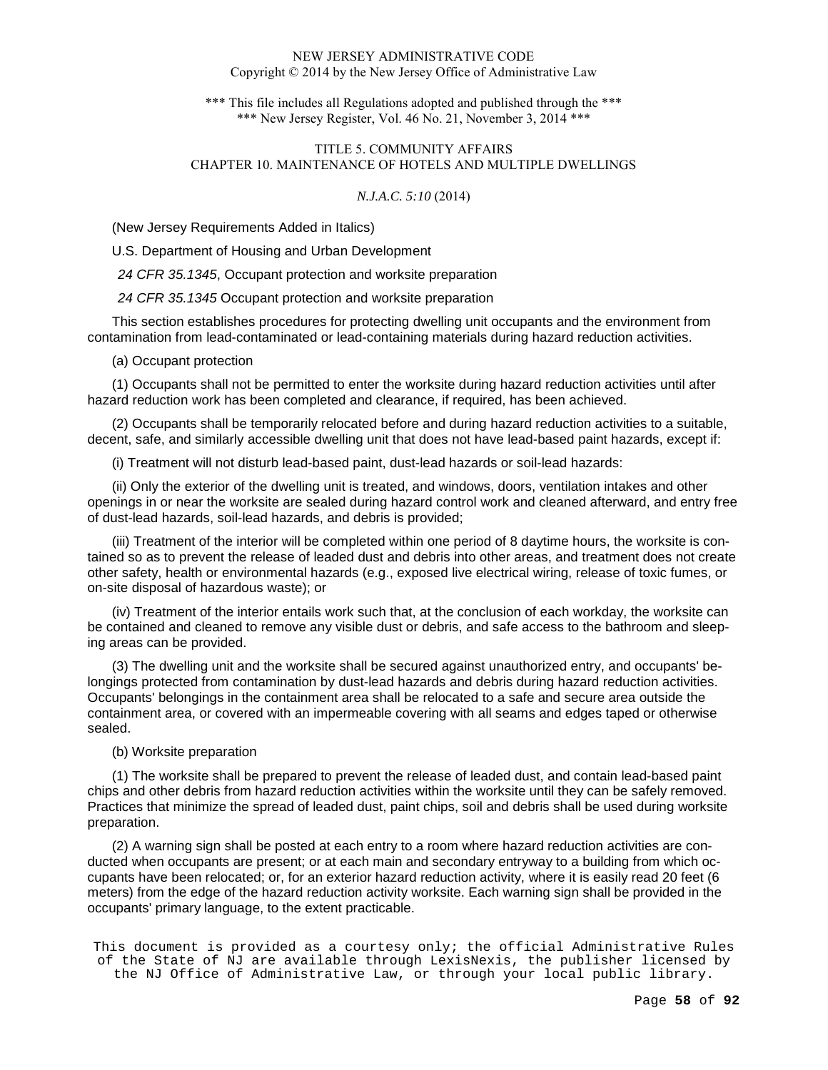\*\*\* This file includes all Regulations adopted and published through the \*\*\* \*\*\* New Jersey Register, Vol. 46 No. 21, November 3, 2014 \*\*\*

# TITLE 5. COMMUNITY AFFAIRS CHAPTER 10. MAINTENANCE OF HOTELS AND MULTIPLE DWELLINGS

# *N.J.A.C. 5:10* (2014)

(New Jersey Requirements Added in Italics)

U.S. Department of Housing and Urban Development

24 CFR 35.1345, Occupant protection and worksite preparation

24 CFR 35.1345 Occupant protection and worksite preparation

This section establishes procedures for protecting dwelling unit occupants and the environment from contamination from lead-contaminated or lead-containing materials during hazard reduction activities.

(a) Occupant protection

(1) Occupants shall not be permitted to enter the worksite during hazard reduction activities until after hazard reduction work has been completed and clearance, if required, has been achieved.

(2) Occupants shall be temporarily relocated before and during hazard reduction activities to a suitable, decent, safe, and similarly accessible dwelling unit that does not have lead-based paint hazards, except if:

(i) Treatment will not disturb lead-based paint, dust-lead hazards or soil-lead hazards:

(ii) Only the exterior of the dwelling unit is treated, and windows, doors, ventilation intakes and other openings in or near the worksite are sealed during hazard control work and cleaned afterward, and entry free of dust-lead hazards, soil-lead hazards, and debris is provided;

(iii) Treatment of the interior will be completed within one period of 8 daytime hours, the worksite is contained so as to prevent the release of leaded dust and debris into other areas, and treatment does not create other safety, health or environmental hazards (e.g., exposed live electrical wiring, release of toxic fumes, or on-site disposal of hazardous waste); or

(iv) Treatment of the interior entails work such that, at the conclusion of each workday, the worksite can be contained and cleaned to remove any visible dust or debris, and safe access to the bathroom and sleeping areas can be provided.

(3) The dwelling unit and the worksite shall be secured against unauthorized entry, and occupants' belongings protected from contamination by dust-lead hazards and debris during hazard reduction activities. Occupants' belongings in the containment area shall be relocated to a safe and secure area outside the containment area, or covered with an impermeable covering with all seams and edges taped or otherwise sealed.

## (b) Worksite preparation

(1) The worksite shall be prepared to prevent the release of leaded dust, and contain lead-based paint chips and other debris from hazard reduction activities within the worksite until they can be safely removed. Practices that minimize the spread of leaded dust, paint chips, soil and debris shall be used during worksite preparation.

(2) A warning sign shall be posted at each entry to a room where hazard reduction activities are conducted when occupants are present; or at each main and secondary entryway to a building from which occupants have been relocated; or, for an exterior hazard reduction activity, where it is easily read 20 feet (6 meters) from the edge of the hazard reduction activity worksite. Each warning sign shall be provided in the occupants' primary language, to the extent practicable.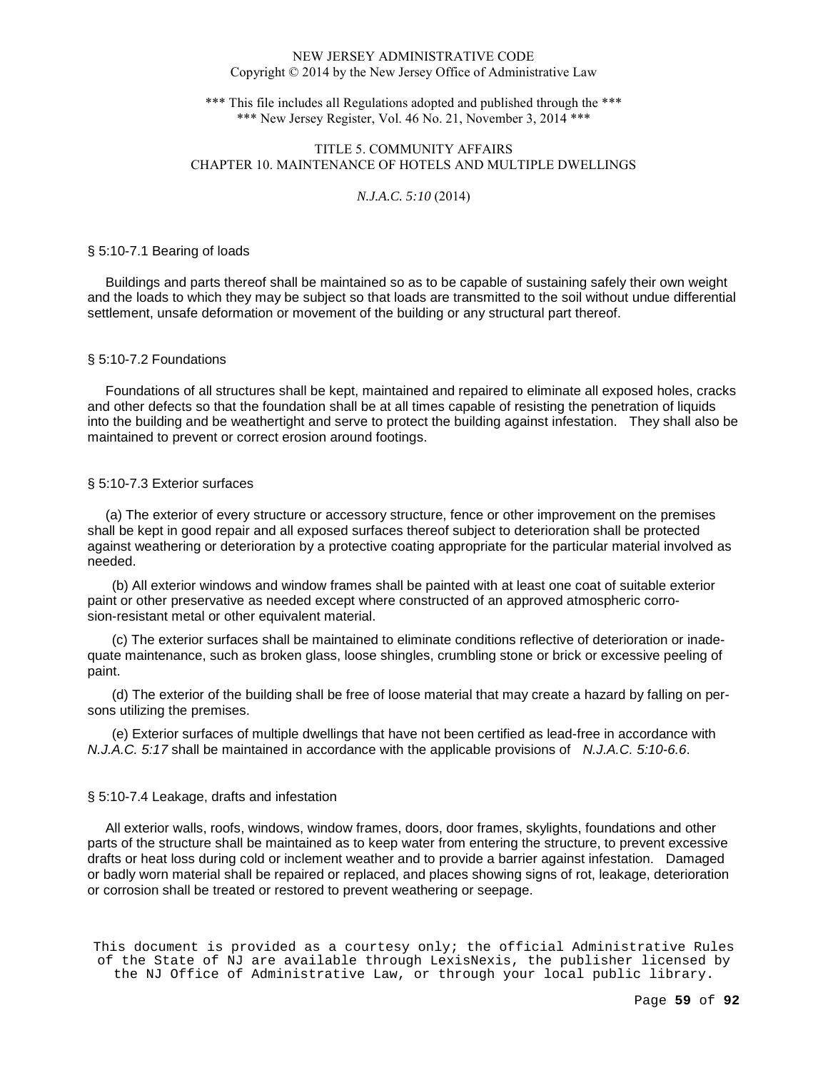\*\*\* This file includes all Regulations adopted and published through the \*\*\* \*\*\* New Jersey Register, Vol. 46 No. 21, November 3, 2014 \*\*\*

# TITLE 5. COMMUNITY AFFAIRS CHAPTER 10. MAINTENANCE OF HOTELS AND MULTIPLE DWELLINGS

## *N.J.A.C. 5:10* (2014)

## § 5:10-7.1 Bearing of loads

 Buildings and parts thereof shall be maintained so as to be capable of sustaining safely their own weight and the loads to which they may be subject so that loads are transmitted to the soil without undue differential settlement, unsafe deformation or movement of the building or any structural part thereof.

## § 5:10-7.2 Foundations

 Foundations of all structures shall be kept, maintained and repaired to eliminate all exposed holes, cracks and other defects so that the foundation shall be at all times capable of resisting the penetration of liquids into the building and be weathertight and serve to protect the building against infestation. They shall also be maintained to prevent or correct erosion around footings.

# § 5:10-7.3 Exterior surfaces

 (a) The exterior of every structure or accessory structure, fence or other improvement on the premises shall be kept in good repair and all exposed surfaces thereof subject to deterioration shall be protected against weathering or deterioration by a protective coating appropriate for the particular material involved as needed.

(b) All exterior windows and window frames shall be painted with at least one coat of suitable exterior paint or other preservative as needed except where constructed of an approved atmospheric corrosion-resistant metal or other equivalent material.

(c) The exterior surfaces shall be maintained to eliminate conditions reflective of deterioration or inadequate maintenance, such as broken glass, loose shingles, crumbling stone or brick or excessive peeling of paint.

(d) The exterior of the building shall be free of loose material that may create a hazard by falling on persons utilizing the premises.

(e) Exterior surfaces of multiple dwellings that have not been certified as lead-free in accordance with N.J.A.C. 5:17 shall be maintained in accordance with the applicable provisions of N.J.A.C. 5:10-6.6.

## § 5:10-7.4 Leakage, drafts and infestation

 All exterior walls, roofs, windows, window frames, doors, door frames, skylights, foundations and other parts of the structure shall be maintained as to keep water from entering the structure, to prevent excessive drafts or heat loss during cold or inclement weather and to provide a barrier against infestation. Damaged or badly worn material shall be repaired or replaced, and places showing signs of rot, leakage, deterioration or corrosion shall be treated or restored to prevent weathering or seepage.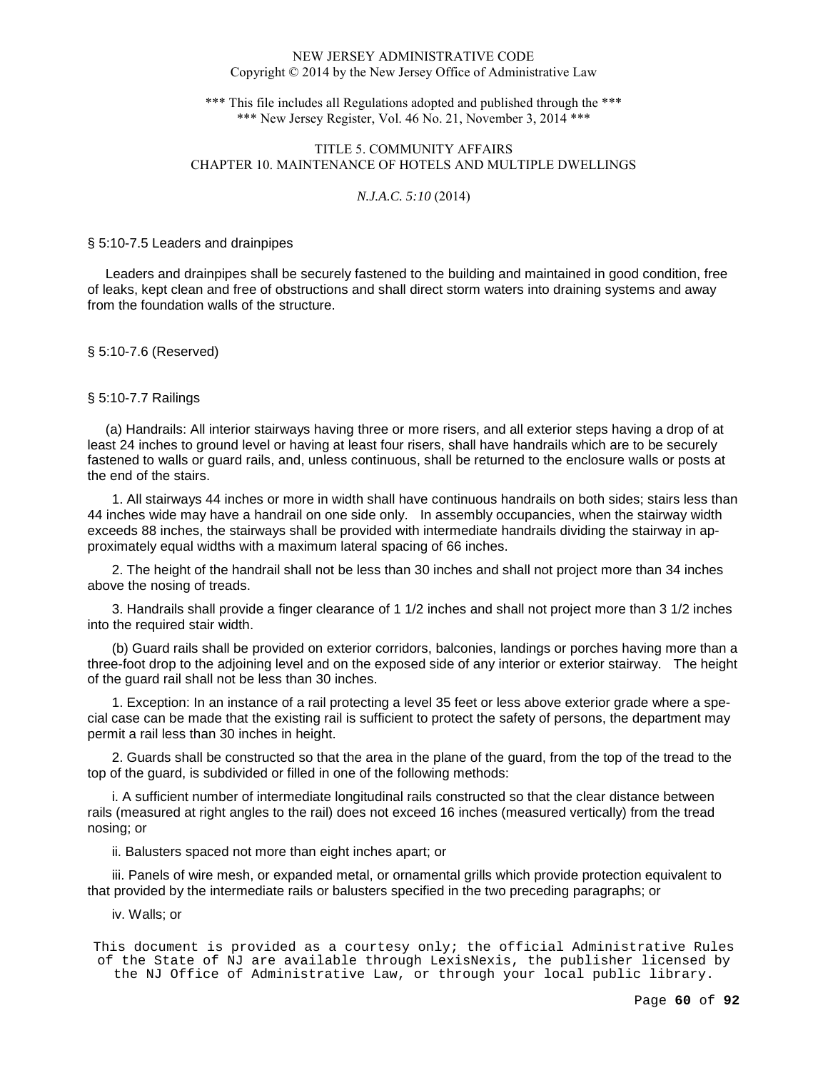\*\*\* This file includes all Regulations adopted and published through the \*\*\* \*\*\* New Jersey Register, Vol. 46 No. 21, November 3, 2014 \*\*\*

# TITLE 5. COMMUNITY AFFAIRS CHAPTER 10. MAINTENANCE OF HOTELS AND MULTIPLE DWELLINGS

# *N.J.A.C. 5:10* (2014)

#### § 5:10-7.5 Leaders and drainpipes

 Leaders and drainpipes shall be securely fastened to the building and maintained in good condition, free of leaks, kept clean and free of obstructions and shall direct storm waters into draining systems and away from the foundation walls of the structure.

§ 5:10-7.6 (Reserved)

§ 5:10-7.7 Railings

 (a) Handrails: All interior stairways having three or more risers, and all exterior steps having a drop of at least 24 inches to ground level or having at least four risers, shall have handrails which are to be securely fastened to walls or guard rails, and, unless continuous, shall be returned to the enclosure walls or posts at the end of the stairs.

1. All stairways 44 inches or more in width shall have continuous handrails on both sides; stairs less than 44 inches wide may have a handrail on one side only. In assembly occupancies, when the stairway width exceeds 88 inches, the stairways shall be provided with intermediate handrails dividing the stairway in approximately equal widths with a maximum lateral spacing of 66 inches.

2. The height of the handrail shall not be less than 30 inches and shall not project more than 34 inches above the nosing of treads.

3. Handrails shall provide a finger clearance of 1 1/2 inches and shall not project more than 3 1/2 inches into the required stair width.

(b) Guard rails shall be provided on exterior corridors, balconies, landings or porches having more than a three-foot drop to the adjoining level and on the exposed side of any interior or exterior stairway. The height of the guard rail shall not be less than 30 inches.

1. Exception: In an instance of a rail protecting a level 35 feet or less above exterior grade where a special case can be made that the existing rail is sufficient to protect the safety of persons, the department may permit a rail less than 30 inches in height.

2. Guards shall be constructed so that the area in the plane of the guard, from the top of the tread to the top of the guard, is subdivided or filled in one of the following methods:

i. A sufficient number of intermediate longitudinal rails constructed so that the clear distance between rails (measured at right angles to the rail) does not exceed 16 inches (measured vertically) from the tread nosing; or

ii. Balusters spaced not more than eight inches apart; or

iii. Panels of wire mesh, or expanded metal, or ornamental grills which provide protection equivalent to that provided by the intermediate rails or balusters specified in the two preceding paragraphs; or

iv. Walls; or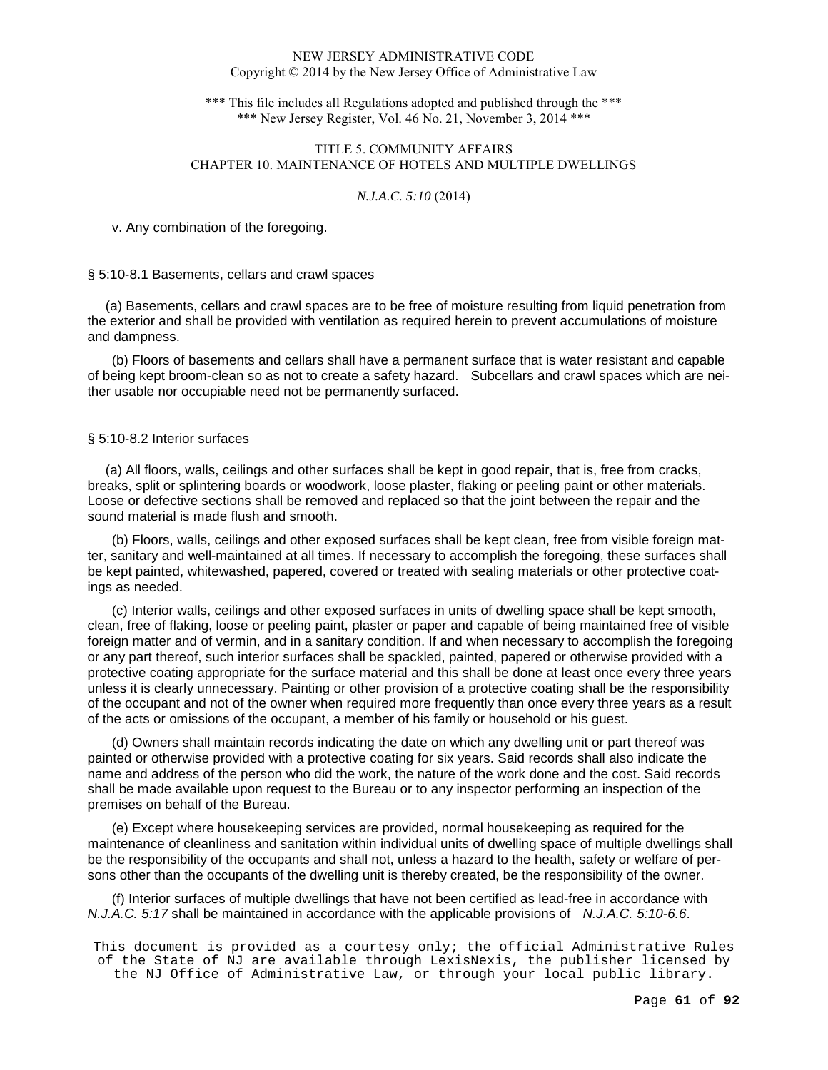\*\*\* This file includes all Regulations adopted and published through the \*\*\* \*\*\* New Jersey Register, Vol. 46 No. 21, November 3, 2014 \*\*\*

# TITLE 5. COMMUNITY AFFAIRS CHAPTER 10. MAINTENANCE OF HOTELS AND MULTIPLE DWELLINGS

# *N.J.A.C. 5:10* (2014)

v. Any combination of the foregoing.

## § 5:10-8.1 Basements, cellars and crawl spaces

 (a) Basements, cellars and crawl spaces are to be free of moisture resulting from liquid penetration from the exterior and shall be provided with ventilation as required herein to prevent accumulations of moisture and dampness.

(b) Floors of basements and cellars shall have a permanent surface that is water resistant and capable of being kept broom-clean so as not to create a safety hazard. Subcellars and crawl spaces which are neither usable nor occupiable need not be permanently surfaced.

# § 5:10-8.2 Interior surfaces

 (a) All floors, walls, ceilings and other surfaces shall be kept in good repair, that is, free from cracks, breaks, split or splintering boards or woodwork, loose plaster, flaking or peeling paint or other materials. Loose or defective sections shall be removed and replaced so that the joint between the repair and the sound material is made flush and smooth.

(b) Floors, walls, ceilings and other exposed surfaces shall be kept clean, free from visible foreign matter, sanitary and well-maintained at all times. If necessary to accomplish the foregoing, these surfaces shall be kept painted, whitewashed, papered, covered or treated with sealing materials or other protective coatings as needed.

(c) Interior walls, ceilings and other exposed surfaces in units of dwelling space shall be kept smooth, clean, free of flaking, loose or peeling paint, plaster or paper and capable of being maintained free of visible foreign matter and of vermin, and in a sanitary condition. If and when necessary to accomplish the foregoing or any part thereof, such interior surfaces shall be spackled, painted, papered or otherwise provided with a protective coating appropriate for the surface material and this shall be done at least once every three years unless it is clearly unnecessary. Painting or other provision of a protective coating shall be the responsibility of the occupant and not of the owner when required more frequently than once every three years as a result of the acts or omissions of the occupant, a member of his family or household or his guest.

(d) Owners shall maintain records indicating the date on which any dwelling unit or part thereof was painted or otherwise provided with a protective coating for six years. Said records shall also indicate the name and address of the person who did the work, the nature of the work done and the cost. Said records shall be made available upon request to the Bureau or to any inspector performing an inspection of the premises on behalf of the Bureau.

(e) Except where housekeeping services are provided, normal housekeeping as required for the maintenance of cleanliness and sanitation within individual units of dwelling space of multiple dwellings shall be the responsibility of the occupants and shall not, unless a hazard to the health, safety or welfare of persons other than the occupants of the dwelling unit is thereby created, be the responsibility of the owner.

(f) Interior surfaces of multiple dwellings that have not been certified as lead-free in accordance with N.J.A.C. 5:17 shall be maintained in accordance with the applicable provisions of N.J.A.C. 5:10-6.6.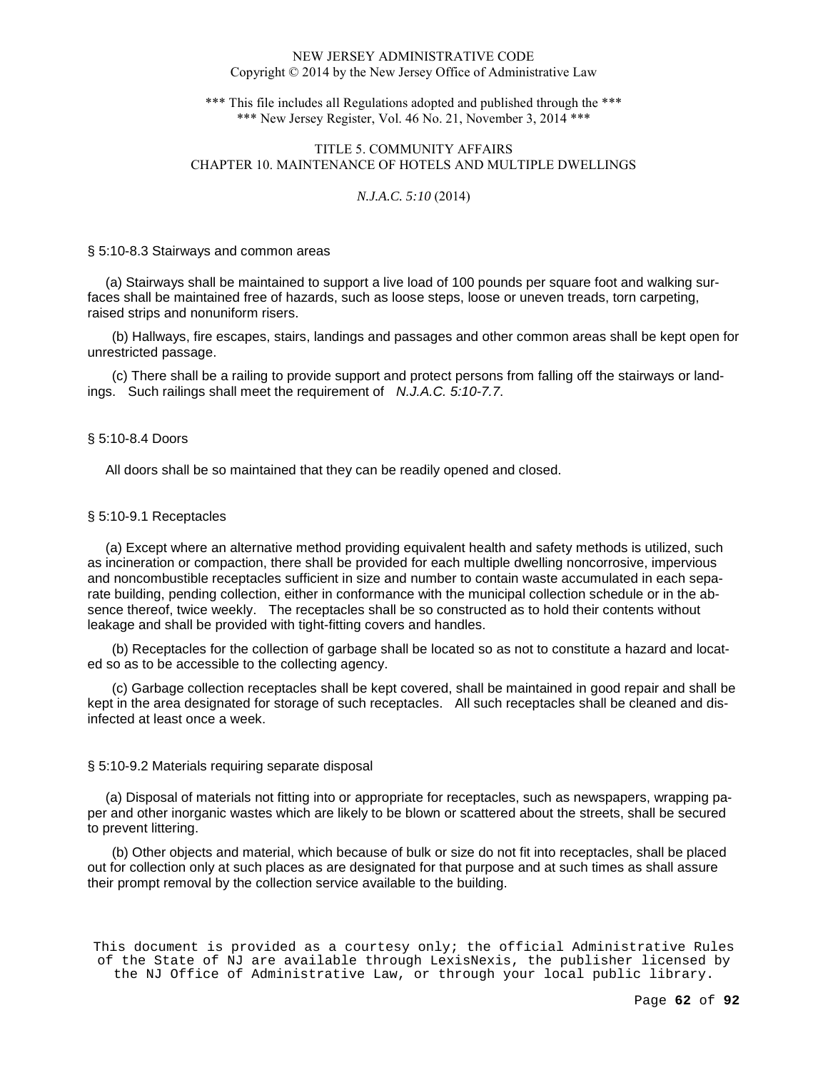\*\*\* This file includes all Regulations adopted and published through the \*\*\* \*\*\* New Jersey Register, Vol. 46 No. 21, November 3, 2014 \*\*\*

# TITLE 5. COMMUNITY AFFAIRS CHAPTER 10. MAINTENANCE OF HOTELS AND MULTIPLE DWELLINGS

## *N.J.A.C. 5:10* (2014)

#### § 5:10-8.3 Stairways and common areas

 (a) Stairways shall be maintained to support a live load of 100 pounds per square foot and walking surfaces shall be maintained free of hazards, such as loose steps, loose or uneven treads, torn carpeting, raised strips and nonuniform risers.

(b) Hallways, fire escapes, stairs, landings and passages and other common areas shall be kept open for unrestricted passage.

(c) There shall be a railing to provide support and protect persons from falling off the stairways or landings. Such railings shall meet the requirement of N.J.A.C. 5:10-7.7.

## § 5:10-8.4 Doors

All doors shall be so maintained that they can be readily opened and closed.

## § 5:10-9.1 Receptacles

 (a) Except where an alternative method providing equivalent health and safety methods is utilized, such as incineration or compaction, there shall be provided for each multiple dwelling noncorrosive, impervious and noncombustible receptacles sufficient in size and number to contain waste accumulated in each separate building, pending collection, either in conformance with the municipal collection schedule or in the absence thereof, twice weekly. The receptacles shall be so constructed as to hold their contents without leakage and shall be provided with tight-fitting covers and handles.

(b) Receptacles for the collection of garbage shall be located so as not to constitute a hazard and located so as to be accessible to the collecting agency.

(c) Garbage collection receptacles shall be kept covered, shall be maintained in good repair and shall be kept in the area designated for storage of such receptacles. All such receptacles shall be cleaned and disinfected at least once a week.

## § 5:10-9.2 Materials requiring separate disposal

 (a) Disposal of materials not fitting into or appropriate for receptacles, such as newspapers, wrapping paper and other inorganic wastes which are likely to be blown or scattered about the streets, shall be secured to prevent littering.

(b) Other objects and material, which because of bulk or size do not fit into receptacles, shall be placed out for collection only at such places as are designated for that purpose and at such times as shall assure their prompt removal by the collection service available to the building.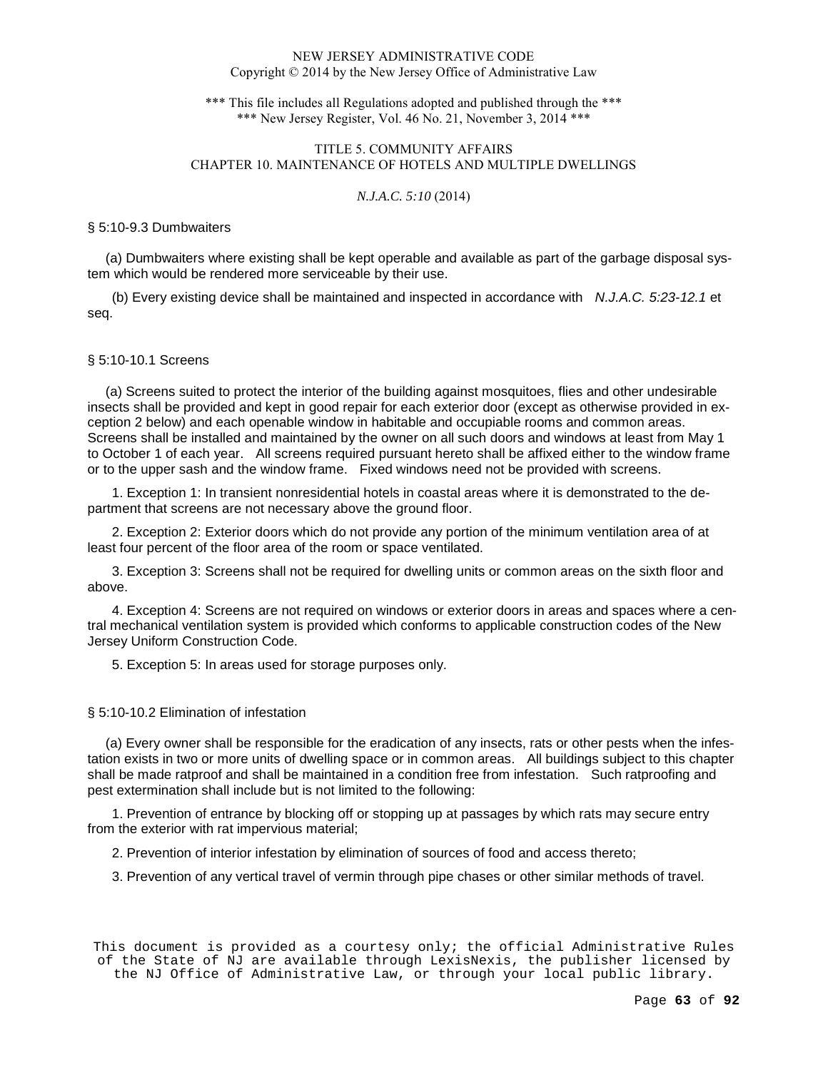\*\*\* This file includes all Regulations adopted and published through the \*\*\* \*\*\* New Jersey Register, Vol. 46 No. 21, November 3, 2014 \*\*\*

# TITLE 5. COMMUNITY AFFAIRS CHAPTER 10. MAINTENANCE OF HOTELS AND MULTIPLE DWELLINGS

# *N.J.A.C. 5:10* (2014)

## § 5:10-9.3 Dumbwaiters

 (a) Dumbwaiters where existing shall be kept operable and available as part of the garbage disposal system which would be rendered more serviceable by their use.

(b) Every existing device shall be maintained and inspected in accordance with *N.J.A.C. 5:23-12.1* et seq.

## § 5:10-10.1 Screens

 (a) Screens suited to protect the interior of the building against mosquitoes, flies and other undesirable insects shall be provided and kept in good repair for each exterior door (except as otherwise provided in exception 2 below) and each openable window in habitable and occupiable rooms and common areas. Screens shall be installed and maintained by the owner on all such doors and windows at least from May 1 to October 1 of each year. All screens required pursuant hereto shall be affixed either to the window frame or to the upper sash and the window frame. Fixed windows need not be provided with screens.

1. Exception 1: In transient nonresidential hotels in coastal areas where it is demonstrated to the department that screens are not necessary above the ground floor.

2. Exception 2: Exterior doors which do not provide any portion of the minimum ventilation area of at least four percent of the floor area of the room or space ventilated.

3. Exception 3: Screens shall not be required for dwelling units or common areas on the sixth floor and above.

4. Exception 4: Screens are not required on windows or exterior doors in areas and spaces where a central mechanical ventilation system is provided which conforms to applicable construction codes of the New Jersey Uniform Construction Code.

5. Exception 5: In areas used for storage purposes only.

## § 5:10-10.2 Elimination of infestation

 (a) Every owner shall be responsible for the eradication of any insects, rats or other pests when the infestation exists in two or more units of dwelling space or in common areas. All buildings subject to this chapter shall be made ratproof and shall be maintained in a condition free from infestation. Such ratproofing and pest extermination shall include but is not limited to the following:

1. Prevention of entrance by blocking off or stopping up at passages by which rats may secure entry from the exterior with rat impervious material;

2. Prevention of interior infestation by elimination of sources of food and access thereto;

3. Prevention of any vertical travel of vermin through pipe chases or other similar methods of travel.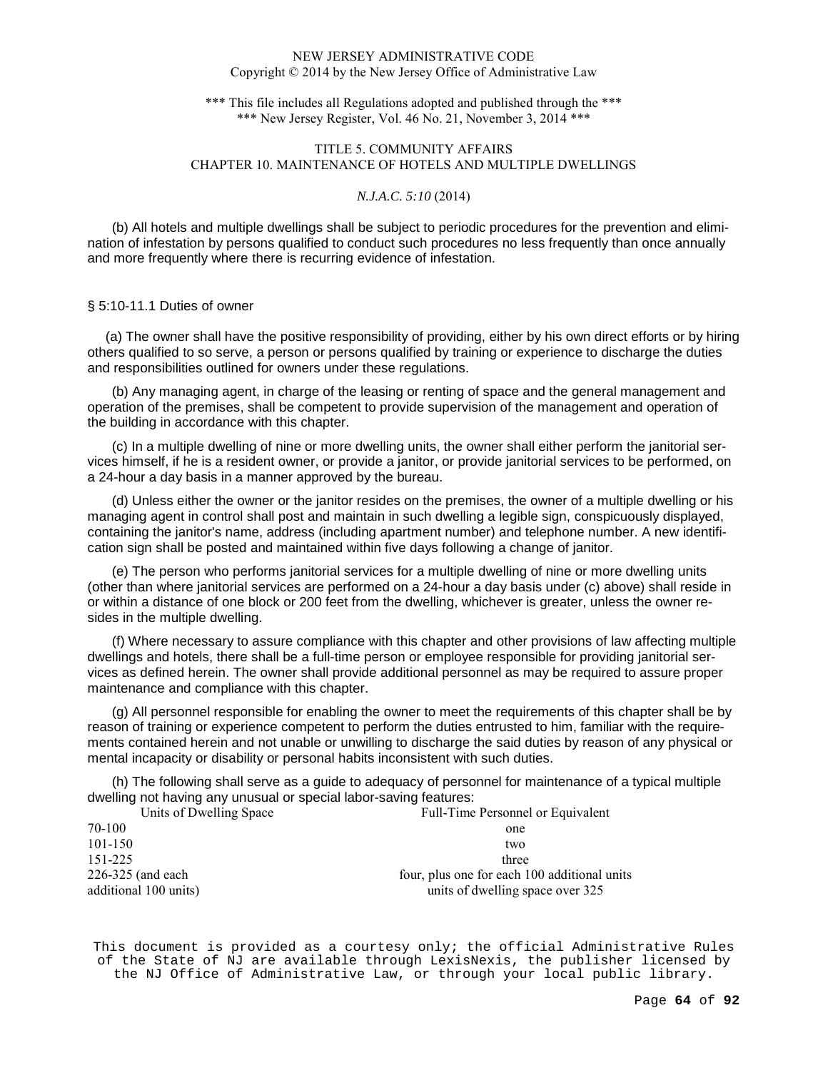\*\*\* This file includes all Regulations adopted and published through the \*\*\* \*\*\* New Jersey Register, Vol. 46 No. 21, November 3, 2014 \*\*\*

# TITLE 5. COMMUNITY AFFAIRS CHAPTER 10. MAINTENANCE OF HOTELS AND MULTIPLE DWELLINGS

# *N.J.A.C. 5:10* (2014)

(b) All hotels and multiple dwellings shall be subject to periodic procedures for the prevention and elimination of infestation by persons qualified to conduct such procedures no less frequently than once annually and more frequently where there is recurring evidence of infestation.

## § 5:10-11.1 Duties of owner

 (a) The owner shall have the positive responsibility of providing, either by his own direct efforts or by hiring others qualified to so serve, a person or persons qualified by training or experience to discharge the duties and responsibilities outlined for owners under these regulations.

(b) Any managing agent, in charge of the leasing or renting of space and the general management and operation of the premises, shall be competent to provide supervision of the management and operation of the building in accordance with this chapter.

(c) In a multiple dwelling of nine or more dwelling units, the owner shall either perform the janitorial services himself, if he is a resident owner, or provide a janitor, or provide janitorial services to be performed, on a 24-hour a day basis in a manner approved by the bureau.

(d) Unless either the owner or the janitor resides on the premises, the owner of a multiple dwelling or his managing agent in control shall post and maintain in such dwelling a legible sign, conspicuously displayed, containing the janitor's name, address (including apartment number) and telephone number. A new identification sign shall be posted and maintained within five days following a change of janitor.

(e) The person who performs janitorial services for a multiple dwelling of nine or more dwelling units (other than where janitorial services are performed on a 24-hour a day basis under (c) above) shall reside in or within a distance of one block or 200 feet from the dwelling, whichever is greater, unless the owner resides in the multiple dwelling.

(f) Where necessary to assure compliance with this chapter and other provisions of law affecting multiple dwellings and hotels, there shall be a full-time person or employee responsible for providing janitorial services as defined herein. The owner shall provide additional personnel as may be required to assure proper maintenance and compliance with this chapter.

(g) All personnel responsible for enabling the owner to meet the requirements of this chapter shall be by reason of training or experience competent to perform the duties entrusted to him, familiar with the requirements contained herein and not unable or unwilling to discharge the said duties by reason of any physical or mental incapacity or disability or personal habits inconsistent with such duties.

(h) The following shall serve as a guide to adequacy of personnel for maintenance of a typical multiple dwelling not having any unusual or special labor-saving features:

| Units of Dwelling Space | Full-Time Personnel or Equivalent            |
|-------------------------|----------------------------------------------|
| 70-100                  | one                                          |
| 101-150                 | two                                          |
| 151-225                 | three                                        |
| 226-325 (and each       | four, plus one for each 100 additional units |
| additional 100 units)   | units of dwelling space over 325             |
|                         |                                              |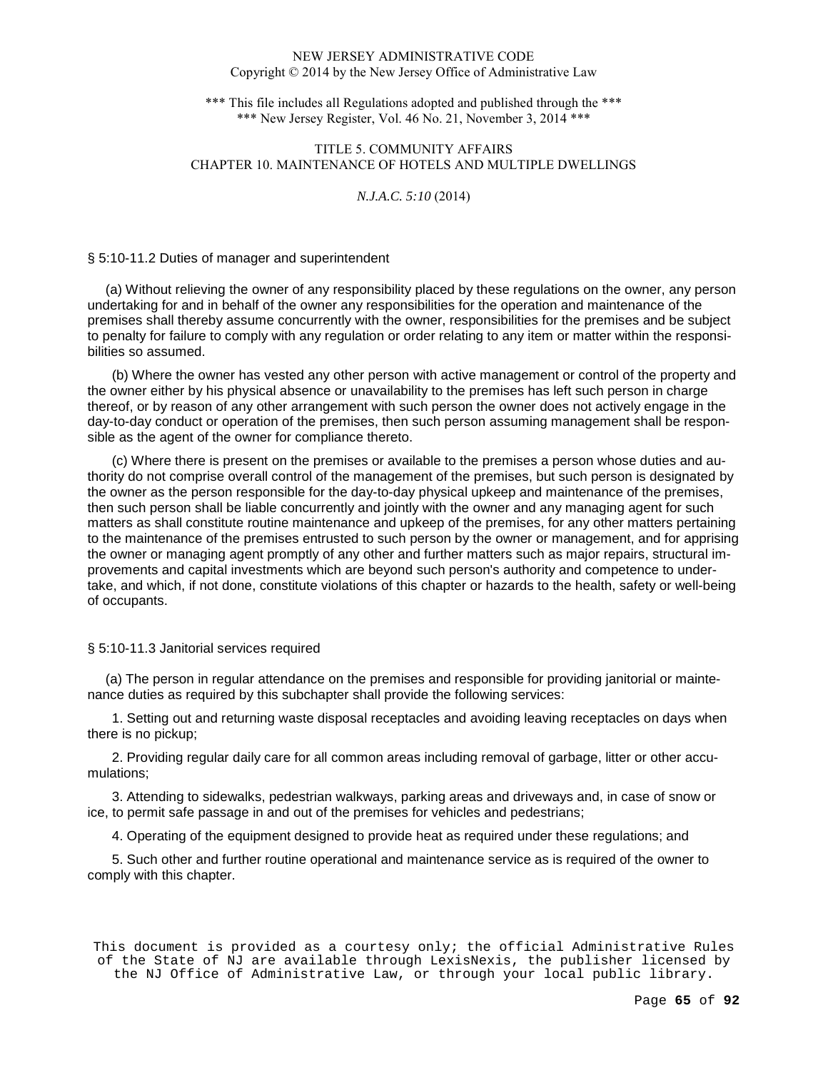\*\*\* This file includes all Regulations adopted and published through the \*\*\* \*\*\* New Jersey Register, Vol. 46 No. 21, November 3, 2014 \*\*\*

# TITLE 5. COMMUNITY AFFAIRS CHAPTER 10. MAINTENANCE OF HOTELS AND MULTIPLE DWELLINGS

# *N.J.A.C. 5:10* (2014)

## § 5:10-11.2 Duties of manager and superintendent

 (a) Without relieving the owner of any responsibility placed by these regulations on the owner, any person undertaking for and in behalf of the owner any responsibilities for the operation and maintenance of the premises shall thereby assume concurrently with the owner, responsibilities for the premises and be subject to penalty for failure to comply with any regulation or order relating to any item or matter within the responsibilities so assumed.

(b) Where the owner has vested any other person with active management or control of the property and the owner either by his physical absence or unavailability to the premises has left such person in charge thereof, or by reason of any other arrangement with such person the owner does not actively engage in the day-to-day conduct or operation of the premises, then such person assuming management shall be responsible as the agent of the owner for compliance thereto.

(c) Where there is present on the premises or available to the premises a person whose duties and authority do not comprise overall control of the management of the premises, but such person is designated by the owner as the person responsible for the day-to-day physical upkeep and maintenance of the premises, then such person shall be liable concurrently and jointly with the owner and any managing agent for such matters as shall constitute routine maintenance and upkeep of the premises, for any other matters pertaining to the maintenance of the premises entrusted to such person by the owner or management, and for apprising the owner or managing agent promptly of any other and further matters such as major repairs, structural improvements and capital investments which are beyond such person's authority and competence to undertake, and which, if not done, constitute violations of this chapter or hazards to the health, safety or well-being of occupants.

## § 5:10-11.3 Janitorial services required

 (a) The person in regular attendance on the premises and responsible for providing janitorial or maintenance duties as required by this subchapter shall provide the following services:

1. Setting out and returning waste disposal receptacles and avoiding leaving receptacles on days when there is no pickup;

2. Providing regular daily care for all common areas including removal of garbage, litter or other accumulations;

3. Attending to sidewalks, pedestrian walkways, parking areas and driveways and, in case of snow or ice, to permit safe passage in and out of the premises for vehicles and pedestrians;

4. Operating of the equipment designed to provide heat as required under these regulations; and

5. Such other and further routine operational and maintenance service as is required of the owner to comply with this chapter.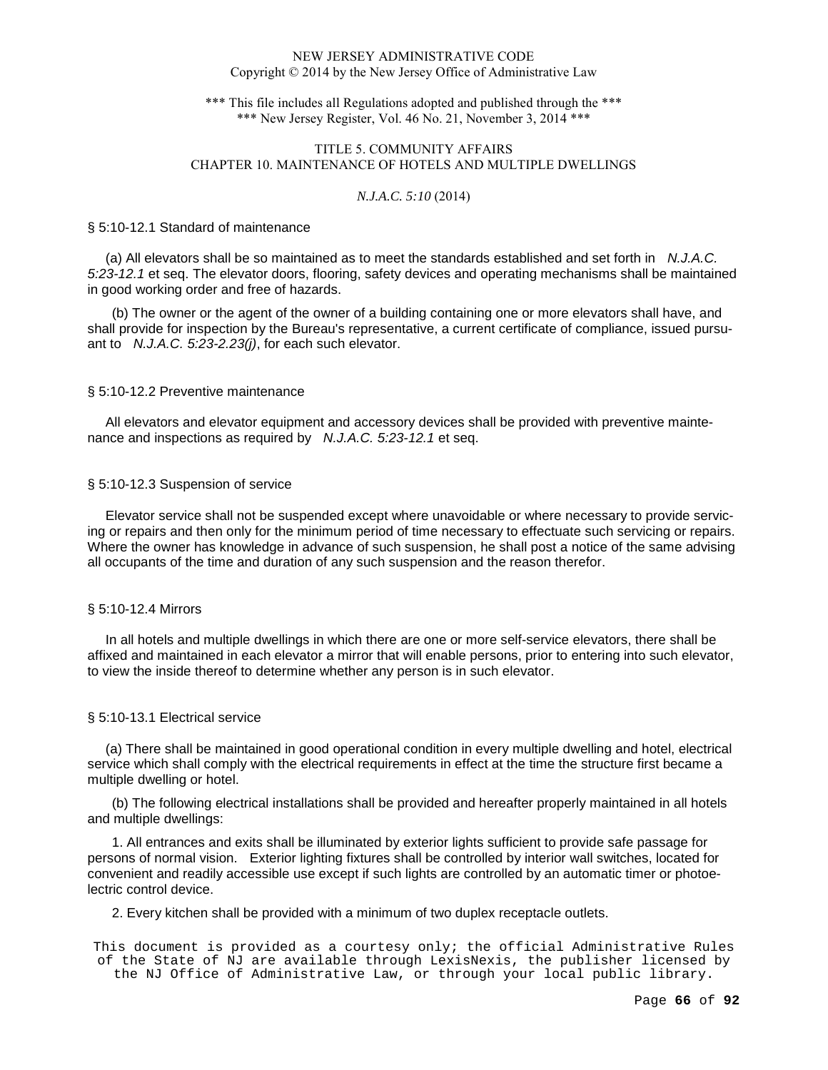\*\*\* This file includes all Regulations adopted and published through the \*\*\* \*\*\* New Jersey Register, Vol. 46 No. 21, November 3, 2014 \*\*\*

# TITLE 5. COMMUNITY AFFAIRS CHAPTER 10. MAINTENANCE OF HOTELS AND MULTIPLE DWELLINGS

## *N.J.A.C. 5:10* (2014)

#### § 5:10-12.1 Standard of maintenance

 (a) All elevators shall be so maintained as to meet the standards established and set forth in N.J.A.C. 5:23-12.1 et seq. The elevator doors, flooring, safety devices and operating mechanisms shall be maintained in good working order and free of hazards.

(b) The owner or the agent of the owner of a building containing one or more elevators shall have, and shall provide for inspection by the Bureau's representative, a current certificate of compliance, issued pursuant to N.J.A.C. 5:23-2.23(j), for each such elevator.

## § 5:10-12.2 Preventive maintenance

 All elevators and elevator equipment and accessory devices shall be provided with preventive maintenance and inspections as required by N.J.A.C. 5:23-12.1 et seq.

## § 5:10-12.3 Suspension of service

 Elevator service shall not be suspended except where unavoidable or where necessary to provide servicing or repairs and then only for the minimum period of time necessary to effectuate such servicing or repairs. Where the owner has knowledge in advance of such suspension, he shall post a notice of the same advising all occupants of the time and duration of any such suspension and the reason therefor.

## § 5:10-12.4 Mirrors

 In all hotels and multiple dwellings in which there are one or more self-service elevators, there shall be affixed and maintained in each elevator a mirror that will enable persons, prior to entering into such elevator, to view the inside thereof to determine whether any person is in such elevator.

# § 5:10-13.1 Electrical service

 (a) There shall be maintained in good operational condition in every multiple dwelling and hotel, electrical service which shall comply with the electrical requirements in effect at the time the structure first became a multiple dwelling or hotel.

(b) The following electrical installations shall be provided and hereafter properly maintained in all hotels and multiple dwellings:

1. All entrances and exits shall be illuminated by exterior lights sufficient to provide safe passage for persons of normal vision. Exterior lighting fixtures shall be controlled by interior wall switches, located for convenient and readily accessible use except if such lights are controlled by an automatic timer or photoelectric control device.

## 2. Every kitchen shall be provided with a minimum of two duplex receptacle outlets.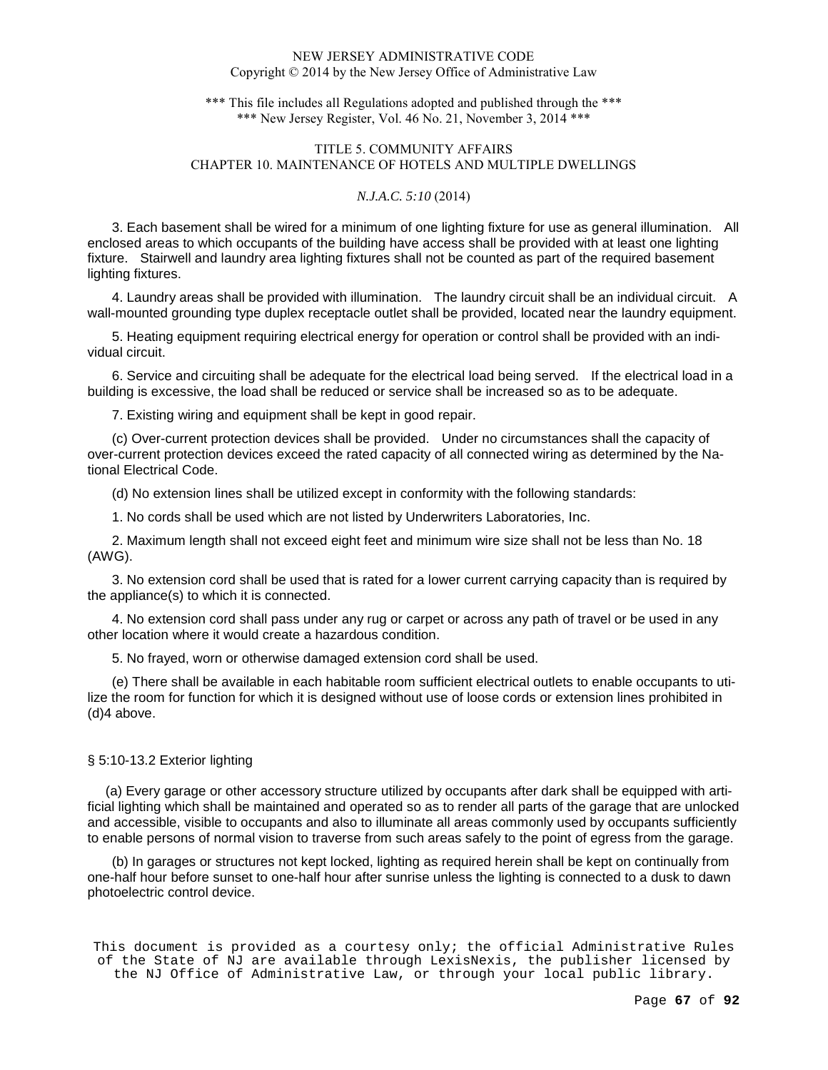\*\*\* This file includes all Regulations adopted and published through the \*\*\* \*\*\* New Jersey Register, Vol. 46 No. 21, November 3, 2014 \*\*\*

# TITLE 5. COMMUNITY AFFAIRS CHAPTER 10. MAINTENANCE OF HOTELS AND MULTIPLE DWELLINGS

# *N.J.A.C. 5:10* (2014)

3. Each basement shall be wired for a minimum of one lighting fixture for use as general illumination. All enclosed areas to which occupants of the building have access shall be provided with at least one lighting fixture. Stairwell and laundry area lighting fixtures shall not be counted as part of the required basement lighting fixtures.

4. Laundry areas shall be provided with illumination. The laundry circuit shall be an individual circuit. A wall-mounted grounding type duplex receptacle outlet shall be provided, located near the laundry equipment.

5. Heating equipment requiring electrical energy for operation or control shall be provided with an individual circuit.

6. Service and circuiting shall be adequate for the electrical load being served. If the electrical load in a building is excessive, the load shall be reduced or service shall be increased so as to be adequate.

7. Existing wiring and equipment shall be kept in good repair.

(c) Over-current protection devices shall be provided. Under no circumstances shall the capacity of over-current protection devices exceed the rated capacity of all connected wiring as determined by the National Electrical Code.

(d) No extension lines shall be utilized except in conformity with the following standards:

1. No cords shall be used which are not listed by Underwriters Laboratories, Inc.

2. Maximum length shall not exceed eight feet and minimum wire size shall not be less than No. 18 (AWG).

3. No extension cord shall be used that is rated for a lower current carrying capacity than is required by the appliance(s) to which it is connected.

4. No extension cord shall pass under any rug or carpet or across any path of travel or be used in any other location where it would create a hazardous condition.

5. No frayed, worn or otherwise damaged extension cord shall be used.

(e) There shall be available in each habitable room sufficient electrical outlets to enable occupants to utilize the room for function for which it is designed without use of loose cords or extension lines prohibited in (d)4 above.

# § 5:10-13.2 Exterior lighting

 (a) Every garage or other accessory structure utilized by occupants after dark shall be equipped with artificial lighting which shall be maintained and operated so as to render all parts of the garage that are unlocked and accessible, visible to occupants and also to illuminate all areas commonly used by occupants sufficiently to enable persons of normal vision to traverse from such areas safely to the point of egress from the garage.

(b) In garages or structures not kept locked, lighting as required herein shall be kept on continually from one-half hour before sunset to one-half hour after sunrise unless the lighting is connected to a dusk to dawn photoelectric control device.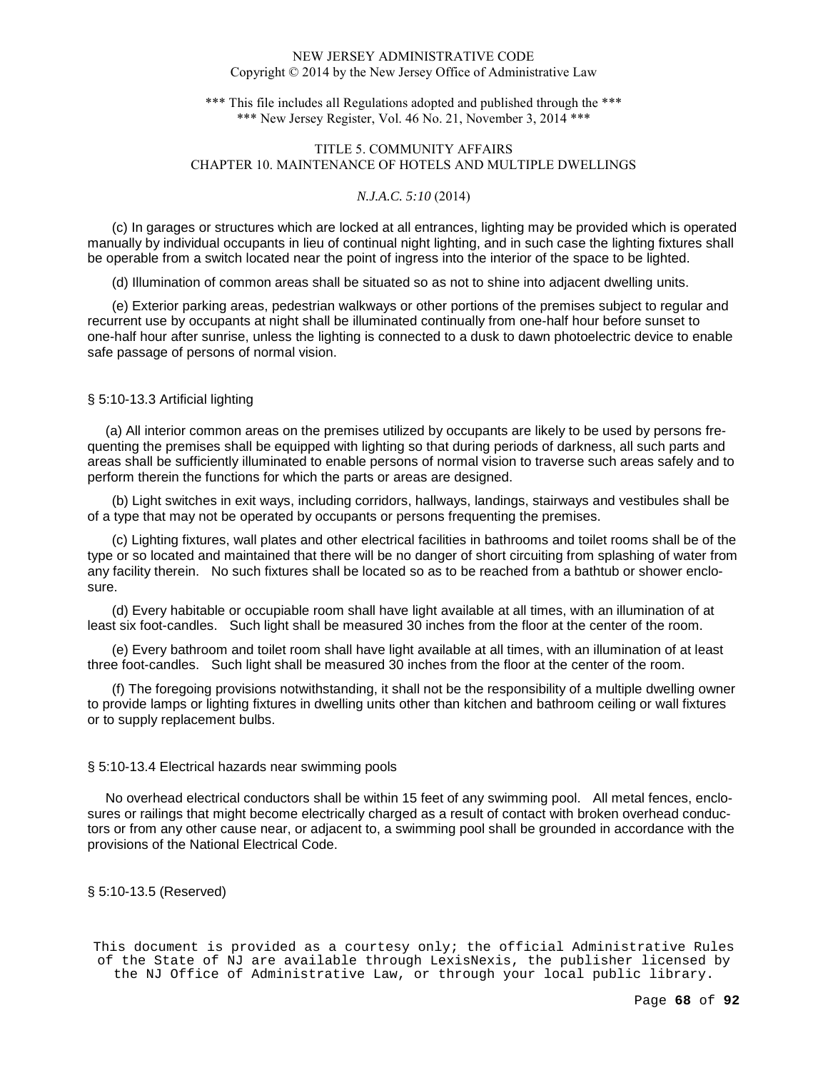\*\*\* This file includes all Regulations adopted and published through the \*\*\* \*\*\* New Jersey Register, Vol. 46 No. 21, November 3, 2014 \*\*\*

# TITLE 5. COMMUNITY AFFAIRS CHAPTER 10. MAINTENANCE OF HOTELS AND MULTIPLE DWELLINGS

# *N.J.A.C. 5:10* (2014)

(c) In garages or structures which are locked at all entrances, lighting may be provided which is operated manually by individual occupants in lieu of continual night lighting, and in such case the lighting fixtures shall be operable from a switch located near the point of ingress into the interior of the space to be lighted.

(d) Illumination of common areas shall be situated so as not to shine into adjacent dwelling units.

(e) Exterior parking areas, pedestrian walkways or other portions of the premises subject to regular and recurrent use by occupants at night shall be illuminated continually from one-half hour before sunset to one-half hour after sunrise, unless the lighting is connected to a dusk to dawn photoelectric device to enable safe passage of persons of normal vision.

# § 5:10-13.3 Artificial lighting

 (a) All interior common areas on the premises utilized by occupants are likely to be used by persons frequenting the premises shall be equipped with lighting so that during periods of darkness, all such parts and areas shall be sufficiently illuminated to enable persons of normal vision to traverse such areas safely and to perform therein the functions for which the parts or areas are designed.

(b) Light switches in exit ways, including corridors, hallways, landings, stairways and vestibules shall be of a type that may not be operated by occupants or persons frequenting the premises.

(c) Lighting fixtures, wall plates and other electrical facilities in bathrooms and toilet rooms shall be of the type or so located and maintained that there will be no danger of short circuiting from splashing of water from any facility therein. No such fixtures shall be located so as to be reached from a bathtub or shower enclosure.

(d) Every habitable or occupiable room shall have light available at all times, with an illumination of at least six foot-candles. Such light shall be measured 30 inches from the floor at the center of the room.

(e) Every bathroom and toilet room shall have light available at all times, with an illumination of at least three foot-candles. Such light shall be measured 30 inches from the floor at the center of the room.

(f) The foregoing provisions notwithstanding, it shall not be the responsibility of a multiple dwelling owner to provide lamps or lighting fixtures in dwelling units other than kitchen and bathroom ceiling or wall fixtures or to supply replacement bulbs.

## § 5:10-13.4 Electrical hazards near swimming pools

 No overhead electrical conductors shall be within 15 feet of any swimming pool. All metal fences, enclosures or railings that might become electrically charged as a result of contact with broken overhead conductors or from any other cause near, or adjacent to, a swimming pool shall be grounded in accordance with the provisions of the National Electrical Code.

§ 5:10-13.5 (Reserved)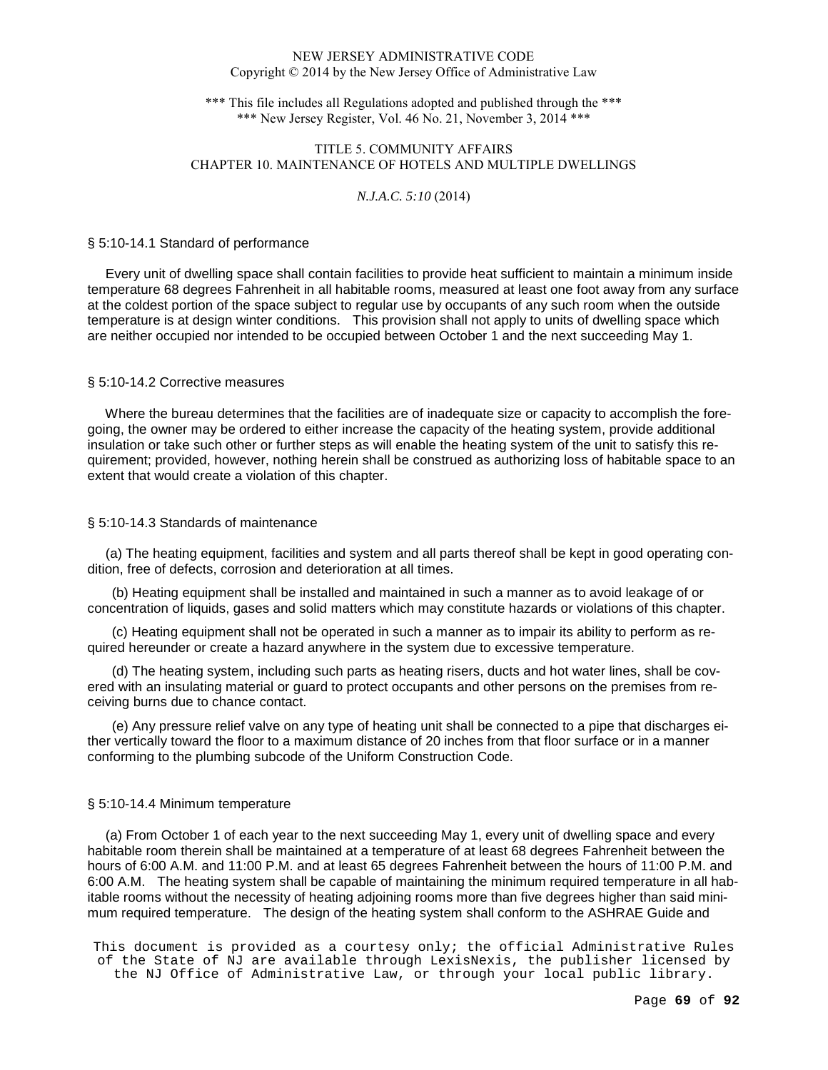\*\*\* This file includes all Regulations adopted and published through the \*\*\* \*\*\* New Jersey Register, Vol. 46 No. 21, November 3, 2014 \*\*\*

# TITLE 5. COMMUNITY AFFAIRS CHAPTER 10. MAINTENANCE OF HOTELS AND MULTIPLE DWELLINGS

# *N.J.A.C. 5:10* (2014)

#### § 5:10-14.1 Standard of performance

 Every unit of dwelling space shall contain facilities to provide heat sufficient to maintain a minimum inside temperature 68 degrees Fahrenheit in all habitable rooms, measured at least one foot away from any surface at the coldest portion of the space subject to regular use by occupants of any such room when the outside temperature is at design winter conditions. This provision shall not apply to units of dwelling space which are neither occupied nor intended to be occupied between October 1 and the next succeeding May 1.

## § 5:10-14.2 Corrective measures

 Where the bureau determines that the facilities are of inadequate size or capacity to accomplish the foregoing, the owner may be ordered to either increase the capacity of the heating system, provide additional insulation or take such other or further steps as will enable the heating system of the unit to satisfy this requirement; provided, however, nothing herein shall be construed as authorizing loss of habitable space to an extent that would create a violation of this chapter.

## § 5:10-14.3 Standards of maintenance

 (a) The heating equipment, facilities and system and all parts thereof shall be kept in good operating condition, free of defects, corrosion and deterioration at all times.

(b) Heating equipment shall be installed and maintained in such a manner as to avoid leakage of or concentration of liquids, gases and solid matters which may constitute hazards or violations of this chapter.

(c) Heating equipment shall not be operated in such a manner as to impair its ability to perform as required hereunder or create a hazard anywhere in the system due to excessive temperature.

(d) The heating system, including such parts as heating risers, ducts and hot water lines, shall be covered with an insulating material or guard to protect occupants and other persons on the premises from receiving burns due to chance contact.

(e) Any pressure relief valve on any type of heating unit shall be connected to a pipe that discharges either vertically toward the floor to a maximum distance of 20 inches from that floor surface or in a manner conforming to the plumbing subcode of the Uniform Construction Code.

## § 5:10-14.4 Minimum temperature

 (a) From October 1 of each year to the next succeeding May 1, every unit of dwelling space and every habitable room therein shall be maintained at a temperature of at least 68 degrees Fahrenheit between the hours of 6:00 A.M. and 11:00 P.M. and at least 65 degrees Fahrenheit between the hours of 11:00 P.M. and 6:00 A.M. The heating system shall be capable of maintaining the minimum required temperature in all habitable rooms without the necessity of heating adjoining rooms more than five degrees higher than said minimum required temperature. The design of the heating system shall conform to the ASHRAE Guide and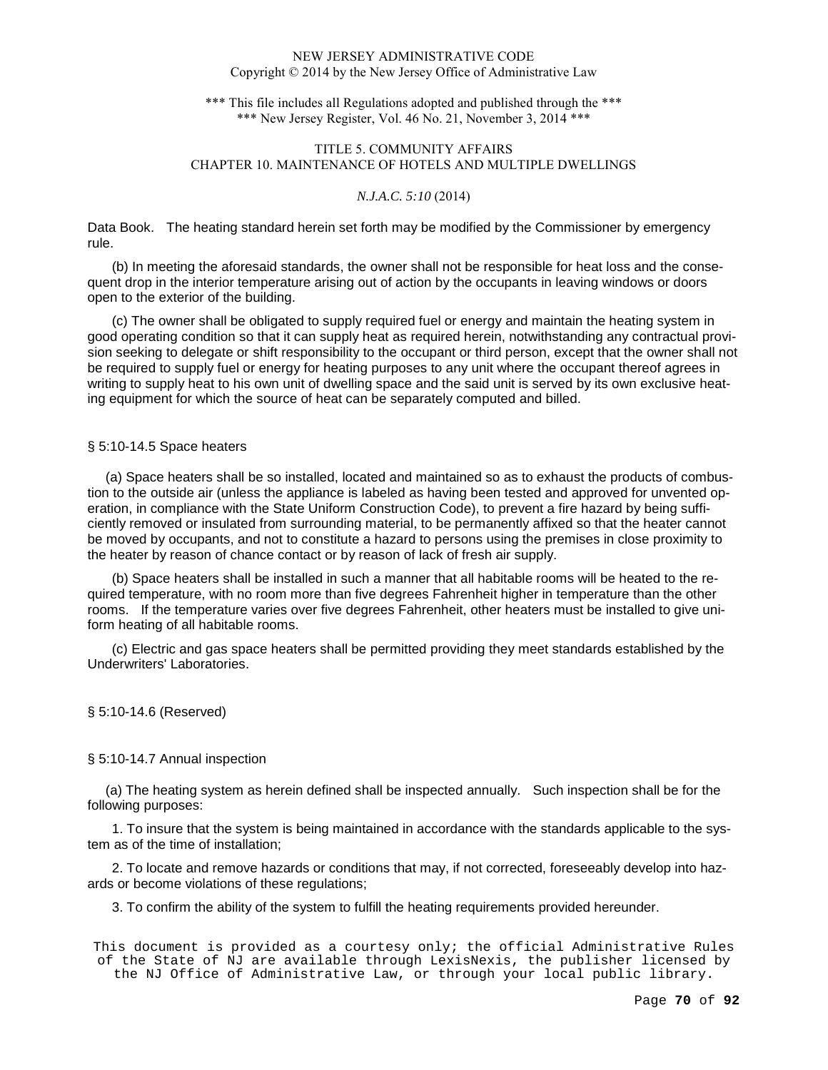\*\*\* This file includes all Regulations adopted and published through the \*\*\* \*\*\* New Jersey Register, Vol. 46 No. 21, November 3, 2014 \*\*\*

# TITLE 5. COMMUNITY AFFAIRS CHAPTER 10. MAINTENANCE OF HOTELS AND MULTIPLE DWELLINGS

# *N.J.A.C. 5:10* (2014)

Data Book. The heating standard herein set forth may be modified by the Commissioner by emergency rule.

(b) In meeting the aforesaid standards, the owner shall not be responsible for heat loss and the consequent drop in the interior temperature arising out of action by the occupants in leaving windows or doors open to the exterior of the building.

(c) The owner shall be obligated to supply required fuel or energy and maintain the heating system in good operating condition so that it can supply heat as required herein, notwithstanding any contractual provision seeking to delegate or shift responsibility to the occupant or third person, except that the owner shall not be required to supply fuel or energy for heating purposes to any unit where the occupant thereof agrees in writing to supply heat to his own unit of dwelling space and the said unit is served by its own exclusive heating equipment for which the source of heat can be separately computed and billed.

# § 5:10-14.5 Space heaters

 (a) Space heaters shall be so installed, located and maintained so as to exhaust the products of combustion to the outside air (unless the appliance is labeled as having been tested and approved for unvented operation, in compliance with the State Uniform Construction Code), to prevent a fire hazard by being sufficiently removed or insulated from surrounding material, to be permanently affixed so that the heater cannot be moved by occupants, and not to constitute a hazard to persons using the premises in close proximity to the heater by reason of chance contact or by reason of lack of fresh air supply.

(b) Space heaters shall be installed in such a manner that all habitable rooms will be heated to the required temperature, with no room more than five degrees Fahrenheit higher in temperature than the other rooms. If the temperature varies over five degrees Fahrenheit, other heaters must be installed to give uniform heating of all habitable rooms.

(c) Electric and gas space heaters shall be permitted providing they meet standards established by the Underwriters' Laboratories.

## § 5:10-14.6 (Reserved)

## § 5:10-14.7 Annual inspection

 (a) The heating system as herein defined shall be inspected annually. Such inspection shall be for the following purposes:

1. To insure that the system is being maintained in accordance with the standards applicable to the system as of the time of installation;

2. To locate and remove hazards or conditions that may, if not corrected, foreseeably develop into hazards or become violations of these regulations;

3. To confirm the ability of the system to fulfill the heating requirements provided hereunder.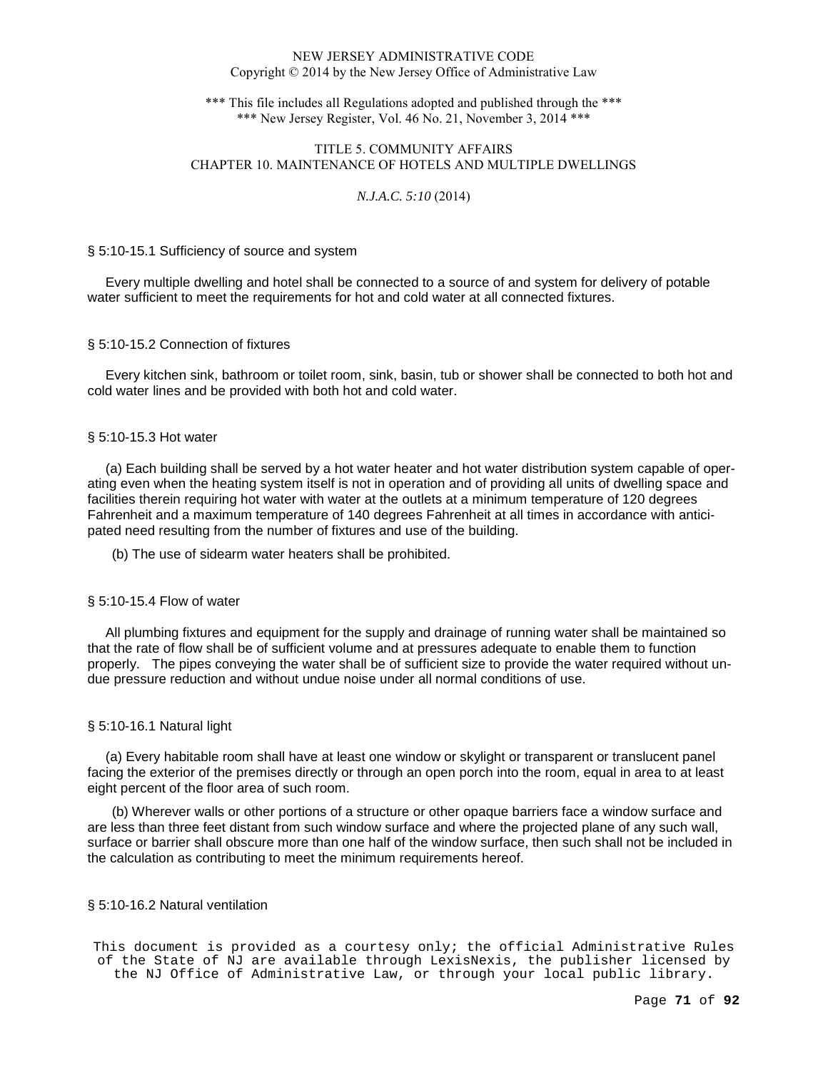\*\*\* This file includes all Regulations adopted and published through the \*\*\* \*\*\* New Jersey Register, Vol. 46 No. 21, November 3, 2014 \*\*\*

# TITLE 5. COMMUNITY AFFAIRS CHAPTER 10. MAINTENANCE OF HOTELS AND MULTIPLE DWELLINGS

# *N.J.A.C. 5:10* (2014)

## § 5:10-15.1 Sufficiency of source and system

 Every multiple dwelling and hotel shall be connected to a source of and system for delivery of potable water sufficient to meet the requirements for hot and cold water at all connected fixtures.

## § 5:10-15.2 Connection of fixtures

 Every kitchen sink, bathroom or toilet room, sink, basin, tub or shower shall be connected to both hot and cold water lines and be provided with both hot and cold water.

## § 5:10-15.3 Hot water

 (a) Each building shall be served by a hot water heater and hot water distribution system capable of operating even when the heating system itself is not in operation and of providing all units of dwelling space and facilities therein requiring hot water with water at the outlets at a minimum temperature of 120 degrees Fahrenheit and a maximum temperature of 140 degrees Fahrenheit at all times in accordance with anticipated need resulting from the number of fixtures and use of the building.

(b) The use of sidearm water heaters shall be prohibited.

## § 5:10-15.4 Flow of water

 All plumbing fixtures and equipment for the supply and drainage of running water shall be maintained so that the rate of flow shall be of sufficient volume and at pressures adequate to enable them to function properly. The pipes conveying the water shall be of sufficient size to provide the water required without undue pressure reduction and without undue noise under all normal conditions of use.

## § 5:10-16.1 Natural light

 (a) Every habitable room shall have at least one window or skylight or transparent or translucent panel facing the exterior of the premises directly or through an open porch into the room, equal in area to at least eight percent of the floor area of such room.

(b) Wherever walls or other portions of a structure or other opaque barriers face a window surface and are less than three feet distant from such window surface and where the projected plane of any such wall, surface or barrier shall obscure more than one half of the window surface, then such shall not be included in the calculation as contributing to meet the minimum requirements hereof.

## § 5:10-16.2 Natural ventilation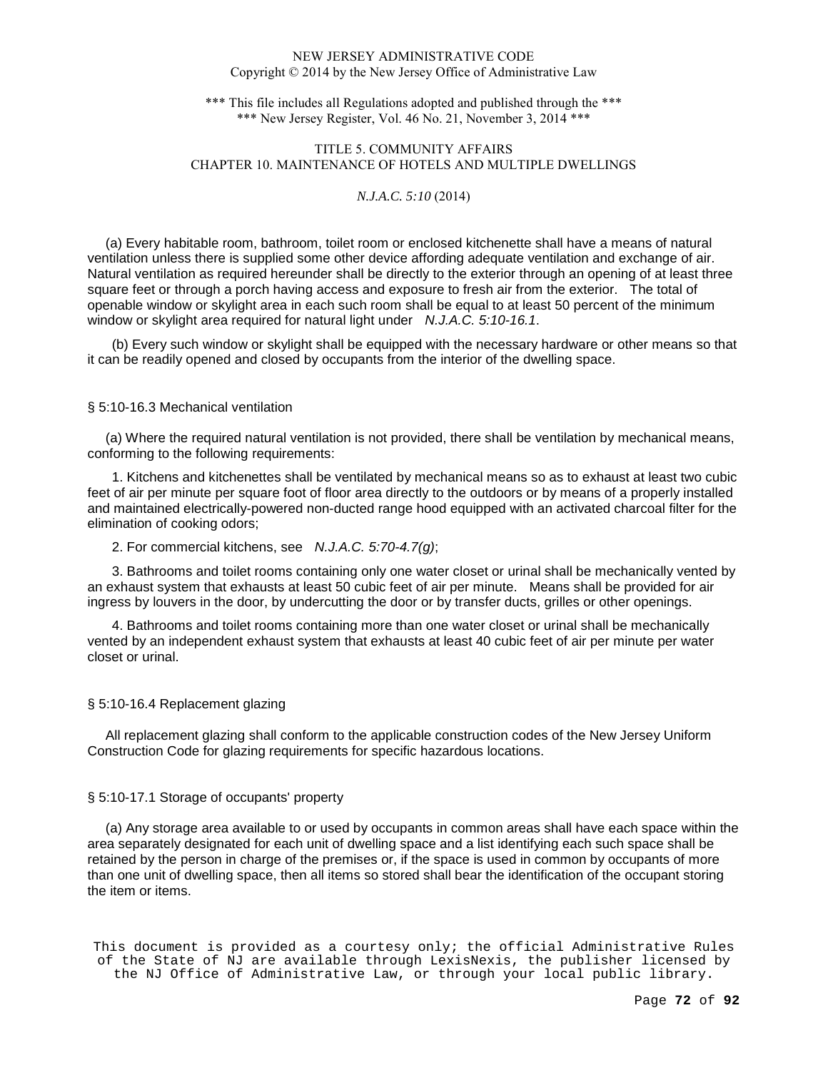\*\*\* This file includes all Regulations adopted and published through the \*\*\* \*\*\* New Jersey Register, Vol. 46 No. 21, November 3, 2014 \*\*\*

# TITLE 5. COMMUNITY AFFAIRS CHAPTER 10. MAINTENANCE OF HOTELS AND MULTIPLE DWELLINGS

# *N.J.A.C. 5:10* (2014)

 (a) Every habitable room, bathroom, toilet room or enclosed kitchenette shall have a means of natural ventilation unless there is supplied some other device affording adequate ventilation and exchange of air. Natural ventilation as required hereunder shall be directly to the exterior through an opening of at least three square feet or through a porch having access and exposure to fresh air from the exterior. The total of openable window or skylight area in each such room shall be equal to at least 50 percent of the minimum window or skylight area required for natural light under *N.J.A.C.* 5:10-16.1.

(b) Every such window or skylight shall be equipped with the necessary hardware or other means so that it can be readily opened and closed by occupants from the interior of the dwelling space.

## § 5:10-16.3 Mechanical ventilation

 (a) Where the required natural ventilation is not provided, there shall be ventilation by mechanical means, conforming to the following requirements:

1. Kitchens and kitchenettes shall be ventilated by mechanical means so as to exhaust at least two cubic feet of air per minute per square foot of floor area directly to the outdoors or by means of a properly installed and maintained electrically-powered non-ducted range hood equipped with an activated charcoal filter for the elimination of cooking odors;

2. For commercial kitchens, see N.J.A.C. 5:70-4.7(g);

3. Bathrooms and toilet rooms containing only one water closet or urinal shall be mechanically vented by an exhaust system that exhausts at least 50 cubic feet of air per minute. Means shall be provided for air ingress by louvers in the door, by undercutting the door or by transfer ducts, grilles or other openings.

4. Bathrooms and toilet rooms containing more than one water closet or urinal shall be mechanically vented by an independent exhaust system that exhausts at least 40 cubic feet of air per minute per water closet or urinal.

## § 5:10-16.4 Replacement glazing

 All replacement glazing shall conform to the applicable construction codes of the New Jersey Uniform Construction Code for glazing requirements for specific hazardous locations.

## § 5:10-17.1 Storage of occupants' property

 (a) Any storage area available to or used by occupants in common areas shall have each space within the area separately designated for each unit of dwelling space and a list identifying each such space shall be retained by the person in charge of the premises or, if the space is used in common by occupants of more than one unit of dwelling space, then all items so stored shall bear the identification of the occupant storing the item or items.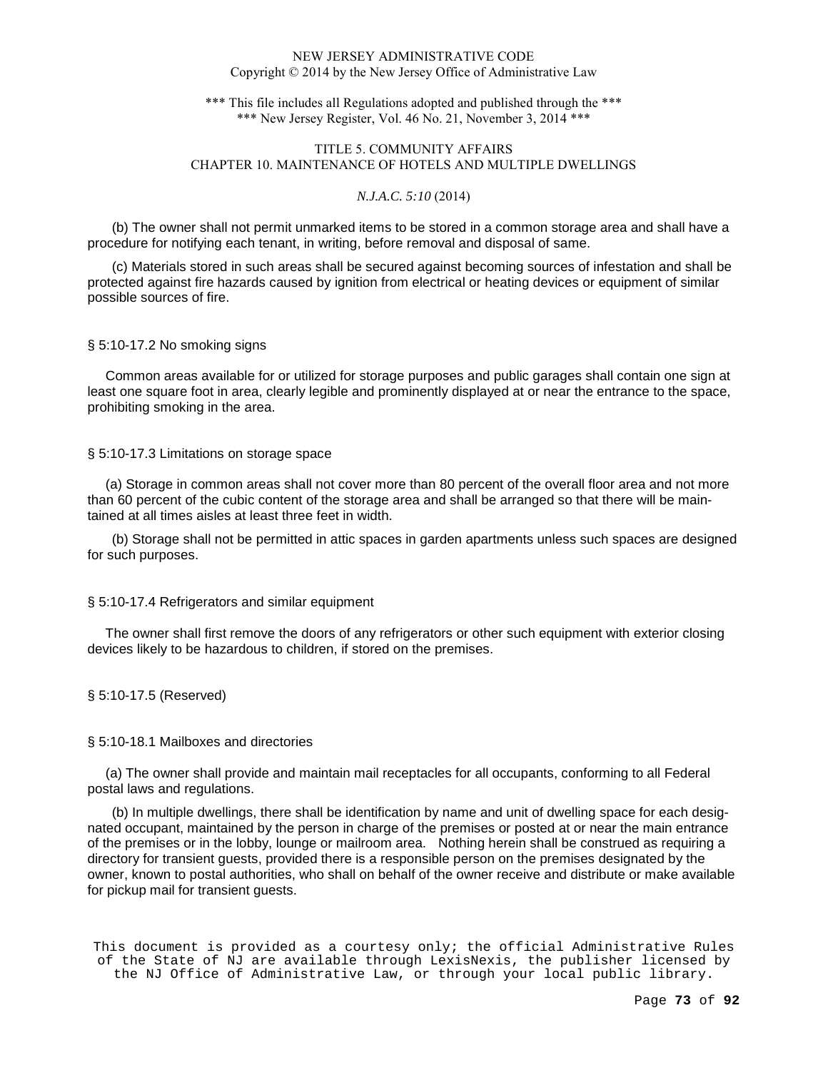\*\*\* This file includes all Regulations adopted and published through the \*\*\* \*\*\* New Jersey Register, Vol. 46 No. 21, November 3, 2014 \*\*\*

## TITLE 5. COMMUNITY AFFAIRS CHAPTER 10. MAINTENANCE OF HOTELS AND MULTIPLE DWELLINGS

### *N.J.A.C. 5:10* (2014)

(b) The owner shall not permit unmarked items to be stored in a common storage area and shall have a procedure for notifying each tenant, in writing, before removal and disposal of same.

(c) Materials stored in such areas shall be secured against becoming sources of infestation and shall be protected against fire hazards caused by ignition from electrical or heating devices or equipment of similar possible sources of fire.

#### § 5:10-17.2 No smoking signs

 Common areas available for or utilized for storage purposes and public garages shall contain one sign at least one square foot in area, clearly legible and prominently displayed at or near the entrance to the space, prohibiting smoking in the area.

### § 5:10-17.3 Limitations on storage space

 (a) Storage in common areas shall not cover more than 80 percent of the overall floor area and not more than 60 percent of the cubic content of the storage area and shall be arranged so that there will be maintained at all times aisles at least three feet in width.

(b) Storage shall not be permitted in attic spaces in garden apartments unless such spaces are designed for such purposes.

### § 5:10-17.4 Refrigerators and similar equipment

 The owner shall first remove the doors of any refrigerators or other such equipment with exterior closing devices likely to be hazardous to children, if stored on the premises.

### § 5:10-17.5 (Reserved)

### § 5:10-18.1 Mailboxes and directories

 (a) The owner shall provide and maintain mail receptacles for all occupants, conforming to all Federal postal laws and regulations.

(b) In multiple dwellings, there shall be identification by name and unit of dwelling space for each designated occupant, maintained by the person in charge of the premises or posted at or near the main entrance of the premises or in the lobby, lounge or mailroom area. Nothing herein shall be construed as requiring a directory for transient guests, provided there is a responsible person on the premises designated by the owner, known to postal authorities, who shall on behalf of the owner receive and distribute or make available for pickup mail for transient guests.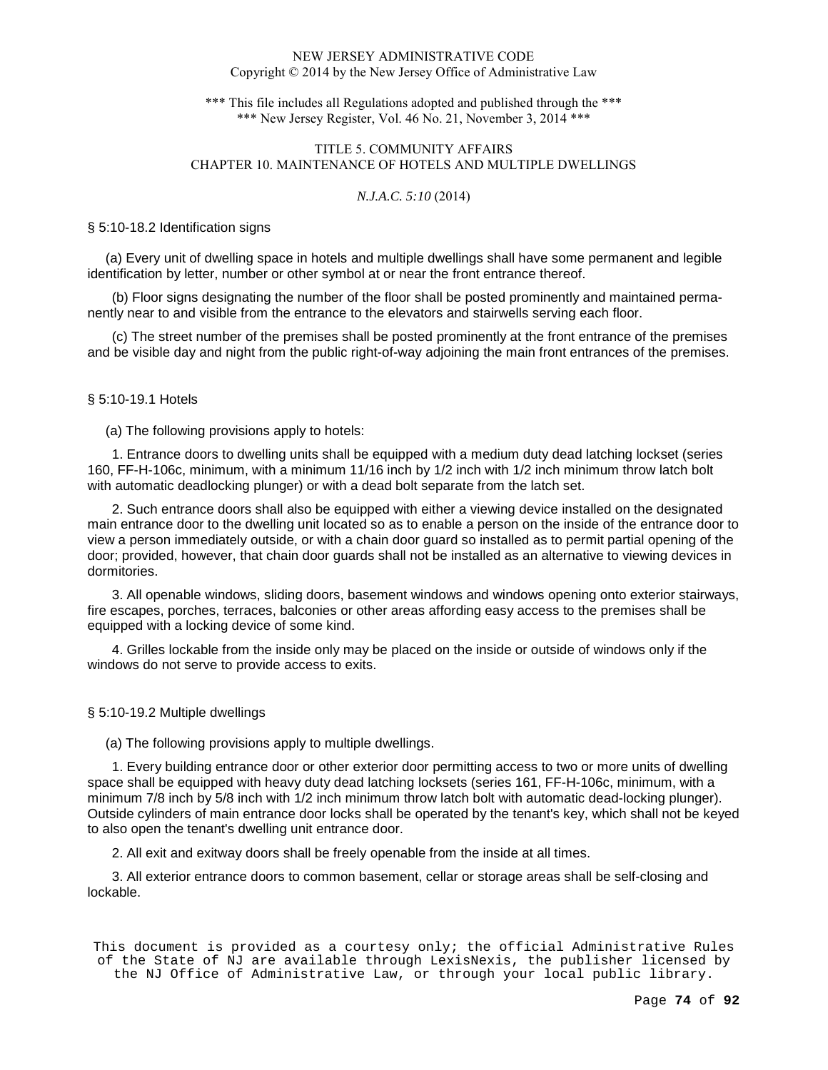\*\*\* This file includes all Regulations adopted and published through the \*\*\* \*\*\* New Jersey Register, Vol. 46 No. 21, November 3, 2014 \*\*\*

# TITLE 5. COMMUNITY AFFAIRS CHAPTER 10. MAINTENANCE OF HOTELS AND MULTIPLE DWELLINGS

### *N.J.A.C. 5:10* (2014)

#### § 5:10-18.2 Identification signs

 (a) Every unit of dwelling space in hotels and multiple dwellings shall have some permanent and legible identification by letter, number or other symbol at or near the front entrance thereof.

(b) Floor signs designating the number of the floor shall be posted prominently and maintained permanently near to and visible from the entrance to the elevators and stairwells serving each floor.

(c) The street number of the premises shall be posted prominently at the front entrance of the premises and be visible day and night from the public right-of-way adjoining the main front entrances of the premises.

### § 5:10-19.1 Hotels

### (a) The following provisions apply to hotels:

1. Entrance doors to dwelling units shall be equipped with a medium duty dead latching lockset (series 160, FF-H-106c, minimum, with a minimum 11/16 inch by 1/2 inch with 1/2 inch minimum throw latch bolt with automatic deadlocking plunger) or with a dead bolt separate from the latch set.

2. Such entrance doors shall also be equipped with either a viewing device installed on the designated main entrance door to the dwelling unit located so as to enable a person on the inside of the entrance door to view a person immediately outside, or with a chain door guard so installed as to permit partial opening of the door; provided, however, that chain door guards shall not be installed as an alternative to viewing devices in dormitories.

3. All openable windows, sliding doors, basement windows and windows opening onto exterior stairways, fire escapes, porches, terraces, balconies or other areas affording easy access to the premises shall be equipped with a locking device of some kind.

4. Grilles lockable from the inside only may be placed on the inside or outside of windows only if the windows do not serve to provide access to exits.

### § 5:10-19.2 Multiple dwellings

(a) The following provisions apply to multiple dwellings.

1. Every building entrance door or other exterior door permitting access to two or more units of dwelling space shall be equipped with heavy duty dead latching locksets (series 161, FF-H-106c, minimum, with a minimum 7/8 inch by 5/8 inch with 1/2 inch minimum throw latch bolt with automatic dead-locking plunger). Outside cylinders of main entrance door locks shall be operated by the tenant's key, which shall not be keyed to also open the tenant's dwelling unit entrance door.

2. All exit and exitway doors shall be freely openable from the inside at all times.

3. All exterior entrance doors to common basement, cellar or storage areas shall be self-closing and lockable.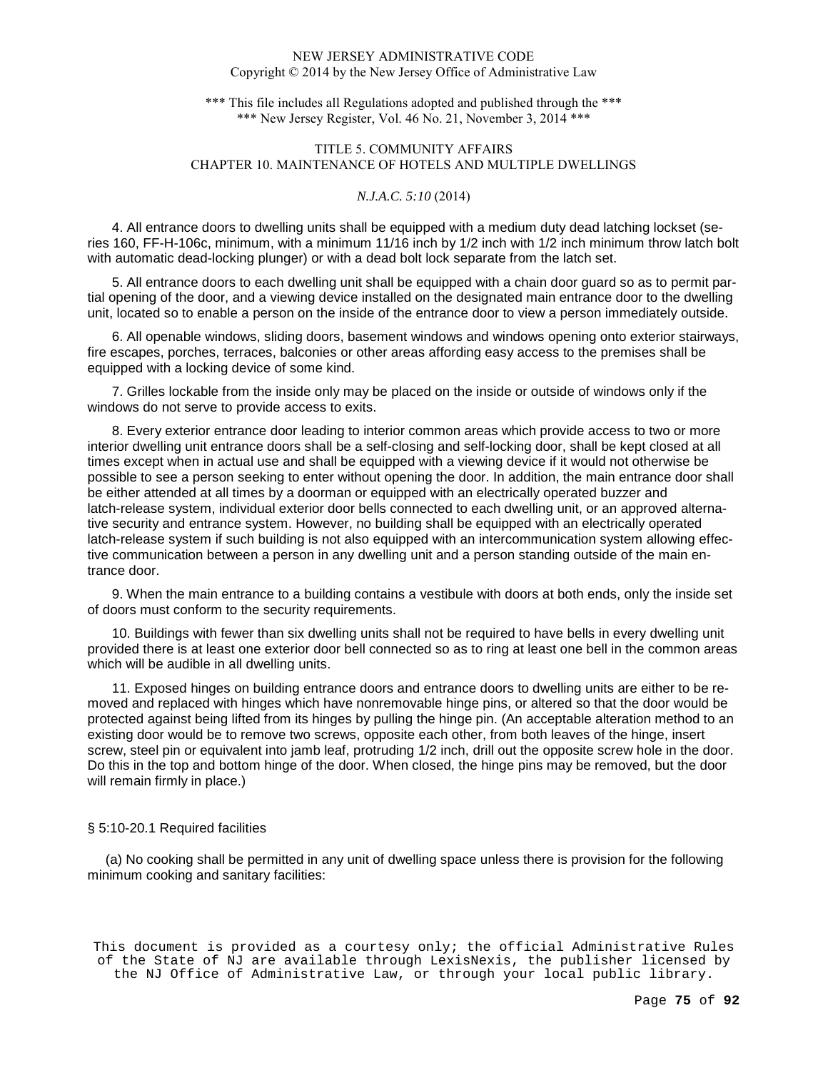\*\*\* This file includes all Regulations adopted and published through the \*\*\* \*\*\* New Jersey Register, Vol. 46 No. 21, November 3, 2014 \*\*\*

## TITLE 5. COMMUNITY AFFAIRS CHAPTER 10. MAINTENANCE OF HOTELS AND MULTIPLE DWELLINGS

### *N.J.A.C. 5:10* (2014)

4. All entrance doors to dwelling units shall be equipped with a medium duty dead latching lockset (series 160, FF-H-106c, minimum, with a minimum 11/16 inch by 1/2 inch with 1/2 inch minimum throw latch bolt with automatic dead-locking plunger) or with a dead bolt lock separate from the latch set.

5. All entrance doors to each dwelling unit shall be equipped with a chain door guard so as to permit partial opening of the door, and a viewing device installed on the designated main entrance door to the dwelling unit, located so to enable a person on the inside of the entrance door to view a person immediately outside.

6. All openable windows, sliding doors, basement windows and windows opening onto exterior stairways, fire escapes, porches, terraces, balconies or other areas affording easy access to the premises shall be equipped with a locking device of some kind.

7. Grilles lockable from the inside only may be placed on the inside or outside of windows only if the windows do not serve to provide access to exits.

8. Every exterior entrance door leading to interior common areas which provide access to two or more interior dwelling unit entrance doors shall be a self-closing and self-locking door, shall be kept closed at all times except when in actual use and shall be equipped with a viewing device if it would not otherwise be possible to see a person seeking to enter without opening the door. In addition, the main entrance door shall be either attended at all times by a doorman or equipped with an electrically operated buzzer and latch-release system, individual exterior door bells connected to each dwelling unit, or an approved alternative security and entrance system. However, no building shall be equipped with an electrically operated latch-release system if such building is not also equipped with an intercommunication system allowing effective communication between a person in any dwelling unit and a person standing outside of the main entrance door.

9. When the main entrance to a building contains a vestibule with doors at both ends, only the inside set of doors must conform to the security requirements.

10. Buildings with fewer than six dwelling units shall not be required to have bells in every dwelling unit provided there is at least one exterior door bell connected so as to ring at least one bell in the common areas which will be audible in all dwelling units.

11. Exposed hinges on building entrance doors and entrance doors to dwelling units are either to be removed and replaced with hinges which have nonremovable hinge pins, or altered so that the door would be protected against being lifted from its hinges by pulling the hinge pin. (An acceptable alteration method to an existing door would be to remove two screws, opposite each other, from both leaves of the hinge, insert screw, steel pin or equivalent into jamb leaf, protruding 1/2 inch, drill out the opposite screw hole in the door. Do this in the top and bottom hinge of the door. When closed, the hinge pins may be removed, but the door will remain firmly in place.)

### § 5:10-20.1 Required facilities

 (a) No cooking shall be permitted in any unit of dwelling space unless there is provision for the following minimum cooking and sanitary facilities: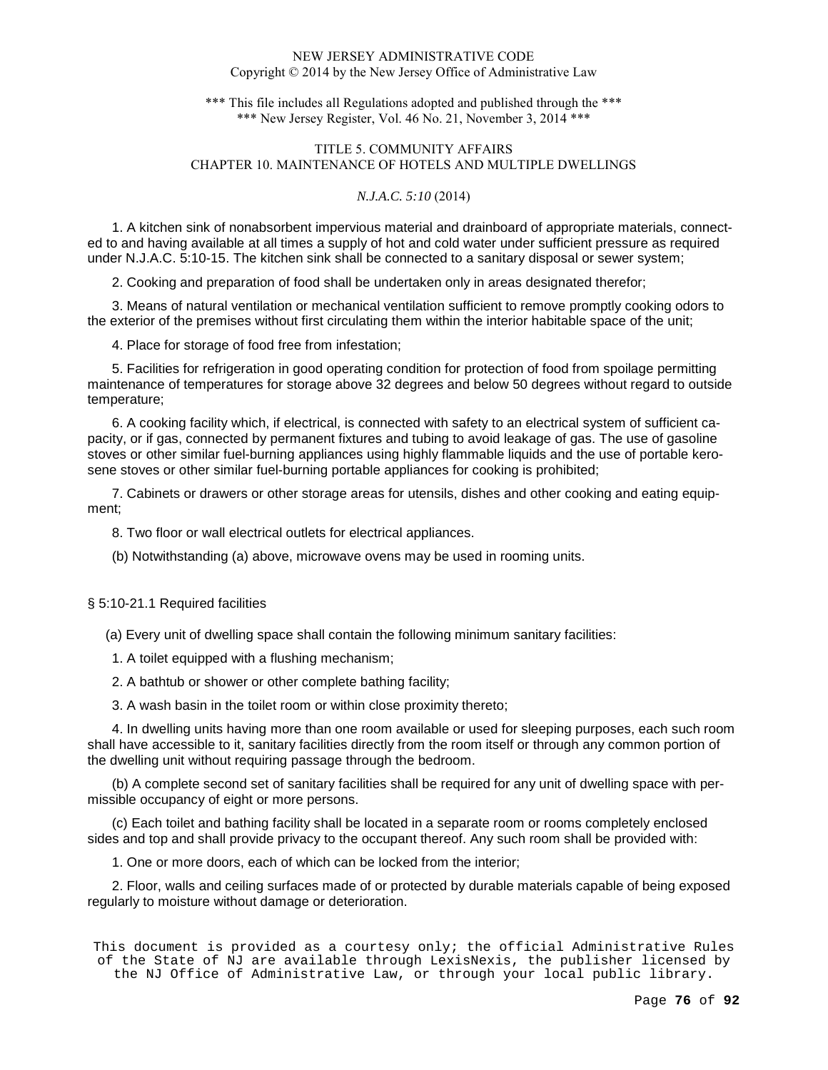\*\*\* This file includes all Regulations adopted and published through the \*\*\* \*\*\* New Jersey Register, Vol. 46 No. 21, November 3, 2014 \*\*\*

# TITLE 5. COMMUNITY AFFAIRS CHAPTER 10. MAINTENANCE OF HOTELS AND MULTIPLE DWELLINGS

### *N.J.A.C. 5:10* (2014)

1. A kitchen sink of nonabsorbent impervious material and drainboard of appropriate materials, connected to and having available at all times a supply of hot and cold water under sufficient pressure as required under N.J.A.C. 5:10-15. The kitchen sink shall be connected to a sanitary disposal or sewer system;

2. Cooking and preparation of food shall be undertaken only in areas designated therefor;

3. Means of natural ventilation or mechanical ventilation sufficient to remove promptly cooking odors to the exterior of the premises without first circulating them within the interior habitable space of the unit;

4. Place for storage of food free from infestation;

5. Facilities for refrigeration in good operating condition for protection of food from spoilage permitting maintenance of temperatures for storage above 32 degrees and below 50 degrees without regard to outside temperature;

6. A cooking facility which, if electrical, is connected with safety to an electrical system of sufficient capacity, or if gas, connected by permanent fixtures and tubing to avoid leakage of gas. The use of gasoline stoves or other similar fuel-burning appliances using highly flammable liquids and the use of portable kerosene stoves or other similar fuel-burning portable appliances for cooking is prohibited;

7. Cabinets or drawers or other storage areas for utensils, dishes and other cooking and eating equipment;

8. Two floor or wall electrical outlets for electrical appliances.

(b) Notwithstanding (a) above, microwave ovens may be used in rooming units.

§ 5:10-21.1 Required facilities

(a) Every unit of dwelling space shall contain the following minimum sanitary facilities:

1. A toilet equipped with a flushing mechanism;

2. A bathtub or shower or other complete bathing facility;

3. A wash basin in the toilet room or within close proximity thereto;

4. In dwelling units having more than one room available or used for sleeping purposes, each such room shall have accessible to it, sanitary facilities directly from the room itself or through any common portion of the dwelling unit without requiring passage through the bedroom.

(b) A complete second set of sanitary facilities shall be required for any unit of dwelling space with permissible occupancy of eight or more persons.

(c) Each toilet and bathing facility shall be located in a separate room or rooms completely enclosed sides and top and shall provide privacy to the occupant thereof. Any such room shall be provided with:

1. One or more doors, each of which can be locked from the interior;

2. Floor, walls and ceiling surfaces made of or protected by durable materials capable of being exposed regularly to moisture without damage or deterioration.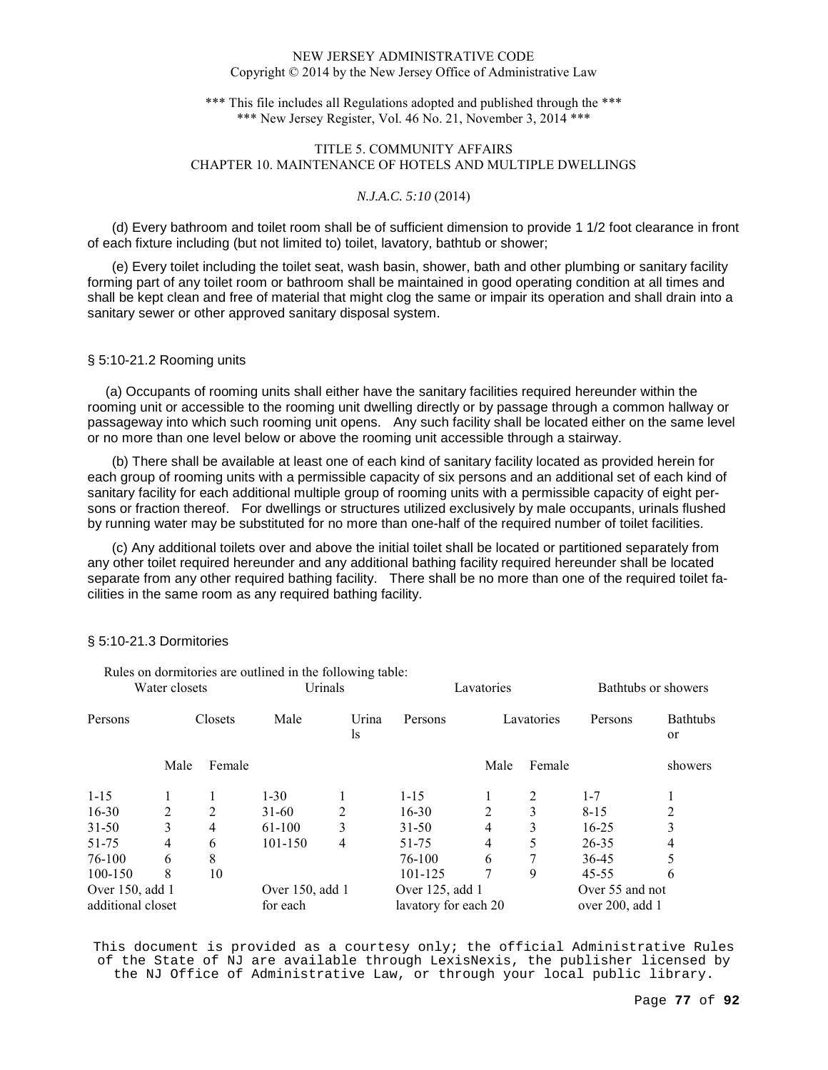\*\*\* This file includes all Regulations adopted and published through the \*\*\* \*\*\* New Jersey Register, Vol. 46 No. 21, November 3, 2014 \*\*\*

# TITLE 5. COMMUNITY AFFAIRS CHAPTER 10. MAINTENANCE OF HOTELS AND MULTIPLE DWELLINGS

## *N.J.A.C. 5:10* (2014)

(d) Every bathroom and toilet room shall be of sufficient dimension to provide 1 1/2 foot clearance in front of each fixture including (but not limited to) toilet, lavatory, bathtub or shower;

(e) Every toilet including the toilet seat, wash basin, shower, bath and other plumbing or sanitary facility forming part of any toilet room or bathroom shall be maintained in good operating condition at all times and shall be kept clean and free of material that might clog the same or impair its operation and shall drain into a sanitary sewer or other approved sanitary disposal system.

## § 5:10-21.2 Rooming units

 (a) Occupants of rooming units shall either have the sanitary facilities required hereunder within the rooming unit or accessible to the rooming unit dwelling directly or by passage through a common hallway or passageway into which such rooming unit opens. Any such facility shall be located either on the same level or no more than one level below or above the rooming unit accessible through a stairway.

(b) There shall be available at least one of each kind of sanitary facility located as provided herein for each group of rooming units with a permissible capacity of six persons and an additional set of each kind of sanitary facility for each additional multiple group of rooming units with a permissible capacity of eight persons or fraction thereof. For dwellings or structures utilized exclusively by male occupants, urinals flushed by running water may be substituted for no more than one-half of the required number of toilet facilities.

(c) Any additional toilets over and above the initial toilet shall be located or partitioned separately from any other toilet required hereunder and any additional bathing facility required hereunder shall be located separate from any other required bathing facility. There shall be no more than one of the required toilet facilities in the same room as any required bathing facility.

|                   |         |         | Rules on dormitories are outlined in the following table: |                |                      |                |                     |                 |                                  |
|-------------------|---------|---------|-----------------------------------------------------------|----------------|----------------------|----------------|---------------------|-----------------|----------------------------------|
| Water closets     |         | Urinals |                                                           | Lavatories     |                      |                | Bathtubs or showers |                 |                                  |
| Persons           | Closets |         | Male                                                      | Urina<br>ls    | Persons              | Lavatories     |                     | Persons         | <b>Bathtubs</b><br><sub>or</sub> |
|                   | Male    | Female  |                                                           |                |                      | Male           | Female              |                 | showers                          |
| $1 - 15$          |         |         | $1-30$                                                    |                | $1 - 15$             |                | 2                   | $1 - 7$         |                                  |
| $16 - 30$         | 2       | 2       | $31-60$                                                   | $\overline{2}$ | $16 - 30$            | $\mathfrak{D}$ | 3                   | $8 - 15$        | 2                                |
| $31 - 50$         | 3       | 4       | 61-100                                                    | 3              | $31 - 50$            | 4              | 3                   | $16-25$         | 3                                |
| 51-75             | 4       | 6       | 101-150                                                   | 4              | 51-75                | 4              | 5                   | $26 - 35$       | 4                                |
| 76-100            | 6       | 8       |                                                           |                | 76-100               | 6              |                     | 36-45           |                                  |
| 100-150           | 8       | 10      |                                                           |                | 101-125              | 7              | 9                   | 45-55           | b                                |
| Over 150, add 1   |         |         | Over 150, add 1                                           |                | Over 125, add 1      |                |                     | Over 55 and not |                                  |
| additional closet |         |         | for each                                                  |                | lavatory for each 20 |                |                     | over 200, add 1 |                                  |

### § 5:10-21.3 Dormitories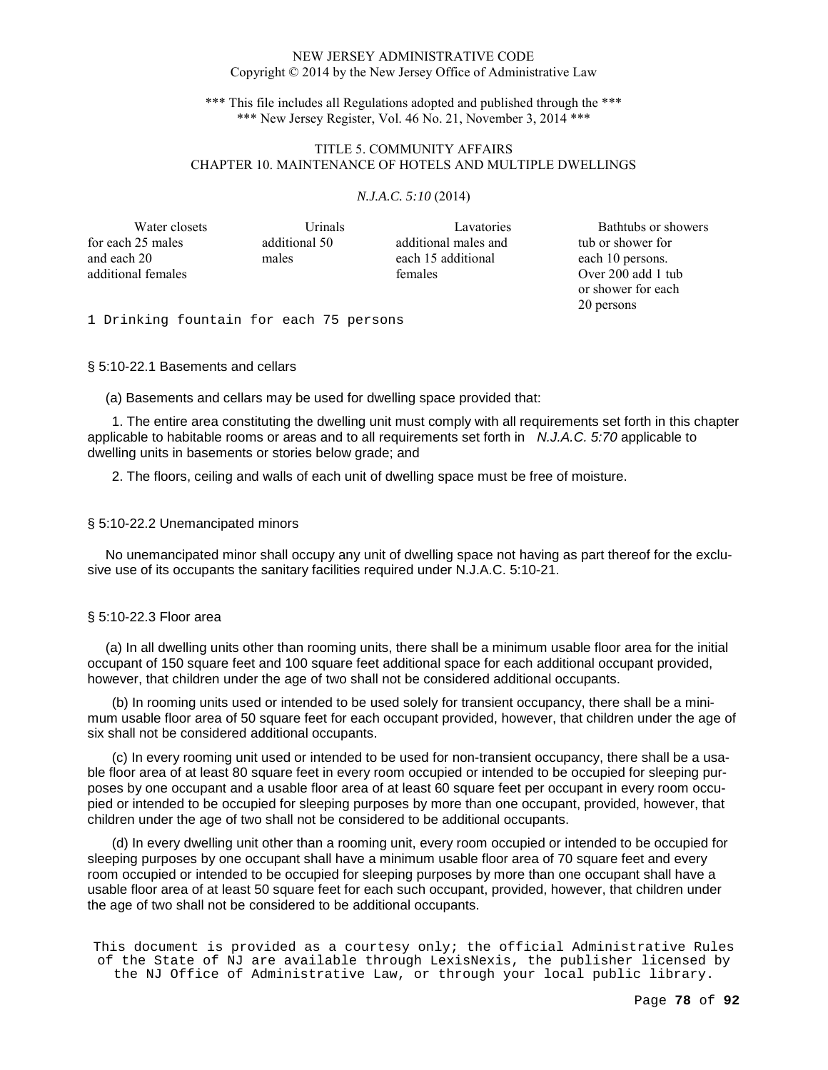\*\*\* This file includes all Regulations adopted and published through the \*\*\* \*\*\* New Jersey Register, Vol. 46 No. 21, November 3, 2014 \*\*\*

## TITLE 5. COMMUNITY AFFAIRS CHAPTER 10. MAINTENANCE OF HOTELS AND MULTIPLE DWELLINGS

### *N.J.A.C. 5:10* (2014)

| Water closets      | Urinals       | Lavatories           | Bathtubs or showers |
|--------------------|---------------|----------------------|---------------------|
| for each 25 males  | additional 50 | additional males and | tub or shower for   |
| and each 20        | males         | each 15 additional   | each 10 persons.    |
| additional females |               | females              | Over 200 add 1 tub  |
|                    |               |                      | or shower for each  |
|                    |               |                      | 20 persons          |

 20 persons 1 Drinking fountain for each 75 persons

#### § 5:10-22.1 Basements and cellars

(a) Basements and cellars may be used for dwelling space provided that:

1. The entire area constituting the dwelling unit must comply with all requirements set forth in this chapter applicable to habitable rooms or areas and to all requirements set forth in N.J.A.C. 5:70 applicable to dwelling units in basements or stories below grade; and

2. The floors, ceiling and walls of each unit of dwelling space must be free of moisture.

#### § 5:10-22.2 Unemancipated minors

 No unemancipated minor shall occupy any unit of dwelling space not having as part thereof for the exclusive use of its occupants the sanitary facilities required under N.J.A.C. 5:10-21.

### § 5:10-22.3 Floor area

 (a) In all dwelling units other than rooming units, there shall be a minimum usable floor area for the initial occupant of 150 square feet and 100 square feet additional space for each additional occupant provided, however, that children under the age of two shall not be considered additional occupants.

(b) In rooming units used or intended to be used solely for transient occupancy, there shall be a minimum usable floor area of 50 square feet for each occupant provided, however, that children under the age of six shall not be considered additional occupants.

(c) In every rooming unit used or intended to be used for non-transient occupancy, there shall be a usable floor area of at least 80 square feet in every room occupied or intended to be occupied for sleeping purposes by one occupant and a usable floor area of at least 60 square feet per occupant in every room occupied or intended to be occupied for sleeping purposes by more than one occupant, provided, however, that children under the age of two shall not be considered to be additional occupants.

(d) In every dwelling unit other than a rooming unit, every room occupied or intended to be occupied for sleeping purposes by one occupant shall have a minimum usable floor area of 70 square feet and every room occupied or intended to be occupied for sleeping purposes by more than one occupant shall have a usable floor area of at least 50 square feet for each such occupant, provided, however, that children under the age of two shall not be considered to be additional occupants.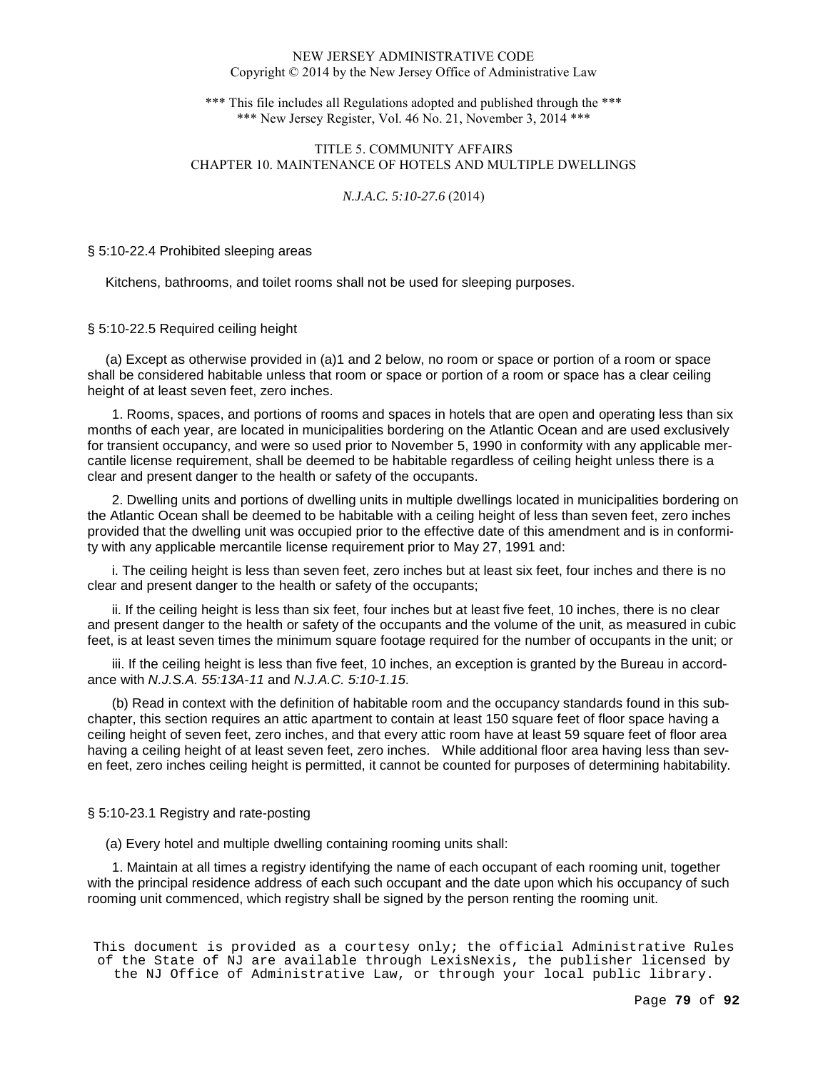\*\*\* This file includes all Regulations adopted and published through the \*\*\* \*\*\* New Jersey Register, Vol. 46 No. 21, November 3, 2014 \*\*\*

## TITLE 5. COMMUNITY AFFAIRS CHAPTER 10. MAINTENANCE OF HOTELS AND MULTIPLE DWELLINGS

### *N.J.A.C. 5:10-27.6* (2014)

#### § 5:10-22.4 Prohibited sleeping areas

Kitchens, bathrooms, and toilet rooms shall not be used for sleeping purposes.

§ 5:10-22.5 Required ceiling height

 (a) Except as otherwise provided in (a)1 and 2 below, no room or space or portion of a room or space shall be considered habitable unless that room or space or portion of a room or space has a clear ceiling height of at least seven feet, zero inches.

1. Rooms, spaces, and portions of rooms and spaces in hotels that are open and operating less than six months of each year, are located in municipalities bordering on the Atlantic Ocean and are used exclusively for transient occupancy, and were so used prior to November 5, 1990 in conformity with any applicable mercantile license requirement, shall be deemed to be habitable regardless of ceiling height unless there is a clear and present danger to the health or safety of the occupants.

2. Dwelling units and portions of dwelling units in multiple dwellings located in municipalities bordering on the Atlantic Ocean shall be deemed to be habitable with a ceiling height of less than seven feet, zero inches provided that the dwelling unit was occupied prior to the effective date of this amendment and is in conformity with any applicable mercantile license requirement prior to May 27, 1991 and:

i. The ceiling height is less than seven feet, zero inches but at least six feet, four inches and there is no clear and present danger to the health or safety of the occupants;

ii. If the ceiling height is less than six feet, four inches but at least five feet, 10 inches, there is no clear and present danger to the health or safety of the occupants and the volume of the unit, as measured in cubic feet, is at least seven times the minimum square footage required for the number of occupants in the unit; or

iii. If the ceiling height is less than five feet, 10 inches, an exception is granted by the Bureau in accordance with N.J.S.A. 55:13A-11 and N.J.A.C. 5:10-1.15.

(b) Read in context with the definition of habitable room and the occupancy standards found in this subchapter, this section requires an attic apartment to contain at least 150 square feet of floor space having a ceiling height of seven feet, zero inches, and that every attic room have at least 59 square feet of floor area having a ceiling height of at least seven feet, zero inches. While additional floor area having less than seven feet, zero inches ceiling height is permitted, it cannot be counted for purposes of determining habitability.

#### § 5:10-23.1 Registry and rate-posting

(a) Every hotel and multiple dwelling containing rooming units shall:

1. Maintain at all times a registry identifying the name of each occupant of each rooming unit, together with the principal residence address of each such occupant and the date upon which his occupancy of such rooming unit commenced, which registry shall be signed by the person renting the rooming unit.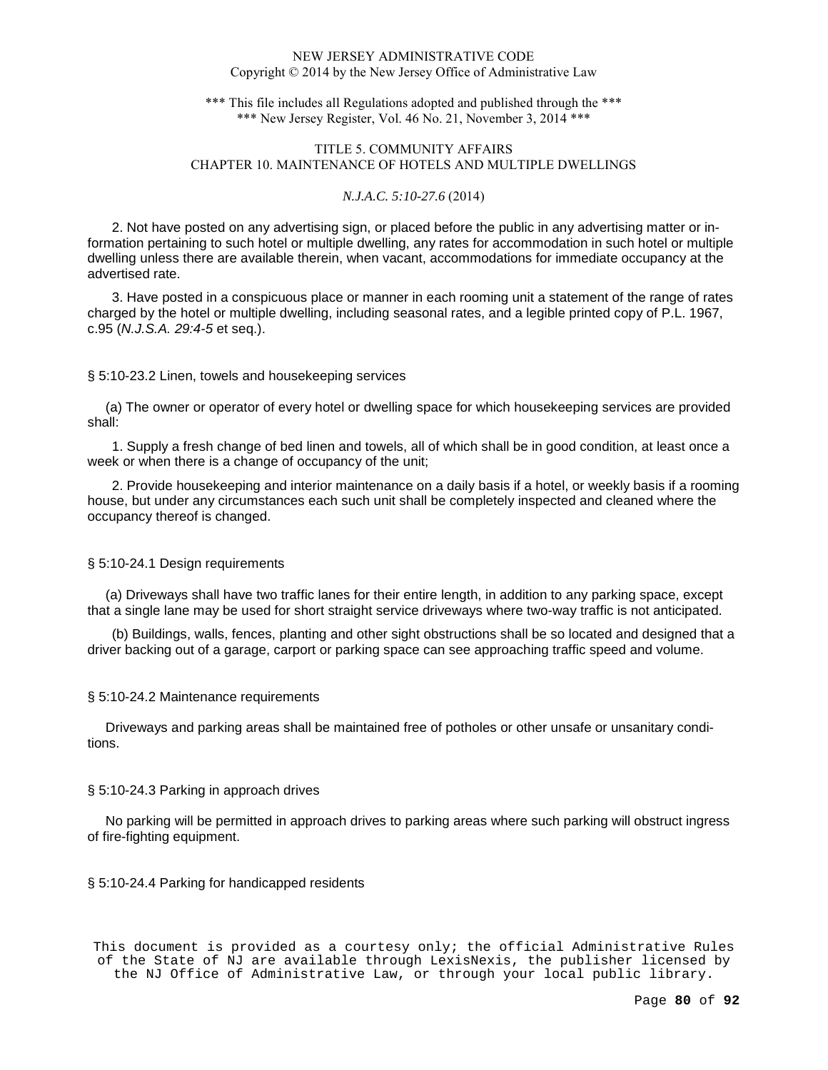\*\*\* This file includes all Regulations adopted and published through the \*\*\* \*\*\* New Jersey Register, Vol. 46 No. 21, November 3, 2014 \*\*\*

# TITLE 5. COMMUNITY AFFAIRS CHAPTER 10. MAINTENANCE OF HOTELS AND MULTIPLE DWELLINGS

#### *N.J.A.C. 5:10-27.6* (2014)

2. Not have posted on any advertising sign, or placed before the public in any advertising matter or information pertaining to such hotel or multiple dwelling, any rates for accommodation in such hotel or multiple dwelling unless there are available therein, when vacant, accommodations for immediate occupancy at the advertised rate.

3. Have posted in a conspicuous place or manner in each rooming unit a statement of the range of rates charged by the hotel or multiple dwelling, including seasonal rates, and a legible printed copy of P.L. 1967, c.95 (N.J.S.A. 29:4-5 et seq.).

#### § 5:10-23.2 Linen, towels and housekeeping services

 (a) The owner or operator of every hotel or dwelling space for which housekeeping services are provided shall:

1. Supply a fresh change of bed linen and towels, all of which shall be in good condition, at least once a week or when there is a change of occupancy of the unit;

2. Provide housekeeping and interior maintenance on a daily basis if a hotel, or weekly basis if a rooming house, but under any circumstances each such unit shall be completely inspected and cleaned where the occupancy thereof is changed.

#### § 5:10-24.1 Design requirements

 (a) Driveways shall have two traffic lanes for their entire length, in addition to any parking space, except that a single lane may be used for short straight service driveways where two-way traffic is not anticipated.

(b) Buildings, walls, fences, planting and other sight obstructions shall be so located and designed that a driver backing out of a garage, carport or parking space can see approaching traffic speed and volume.

#### § 5:10-24.2 Maintenance requirements

 Driveways and parking areas shall be maintained free of potholes or other unsafe or unsanitary conditions.

#### § 5:10-24.3 Parking in approach drives

 No parking will be permitted in approach drives to parking areas where such parking will obstruct ingress of fire-fighting equipment.

### § 5:10-24.4 Parking for handicapped residents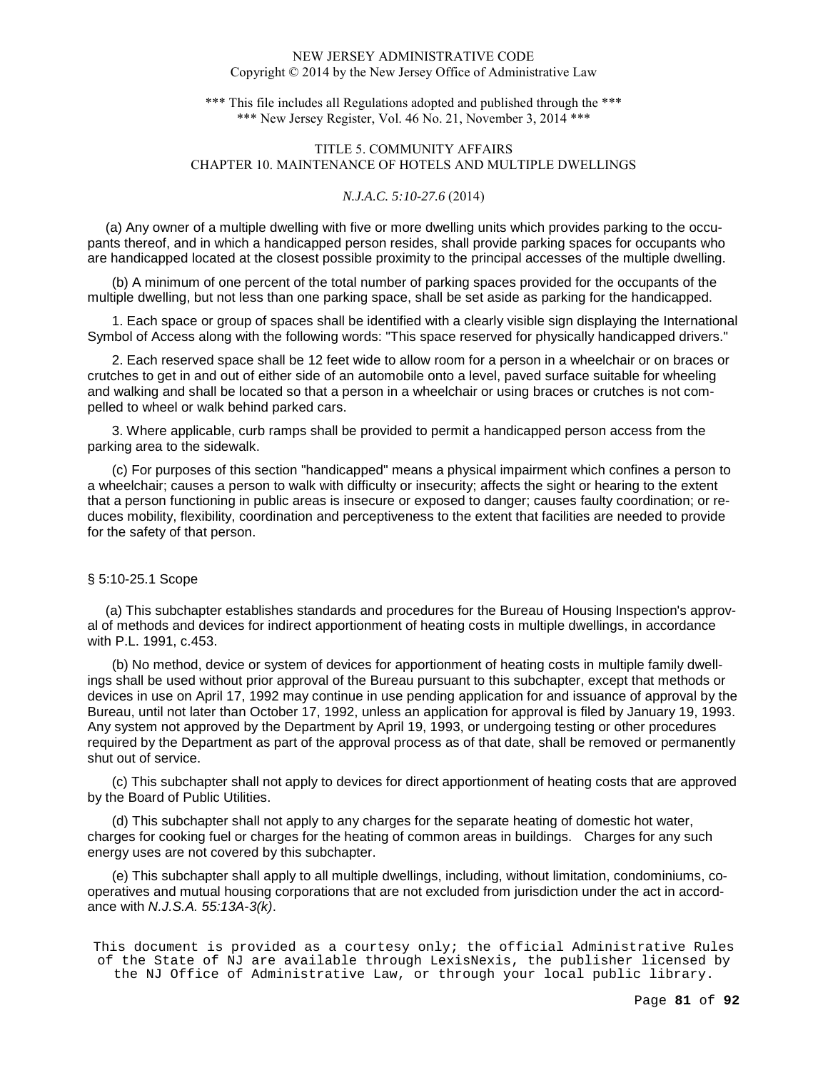\*\*\* This file includes all Regulations adopted and published through the \*\*\* \*\*\* New Jersey Register, Vol. 46 No. 21, November 3, 2014 \*\*\*

# TITLE 5. COMMUNITY AFFAIRS CHAPTER 10. MAINTENANCE OF HOTELS AND MULTIPLE DWELLINGS

#### *N.J.A.C. 5:10-27.6* (2014)

 (a) Any owner of a multiple dwelling with five or more dwelling units which provides parking to the occupants thereof, and in which a handicapped person resides, shall provide parking spaces for occupants who are handicapped located at the closest possible proximity to the principal accesses of the multiple dwelling.

(b) A minimum of one percent of the total number of parking spaces provided for the occupants of the multiple dwelling, but not less than one parking space, shall be set aside as parking for the handicapped.

1. Each space or group of spaces shall be identified with a clearly visible sign displaying the International Symbol of Access along with the following words: "This space reserved for physically handicapped drivers."

2. Each reserved space shall be 12 feet wide to allow room for a person in a wheelchair or on braces or crutches to get in and out of either side of an automobile onto a level, paved surface suitable for wheeling and walking and shall be located so that a person in a wheelchair or using braces or crutches is not compelled to wheel or walk behind parked cars.

3. Where applicable, curb ramps shall be provided to permit a handicapped person access from the parking area to the sidewalk.

(c) For purposes of this section "handicapped" means a physical impairment which confines a person to a wheelchair; causes a person to walk with difficulty or insecurity; affects the sight or hearing to the extent that a person functioning in public areas is insecure or exposed to danger; causes faulty coordination; or reduces mobility, flexibility, coordination and perceptiveness to the extent that facilities are needed to provide for the safety of that person.

## § 5:10-25.1 Scope

 (a) This subchapter establishes standards and procedures for the Bureau of Housing Inspection's approval of methods and devices for indirect apportionment of heating costs in multiple dwellings, in accordance with P.L. 1991, c.453.

(b) No method, device or system of devices for apportionment of heating costs in multiple family dwellings shall be used without prior approval of the Bureau pursuant to this subchapter, except that methods or devices in use on April 17, 1992 may continue in use pending application for and issuance of approval by the Bureau, until not later than October 17, 1992, unless an application for approval is filed by January 19, 1993. Any system not approved by the Department by April 19, 1993, or undergoing testing or other procedures required by the Department as part of the approval process as of that date, shall be removed or permanently shut out of service.

(c) This subchapter shall not apply to devices for direct apportionment of heating costs that are approved by the Board of Public Utilities.

(d) This subchapter shall not apply to any charges for the separate heating of domestic hot water, charges for cooking fuel or charges for the heating of common areas in buildings. Charges for any such energy uses are not covered by this subchapter.

(e) This subchapter shall apply to all multiple dwellings, including, without limitation, condominiums, cooperatives and mutual housing corporations that are not excluded from jurisdiction under the act in accordance with N.J.S.A. 55:13A-3(k).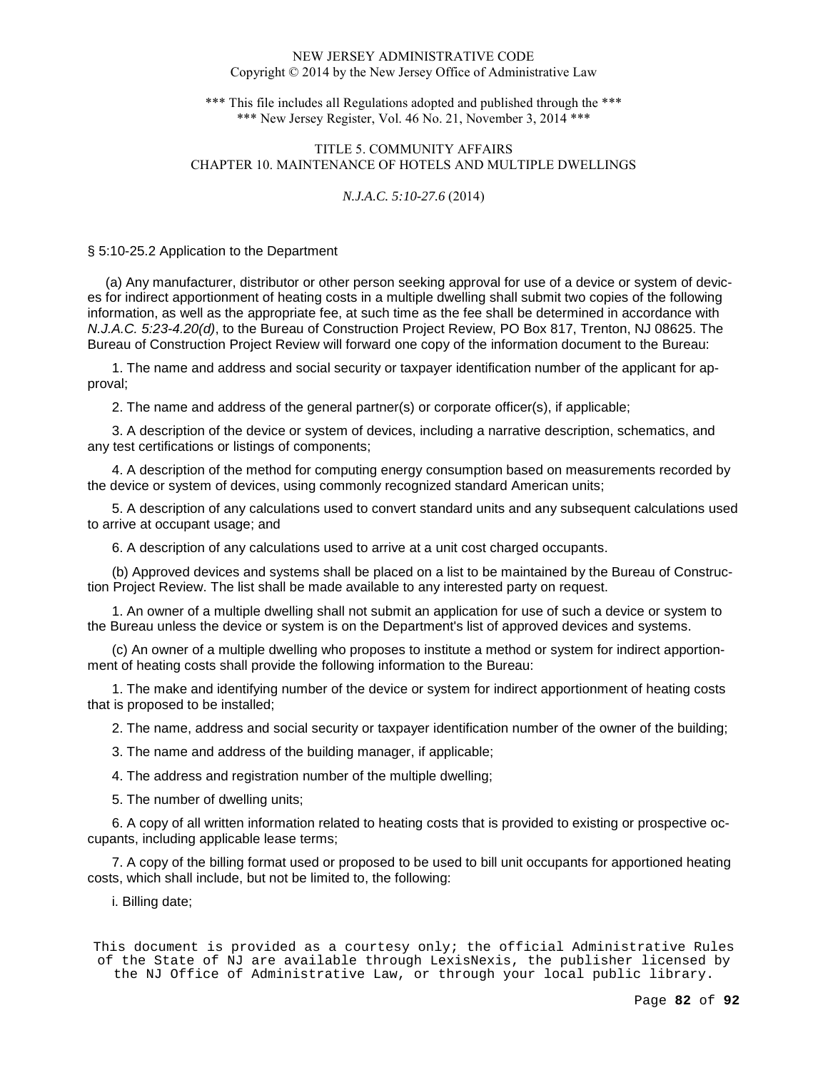\*\*\* This file includes all Regulations adopted and published through the \*\*\* \*\*\* New Jersey Register, Vol. 46 No. 21, November 3, 2014 \*\*\*

## TITLE 5. COMMUNITY AFFAIRS CHAPTER 10. MAINTENANCE OF HOTELS AND MULTIPLE DWELLINGS

### *N.J.A.C. 5:10-27.6* (2014)

#### § 5:10-25.2 Application to the Department

 (a) Any manufacturer, distributor or other person seeking approval for use of a device or system of devices for indirect apportionment of heating costs in a multiple dwelling shall submit two copies of the following information, as well as the appropriate fee, at such time as the fee shall be determined in accordance with N.J.A.C. 5:23-4.20(d), to the Bureau of Construction Project Review, PO Box 817, Trenton, NJ 08625. The Bureau of Construction Project Review will forward one copy of the information document to the Bureau:

1. The name and address and social security or taxpayer identification number of the applicant for approval;

2. The name and address of the general partner(s) or corporate officer(s), if applicable;

3. A description of the device or system of devices, including a narrative description, schematics, and any test certifications or listings of components;

4. A description of the method for computing energy consumption based on measurements recorded by the device or system of devices, using commonly recognized standard American units;

5. A description of any calculations used to convert standard units and any subsequent calculations used to arrive at occupant usage; and

6. A description of any calculations used to arrive at a unit cost charged occupants.

(b) Approved devices and systems shall be placed on a list to be maintained by the Bureau of Construction Project Review. The list shall be made available to any interested party on request.

1. An owner of a multiple dwelling shall not submit an application for use of such a device or system to the Bureau unless the device or system is on the Department's list of approved devices and systems.

(c) An owner of a multiple dwelling who proposes to institute a method or system for indirect apportionment of heating costs shall provide the following information to the Bureau:

1. The make and identifying number of the device or system for indirect apportionment of heating costs that is proposed to be installed;

2. The name, address and social security or taxpayer identification number of the owner of the building;

3. The name and address of the building manager, if applicable;

4. The address and registration number of the multiple dwelling;

5. The number of dwelling units;

6. A copy of all written information related to heating costs that is provided to existing or prospective occupants, including applicable lease terms;

7. A copy of the billing format used or proposed to be used to bill unit occupants for apportioned heating costs, which shall include, but not be limited to, the following:

i. Billing date;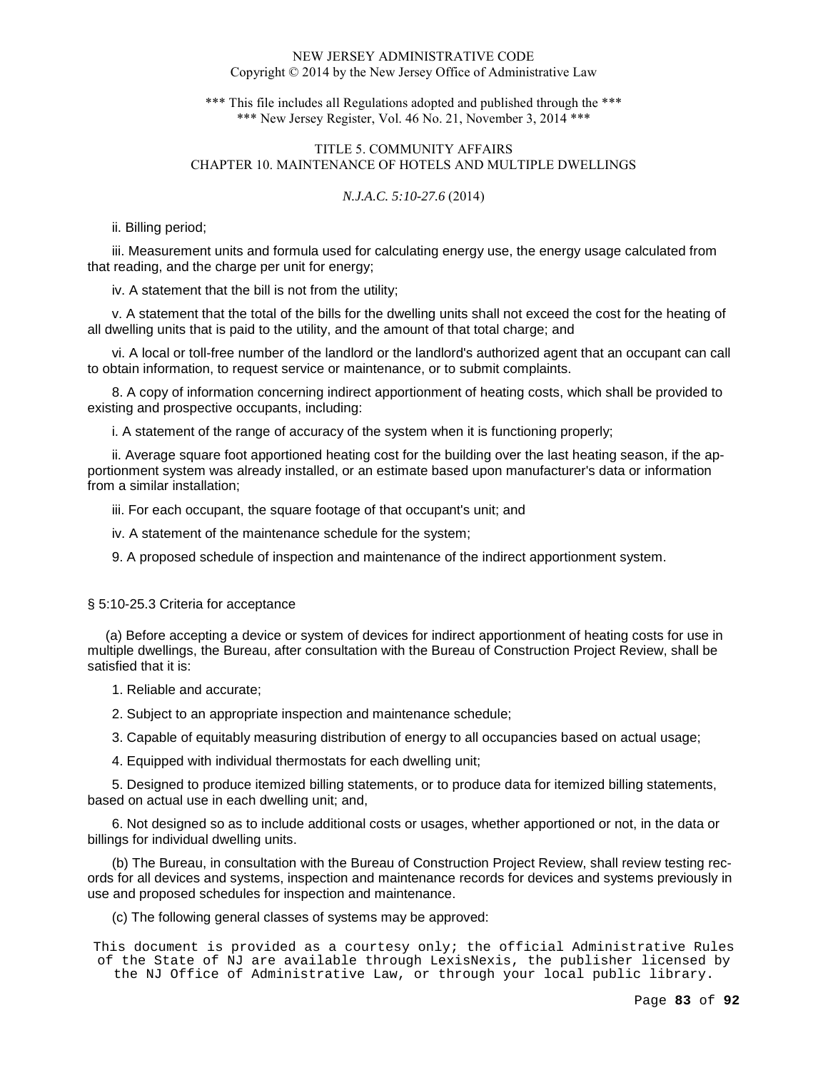\*\*\* This file includes all Regulations adopted and published through the \*\*\* \*\*\* New Jersey Register, Vol. 46 No. 21, November 3, 2014 \*\*\*

# TITLE 5. COMMUNITY AFFAIRS CHAPTER 10. MAINTENANCE OF HOTELS AND MULTIPLE DWELLINGS

### *N.J.A.C. 5:10-27.6* (2014)

ii. Billing period;

iii. Measurement units and formula used for calculating energy use, the energy usage calculated from that reading, and the charge per unit for energy;

iv. A statement that the bill is not from the utility;

v. A statement that the total of the bills for the dwelling units shall not exceed the cost for the heating of all dwelling units that is paid to the utility, and the amount of that total charge; and

vi. A local or toll-free number of the landlord or the landlord's authorized agent that an occupant can call to obtain information, to request service or maintenance, or to submit complaints.

8. A copy of information concerning indirect apportionment of heating costs, which shall be provided to existing and prospective occupants, including:

i. A statement of the range of accuracy of the system when it is functioning properly;

ii. Average square foot apportioned heating cost for the building over the last heating season, if the apportionment system was already installed, or an estimate based upon manufacturer's data or information from a similar installation;

iii. For each occupant, the square footage of that occupant's unit; and

iv. A statement of the maintenance schedule for the system;

9. A proposed schedule of inspection and maintenance of the indirect apportionment system.

### § 5:10-25.3 Criteria for acceptance

 (a) Before accepting a device or system of devices for indirect apportionment of heating costs for use in multiple dwellings, the Bureau, after consultation with the Bureau of Construction Project Review, shall be satisfied that it is:

1. Reliable and accurate;

2. Subject to an appropriate inspection and maintenance schedule;

3. Capable of equitably measuring distribution of energy to all occupancies based on actual usage;

4. Equipped with individual thermostats for each dwelling unit;

5. Designed to produce itemized billing statements, or to produce data for itemized billing statements, based on actual use in each dwelling unit; and,

6. Not designed so as to include additional costs or usages, whether apportioned or not, in the data or billings for individual dwelling units.

(b) The Bureau, in consultation with the Bureau of Construction Project Review, shall review testing records for all devices and systems, inspection and maintenance records for devices and systems previously in use and proposed schedules for inspection and maintenance.

(c) The following general classes of systems may be approved: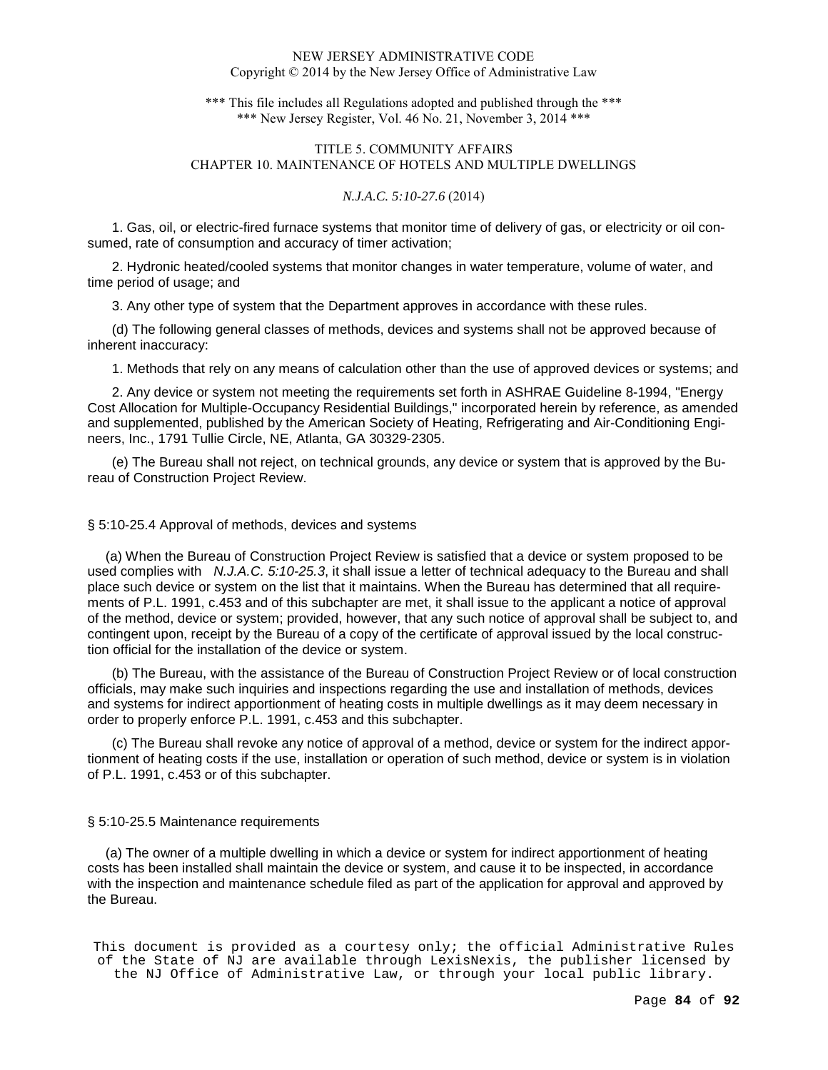\*\*\* This file includes all Regulations adopted and published through the \*\*\* \*\*\* New Jersey Register, Vol. 46 No. 21, November 3, 2014 \*\*\*

# TITLE 5. COMMUNITY AFFAIRS CHAPTER 10. MAINTENANCE OF HOTELS AND MULTIPLE DWELLINGS

#### *N.J.A.C. 5:10-27.6* (2014)

1. Gas, oil, or electric-fired furnace systems that monitor time of delivery of gas, or electricity or oil consumed, rate of consumption and accuracy of timer activation;

2. Hydronic heated/cooled systems that monitor changes in water temperature, volume of water, and time period of usage; and

3. Any other type of system that the Department approves in accordance with these rules.

(d) The following general classes of methods, devices and systems shall not be approved because of inherent inaccuracy:

1. Methods that rely on any means of calculation other than the use of approved devices or systems; and

2. Any device or system not meeting the requirements set forth in ASHRAE Guideline 8-1994, "Energy Cost Allocation for Multiple-Occupancy Residential Buildings," incorporated herein by reference, as amended and supplemented, published by the American Society of Heating, Refrigerating and Air-Conditioning Engineers, Inc., 1791 Tullie Circle, NE, Atlanta, GA 30329-2305.

(e) The Bureau shall not reject, on technical grounds, any device or system that is approved by the Bureau of Construction Project Review.

#### § 5:10-25.4 Approval of methods, devices and systems

 (a) When the Bureau of Construction Project Review is satisfied that a device or system proposed to be used complies with N.J.A.C. 5:10-25.3, it shall issue a letter of technical adequacy to the Bureau and shall place such device or system on the list that it maintains. When the Bureau has determined that all requirements of P.L. 1991, c.453 and of this subchapter are met, it shall issue to the applicant a notice of approval of the method, device or system; provided, however, that any such notice of approval shall be subject to, and contingent upon, receipt by the Bureau of a copy of the certificate of approval issued by the local construction official for the installation of the device or system.

(b) The Bureau, with the assistance of the Bureau of Construction Project Review or of local construction officials, may make such inquiries and inspections regarding the use and installation of methods, devices and systems for indirect apportionment of heating costs in multiple dwellings as it may deem necessary in order to properly enforce P.L. 1991, c.453 and this subchapter.

(c) The Bureau shall revoke any notice of approval of a method, device or system for the indirect apportionment of heating costs if the use, installation or operation of such method, device or system is in violation of P.L. 1991, c.453 or of this subchapter.

#### § 5:10-25.5 Maintenance requirements

 (a) The owner of a multiple dwelling in which a device or system for indirect apportionment of heating costs has been installed shall maintain the device or system, and cause it to be inspected, in accordance with the inspection and maintenance schedule filed as part of the application for approval and approved by the Bureau.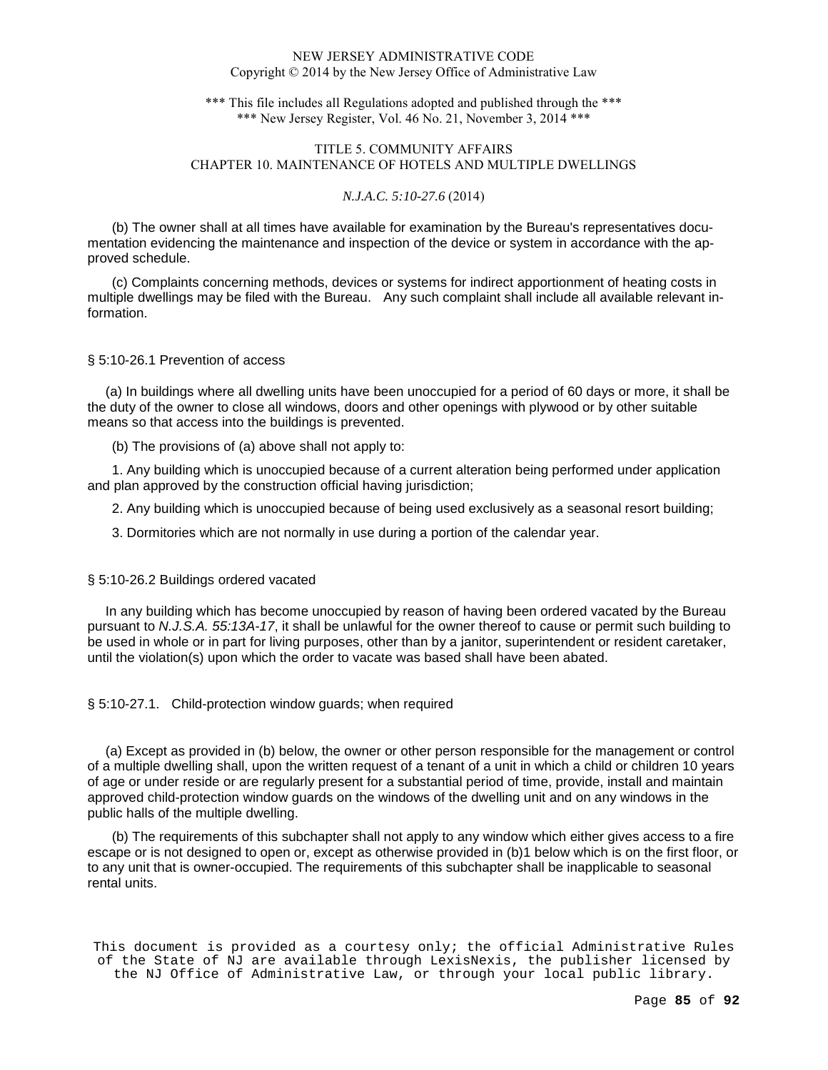\*\*\* This file includes all Regulations adopted and published through the \*\*\* \*\*\* New Jersey Register, Vol. 46 No. 21, November 3, 2014 \*\*\*

## TITLE 5. COMMUNITY AFFAIRS CHAPTER 10. MAINTENANCE OF HOTELS AND MULTIPLE DWELLINGS

#### *N.J.A.C. 5:10-27.6* (2014)

(b) The owner shall at all times have available for examination by the Bureau's representatives documentation evidencing the maintenance and inspection of the device or system in accordance with the approved schedule.

(c) Complaints concerning methods, devices or systems for indirect apportionment of heating costs in multiple dwellings may be filed with the Bureau. Any such complaint shall include all available relevant information.

#### § 5:10-26.1 Prevention of access

 (a) In buildings where all dwelling units have been unoccupied for a period of 60 days or more, it shall be the duty of the owner to close all windows, doors and other openings with plywood or by other suitable means so that access into the buildings is prevented.

(b) The provisions of (a) above shall not apply to:

1. Any building which is unoccupied because of a current alteration being performed under application and plan approved by the construction official having jurisdiction;

2. Any building which is unoccupied because of being used exclusively as a seasonal resort building;

3. Dormitories which are not normally in use during a portion of the calendar year.

### § 5:10-26.2 Buildings ordered vacated

 In any building which has become unoccupied by reason of having been ordered vacated by the Bureau pursuant to N.J.S.A. 55:13A-17, it shall be unlawful for the owner thereof to cause or permit such building to be used in whole or in part for living purposes, other than by a janitor, superintendent or resident caretaker, until the violation(s) upon which the order to vacate was based shall have been abated.

§ 5:10-27.1. Child-protection window guards; when required

 (a) Except as provided in (b) below, the owner or other person responsible for the management or control of a multiple dwelling shall, upon the written request of a tenant of a unit in which a child or children 10 years of age or under reside or are regularly present for a substantial period of time, provide, install and maintain approved child-protection window guards on the windows of the dwelling unit and on any windows in the public halls of the multiple dwelling.

(b) The requirements of this subchapter shall not apply to any window which either gives access to a fire escape or is not designed to open or, except as otherwise provided in (b)1 below which is on the first floor, or to any unit that is owner-occupied. The requirements of this subchapter shall be inapplicable to seasonal rental units.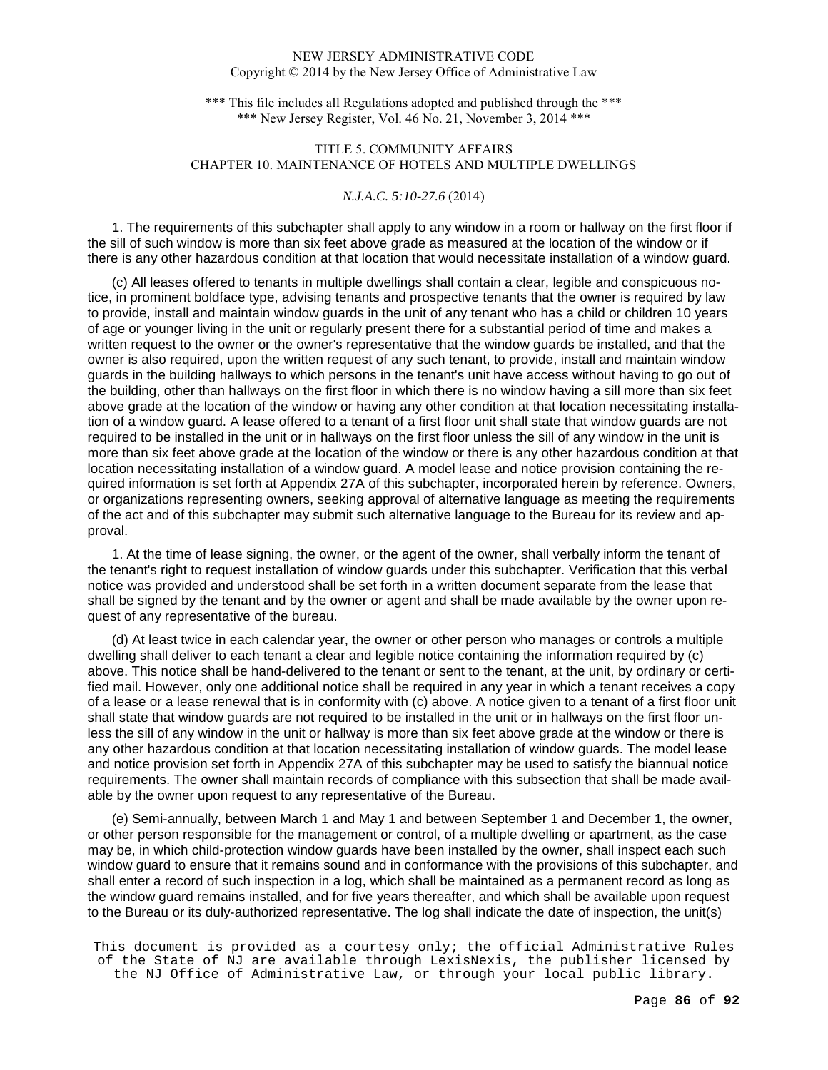\*\*\* This file includes all Regulations adopted and published through the \*\*\* \*\*\* New Jersey Register, Vol. 46 No. 21, November 3, 2014 \*\*\*

# TITLE 5. COMMUNITY AFFAIRS CHAPTER 10. MAINTENANCE OF HOTELS AND MULTIPLE DWELLINGS

### *N.J.A.C. 5:10-27.6* (2014)

1. The requirements of this subchapter shall apply to any window in a room or hallway on the first floor if the sill of such window is more than six feet above grade as measured at the location of the window or if there is any other hazardous condition at that location that would necessitate installation of a window guard.

(c) All leases offered to tenants in multiple dwellings shall contain a clear, legible and conspicuous notice, in prominent boldface type, advising tenants and prospective tenants that the owner is required by law to provide, install and maintain window guards in the unit of any tenant who has a child or children 10 years of age or younger living in the unit or regularly present there for a substantial period of time and makes a written request to the owner or the owner's representative that the window guards be installed, and that the owner is also required, upon the written request of any such tenant, to provide, install and maintain window guards in the building hallways to which persons in the tenant's unit have access without having to go out of the building, other than hallways on the first floor in which there is no window having a sill more than six feet above grade at the location of the window or having any other condition at that location necessitating installation of a window guard. A lease offered to a tenant of a first floor unit shall state that window guards are not required to be installed in the unit or in hallways on the first floor unless the sill of any window in the unit is more than six feet above grade at the location of the window or there is any other hazardous condition at that location necessitating installation of a window guard. A model lease and notice provision containing the required information is set forth at Appendix 27A of this subchapter, incorporated herein by reference. Owners, or organizations representing owners, seeking approval of alternative language as meeting the requirements of the act and of this subchapter may submit such alternative language to the Bureau for its review and approval.

1. At the time of lease signing, the owner, or the agent of the owner, shall verbally inform the tenant of the tenant's right to request installation of window guards under this subchapter. Verification that this verbal notice was provided and understood shall be set forth in a written document separate from the lease that shall be signed by the tenant and by the owner or agent and shall be made available by the owner upon request of any representative of the bureau.

(d) At least twice in each calendar year, the owner or other person who manages or controls a multiple dwelling shall deliver to each tenant a clear and legible notice containing the information required by (c) above. This notice shall be hand-delivered to the tenant or sent to the tenant, at the unit, by ordinary or certified mail. However, only one additional notice shall be required in any year in which a tenant receives a copy of a lease or a lease renewal that is in conformity with (c) above. A notice given to a tenant of a first floor unit shall state that window guards are not required to be installed in the unit or in hallways on the first floor unless the sill of any window in the unit or hallway is more than six feet above grade at the window or there is any other hazardous condition at that location necessitating installation of window guards. The model lease and notice provision set forth in Appendix 27A of this subchapter may be used to satisfy the biannual notice requirements. The owner shall maintain records of compliance with this subsection that shall be made available by the owner upon request to any representative of the Bureau.

(e) Semi-annually, between March 1 and May 1 and between September 1 and December 1, the owner, or other person responsible for the management or control, of a multiple dwelling or apartment, as the case may be, in which child-protection window guards have been installed by the owner, shall inspect each such window guard to ensure that it remains sound and in conformance with the provisions of this subchapter, and shall enter a record of such inspection in a log, which shall be maintained as a permanent record as long as the window guard remains installed, and for five years thereafter, and which shall be available upon request to the Bureau or its duly-authorized representative. The log shall indicate the date of inspection, the unit(s)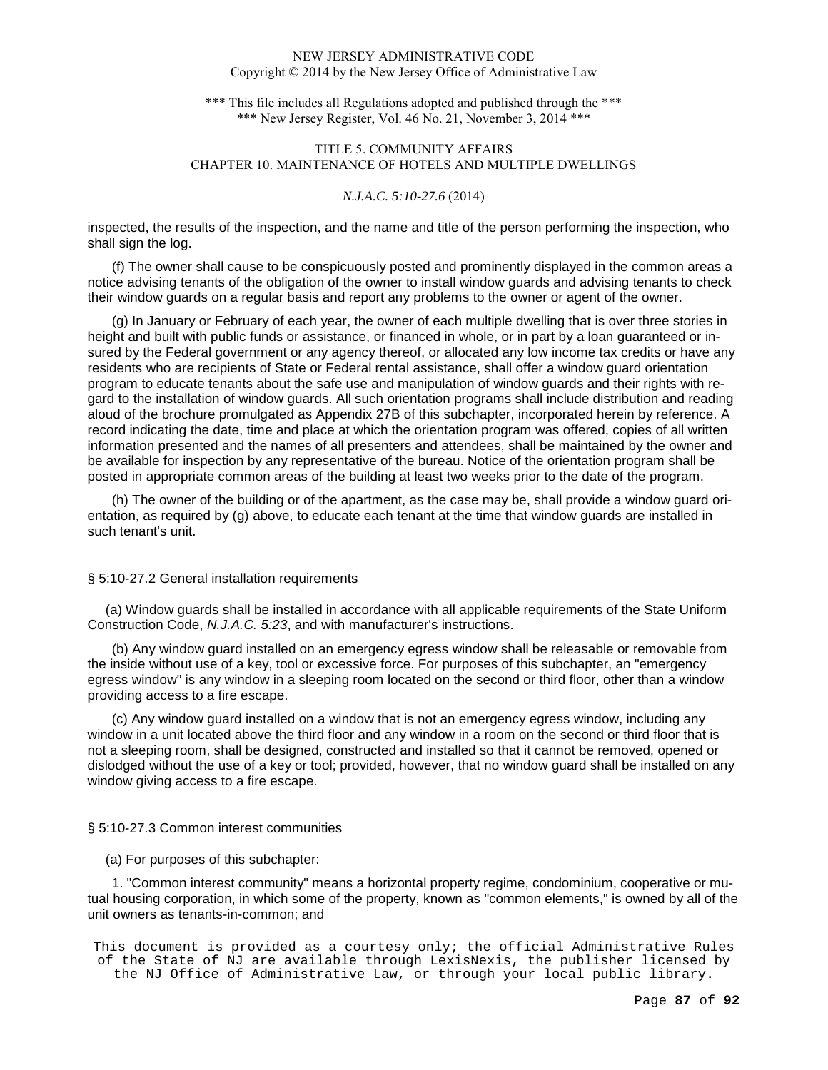\*\*\* This file includes all Regulations adopted and published through the \*\*\* \*\*\* New Jersey Register, Vol. 46 No. 21, November 3, 2014 \*\*\*

# TITLE 5. COMMUNITY AFFAIRS CHAPTER 10. MAINTENANCE OF HOTELS AND MULTIPLE DWELLINGS

### *N.J.A.C. 5:10-27.6* (2014)

inspected, the results of the inspection, and the name and title of the person performing the inspection, who shall sign the log.

(f) The owner shall cause to be conspicuously posted and prominently displayed in the common areas a notice advising tenants of the obligation of the owner to install window guards and advising tenants to check their window guards on a regular basis and report any problems to the owner or agent of the owner.

(g) In January or February of each year, the owner of each multiple dwelling that is over three stories in height and built with public funds or assistance, or financed in whole, or in part by a loan guaranteed or insured by the Federal government or any agency thereof, or allocated any low income tax credits or have any residents who are recipients of State or Federal rental assistance, shall offer a window guard orientation program to educate tenants about the safe use and manipulation of window guards and their rights with regard to the installation of window guards. All such orientation programs shall include distribution and reading aloud of the brochure promulgated as Appendix 27B of this subchapter, incorporated herein by reference. A record indicating the date, time and place at which the orientation program was offered, copies of all written information presented and the names of all presenters and attendees, shall be maintained by the owner and be available for inspection by any representative of the bureau. Notice of the orientation program shall be posted in appropriate common areas of the building at least two weeks prior to the date of the program.

(h) The owner of the building or of the apartment, as the case may be, shall provide a window guard orientation, as required by (g) above, to educate each tenant at the time that window guards are installed in such tenant's unit.

### § 5:10-27.2 General installation requirements

 (a) Window guards shall be installed in accordance with all applicable requirements of the State Uniform Construction Code, N.J.A.C. 5:23, and with manufacturer's instructions.

(b) Any window guard installed on an emergency egress window shall be releasable or removable from the inside without use of a key, tool or excessive force. For purposes of this subchapter, an "emergency egress window" is any window in a sleeping room located on the second or third floor, other than a window providing access to a fire escape.

(c) Any window guard installed on a window that is not an emergency egress window, including any window in a unit located above the third floor and any window in a room on the second or third floor that is not a sleeping room, shall be designed, constructed and installed so that it cannot be removed, opened or dislodged without the use of a key or tool; provided, however, that no window guard shall be installed on any window giving access to a fire escape.

### § 5:10-27.3 Common interest communities

(a) For purposes of this subchapter:

1. "Common interest community" means a horizontal property regime, condominium, cooperative or mutual housing corporation, in which some of the property, known as "common elements," is owned by all of the unit owners as tenants-in-common; and

```
This document is provided as a courtesy only; the official Administrative Rules 
of the State of NJ are available through LexisNexis, the publisher licensed by 
  the NJ Office of Administrative Law, or through your local public library.
```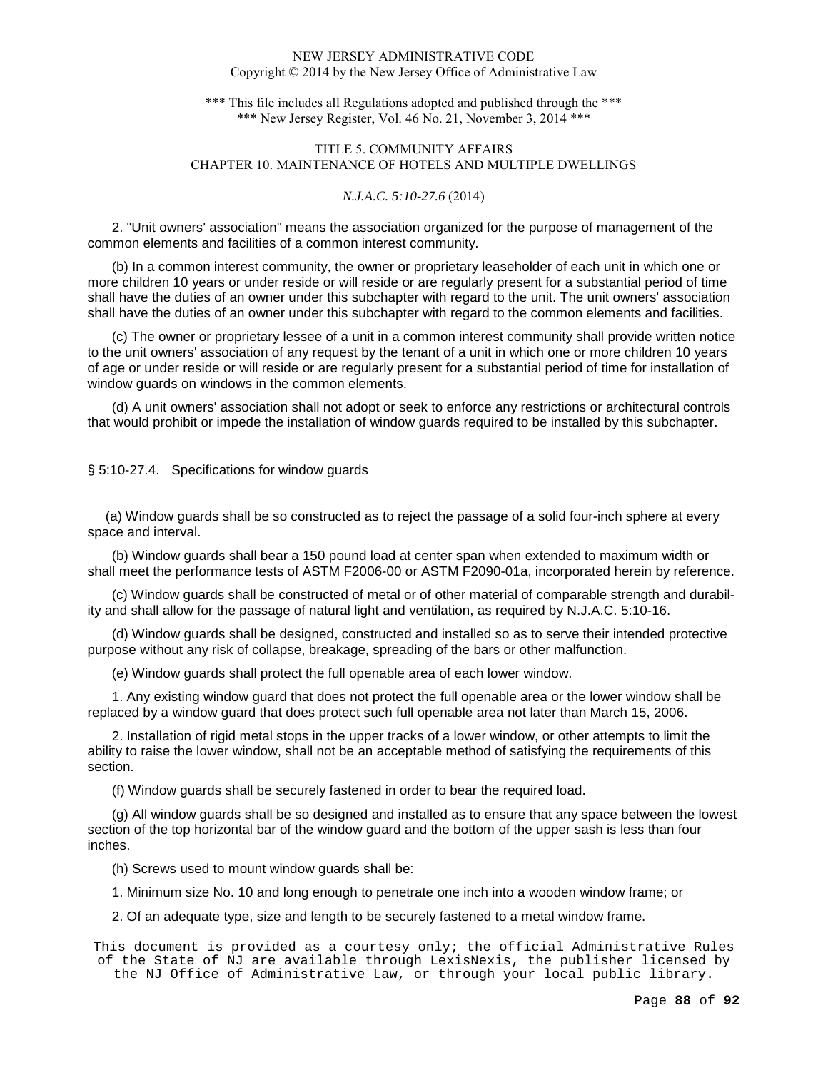\*\*\* This file includes all Regulations adopted and published through the \*\*\* \*\*\* New Jersey Register, Vol. 46 No. 21, November 3, 2014 \*\*\*

## TITLE 5. COMMUNITY AFFAIRS CHAPTER 10. MAINTENANCE OF HOTELS AND MULTIPLE DWELLINGS

#### *N.J.A.C. 5:10-27.6* (2014)

2. "Unit owners' association" means the association organized for the purpose of management of the common elements and facilities of a common interest community.

(b) In a common interest community, the owner or proprietary leaseholder of each unit in which one or more children 10 years or under reside or will reside or are regularly present for a substantial period of time shall have the duties of an owner under this subchapter with regard to the unit. The unit owners' association shall have the duties of an owner under this subchapter with regard to the common elements and facilities.

(c) The owner or proprietary lessee of a unit in a common interest community shall provide written notice to the unit owners' association of any request by the tenant of a unit in which one or more children 10 years of age or under reside or will reside or are regularly present for a substantial period of time for installation of window guards on windows in the common elements.

(d) A unit owners' association shall not adopt or seek to enforce any restrictions or architectural controls that would prohibit or impede the installation of window guards required to be installed by this subchapter.

§ 5:10-27.4. Specifications for window guards

 (a) Window guards shall be so constructed as to reject the passage of a solid four-inch sphere at every space and interval.

(b) Window guards shall bear a 150 pound load at center span when extended to maximum width or shall meet the performance tests of ASTM F2006-00 or ASTM F2090-01a, incorporated herein by reference.

(c) Window guards shall be constructed of metal or of other material of comparable strength and durability and shall allow for the passage of natural light and ventilation, as required by N.J.A.C. 5:10-16.

(d) Window guards shall be designed, constructed and installed so as to serve their intended protective purpose without any risk of collapse, breakage, spreading of the bars or other malfunction.

(e) Window guards shall protect the full openable area of each lower window.

1. Any existing window guard that does not protect the full openable area or the lower window shall be replaced by a window guard that does protect such full openable area not later than March 15, 2006.

2. Installation of rigid metal stops in the upper tracks of a lower window, or other attempts to limit the ability to raise the lower window, shall not be an acceptable method of satisfying the requirements of this section.

(f) Window guards shall be securely fastened in order to bear the required load.

(g) All window guards shall be so designed and installed as to ensure that any space between the lowest section of the top horizontal bar of the window guard and the bottom of the upper sash is less than four inches.

(h) Screws used to mount window guards shall be:

1. Minimum size No. 10 and long enough to penetrate one inch into a wooden window frame; or

2. Of an adequate type, size and length to be securely fastened to a metal window frame.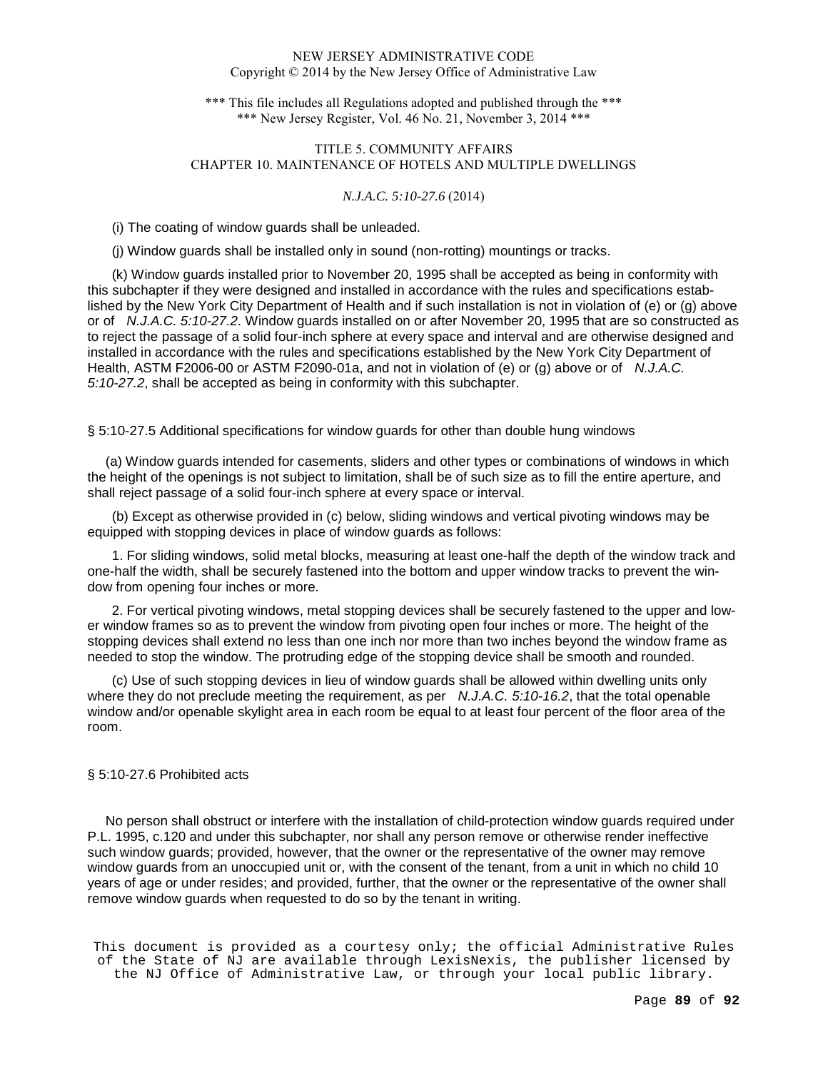\*\*\* This file includes all Regulations adopted and published through the \*\*\* \*\*\* New Jersey Register, Vol. 46 No. 21, November 3, 2014 \*\*\*

# TITLE 5. COMMUNITY AFFAIRS CHAPTER 10. MAINTENANCE OF HOTELS AND MULTIPLE DWELLINGS

#### *N.J.A.C. 5:10-27.6* (2014)

(i) The coating of window guards shall be unleaded.

(j) Window guards shall be installed only in sound (non-rotting) mountings or tracks.

(k) Window guards installed prior to November 20, 1995 shall be accepted as being in conformity with this subchapter if they were designed and installed in accordance with the rules and specifications established by the New York City Department of Health and if such installation is not in violation of (e) or (g) above or of N.J.A.C. 5:10-27.2. Window guards installed on or after November 20, 1995 that are so constructed as to reject the passage of a solid four-inch sphere at every space and interval and are otherwise designed and installed in accordance with the rules and specifications established by the New York City Department of Health, ASTM F2006-00 or ASTM F2090-01a, and not in violation of (e) or (g) above or of N.J.A.C. 5:10-27.2, shall be accepted as being in conformity with this subchapter.

§ 5:10-27.5 Additional specifications for window guards for other than double hung windows

 (a) Window guards intended for casements, sliders and other types or combinations of windows in which the height of the openings is not subject to limitation, shall be of such size as to fill the entire aperture, and shall reject passage of a solid four-inch sphere at every space or interval.

(b) Except as otherwise provided in (c) below, sliding windows and vertical pivoting windows may be equipped with stopping devices in place of window guards as follows:

1. For sliding windows, solid metal blocks, measuring at least one-half the depth of the window track and one-half the width, shall be securely fastened into the bottom and upper window tracks to prevent the window from opening four inches or more.

2. For vertical pivoting windows, metal stopping devices shall be securely fastened to the upper and lower window frames so as to prevent the window from pivoting open four inches or more. The height of the stopping devices shall extend no less than one inch nor more than two inches beyond the window frame as needed to stop the window. The protruding edge of the stopping device shall be smooth and rounded.

(c) Use of such stopping devices in lieu of window guards shall be allowed within dwelling units only where they do not preclude meeting the requirement, as per  $N.J.A.C. 5:10-16.2$ , that the total openable window and/or openable skylight area in each room be equal to at least four percent of the floor area of the room.

### § 5:10-27.6 Prohibited acts

 No person shall obstruct or interfere with the installation of child-protection window guards required under P.L. 1995, c.120 and under this subchapter, nor shall any person remove or otherwise render ineffective such window guards; provided, however, that the owner or the representative of the owner may remove window guards from an unoccupied unit or, with the consent of the tenant, from a unit in which no child 10 years of age or under resides; and provided, further, that the owner or the representative of the owner shall remove window guards when requested to do so by the tenant in writing.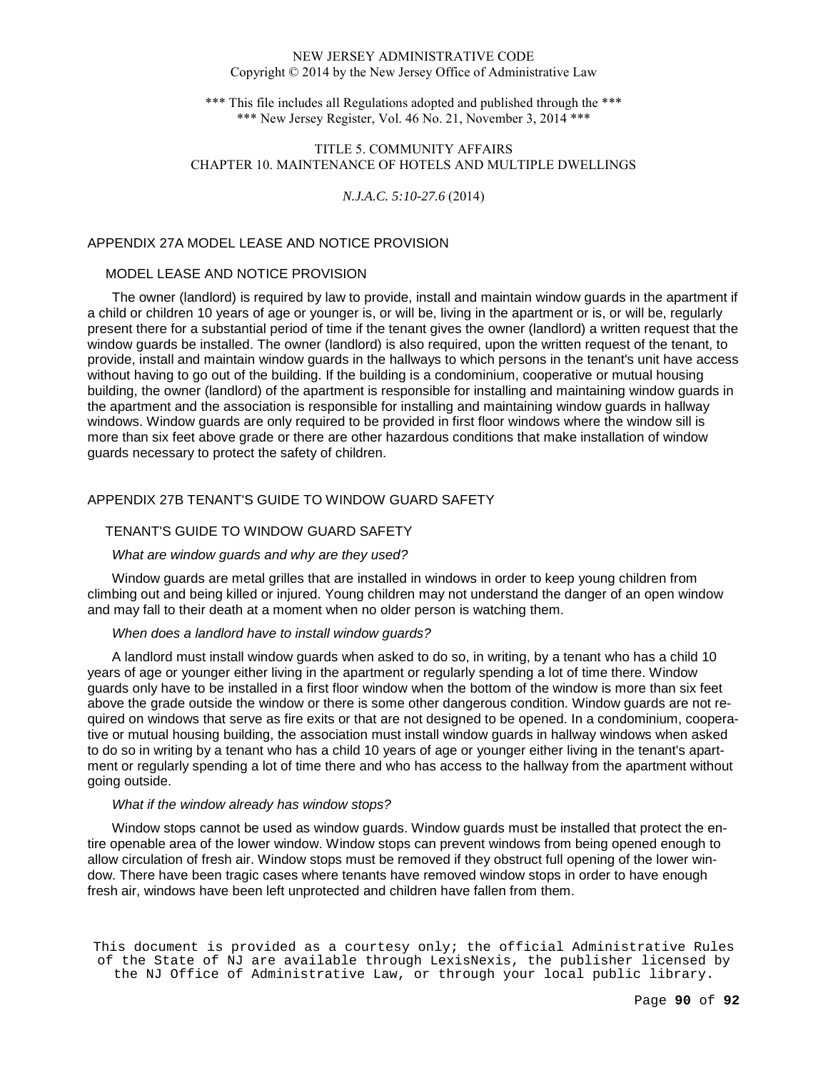\*\*\* This file includes all Regulations adopted and published through the \*\*\* \*\*\* New Jersey Register, Vol. 46 No. 21, November 3, 2014 \*\*\*

## TITLE 5. COMMUNITY AFFAIRS CHAPTER 10. MAINTENANCE OF HOTELS AND MULTIPLE DWELLINGS

#### *N.J.A.C. 5:10-27.6* (2014)

### APPENDIX 27A MODEL LEASE AND NOTICE PROVISION

### MODEL LEASE AND NOTICE PROVISION

The owner (landlord) is required by law to provide, install and maintain window guards in the apartment if a child or children 10 years of age or younger is, or will be, living in the apartment or is, or will be, regularly present there for a substantial period of time if the tenant gives the owner (landlord) a written request that the window guards be installed. The owner (landlord) is also required, upon the written request of the tenant, to provide, install and maintain window guards in the hallways to which persons in the tenant's unit have access without having to go out of the building. If the building is a condominium, cooperative or mutual housing building, the owner (landlord) of the apartment is responsible for installing and maintaining window guards in the apartment and the association is responsible for installing and maintaining window guards in hallway windows. Window guards are only required to be provided in first floor windows where the window sill is more than six feet above grade or there are other hazardous conditions that make installation of window guards necessary to protect the safety of children.

# APPENDIX 27B TENANT'S GUIDE TO WINDOW GUARD SAFETY

## TENANT'S GUIDE TO WINDOW GUARD SAFETY

### What are window guards and why are they used?

Window guards are metal grilles that are installed in windows in order to keep young children from climbing out and being killed or injured. Young children may not understand the danger of an open window and may fall to their death at a moment when no older person is watching them.

### When does a landlord have to install window guards?

A landlord must install window guards when asked to do so, in writing, by a tenant who has a child 10 years of age or younger either living in the apartment or regularly spending a lot of time there. Window guards only have to be installed in a first floor window when the bottom of the window is more than six feet above the grade outside the window or there is some other dangerous condition. Window guards are not required on windows that serve as fire exits or that are not designed to be opened. In a condominium, cooperative or mutual housing building, the association must install window guards in hallway windows when asked to do so in writing by a tenant who has a child 10 years of age or younger either living in the tenant's apartment or regularly spending a lot of time there and who has access to the hallway from the apartment without going outside.

### What if the window already has window stops?

Window stops cannot be used as window guards. Window guards must be installed that protect the entire openable area of the lower window. Window stops can prevent windows from being opened enough to allow circulation of fresh air. Window stops must be removed if they obstruct full opening of the lower window. There have been tragic cases where tenants have removed window stops in order to have enough fresh air, windows have been left unprotected and children have fallen from them.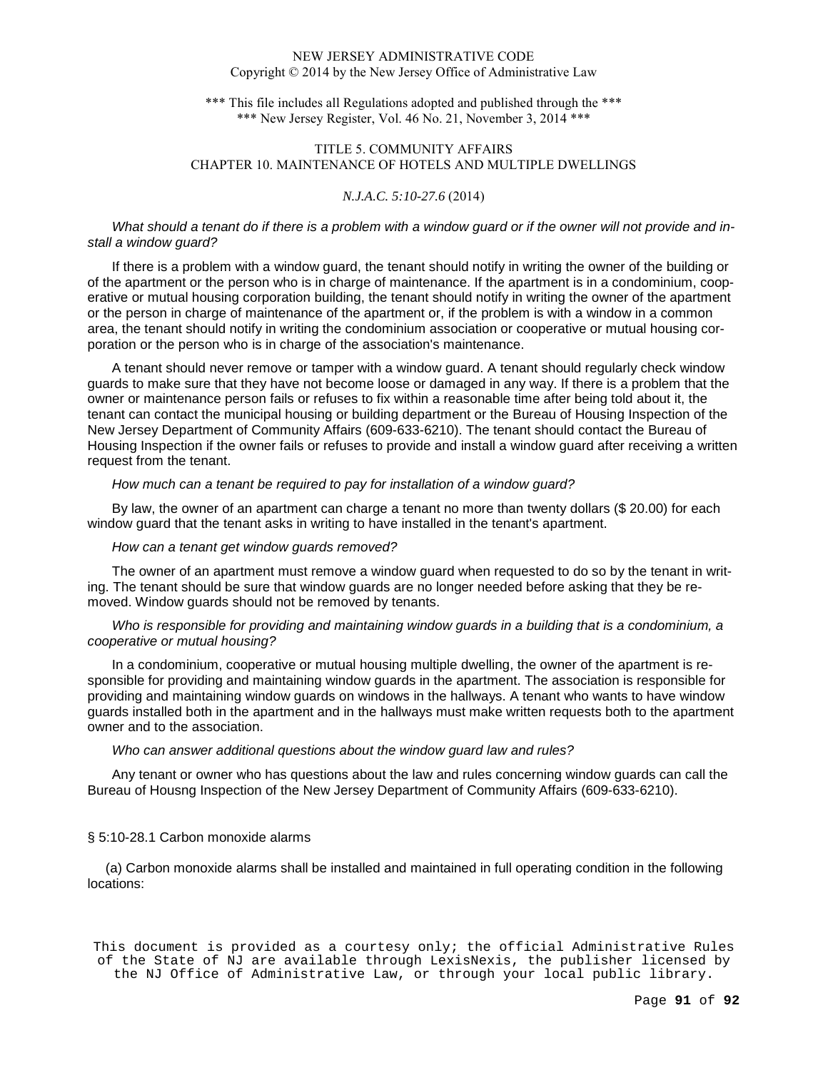\*\*\* This file includes all Regulations adopted and published through the \*\*\* \*\*\* New Jersey Register, Vol. 46 No. 21, November 3, 2014 \*\*\*

## TITLE 5. COMMUNITY AFFAIRS CHAPTER 10. MAINTENANCE OF HOTELS AND MULTIPLE DWELLINGS

#### *N.J.A.C. 5:10-27.6* (2014)

What should a tenant do if there is a problem with a window guard or if the owner will not provide and install a window guard?

If there is a problem with a window guard, the tenant should notify in writing the owner of the building or of the apartment or the person who is in charge of maintenance. If the apartment is in a condominium, cooperative or mutual housing corporation building, the tenant should notify in writing the owner of the apartment or the person in charge of maintenance of the apartment or, if the problem is with a window in a common area, the tenant should notify in writing the condominium association or cooperative or mutual housing corporation or the person who is in charge of the association's maintenance.

A tenant should never remove or tamper with a window guard. A tenant should regularly check window guards to make sure that they have not become loose or damaged in any way. If there is a problem that the owner or maintenance person fails or refuses to fix within a reasonable time after being told about it, the tenant can contact the municipal housing or building department or the Bureau of Housing Inspection of the New Jersey Department of Community Affairs (609-633-6210). The tenant should contact the Bureau of Housing Inspection if the owner fails or refuses to provide and install a window guard after receiving a written request from the tenant.

#### How much can a tenant be required to pay for installation of a window guard?

By law, the owner of an apartment can charge a tenant no more than twenty dollars (\$ 20.00) for each window guard that the tenant asks in writing to have installed in the tenant's apartment.

#### How can a tenant get window guards removed?

The owner of an apartment must remove a window guard when requested to do so by the tenant in writing. The tenant should be sure that window guards are no longer needed before asking that they be removed. Window guards should not be removed by tenants.

Who is responsible for providing and maintaining window guards in a building that is a condominium, a cooperative or mutual housing?

In a condominium, cooperative or mutual housing multiple dwelling, the owner of the apartment is responsible for providing and maintaining window guards in the apartment. The association is responsible for providing and maintaining window guards on windows in the hallways. A tenant who wants to have window guards installed both in the apartment and in the hallways must make written requests both to the apartment owner and to the association.

### Who can answer additional questions about the window guard law and rules?

Any tenant or owner who has questions about the law and rules concerning window guards can call the Bureau of Housng Inspection of the New Jersey Department of Community Affairs (609-633-6210).

#### § 5:10-28.1 Carbon monoxide alarms

 (a) Carbon monoxide alarms shall be installed and maintained in full operating condition in the following locations: